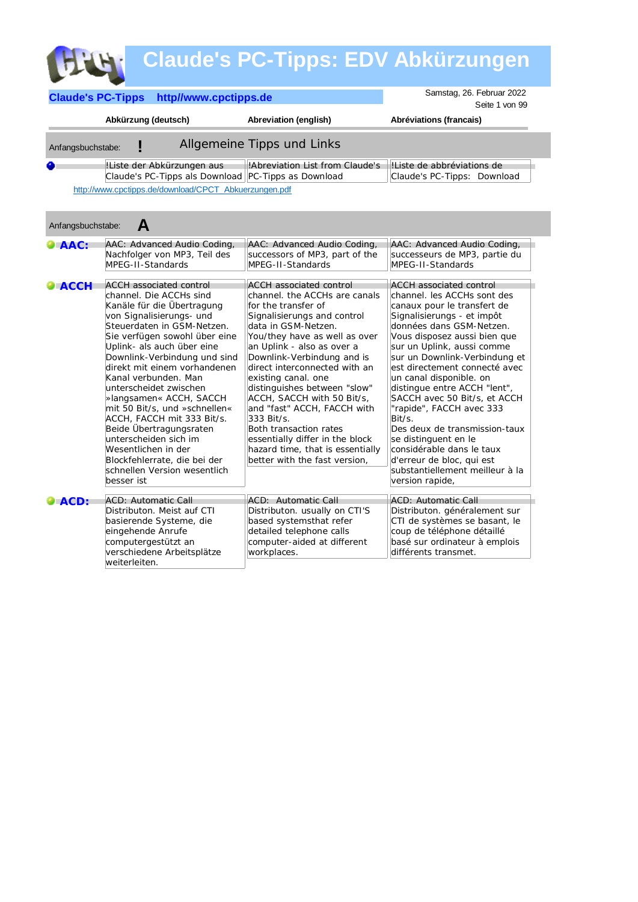|                          |                                                                                                                                                                                                                                                                                                                                                                                                                                                                                                                                                                                       |                                                                                                                                                                                                                                                                                                                                                                                                                                                                                                                                                | <b>Claude's PC-Tipps: EDV Abkürzungen</b>                                                                                                                                                                                                                                                                                                                                                                                                                                                                                                                                                        |
|--------------------------|---------------------------------------------------------------------------------------------------------------------------------------------------------------------------------------------------------------------------------------------------------------------------------------------------------------------------------------------------------------------------------------------------------------------------------------------------------------------------------------------------------------------------------------------------------------------------------------|------------------------------------------------------------------------------------------------------------------------------------------------------------------------------------------------------------------------------------------------------------------------------------------------------------------------------------------------------------------------------------------------------------------------------------------------------------------------------------------------------------------------------------------------|--------------------------------------------------------------------------------------------------------------------------------------------------------------------------------------------------------------------------------------------------------------------------------------------------------------------------------------------------------------------------------------------------------------------------------------------------------------------------------------------------------------------------------------------------------------------------------------------------|
| <b>Claude's PC-Tipps</b> | http//www.cpctipps.de                                                                                                                                                                                                                                                                                                                                                                                                                                                                                                                                                                 |                                                                                                                                                                                                                                                                                                                                                                                                                                                                                                                                                | Samstag, 26. Februar 2022<br>Seite 1 von 99                                                                                                                                                                                                                                                                                                                                                                                                                                                                                                                                                      |
|                          | Abkürzung (deutsch)                                                                                                                                                                                                                                                                                                                                                                                                                                                                                                                                                                   | Abreviation (english)                                                                                                                                                                                                                                                                                                                                                                                                                                                                                                                          | Abréviations (francais)                                                                                                                                                                                                                                                                                                                                                                                                                                                                                                                                                                          |
| Anfangsbuchstabe:        |                                                                                                                                                                                                                                                                                                                                                                                                                                                                                                                                                                                       | Allgemeine Tipps und Links                                                                                                                                                                                                                                                                                                                                                                                                                                                                                                                     |                                                                                                                                                                                                                                                                                                                                                                                                                                                                                                                                                                                                  |
| ◕                        | !Liste der Abkürzungen aus<br>Claude's PC-Tipps als Download PC-Tipps as Download                                                                                                                                                                                                                                                                                                                                                                                                                                                                                                     | !Abreviation List from Claude's                                                                                                                                                                                                                                                                                                                                                                                                                                                                                                                | IListe de abbréviations de<br>Claude's PC-Tipps: Download                                                                                                                                                                                                                                                                                                                                                                                                                                                                                                                                        |
|                          | http://www.cpctipps.de/download/CPCT Abkuerzungen.pdf                                                                                                                                                                                                                                                                                                                                                                                                                                                                                                                                 |                                                                                                                                                                                                                                                                                                                                                                                                                                                                                                                                                |                                                                                                                                                                                                                                                                                                                                                                                                                                                                                                                                                                                                  |
| Anfangsbuchstabe:        | A                                                                                                                                                                                                                                                                                                                                                                                                                                                                                                                                                                                     |                                                                                                                                                                                                                                                                                                                                                                                                                                                                                                                                                |                                                                                                                                                                                                                                                                                                                                                                                                                                                                                                                                                                                                  |
| $\bullet$ AAC:           | AAC: Advanced Audio Coding,<br>Nachfolger von MP3, Teil des<br>MPEG-II-Standards                                                                                                                                                                                                                                                                                                                                                                                                                                                                                                      | AAC: Advanced Audio Coding,<br>successors of MP3, part of the<br>MPEG-II-Standards                                                                                                                                                                                                                                                                                                                                                                                                                                                             | AAC: Advanced Audio Coding,<br>successeurs de MP3, partie du<br>MPEG-II-Standards                                                                                                                                                                                                                                                                                                                                                                                                                                                                                                                |
| $\bullet$ ACCH           | <b>ACCH</b> associated control<br>channel. Die ACCHs sind<br>Kanäle für die Übertragung<br>von Signalisierungs- und<br>Steuerdaten in GSM-Netzen.<br>Sie verfügen sowohl über eine<br>Uplink- als auch über eine<br>Downlink-Verbindung und sind<br>direkt mit einem vorhandenen<br>Kanal verbunden. Man<br>unterscheidet zwischen<br>»langsamen« ACCH, SACCH<br>mit 50 Bit/s, und »schnellen«<br>ACCH, FACCH mit 333 Bit/s.<br>Beide Übertragungsraten<br>unterscheiden sich im<br>Wesentlichen in der<br>Blockfehlerrate, die bei der<br>schnellen Version wesentlich<br>besser ist | <b>ACCH</b> associated control<br>channel. the ACCHs are canals<br>for the transfer of<br>Signalisierungs and control<br>data in GSM-Netzen.<br>You/they have as well as over<br>an Uplink - also as over a<br>Downlink-Verbindung and is<br>direct interconnected with an<br>existing canal. one<br>distinguishes between "slow"<br>ACCH, SACCH with 50 Bit/s,<br>and "fast" ACCH, FACCH with<br>333 Bit/s.<br>Both transaction rates<br>essentially differ in the block<br>hazard time, that is essentially<br>better with the fast version. | <b>ACCH</b> associated control<br>channel. les ACCHs sont des<br>canaux pour le transfert de<br>Signalisierungs - et impôt<br>données dans GSM-Netzen.<br>Vous disposez aussi bien que<br>sur un Uplink, aussi comme<br>sur un Downlink-Verbindung et<br>est directement connecté avec<br>un canal disponible. on<br>distingue entre ACCH "lent",<br>SACCH avec 50 Bit/s, et ACCH<br>"rapide", FACCH avec 333<br>Bit/s.<br>Des deux de transmission-taux<br>se distinguent en le<br>considérable dans le taux<br>d'erreur de bloc, qui est<br>substantiellement meilleur à la<br>version rapide, |
| $\bullet$ ACD:           | <b>ACD: Automatic Call</b><br>Distributon. Meist auf CTI<br>basierende Systeme, die<br>eingehende Anrufe<br>computergestützt an<br>verschiedene Arbeitsplätze<br>weiterleiten.                                                                                                                                                                                                                                                                                                                                                                                                        | ACD: Automatic Call<br>Distributon. usually on CTI'S<br>based systemsthat refer<br>detailed telephone calls<br>computer-aided at different<br>workplaces.                                                                                                                                                                                                                                                                                                                                                                                      | <b>ACD: Automatic Call</b><br>Distributon. généralement sur<br>CTI de systèmes se basant, le<br>coup de téléphone détaillé<br>basé sur ordinateur à emplois<br>différents transmet.                                                                                                                                                                                                                                                                                                                                                                                                              |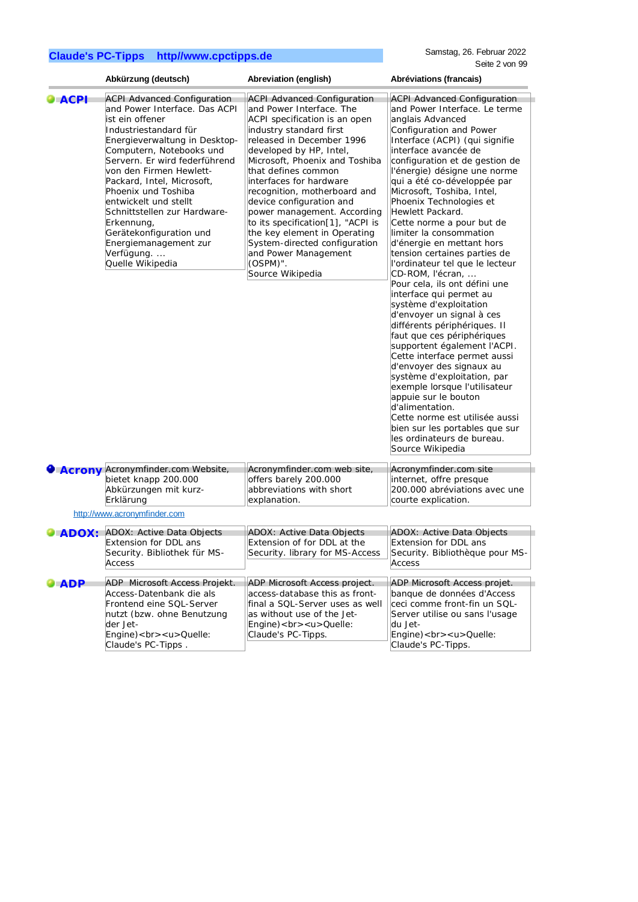|                 | Abkürzung (deutsch)                                                                                                                                                                                                                                                                                                                                                                                                                                       | Abreviation (english)                                                                                                                                                                                                                                                                                                                                                                                                                                                                                                              | Abréviations (francais)                                                                                                                                                                                                                                                                                                                                                                                                                                                                                                                                                                                                                                                                                                                                                                                                                                                                                                                                                                                                                              |
|-----------------|-----------------------------------------------------------------------------------------------------------------------------------------------------------------------------------------------------------------------------------------------------------------------------------------------------------------------------------------------------------------------------------------------------------------------------------------------------------|------------------------------------------------------------------------------------------------------------------------------------------------------------------------------------------------------------------------------------------------------------------------------------------------------------------------------------------------------------------------------------------------------------------------------------------------------------------------------------------------------------------------------------|------------------------------------------------------------------------------------------------------------------------------------------------------------------------------------------------------------------------------------------------------------------------------------------------------------------------------------------------------------------------------------------------------------------------------------------------------------------------------------------------------------------------------------------------------------------------------------------------------------------------------------------------------------------------------------------------------------------------------------------------------------------------------------------------------------------------------------------------------------------------------------------------------------------------------------------------------------------------------------------------------------------------------------------------------|
| $\bullet$ ACPI  | <b>ACPI Advanced Configuration</b><br>and Power Interface. Das ACPI<br>ist ein offener<br>Industriestandard für<br>Energieverwaltung in Desktop-<br>Computern, Notebooks und<br>Servern. Er wird federführend<br>von den Firmen Hewlett-<br>Packard, Intel, Microsoft,<br>Phoenix und Toshiba<br>entwickelt und stellt<br>Schnittstellen zur Hardware-<br>Erkennung,<br>Gerätekonfiguration und<br>Energiemanagement zur<br>Verfügung<br>Quelle Wikipedia | <b>ACPI Advanced Configuration</b><br>and Power Interface. The<br>ACPI specification is an open<br>industry standard first<br>released in December 1996<br>developed by HP, Intel,<br>Microsoft, Phoenix and Toshiba<br>that defines common<br>interfaces for hardware<br>recognition, motherboard and<br>device configuration and<br>power management. According<br>to its specification[1], "ACPI is<br>the key element in Operating<br>System-directed configuration<br>and Power Management<br>$(OSPM)$ ".<br>Source Wikipedia | <b>ACPI Advanced Configuration</b><br>and Power Interface. Le terme<br>anglais Advanced<br>Configuration and Power<br>Interface (ACPI) (qui signifie<br>interface avancée de<br>configuration et de gestion de<br>l'énergie) désigne une norme<br>qui a été co-développée par<br>Microsoft, Toshiba, Intel,<br>Phoenix Technologies et<br>Hewlett Packard.<br>Cette norme a pour but de<br>limiter la consommation<br>d'énergie en mettant hors<br>tension certaines parties de<br>l'ordinateur tel que le lecteur<br>CD-ROM, l'écran,<br>Pour cela, ils ont défini une<br>interface qui permet au<br>système d'exploitation<br>d'envoyer un signal à ces<br>différents périphériques. Il<br>faut que ces périphériques<br>supportent également l'ACPI.<br>Cette interface permet aussi<br>d'envoyer des signaux au<br>système d'exploitation, par<br>exemple lorsque l'utilisateur<br>appuie sur le bouton<br>d'alimentation.<br>Cette norme est utilisée aussi<br>bien sur les portables que sur<br>les ordinateurs de bureau.<br>Source Wikipedia |
|                 | Acrony Acronymfinder.com Website,<br>bietet knapp 200.000<br>Abkürzungen mit kurz-<br>Erklärung                                                                                                                                                                                                                                                                                                                                                           | Acronymfinder.com web site,<br>offers barely 200.000<br>abbreviations with short<br>explanation.                                                                                                                                                                                                                                                                                                                                                                                                                                   | Acronymfinder.com site<br>internet, offre presque<br>200.000 abréviations avec une<br>courte explication.                                                                                                                                                                                                                                                                                                                                                                                                                                                                                                                                                                                                                                                                                                                                                                                                                                                                                                                                            |
|                 | http://www.acronymfinder.com                                                                                                                                                                                                                                                                                                                                                                                                                              |                                                                                                                                                                                                                                                                                                                                                                                                                                                                                                                                    |                                                                                                                                                                                                                                                                                                                                                                                                                                                                                                                                                                                                                                                                                                                                                                                                                                                                                                                                                                                                                                                      |
| $\bullet$ ADOX: | ADOX: Active Data Objects<br><b>Extension for DDL ans</b><br>Security. Bibliothek für MS-<br>Access                                                                                                                                                                                                                                                                                                                                                       | ADOX: Active Data Objects<br>Extension of for DDL at the<br>Security. Iibrary for MS-Access                                                                                                                                                                                                                                                                                                                                                                                                                                        | ADOX: Active Data Objects<br>Extension for DDL ans<br>Security. Bibliothèque pour MS-<br>Access                                                                                                                                                                                                                                                                                                                                                                                                                                                                                                                                                                                                                                                                                                                                                                                                                                                                                                                                                      |
| $\bullet$ ADP   | ADP Microsoft Access Projekt.<br>Access-Datenbank die als<br>Frontend eine SQL-Server<br>nutzt (bzw. ohne Benutzung<br>der Jet-<br>Engine)<br><u> Quelle:<br/>Claude's PC-Tipps.</u>                                                                                                                                                                                                                                                                      | ADP Microsoft Access project.<br>access-database this as front-<br>final a SQL-Server uses as well<br>as without use of the Jet-<br>Engine)<br><u> Quelle:<br/>Claude's PC-Tipps.</u>                                                                                                                                                                                                                                                                                                                                              | ADP Microsoft Access projet.<br>banque de données d'Access<br>ceci comme front-fin un SQL-<br>Server utilise ou sans l'usage<br>du Jet-<br>Engine)<br><u> Quelle:<br/>Claude's PC-Tipps.</u>                                                                                                                                                                                                                                                                                                                                                                                                                                                                                                                                                                                                                                                                                                                                                                                                                                                         |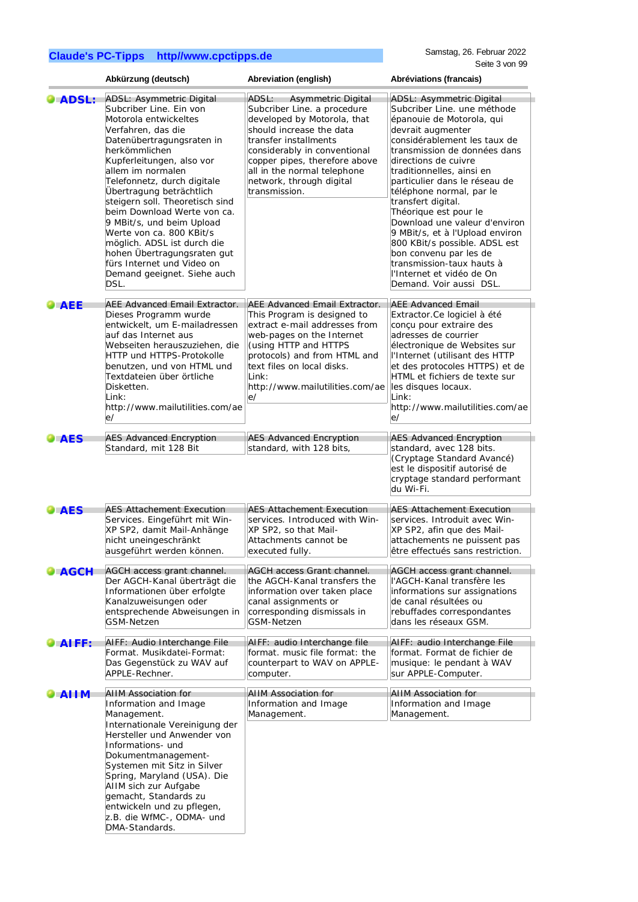|                     | Abkürzung (deutsch)                                                                                                                                                                                                                                                                                                                                                                                                                                                                                                                | Abreviation (english)                                                                                                                                                                                                                                                                       | Abréviations (francais)                                                                                                                                                                                                                                                                                                                                                                                                                                                                                                                                        |
|---------------------|------------------------------------------------------------------------------------------------------------------------------------------------------------------------------------------------------------------------------------------------------------------------------------------------------------------------------------------------------------------------------------------------------------------------------------------------------------------------------------------------------------------------------------|---------------------------------------------------------------------------------------------------------------------------------------------------------------------------------------------------------------------------------------------------------------------------------------------|----------------------------------------------------------------------------------------------------------------------------------------------------------------------------------------------------------------------------------------------------------------------------------------------------------------------------------------------------------------------------------------------------------------------------------------------------------------------------------------------------------------------------------------------------------------|
| <b>ADSL:</b>        | <b>ADSL: Asymmetric Digital</b><br>Subcriber Line. Ein von<br>Motorola entwickeltes<br>Verfahren, das die<br>Datenübertragungsraten in<br>herkömmlichen<br>Kupferleitungen, also vor<br>allem im normalen<br>Telefonnetz, durch digitale<br>Übertragung beträchtlich<br>steigern soll. Theoretisch sind<br>beim Download Werte von ca.<br>9 MBit/s, und beim Upload<br>Werte von ca. 800 KBit/s<br>möglich. ADSL ist durch die<br>hohen Übertragungsraten gut<br>fürs Internet und Video on<br>Demand geeignet. Siehe auch<br>DSL. | ADSL:<br>Asymmetric Digital<br>Subcriber Line. a procedure<br>developed by Motorola, that<br>should increase the data<br>transfer installments<br>considerably in conventional<br>copper pipes, therefore above<br>all in the normal telephone<br>network, through digital<br>transmission. | ADSL: Asymmetric Digital<br>Subcriber Line, une méthode<br>épanouie de Motorola, qui<br>devrait augmenter<br>considérablement les taux de<br>transmission de données dans<br>directions de cuivre<br>traditionnelles, ainsi en<br>particulier dans le réseau de<br>téléphone normal, par le<br>transfert digital.<br>Théorique est pour le<br>Download une valeur d'environ<br>9 MBit/s, et à l'Upload environ<br>800 KBit/s possible. ADSL est<br>bon convenu par les de<br>transmission-taux hauts à<br>l'Internet et vidéo de On<br>Demand. Voir aussi DSL. |
| <b>AEE</b>          | AEE Advanced Email Extractor.<br>Dieses Programm wurde<br>entwickelt, um E-mailadressen<br>auf das Internet aus<br>Webseiten herauszuziehen, die<br>HTTP und HTTPS-Protokolle<br>benutzen, und von HTML und<br>Textdateien über örtliche<br>Disketten.<br>Link:<br>http://www.mailutilities.com/ae<br>e/                                                                                                                                                                                                                           | AEE Advanced Email Extractor.<br>This Program is designed to<br>extract e-mail addresses from<br>web-pages on the Internet<br>(using HTTP and HTTPS<br>protocols) and from HTML and<br>text files on local disks.<br>Link:<br>http://www.mailutilities.com/ae<br>le/                        | <b>AEE Advanced Email</b><br>Extractor.Ce logiciel à été<br>conçu pour extraire des<br>adresses de courrier<br>électronique de Websites sur<br>l'Internet (utilisant des HTTP<br>et des protocoles HTTPS) et de<br>HTML et fichiers de texte sur<br>les disques locaux.<br>Link:<br>http://www.mailutilities.com/ae<br>e/                                                                                                                                                                                                                                      |
| <b>AES</b>          | <b>AES Advanced Encryption</b><br>Standard, mit 128 Bit                                                                                                                                                                                                                                                                                                                                                                                                                                                                            | <b>AES Advanced Encryption</b><br>standard, with 128 bits,                                                                                                                                                                                                                                  | <b>AES Advanced Encryption</b><br>standard, avec 128 bits.<br>(Cryptage Standard Avancé)<br>est le dispositif autorisé de<br>cryptage standard performant<br>du Wi-Fi.                                                                                                                                                                                                                                                                                                                                                                                         |
| $\bullet$ AES       | <b>AES Attachement Execution</b><br>Services. Eingeführt mit Win-<br>XP SP2, damit Mail-Anhänge<br>nicht uneingeschränkt<br>ausgeführt werden können.                                                                                                                                                                                                                                                                                                                                                                              | <b>AES Attachement Execution</b><br>services. Introduced with Win-<br>XP SP2, so that Mail-<br>Attachments cannot be<br>executed fully.                                                                                                                                                     | <b>AES Attachement Execution</b><br>services. Introduit avec Win-<br>XP SP2, afin que des Mail-<br>attachements ne puissent pas<br>être effectués sans restriction.                                                                                                                                                                                                                                                                                                                                                                                            |
| AGCH                | AGCH access grant channel.<br>Der AGCH-Kanal überträgt die<br>Informationen über erfolgte<br>Kanalzuweisungen oder<br>entsprechende Abweisungen in<br><b>GSM-Netzen</b>                                                                                                                                                                                                                                                                                                                                                            | <b>AGCH access Grant channel.</b><br>the AGCH-Kanal transfers the<br>information over taken place<br>canal assignments or<br>corresponding dismissals in<br><b>GSM-Netzen</b>                                                                                                               | AGCH access grant channel.<br>l'AGCH-Kanal transfère les<br>informations sur assignations<br>de canal résultées ou<br>rebuffades correspondantes<br>dans les réseaux GSM.                                                                                                                                                                                                                                                                                                                                                                                      |
| $\bullet$ AIFF:     | AIFF: Audio Interchange File<br>Format. Musikdatei-Format:<br>Das Gegenstück zu WAV auf<br>APPLE-Rechner.                                                                                                                                                                                                                                                                                                                                                                                                                          | AIFF: audio Interchange file<br>format. music file format: the<br>counterpart to WAV on APPLE-<br>computer.                                                                                                                                                                                 | AIFF: audio Interchange File<br>format. Format de fichier de<br>musique: le pendant à WAV<br>sur APPLE-Computer.                                                                                                                                                                                                                                                                                                                                                                                                                                               |
| $\blacksquare$ ALIM | AIIM Association for<br>Information and Image<br>Management.<br>Internationale Vereinigung der<br>Hersteller und Anwender von<br>Informations- und<br>Dokumentmanagement-<br>Systemen mit Sitz in Silver<br>Spring, Maryland (USA). Die<br>AIIM sich zur Aufgabe<br>gemacht, Standards zu<br>entwickeln und zu pflegen,<br>z.B. die WfMC-, ODMA- und<br>DMA-Standards.                                                                                                                                                             | <b>AIIM Association for</b><br>Information and Image<br>Management.                                                                                                                                                                                                                         | <b>AIIM Association for</b><br>Information and Image<br>Management.                                                                                                                                                                                                                                                                                                                                                                                                                                                                                            |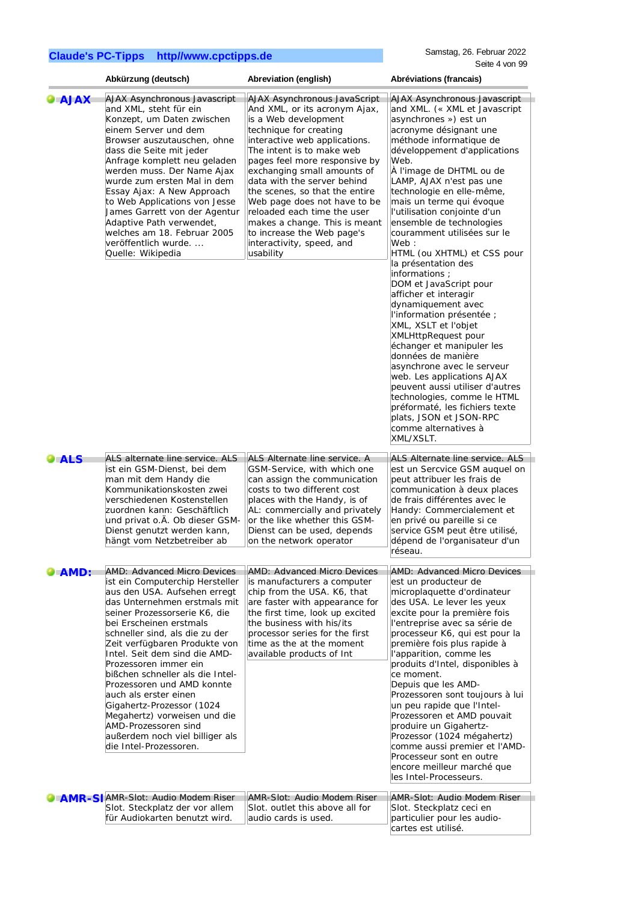|               | Abkürzung (deutsch)                                                                                                                                                                                                                                                                                                                                                                                                                                                                                                                                                         | Abreviation (english)                                                                                                                                                                                                                                                                                                                                                                                                                                                                         | Abréviations (francais)                                                                                                                                                                                                                                                                                                                                                                                                                                                                                                                                                                                                                                                                                                                                                                                                                                                                                                 |
|---------------|-----------------------------------------------------------------------------------------------------------------------------------------------------------------------------------------------------------------------------------------------------------------------------------------------------------------------------------------------------------------------------------------------------------------------------------------------------------------------------------------------------------------------------------------------------------------------------|-----------------------------------------------------------------------------------------------------------------------------------------------------------------------------------------------------------------------------------------------------------------------------------------------------------------------------------------------------------------------------------------------------------------------------------------------------------------------------------------------|-------------------------------------------------------------------------------------------------------------------------------------------------------------------------------------------------------------------------------------------------------------------------------------------------------------------------------------------------------------------------------------------------------------------------------------------------------------------------------------------------------------------------------------------------------------------------------------------------------------------------------------------------------------------------------------------------------------------------------------------------------------------------------------------------------------------------------------------------------------------------------------------------------------------------|
| <b>AJAX</b>   | AJAX Asynchronous Javascript<br>and XML, steht für ein<br>Konzept, um Daten zwischen<br>einem Server und dem<br>Browser auszutauschen, ohne<br>dass die Seite mit jeder<br>Anfrage komplett neu geladen<br>werden muss. Der Name Ajax<br>wurde zum ersten Mal in dem<br>Essay Ajax: A New Approach<br>to Web Applications von Jesse<br>James Garrett von der Agentur<br>Adaptive Path verwendet,<br>welches am 18. Februar 2005<br>veröffentlich wurde<br>Quelle: Wikipedia                                                                                                 | <b>AJAX Asynchronous JavaScript</b><br>And XML, or its acronym Ajax,<br>is a Web development<br>technique for creating<br>interactive web applications.<br>The intent is to make web<br>pages feel more responsive by<br>exchanging small amounts of<br>data with the server behind<br>the scenes, so that the entire<br>Web page does not have to be<br>reloaded each time the user<br>makes a change. This is meant<br>to increase the Web page's<br>interactivity, speed, and<br>usability | AJAX Asynchronous Javascript<br>and XML. (« XML et Javascript<br>asynchrones ») est un<br>acronyme désignant une<br>méthode informatique de<br>développement d'applications<br>Web.<br>À l'image de DHTML ou de<br>LAMP, AJAX n'est pas une<br>technologie en elle-même,<br>mais un terme qui évoque<br>l'utilisation conjointe d'un<br>ensemble de technologies<br>couramment utilisées sur le<br>Web:<br>HTML (ou XHTML) et CSS pour<br>la présentation des<br>informations ;<br>DOM et JavaScript pour<br>afficher et interagir<br>dynamiquement avec<br>l'information présentée ;<br>XML, XSLT et l'objet<br>XMLHttpRequest pour<br>échanger et manipuler les<br>données de manière<br>asynchrone avec le serveur<br>web. Les applications AJAX<br>peuvent aussi utiliser d'autres<br>technologies, comme le HTML<br>préformaté, les fichiers texte<br>plats, JSON et JSON-RPC<br>comme alternatives à<br>XML/XSLT. |
| $\bullet$ ALS | ALS alternate line service. ALS<br>ist ein GSM-Dienst, bei dem<br>man mit dem Handy die<br>Kommunikationskosten zwei<br>verschiedenen Kostenstellen<br>zuordnen kann: Geschäftlich<br>und privat o.Ä. Ob dieser GSM-<br>Dienst genutzt werden kann,<br>hängt vom Netzbetreiber ab                                                                                                                                                                                                                                                                                           | ALS Alternate line service. A<br>GSM-Service, with which one<br>can assign the communication<br>costs to two different cost<br>places with the Handy, is of<br>AL: commercially and privately<br>or the like whether this GSM-<br>Dienst can be used, depends<br>on the network operator                                                                                                                                                                                                      | ALS Alternate line service. ALS<br>est un Sercvice GSM auquel on<br>peut attribuer les frais de<br>communication à deux places<br>de frais différentes avec le<br>Handy: Commercialement et<br>en privé ou pareille si ce<br>service GSM peut être utilisé,<br>dépend de l'organisateur d'un<br>réseau.                                                                                                                                                                                                                                                                                                                                                                                                                                                                                                                                                                                                                 |
| AMD:          | <b>AMD: Advanced Micro Devices</b><br>ist ein Computerchip Hersteller<br>aus den USA. Aufsehen erregt<br>das Unternehmen erstmals mit<br>seiner Prozessorserie K6, die<br>bei Erscheinen erstmals<br>schneller sind, als die zu der<br>Zeit verfügbaren Produkte von<br>Intel. Seit dem sind die AMD-<br>Prozessoren immer ein<br>bißchen schneller als die Intel-<br>Prozessoren und AMD konnte<br>auch als erster einen<br>Gigahertz-Prozessor (1024<br>Megahertz) vorweisen und die<br>AMD-Prozessoren sind<br>außerdem noch viel billiger als<br>die Intel-Prozessoren. | AMD: Advanced Micro Devices<br>is manufacturers a computer<br>chip from the USA. K6, that<br>are faster with appearance for<br>the first time, look up excited<br>the business with his/its<br>processor series for the first<br>time as the at the moment<br>available products of Int                                                                                                                                                                                                       | AMD: Advanced Micro Devices<br>est un producteur de<br>microplaquette d'ordinateur<br>des USA. Le lever les yeux<br>excite pour la première fois<br>l'entreprise avec sa série de<br>processeur K6, qui est pour la<br>première fois plus rapide à<br>l'apparition, comme les<br>produits d'Intel, disponibles à<br>ce moment.<br>Depuis que les AMD-<br>Prozessoren sont toujours à lui<br>un peu rapide que l'Intel-<br>Prozessoren et AMD pouvait<br>produire un Gigahertz-<br>Prozessor (1024 mégahertz)<br>comme aussi premier et l'AMD-<br>Processeur sont en outre<br>encore meilleur marché que<br>les Intel-Processeurs.                                                                                                                                                                                                                                                                                       |
|               | C AMR-SI AMR-Slot: Audio Modem Riser<br>Slot. Steckplatz der vor allem<br>für Audiokarten benutzt wird.                                                                                                                                                                                                                                                                                                                                                                                                                                                                     | AMR-Slot: Audio Modem Riser<br>Slot. outlet this above all for<br>audio cards is used.                                                                                                                                                                                                                                                                                                                                                                                                        | AMR-Slot: Audio Modem Riser<br>Slot. Steckplatz ceci en<br>particulier pour les audio-<br>cartes est utilisé.                                                                                                                                                                                                                                                                                                                                                                                                                                                                                                                                                                                                                                                                                                                                                                                                           |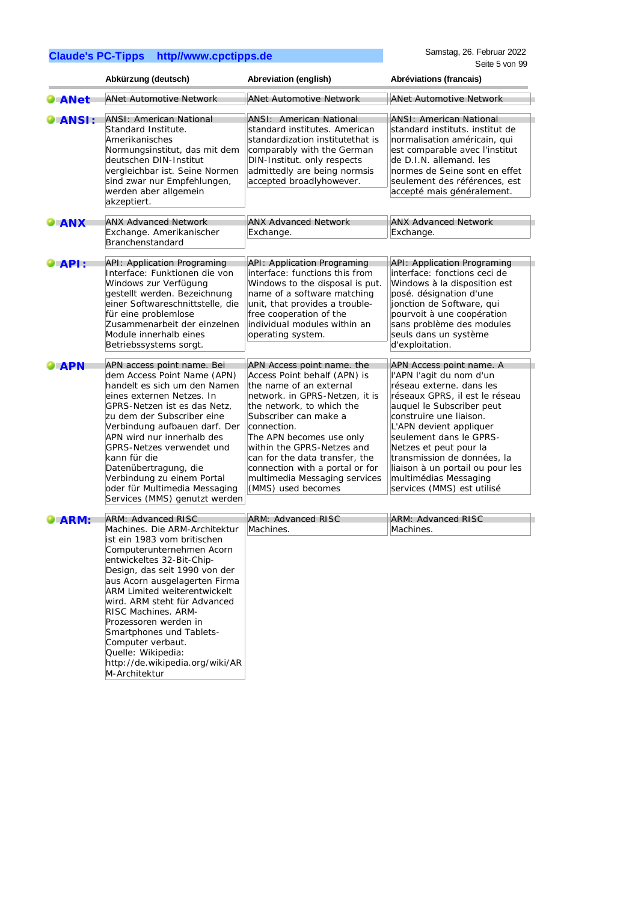|               | Abkürzung (deutsch)                                                                                                                                                                                                                                                                                                                                                                                                                                              | Abreviation (english)                                                                                                                                                                                                                                                                                                                                                              | Abréviations (francais)                                                                                                                                                                                                                                                                                                                                                              |
|---------------|------------------------------------------------------------------------------------------------------------------------------------------------------------------------------------------------------------------------------------------------------------------------------------------------------------------------------------------------------------------------------------------------------------------------------------------------------------------|------------------------------------------------------------------------------------------------------------------------------------------------------------------------------------------------------------------------------------------------------------------------------------------------------------------------------------------------------------------------------------|--------------------------------------------------------------------------------------------------------------------------------------------------------------------------------------------------------------------------------------------------------------------------------------------------------------------------------------------------------------------------------------|
| <b>ANet</b>   | <b>ANet Automotive Network</b>                                                                                                                                                                                                                                                                                                                                                                                                                                   | <b>ANet Automotive Network</b>                                                                                                                                                                                                                                                                                                                                                     | <b>ANet Automotive Network</b>                                                                                                                                                                                                                                                                                                                                                       |
| <b>ANSI:</b>  | <b>ANSI: American National</b><br>Standard Institute.<br>Amerikanisches<br>Normungsinstitut, das mit dem<br>deutschen DIN-Institut<br>vergleichbar ist. Seine Normen<br>sind zwar nur Empfehlungen,<br>werden aber allgemein<br>akzeptiert.                                                                                                                                                                                                                      | <b>ANSI: American National</b><br>standard institutes. American<br>standardization institutethat is<br>comparably with the German<br>DIN-Institut. only respects<br>admittedly are being normsis<br>accepted broadlyhowever.                                                                                                                                                       | <b>ANSI: American National</b><br>standard instituts. institut de<br>normalisation américain, qui<br>est comparable avec l'institut<br>de D.I.N. allemand. les<br>normes de Seine sont en effet<br>seulement des références, est<br>accepté mais généralement.                                                                                                                       |
| $\bullet$ ANX | <b>ANX Advanced Network</b><br>Exchange. Amerikanischer<br>Branchenstandard                                                                                                                                                                                                                                                                                                                                                                                      | <b>ANX Advanced Network</b><br>Exchange.                                                                                                                                                                                                                                                                                                                                           | <b>ANX Advanced Network</b><br>Exchange.                                                                                                                                                                                                                                                                                                                                             |
| API:          | <b>API: Application Programing</b><br>Interface: Funktionen die von<br>Windows zur Verfügung<br>gestellt werden. Bezeichnung<br>einer Softwareschnittstelle, die<br>für eine problemlose<br>Zusammenarbeit der einzelnen<br>Module innerhalb eines<br>Betriebssystems sorgt.                                                                                                                                                                                     | <b>API: Application Programing</b><br>interface: functions this from<br>Windows to the disposal is put.<br>name of a software matching<br>unit, that provides a trouble-<br>free cooperation of the<br>individual modules within an<br>operating system.                                                                                                                           | <b>API: Application Programing</b><br>interface: fonctions ceci de<br>Windows à la disposition est<br>posé. désignation d'une<br>jonction de Software, qui<br>pourvoit à une coopération<br>sans problème des modules<br>seuls dans un système<br>d'exploitation.                                                                                                                    |
| <b>APN</b>    | APN access point name. Bei<br>dem Access Point Name (APN)<br>handelt es sich um den Namen<br>eines externen Netzes. In<br>GPRS-Netzen ist es das Netz,<br>zu dem der Subscriber eine<br>Verbindung aufbauen darf. Der<br>APN wird nur innerhalb des<br>GPRS-Netzes verwendet und<br>kann für die<br>Datenübertragung, die<br>Verbindung zu einem Portal<br>oder für Multimedia Messaging<br>Services (MMS) genutzt werden                                        | APN Access point name. the<br>Access Point behalf (APN) is<br>the name of an external<br>network. in GPRS-Netzen, it is<br>the network, to which the<br>Subscriber can make a<br>connection.<br>The APN becomes use only<br>within the GPRS-Netzes and<br>can for the data transfer, the<br>connection with a portal or for<br>multimedia Messaging services<br>(MMS) used becomes | APN Access point name. A<br>l'APN l'agit du nom d'un<br>réseau externe. dans les<br>réseaux GPRS, il est le réseau<br>auquel le Subscriber peut<br>construire une liaison.<br>L'APN devient appliquer<br>seulement dans le GPRS-<br>Netzes et peut pour la<br>transmission de données, la<br>liaison à un portail ou pour les<br>multimédias Messaging<br>services (MMS) est utilisé |
| ARM:          | <b>ARM: Advanced RISC</b><br>Machines. Die ARM-Architektur<br>ist ein 1983 vom britischen<br>Computerunternehmen Acorn<br>entwickeltes 32-Bit-Chip-<br>Design, das seit 1990 von der<br>aus Acorn ausgelagerten Firma<br>ARM Limited weiterentwickelt<br>wird. ARM steht für Advanced<br>RISC Machines. ARM-<br>Prozessoren werden in<br>Smartphones und Tablets-<br>Computer verbaut.<br>Quelle: Wikipedia:<br>http://de.wikipedia.org/wiki/AR<br>M-Architektur | ARM: Advanced RISC<br>Machines.                                                                                                                                                                                                                                                                                                                                                    | <b>ARM: Advanced RISC</b><br>Machines.                                                                                                                                                                                                                                                                                                                                               |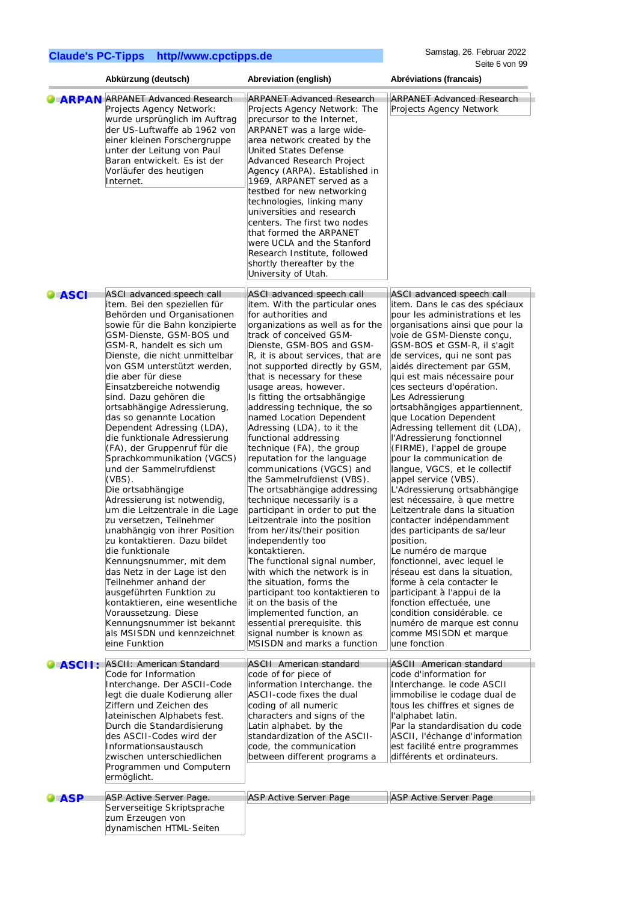| <b>ARPAN ARPANET Advanced Research</b><br><b>ARPANET Advanced Research</b><br>Projects Agency Network:<br>Projects Agency Network: The<br>wurde ursprünglich im Auftrag<br>precursor to the Internet,<br>der US-Luftwaffe ab 1962 von<br>ARPANET was a large wide-<br>einer kleinen Forschergruppe<br>area network created by the<br>unter der Leitung von Paul<br>United States Defense<br>Baran entwickelt. Es ist der<br>Advanced Research Project<br>Vorläufer des heutigen<br>Agency (ARPA). Established in<br>Internet.<br>1969, ARPANET served as a<br>testbed for new networking<br>technologies, linking many<br>universities and research<br>centers. The first two nodes<br>that formed the ARPANET<br>were UCLA and the Stanford<br>Research Institute, followed<br>shortly thereafter by the<br>University of Utah.<br>ASCI advanced speech call<br>ASCI advanced speech call<br><b>DIASCI</b><br>item. Bei den speziellen für<br>item. With the particular ones<br>Behörden und Organisationen<br>for authorities and<br>sowie für die Bahn konzipierte<br>organizations as well as for the<br>GSM-Dienste, GSM-BOS und<br>track of conceived GSM-<br>GSM-R, handelt es sich um<br>Dienste, GSM-BOS and GSM-<br>Dienste, die nicht unmittelbar<br>R, it is about services, that are<br>von GSM unterstützt werden,<br>not supported directly by GSM,<br>die aber für diese<br>that is necessary for these<br>Einsatzbereiche notwendig<br>usage areas, however.<br>sind. Dazu gehören die<br>Is fitting the ortsabhängige<br>Les Adressierung<br>ortsabhängige Adressierung,<br>addressing technique, the so<br>das so genannte Location<br>named Location Dependent<br>Adressing (LDA), to it the<br>Dependent Adressing (LDA),<br>die funktionale Adressierung<br>functional addressing<br>(FA), der Gruppenruf für die<br>technique (FA), the group<br>Sprachkommunikation (VGCS)<br>reputation for the language<br>und der Sammelrufdienst<br>communications (VGCS) and<br>$(VBS)$ .<br>the Sammelrufdienst (VBS).<br>appel service (VBS).<br>Die ortsabhängige<br>The ortsabhängige addressing<br>Adressierung ist notwendig,<br>technique necessarily is a<br>participant in order to put the<br>um die Leitzentrale in die Lage<br>zu versetzen, Teilnehmer<br>Leitzentrale into the position<br>unabhängig von ihrer Position<br>from her/its/their position<br>zu kontaktieren. Dazu bildet<br>independently too<br>position.<br>die funktionale<br>kontaktieren.<br>Le numéro de marque<br>Kennungsnummer, mit dem<br>The functional signal number,<br>das Netz in der Lage ist den<br>with which the network is in<br>Teilnehmer anhand der<br>the situation, forms the<br>ausgeführten Funktion zu<br>participant too kontaktieren to<br>kontaktieren, eine wesentliche<br>it on the basis of the<br>Voraussetzung. Diese<br>implemented function, an<br>Kennungsnummer ist bekannt<br>essential prerequisite. this<br>als MSISDN und kennzeichnet<br>signal number is known as<br>eine Funktion<br>MSISDN and marks a function<br>une fonction<br>ASCII: American Standard<br><b>ASCII American standard</b><br>ASCII:<br>Code for Information<br>code of for piece of<br>code d'information for<br>Interchange. Der ASCII-Code<br>information Interchange. the<br>legt die duale Kodierung aller<br>ASCII-code fixes the dual<br>Ziffern und Zeichen des<br>coding of all numeric<br>lateinischen Alphabets fest.<br>characters and signs of the<br>l'alphabet latin.<br>Durch die Standardisierung<br>Latin alphabet. by the<br>des ASCII-Codes wird der<br>standardization of the ASCII-<br>code, the communication<br>Informationsaustausch<br>zwischen unterschiedlichen<br>between different programs a<br>Programmen und Computern | Abkürzung (deutsch) | Abreviation (english) | Abréviations (francais)                                                                                                                                                                                                                                                                                                                                                                                                                                                                                                                                                                                                                                                                                                                                                                                                                                                                                                                                                                                                                                                                                                                                                                                                        |
|----------------------------------------------------------------------------------------------------------------------------------------------------------------------------------------------------------------------------------------------------------------------------------------------------------------------------------------------------------------------------------------------------------------------------------------------------------------------------------------------------------------------------------------------------------------------------------------------------------------------------------------------------------------------------------------------------------------------------------------------------------------------------------------------------------------------------------------------------------------------------------------------------------------------------------------------------------------------------------------------------------------------------------------------------------------------------------------------------------------------------------------------------------------------------------------------------------------------------------------------------------------------------------------------------------------------------------------------------------------------------------------------------------------------------------------------------------------------------------------------------------------------------------------------------------------------------------------------------------------------------------------------------------------------------------------------------------------------------------------------------------------------------------------------------------------------------------------------------------------------------------------------------------------------------------------------------------------------------------------------------------------------------------------------------------------------------------------------------------------------------------------------------------------------------------------------------------------------------------------------------------------------------------------------------------------------------------------------------------------------------------------------------------------------------------------------------------------------------------------------------------------------------------------------------------------------------------------------------------------------------------------------------------------------------------------------------------------------------------------------------------------------------------------------------------------------------------------------------------------------------------------------------------------------------------------------------------------------------------------------------------------------------------------------------------------------------------------------------------------------------------------------------------------------------------------------------------------------------------------------------------------------------------------------------------------------------------------------------------------------------------------------------------------------------------------------------------------------------------------------------------------------------------------------------------------------------------------------------------------------------------------------------------------------------------------------------------------------------------------------------------------------|---------------------|-----------------------|--------------------------------------------------------------------------------------------------------------------------------------------------------------------------------------------------------------------------------------------------------------------------------------------------------------------------------------------------------------------------------------------------------------------------------------------------------------------------------------------------------------------------------------------------------------------------------------------------------------------------------------------------------------------------------------------------------------------------------------------------------------------------------------------------------------------------------------------------------------------------------------------------------------------------------------------------------------------------------------------------------------------------------------------------------------------------------------------------------------------------------------------------------------------------------------------------------------------------------|
|                                                                                                                                                                                                                                                                                                                                                                                                                                                                                                                                                                                                                                                                                                                                                                                                                                                                                                                                                                                                                                                                                                                                                                                                                                                                                                                                                                                                                                                                                                                                                                                                                                                                                                                                                                                                                                                                                                                                                                                                                                                                                                                                                                                                                                                                                                                                                                                                                                                                                                                                                                                                                                                                                                                                                                                                                                                                                                                                                                                                                                                                                                                                                                                                                                                                                                                                                                                                                                                                                                                                                                                                                                                                                                                                                                      |                     |                       | <b>ARPANET Advanced Research</b><br>Projects Agency Network                                                                                                                                                                                                                                                                                                                                                                                                                                                                                                                                                                                                                                                                                                                                                                                                                                                                                                                                                                                                                                                                                                                                                                    |
|                                                                                                                                                                                                                                                                                                                                                                                                                                                                                                                                                                                                                                                                                                                                                                                                                                                                                                                                                                                                                                                                                                                                                                                                                                                                                                                                                                                                                                                                                                                                                                                                                                                                                                                                                                                                                                                                                                                                                                                                                                                                                                                                                                                                                                                                                                                                                                                                                                                                                                                                                                                                                                                                                                                                                                                                                                                                                                                                                                                                                                                                                                                                                                                                                                                                                                                                                                                                                                                                                                                                                                                                                                                                                                                                                                      |                     |                       | ASCI advanced speech call<br>item. Dans le cas des spéciaux<br>pour les administrations et les<br>organisations ainsi que pour la<br>voie de GSM-Dienste conçu,<br>GSM-BOS et GSM-R, il s'agit<br>de services, qui ne sont pas<br>aidés directement par GSM,<br>qui est mais nécessaire pour<br>ces secteurs d'opération.<br>ortsabhängiges appartiennent,<br>que Location Dependent<br>Adressing tellement dit (LDA),<br>l'Adressierung fonctionnel<br>(FIRME), l'appel de groupe<br>pour la communication de<br>langue, VGCS, et le collectif<br>L'Adressierung ortsabhängige<br>est nécessaire, à que mettre<br>Leitzentrale dans la situation<br>contacter indépendamment<br>des participants de sa/leur<br>fonctionnel, avec lequel le<br>réseau est dans la situation,<br>forme à cela contacter le<br>participant à l'appui de la<br>fonction effectuée, une<br>condition considérable. ce<br>numéro de marque est connu<br>comme MSISDN et marque<br><b>ASCII</b> American standard<br>Interchange. le code ASCII<br>immobilise le codage dual de<br>tous les chiffres et signes de<br>Par la standardisation du code<br>ASCII, l'échange d'information<br>est facilité entre programmes<br>différents et ordinateurs. |
| ASP Active Server Page.<br>ASP Active Server Page<br><b>ASP</b><br>Serverseitige Skriptsprache<br>zum Erzeugen von<br>dynamischen HTML-Seiten                                                                                                                                                                                                                                                                                                                                                                                                                                                                                                                                                                                                                                                                                                                                                                                                                                                                                                                                                                                                                                                                                                                                                                                                                                                                                                                                                                                                                                                                                                                                                                                                                                                                                                                                                                                                                                                                                                                                                                                                                                                                                                                                                                                                                                                                                                                                                                                                                                                                                                                                                                                                                                                                                                                                                                                                                                                                                                                                                                                                                                                                                                                                                                                                                                                                                                                                                                                                                                                                                                                                                                                                                        | ermöglicht.         |                       | <b>ASP Active Server Page</b>                                                                                                                                                                                                                                                                                                                                                                                                                                                                                                                                                                                                                                                                                                                                                                                                                                                                                                                                                                                                                                                                                                                                                                                                  |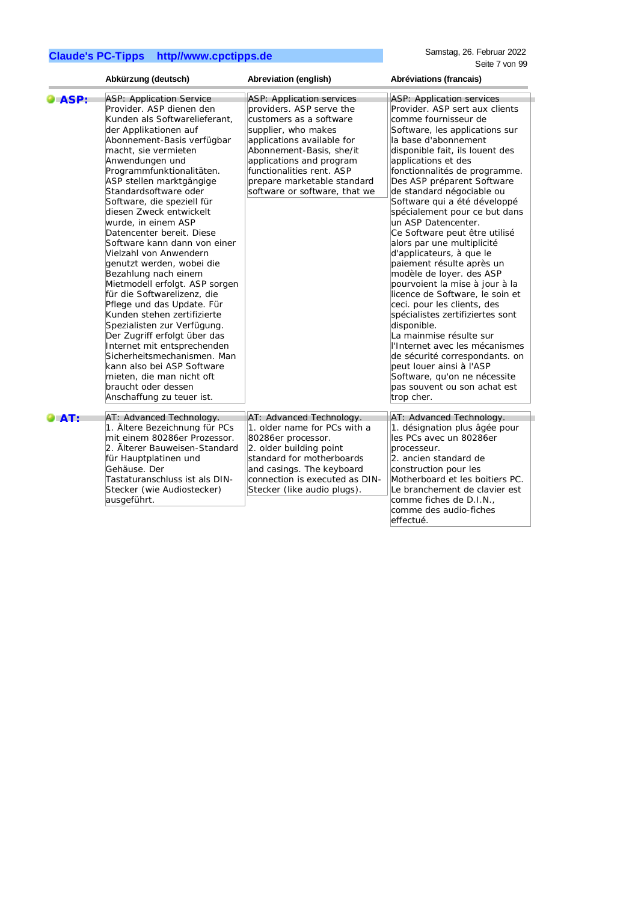|              | Abkürzung (deutsch)                                                                                                                                                                                                                                                                                                                                                                                                                                                                                                                                                                                                                                                                                                                                                                                                                                                                    | Abreviation (english)                                                                                                                                                                                                                                                                             | Abréviations (francais)                                                                                                                                                                                                                                                                                                                                                                                                                                                                                                                                                                                                                                                                                                                                                                                                                                                                                         |
|--------------|----------------------------------------------------------------------------------------------------------------------------------------------------------------------------------------------------------------------------------------------------------------------------------------------------------------------------------------------------------------------------------------------------------------------------------------------------------------------------------------------------------------------------------------------------------------------------------------------------------------------------------------------------------------------------------------------------------------------------------------------------------------------------------------------------------------------------------------------------------------------------------------|---------------------------------------------------------------------------------------------------------------------------------------------------------------------------------------------------------------------------------------------------------------------------------------------------|-----------------------------------------------------------------------------------------------------------------------------------------------------------------------------------------------------------------------------------------------------------------------------------------------------------------------------------------------------------------------------------------------------------------------------------------------------------------------------------------------------------------------------------------------------------------------------------------------------------------------------------------------------------------------------------------------------------------------------------------------------------------------------------------------------------------------------------------------------------------------------------------------------------------|
| <b>DASP:</b> | <b>ASP: Application Service</b><br>Provider. ASP dienen den<br>Kunden als Softwarelieferant,<br>der Applikationen auf<br>Abonnement-Basis verfügbar<br>macht, sie vermieten<br>Anwendungen und<br>Programmfunktionalitäten.<br>ASP stellen marktgängige<br>Standardsoftware oder<br>Software, die speziell für<br>diesen Zweck entwickelt<br>wurde, in einem ASP<br>Datencenter bereit. Diese<br>Software kann dann von einer<br>Vielzahl von Anwendern<br>genutzt werden, wobei die<br>Bezahlung nach einem<br>Mietmodell erfolgt. ASP sorgen<br>für die Softwarelizenz, die<br>Pflege und das Update. Für<br>Kunden stehen zertifizierte<br>Spezialisten zur Verfügung.<br>Der Zugriff erfolgt über das<br>Internet mit entsprechenden<br>Sicherheitsmechanismen. Man<br>kann also bei ASP Software<br>mieten, die man nicht oft<br>braucht oder dessen<br>Anschaffung zu teuer ist. | <b>ASP: Application services</b><br>providers. ASP serve the<br>customers as a software<br>supplier, who makes<br>applications available for<br>Abonnement-Basis, she/it<br>applications and program<br>functionalities rent. ASP<br>prepare marketable standard<br>software or software, that we | ASP: Application services<br>Provider. ASP sert aux clients<br>comme fournisseur de<br>Software, les applications sur<br>la base d'abonnement<br>disponible fait, ils louent des<br>applications et des<br>fonctionnalités de programme.<br>Des ASP préparent Software<br>de standard négociable ou<br>Software qui a été développé<br>spécialement pour ce but dans<br>un ASP Datencenter.<br>Ce Software peut être utilisé<br>alors par une multiplicité<br>d'applicateurs, à que le<br>paiement résulte après un<br>modèle de loyer. des ASP<br>pourvoient la mise à jour à la<br>licence de Software, le soin et<br>ceci. pour les clients, des<br>spécialistes zertifiziertes sont<br>disponible.<br>La mainmise résulte sur<br>l'Internet avec les mécanismes<br>de sécurité correspondants. on<br>peut louer ainsi à l'ASP<br>Software, qu'on ne nécessite<br>pas souvent ou son achat est<br>trop cher. |
| O AT:        | AT: Advanced Technology.<br>1. Ältere Bezeichnung für PCs<br>mit einem 80286er Prozessor.<br>2. Älterer Bauweisen-Standard<br>für Hauptplatinen und<br>Gehäuse. Der<br>Tastaturanschluss ist als DIN-<br>Stecker (wie Audiostecker)<br>ausgeführt.                                                                                                                                                                                                                                                                                                                                                                                                                                                                                                                                                                                                                                     | AT: Advanced Technology.<br>1. older name for PCs with a<br>80286er processor.<br>2. older building point<br>standard for motherboards<br>and casings. The keyboard<br>connection is executed as DIN-<br>Stecker (like audio plugs).                                                              | AT: Advanced Technology.<br>1. désignation plus âgée pour<br>les PCs avec un 80286er<br>processeur.<br>2. ancien standard de<br>construction pour les<br>Motherboard et les boitiers PC.<br>Le branchement de clavier est<br>comme fiches de D.I.N.,<br>comme des audio-fiches<br>effectué.                                                                                                                                                                                                                                                                                                                                                                                                                                                                                                                                                                                                                     |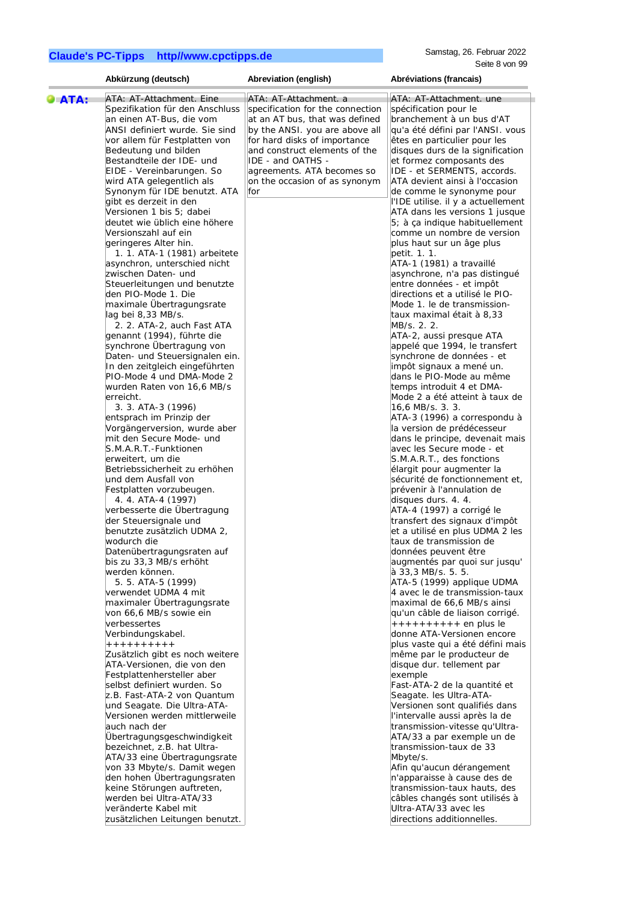|                     | Abkürzung (deutsch)             | Abreviation (english)            | Abréviations (francais)            |
|---------------------|---------------------------------|----------------------------------|------------------------------------|
| $\blacksquare$ ATA: | ATA: AT-Attachment. Eine        | ATA: AT-Attachment. a            | ATA: AT-Attachment. une            |
|                     | Spezifikation für den Anschluss | specification for the connection | spécification pour le              |
|                     | an einen AT-Bus, die vom        | at an AT bus, that was defined   | branchement à un bus d'AT          |
|                     | ANSI definiert wurde. Sie sind  | by the ANSI. you are above all   | qu'a été défini par l'ANSI. vous   |
|                     |                                 |                                  |                                    |
|                     | vor allem für Festplatten von   | for hard disks of importance     | êtes en particulier pour les       |
|                     | Bedeutung und bilden            | and construct elements of the    | disques durs de la signification   |
|                     | Bestandteile der IDE- und       | IDE - and OATHS -                | et formez composants des           |
|                     | EIDE - Vereinbarungen. So       | agreements. ATA becomes so       | IDE - et SERMENTS, accords.        |
|                     | wird ATA gelegentlich als       | on the occasion of as synonym    | ATA devient ainsi à l'occasion     |
|                     | Synonym für IDE benutzt. ATA    | for                              | de comme le synonyme pour          |
|                     | gibt es derzeit in den          |                                  | l'IDE utilise. il y a actuellement |
|                     | Versionen 1 bis 5; dabei        |                                  | ATA dans les versions 1 jusque     |
|                     | deutet wie üblich eine höhere   |                                  | 5; à ça indique habituellement     |
|                     | Versionszahl auf ein            |                                  | comme un nombre de version         |
|                     | geringeres Alter hin.           |                                  | plus haut sur un âge plus          |
|                     | 1. 1. ATA-1 (1981) arbeitete    |                                  | petit. 1. 1.                       |
|                     | asynchron, unterschied nicht    |                                  | ATA-1 (1981) a travaillé           |
|                     | zwischen Daten- und             |                                  | asynchrone, n'a pas distingué      |
|                     | Steuerleitungen und benutzte    |                                  | entre données - et impôt           |
|                     |                                 |                                  |                                    |
|                     | den PIO-Mode 1. Die             |                                  | directions et a utilisé le PIO-    |
|                     | maximale Übertragungsrate       |                                  | Mode 1. le de transmission-        |
|                     | lag bei 8,33 MB/s.              |                                  | taux maximal était à 8,33          |
|                     | 2. 2. ATA-2, auch Fast ATA      |                                  | MB/s. 2. 2.                        |
|                     | genannt (1994), führte die      |                                  | ATA-2, aussi presque ATA           |
|                     | synchrone Übertragung von       |                                  | appelé que 1994, le transfert      |
|                     | Daten- und Steuersignalen ein.  |                                  | synchrone de données - et          |
|                     | In den zeitgleich eingeführten  |                                  | impôt signaux a mené un.           |
|                     | PIO-Mode 4 und DMA-Mode 2       |                                  | dans le PIO-Mode au même           |
|                     | wurden Raten von 16,6 MB/s      |                                  | temps introduit 4 et DMA-          |
|                     | erreicht.                       |                                  | Mode 2 a été atteint à taux de     |
|                     | 3. 3. ATA-3 (1996)              |                                  | 16,6 MB/s. 3. 3.                   |
|                     | entsprach im Prinzip der        |                                  | ATA-3 (1996) a correspondu à       |
|                     | Vorgängerversion, wurde aber    |                                  | la version de prédécesseur         |
|                     | mit den Secure Mode- und        |                                  | dans le principe, devenait mais    |
|                     |                                 |                                  |                                    |
|                     | S.M.A.R.T.-Funktionen           |                                  | avec les Secure mode - et          |
|                     | erweitert, um die               |                                  | S.M.A.R.T., des fonctions          |
|                     | Betriebssicherheit zu erhöhen   |                                  | élargit pour augmenter la          |
|                     | und dem Ausfall von             |                                  | sécurité de fonctionnement et,     |
|                     | Festplatten vorzubeugen.        |                                  | prévenir à l'annulation de         |
|                     | 4. 4. ATA-4 (1997)              |                                  | disques durs. 4. 4.                |
|                     | verbesserte die Übertragung     |                                  | ATA-4 (1997) a corrigé le          |
|                     | der Steuersignale und           |                                  | transfert des signaux d'impôt      |
|                     | benutzte zusätzlich UDMA 2,     |                                  | et a utilisé en plus UDMA 2 les    |
|                     | wodurch die                     |                                  | taux de transmission de            |
|                     | Datenübertragungsraten auf      |                                  | données peuvent être               |
|                     | bis zu 33,3 MB/s erhöht         |                                  | augmentés par quoi sur jusqu'      |
|                     | werden können.                  |                                  | à 33,3 MB/s. 5. 5.                 |
|                     | 5. 5. ATA-5 (1999)              |                                  | ATA-5 (1999) applique UDMA         |
|                     | verwendet UDMA 4 mit            |                                  | 4 avec le de transmission-taux     |
|                     | maximaler Übertragungsrate      |                                  | maximal de 66,6 MB/s ainsi         |
|                     | von 66,6 MB/s sowie ein         |                                  | qu'un câble de liaison corrigé.    |
|                     | verbessertes                    |                                  | $++++++++$ en plus le              |
|                     | Verbindungskabel.               |                                  | donne ATA-Versionen encore         |
|                     | +++++++++                       |                                  |                                    |
|                     |                                 |                                  | plus vaste qui a été défini mais   |
|                     | Zusätzlich gibt es noch weitere |                                  | même par le producteur de          |
|                     | ATA-Versionen, die von den      |                                  | disque dur. tellement par          |
|                     | Festplattenhersteller aber      |                                  | exemple                            |
|                     | selbst definiert wurden. So     |                                  | Fast-ATA-2 de la quantité et       |
|                     | z.B. Fast-ATA-2 von Quantum     |                                  | Seagate. les Ultra-ATA-            |
|                     | und Seagate. Die Ultra-ATA-     |                                  | Versionen sont qualifiés dans      |
|                     | Versionen werden mittlerweile   |                                  | l'intervalle aussi après la de     |
|                     | auch nach der                   |                                  | transmission-vitesse qu'Ultra-     |
|                     | Übertragungsgeschwindigkeit     |                                  | ATA/33 a par exemple un de         |
|                     | bezeichnet, z.B. hat Ultra-     |                                  | transmission-taux de 33            |
|                     | ATA/33 eine Übertragungsrate    |                                  | Mbyte/s.                           |
|                     | von 33 Mbyte/s. Damit wegen     |                                  | Afin qu'aucun dérangement          |
|                     | den hohen Übertragungsraten     |                                  | n'apparaisse à cause des de        |
|                     | keine Störungen auftreten,      |                                  | transmission-taux hauts, des       |
|                     | werden bei Ultra-ATA/33         |                                  | câbles changés sont utilisés à     |
|                     | veränderte Kabel mit            |                                  | Ultra-ATA/33 avec les              |
|                     |                                 |                                  |                                    |
|                     | zusätzlichen Leitungen benutzt. |                                  | directions additionnelles.         |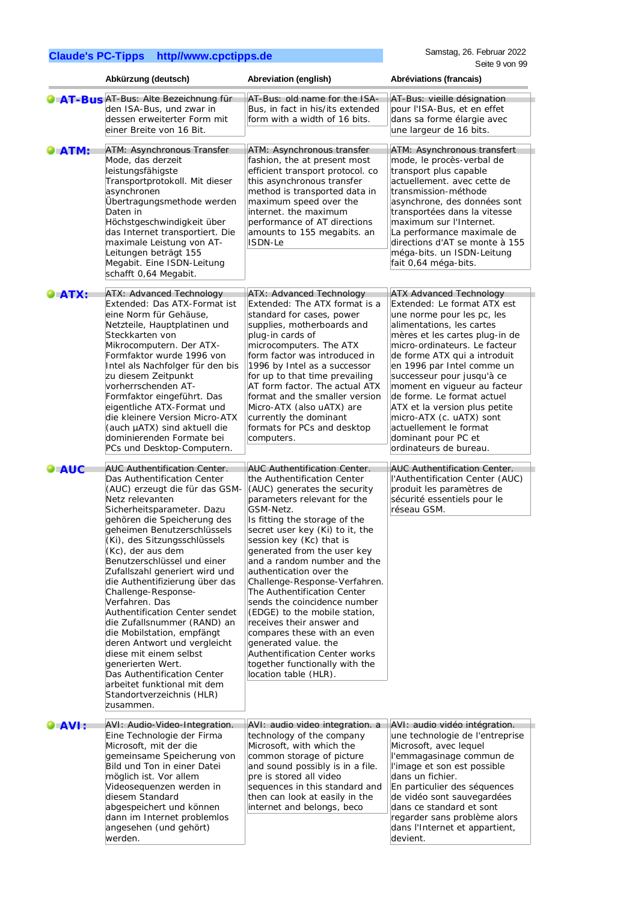|                            | Abkürzung (deutsch)                                                                                                                                                                                                                                                                                                                                                                                                                                                                                                                                                                                                                                                                           | Abreviation (english)                                                                                                                                                                                                                                                                                                                                                                                                                                                                                                                                                                                                                                           | Abréviations (francais)                                                                                                                                                                                                                                                                                                                                                                                                                                                                       |
|----------------------------|-----------------------------------------------------------------------------------------------------------------------------------------------------------------------------------------------------------------------------------------------------------------------------------------------------------------------------------------------------------------------------------------------------------------------------------------------------------------------------------------------------------------------------------------------------------------------------------------------------------------------------------------------------------------------------------------------|-----------------------------------------------------------------------------------------------------------------------------------------------------------------------------------------------------------------------------------------------------------------------------------------------------------------------------------------------------------------------------------------------------------------------------------------------------------------------------------------------------------------------------------------------------------------------------------------------------------------------------------------------------------------|-----------------------------------------------------------------------------------------------------------------------------------------------------------------------------------------------------------------------------------------------------------------------------------------------------------------------------------------------------------------------------------------------------------------------------------------------------------------------------------------------|
|                            | AT-Bus AT-Bus: Alte Bezeichnung für<br>den ISA-Bus, und zwar in<br>dessen erweiterter Form mit<br>einer Breite von 16 Bit.                                                                                                                                                                                                                                                                                                                                                                                                                                                                                                                                                                    | AT-Bus: old name for the ISA-<br>Bus, in fact in his/its extended<br>form with a width of 16 bits.                                                                                                                                                                                                                                                                                                                                                                                                                                                                                                                                                              | AT-Bus: vieille désignation<br>pour l'ISA-Bus, et en effet<br>dans sa forme élargie avec<br>une largeur de 16 bits.                                                                                                                                                                                                                                                                                                                                                                           |
| $\blacktriangleright$ ATM: | ATM: Asynchronous Transfer<br>Mode, das derzeit<br>leistungsfähigste<br>Transportprotokoll. Mit dieser<br>asynchronen<br>Übertragungsmethode werden<br>Daten in<br>Höchstgeschwindigkeit über<br>das Internet transportiert. Die<br>maximale Leistung von AT-<br>Leitungen beträgt 155<br>Megabit. Eine ISDN-Leitung<br>schafft 0,64 Megabit.                                                                                                                                                                                                                                                                                                                                                 | ATM: Asynchronous transfer<br>fashion, the at present most<br>efficient transport protocol. co<br>this asynchronous transfer<br>method is transported data in<br>maximum speed over the<br>internet. the maximum<br>performance of AT directions<br>amounts to 155 megabits. an<br>ISDN-Le                                                                                                                                                                                                                                                                                                                                                                      | ATM: Asynchronous transfert<br>mode, le procès-verbal de<br>transport plus capable<br>actuellement. avec cette de<br>transmission-méthode<br>asynchrone, des données sont<br>transportées dans la vitesse<br>maximum sur l'Internet.<br>La performance maximale de<br>directions d'AT se monte à 155<br>méga-bits. un ISDN-Leitung<br>fait 0,64 méga-bits.                                                                                                                                    |
| <b>ATX:</b>                | ATX: Advanced Technology<br>Extended: Das ATX-Format ist<br>eine Norm für Gehäuse,<br>Netzteile, Hauptplatinen und<br>Steckkarten von<br>Mikrocomputern. Der ATX-<br>Formfaktor wurde 1996 von<br>Intel als Nachfolger für den bis<br>zu diesem Zeitpunkt<br>vorherrschenden AT-<br>Formfaktor eingeführt. Das<br>eigentliche ATX-Format und<br>die kleinere Version Micro-ATX<br>(auch µATX) sind aktuell die<br>dominierenden Formate bei<br>PCs und Desktop-Computern.                                                                                                                                                                                                                     | ATX: Advanced Technology<br>Extended: The ATX format is a<br>standard for cases, power<br>supplies, motherboards and<br>plug-in cards of<br>microcomputers. The ATX<br>form factor was introduced in<br>1996 by Intel as a successor<br>for up to that time prevailing<br>AT form factor. The actual ATX<br>format and the smaller version<br>Micro-ATX (also uATX) are<br>currently the dominant<br>formats for PCs and desktop<br>computers.                                                                                                                                                                                                                  | <b>ATX Advanced Technology</b><br>Extended: Le format ATX est<br>une norme pour les pc, les<br>alimentations, les cartes<br>mères et les cartes plug-in de<br>micro-ordinateurs. Le facteur<br>de forme ATX qui a introduit<br>en 1996 par Intel comme un<br>successeur pour jusqu'à ce<br>moment en vigueur au facteur<br>de forme. Le format actuel<br>ATX et la version plus petite<br>micro-ATX (c. uATX) sont<br>actuellement le format<br>dominant pour PC et<br>ordinateurs de bureau. |
| <b>AUC</b>                 | <b>AUC Authentification Center.</b><br>Das Authentification Center<br>(AUC) erzeugt die für das GSM-<br>Netz relevanten<br>Sicherheitsparameter. Dazu<br>gehören die Speicherung des<br>geheimen Benutzerschlüssels<br>(Ki), des Sitzungsschlüssels<br>(Kc), der aus dem<br>Benutzerschlüssel und einer<br>Zufallszahl generiert wird und<br>die Authentifizierung über das<br>Challenge-Response-<br>Verfahren. Das<br>Authentification Center sendet<br>die Zufallsnummer (RAND) an<br>die Mobilstation, empfängt<br>deren Antwort und vergleicht<br>diese mit einem selbst<br>generierten Wert.<br>Das Authentification Center<br>arbeitet funktional mit dem<br>Standortverzeichnis (HLR) | <b>AUC Authentification Center.</b><br>the Authentification Center<br>(AUC) generates the security<br>parameters relevant for the<br>GSM-Netz.<br>Is fitting the storage of the<br>secret user key (Ki) to it, the<br>session key (Kc) that is<br>generated from the user key<br>and a random number and the<br>authentication over the<br>Challenge-Response-Verfahren.<br>The Authentification Center<br>sends the coincidence number<br>(EDGE) to the mobile station,<br>receives their answer and<br>compares these with an even<br>generated value. the<br><b>Authentification Center works</b><br>together functionally with the<br>location table (HLR). | <b>AUC Authentification Center.</b><br>l'Authentification Center (AUC)<br>produit les paramètres de<br>sécurité essentiels pour le<br>réseau GSM.                                                                                                                                                                                                                                                                                                                                             |
| AVI:                       | zusammen.<br>AVI: Audio-Video-Integration.<br>Eine Technologie der Firma<br>Microsoft, mit der die<br>gemeinsame Speicherung von<br>Bild und Ton in einer Datei<br>möglich ist. Vor allem<br>Videosequenzen werden in<br>diesem Standard<br>abgespeichert und können<br>dann im Internet problemlos<br>angesehen (und gehört)<br>werden.                                                                                                                                                                                                                                                                                                                                                      | AVI: audio video integration. a<br>technology of the company<br>Microsoft, with which the<br>common storage of picture<br>and sound possibly is in a file.<br>pre is stored all video<br>sequences in this standard and<br>then can look at easily in the<br>internet and belongs, beco                                                                                                                                                                                                                                                                                                                                                                         | AVI: audio vidéo intégration.<br>une technologie de l'entreprise<br>Microsoft, avec lequel<br>l'emmagasinage commun de<br>l'image et son est possible<br>dans un fichier.<br>En particulier des séquences<br>de vidéo sont sauvegardées<br>dans ce standard et sont<br>regarder sans problème alors<br>dans l'Internet et appartient,<br>devient.                                                                                                                                             |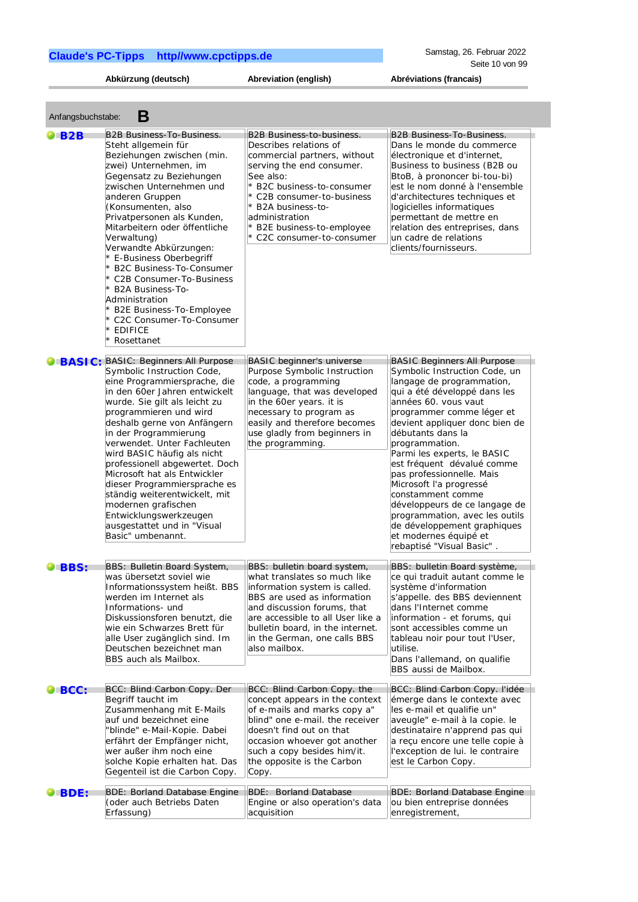**Abkürzung (deutsch) Abreviation (english) Abréviations (francais)**

| <b>B2B</b>      | B2B Business-To-Business.                                                                                                                                                                                                                                                                                                                                                                                                                                                                                                                                   | <b>B2B Business-to-business.</b>                                                                                                                                                                                                                                                     | <b>B2B Business-To-Business.</b>                                                                                                                                                                                                                                                                                                                                                                                                                                                                                                                                 |
|-----------------|-------------------------------------------------------------------------------------------------------------------------------------------------------------------------------------------------------------------------------------------------------------------------------------------------------------------------------------------------------------------------------------------------------------------------------------------------------------------------------------------------------------------------------------------------------------|--------------------------------------------------------------------------------------------------------------------------------------------------------------------------------------------------------------------------------------------------------------------------------------|------------------------------------------------------------------------------------------------------------------------------------------------------------------------------------------------------------------------------------------------------------------------------------------------------------------------------------------------------------------------------------------------------------------------------------------------------------------------------------------------------------------------------------------------------------------|
|                 | Steht allgemein für<br>Beziehungen zwischen (min.<br>zwei) Unternehmen, im<br>Gegensatz zu Beziehungen<br>zwischen Unternehmen und<br>anderen Gruppen<br>(Konsumenten, also<br>Privatpersonen als Kunden,<br>Mitarbeitern oder öffentliche<br>Verwaltung)<br>Verwandte Abkürzungen:<br>* E-Business Oberbegriff<br>* B2C Business-To-Consumer<br>* C2B Consumer-To-Business<br>* B2A Business-To-<br>Administration<br>* B2E Business-To-Employee<br>* C2C Consumer-To-Consumer<br>* EDIFICE<br>Rosettanet                                                  | Describes relations of<br>commercial partners, without<br>serving the end consumer.<br>See also:<br>B2C business-to-consumer<br>* C2B consumer-to-business<br>* B2A business-to-<br>administration<br>B2E business-to-employee<br>C2C consumer-to-consumer                           | Dans le monde du commerce<br>électronique et d'internet,<br>Business to business (B2B ou<br>BtoB, à prononcer bi-tou-bi)<br>est le nom donné à l'ensemble<br>d'architectures techniques et<br>logicielles informatiques<br>permettant de mettre en<br>relation des entreprises, dans<br>un cadre de relations<br>clients/fournisseurs.                                                                                                                                                                                                                           |
| BASIC:          | <b>BASIC: Beginners All Purpose</b><br>Symbolic Instruction Code,<br>eine Programmiersprache, die<br>in den 60er Jahren entwickelt<br>wurde. Sie gilt als leicht zu<br>programmieren und wird<br>deshalb gerne von Anfängern<br>in der Programmierung<br>verwendet. Unter Fachleuten<br>wird BASIC häufig als nicht<br>professionell abgewertet. Doch<br>Microsoft hat als Entwickler<br>dieser Programmiersprache es<br>ständig weiterentwickelt, mit<br>modernen grafischen<br>Entwicklungswerkzeugen<br>ausgestattet und in "Visual<br>Basic" umbenannt. | <b>BASIC</b> beginner's universe<br>Purpose Symbolic Instruction<br>code, a programming<br>language, that was developed<br>in the 60er years. it is<br>necessary to program as<br>easily and therefore becomes<br>use gladly from beginners in<br>the programming.                   | <b>BASIC Beginners All Purpose</b><br>Symbolic Instruction Code, un<br>langage de programmation,<br>qui a été développé dans les<br>années 60. vous vaut<br>programmer comme léger et<br>devient appliquer donc bien de<br>débutants dans la<br>programmation.<br>Parmi les experts, le BASIC<br>est fréquent dévalué comme<br>pas professionnelle. Mais<br>Microsoft l'a progressé<br>constamment comme<br>développeurs de ce langage de<br>programmation, avec les outils<br>de développement graphiques<br>et modernes équipé et<br>rebaptisé "Visual Basic". |
| <b>BBS:</b>     | BBS: Bulletin Board System,<br>was übersetzt soviel wie<br>Informationssystem heißt. BBS<br>werden im Internet als<br>Informations- und<br>Diskussionsforen benutzt, die<br>wie ein Schwarzes Brett für<br>alle User zugänglich sind. Im<br>Deutschen bezeichnet man<br>BBS auch als Mailbox.                                                                                                                                                                                                                                                               | BBS: bulletin board system,<br>what translates so much like<br>information system is called.<br>BBS are used as information<br>and discussion forums, that<br>are accessible to all User like a<br>bulletin board, in the internet.<br>in the German, one calls BBS<br>also mailbox. | BBS: bulletin Board système,<br>ce qui traduit autant comme le<br>système d'information<br>s'appelle. des BBS deviennent<br>dans l'Internet comme<br>information - et forums, qui<br>sont accessibles comme un<br>tableau noir pour tout l'User,<br>utilise.<br>Dans l'allemand, on qualifie<br>BBS aussi de Mailbox.                                                                                                                                                                                                                                            |
| $\bigcirc$ BCC: | BCC: Blind Carbon Copy. Der<br>Begriff taucht im<br>Zusammenhang mit E-Mails<br>auf und bezeichnet eine<br>"blinde" e-Mail-Kopie. Dabei<br>erfährt der Empfänger nicht,<br>wer außer ihm noch eine<br>solche Kopie erhalten hat. Das<br>Gegenteil ist die Carbon Copy.                                                                                                                                                                                                                                                                                      | BCC: Blind Carbon Copy. the<br>concept appears in the context<br>of e-mails and marks copy a"<br>blind" one e-mail. the receiver<br>doesn't find out on that<br>occasion whoever got another<br>such a copy besides him/it.<br>the opposite is the Carbon<br>Copy.                   | BCC: Blind Carbon Copy. l'idée<br>émerge dans le contexte avec<br>les e-mail et qualifie un"<br>aveugle" e-mail à la copie. le<br>destinataire n'apprend pas qui<br>a reçu encore une telle copie à<br>l'exception de lui. le contraire<br>est le Carbon Copy.                                                                                                                                                                                                                                                                                                   |
| BDE:            | <b>BDE: Borland Database Engine</b><br>(oder auch Betriebs Daten<br>Erfassung)                                                                                                                                                                                                                                                                                                                                                                                                                                                                              | <b>BDE: Borland Database</b><br>Engine or also operation's data<br>acquisition                                                                                                                                                                                                       | <b>BDE: Borland Database Engine</b><br>ou bien entreprise données<br>enregistrement,                                                                                                                                                                                                                                                                                                                                                                                                                                                                             |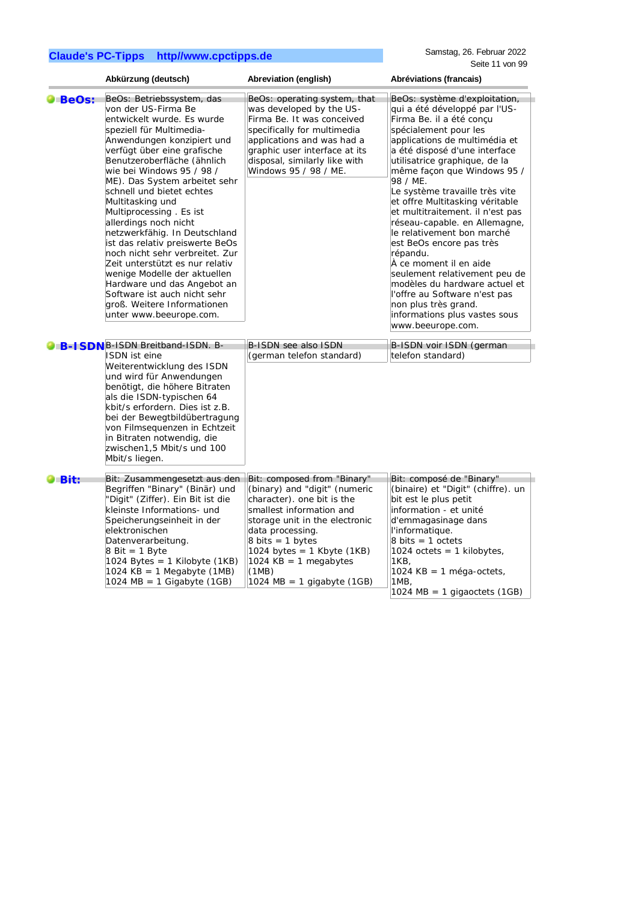|                      | Abkürzung (deutsch)                                                                                                                                                                                                                                                                                                                                                                                                                                                                                                                                                                                                                                                          | Abreviation (english)                                                                                                                                                                                                                                                                            | Abréviations (francais)                                                                                                                                                                                                                                                                                                                                                                                                                                                                                                                                                                                                                                                                      |
|----------------------|------------------------------------------------------------------------------------------------------------------------------------------------------------------------------------------------------------------------------------------------------------------------------------------------------------------------------------------------------------------------------------------------------------------------------------------------------------------------------------------------------------------------------------------------------------------------------------------------------------------------------------------------------------------------------|--------------------------------------------------------------------------------------------------------------------------------------------------------------------------------------------------------------------------------------------------------------------------------------------------|----------------------------------------------------------------------------------------------------------------------------------------------------------------------------------------------------------------------------------------------------------------------------------------------------------------------------------------------------------------------------------------------------------------------------------------------------------------------------------------------------------------------------------------------------------------------------------------------------------------------------------------------------------------------------------------------|
| $\blacksquare$ BeOs: | BeOs: Betriebssystem, das<br>von der US-Firma Be<br>entwickelt wurde. Es wurde<br>speziell für Multimedia-<br>Anwendungen konzipiert und<br>verfügt über eine grafische<br>Benutzeroberfläche (ähnlich<br>wie bei Windows 95 / 98 /<br>ME). Das System arbeitet sehr<br>schnell und bietet echtes<br>Multitasking und<br>Multiprocessing. Es ist<br>allerdings noch nicht<br>netzwerkfähig. In Deutschland<br>ist das relativ preiswerte BeOs<br>noch nicht sehr verbreitet. Zur<br>Zeit unterstützt es nur relativ<br>wenige Modelle der aktuellen<br>Hardware und das Angebot an<br>Software ist auch nicht sehr<br>groß. Weitere Informationen<br>unter www.beeurope.com. | BeOs: operating system, that<br>was developed by the US-<br>Firma Be. It was conceived<br>specifically for multimedia<br>applications and was had a<br>graphic user interface at its<br>disposal, similarly like with<br>Windows 95 / 98 / ME.                                                   | BeOs: système d'exploitation,<br>qui a été développé par l'US-<br>Firma Be. il a été concu<br>spécialement pour les<br>applications de multimédia et<br>a été disposé d'une interface<br>utilisatrice graphique, de la<br>même façon que Windows 95 /<br>98 / ME.<br>Le système travaille très vite<br>et offre Multitasking véritable<br>et multitraitement. il n'est pas<br>réseau-capable. en Allemagne,<br>le relativement bon marché<br>est BeOs encore pas très<br>répandu.<br>À ce moment il en aide<br>seulement relativement peu de<br>modèles du hardware actuel et<br>l'offre au Software n'est pas<br>non plus très grand.<br>informations plus vastes sous<br>www.beeurope.com. |
|                      | <b>O B-I SDN</b> B-ISDN Breitband-ISDN. B-<br>ISDN ist eine<br>Weiterentwicklung des ISDN<br>und wird für Anwendungen<br>benötigt, die höhere Bitraten<br>als die ISDN-typischen 64<br>kbit/s erfordern. Dies ist z.B.<br>bei der Bewegtbildübertragung<br>von Filmsequenzen in Echtzeit<br>in Bitraten notwendig, die<br>zwischen1,5 Mbit/s und 100                                                                                                                                                                                                                                                                                                                         | B-ISDN see also ISDN<br>(german telefon standard)                                                                                                                                                                                                                                                | B-ISDN voir ISDN (german<br>telefon standard)                                                                                                                                                                                                                                                                                                                                                                                                                                                                                                                                                                                                                                                |
| $\bullet$ Bit:       | Mbit/s liegen.<br>Bit: Zusammengesetzt aus den<br>Begriffen "Binary" (Binär) und<br>"Digit" (Ziffer). Ein Bit ist die<br>kleinste Informations- und<br>Speicherungseinheit in der<br>elektronischen<br>Datenverarbeitung.<br>$8$ Bit = 1 Byte<br>1024 Bytes = 1 Kilobyte $(1KB)$<br>1024 KB = 1 Megabyte $(1MB)$<br>1024 MB = 1 Gigabyte (1GB)                                                                                                                                                                                                                                                                                                                               | Bit: composed from "Binary"<br>(binary) and "digit" (numeric<br>character). one bit is the<br>smallest information and<br>storage unit in the electronic<br>data processing.<br>8 bits = 1 bytes<br>1024 bytes = 1 Kbyte $(1KB)$<br>1024 KB = 1 megabytes<br>(1MB)<br>1024 MB = 1 gigabyte (1GB) | Bit: composé de "Binary"<br>(binaire) et "Digit" (chiffre). un<br>bit est le plus petit<br>information - et unité<br>d'emmagasinage dans<br>l'informatique.<br>$8 \text{ bits} = 1 \text{ octets}$<br>1024 octets = 1 kilobytes,<br>1KB,<br>1024 KB = 1 méga-octets,<br>1MB,<br>1024 MB = 1 gigaoctets (1GB)                                                                                                                                                                                                                                                                                                                                                                                 |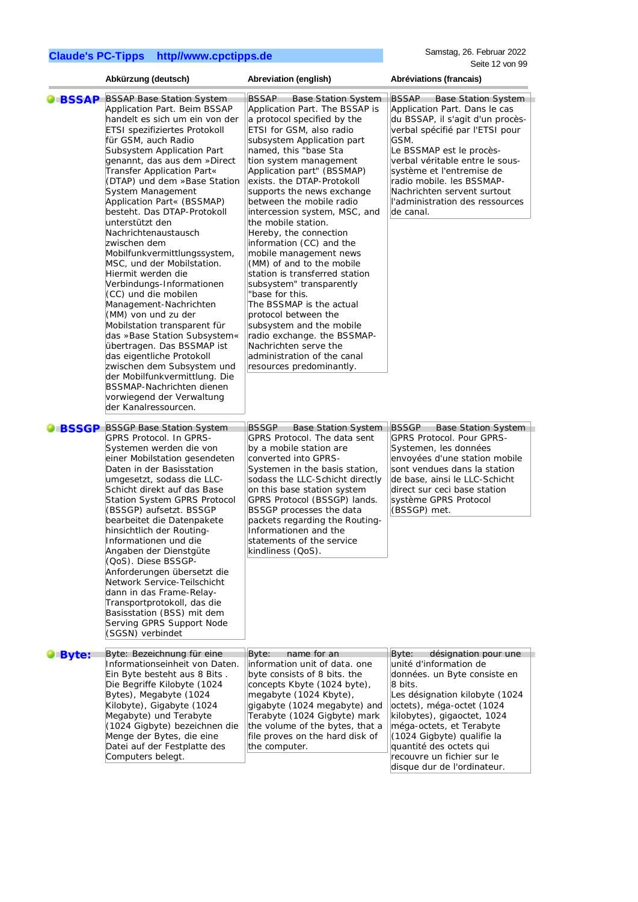Samstag, 26. Februar 2022 Seite 12 von 99

|               | Abkürzung (deutsch)                                                                                                                                                                                                                                                                                                                                                                                                                                                                                                                                                                                                                                                                                                                                                                                                                                                                                       | Abreviation (english)                                                                                                                                                                                                                                                                                                                                                                                                                                                                                                                                                                                                                                                                                                                                                                                   | Seite 12 von 99<br>Abréviations (francais)                                                                                                                                                                                                                                                                                                                         |
|---------------|-----------------------------------------------------------------------------------------------------------------------------------------------------------------------------------------------------------------------------------------------------------------------------------------------------------------------------------------------------------------------------------------------------------------------------------------------------------------------------------------------------------------------------------------------------------------------------------------------------------------------------------------------------------------------------------------------------------------------------------------------------------------------------------------------------------------------------------------------------------------------------------------------------------|---------------------------------------------------------------------------------------------------------------------------------------------------------------------------------------------------------------------------------------------------------------------------------------------------------------------------------------------------------------------------------------------------------------------------------------------------------------------------------------------------------------------------------------------------------------------------------------------------------------------------------------------------------------------------------------------------------------------------------------------------------------------------------------------------------|--------------------------------------------------------------------------------------------------------------------------------------------------------------------------------------------------------------------------------------------------------------------------------------------------------------------------------------------------------------------|
|               |                                                                                                                                                                                                                                                                                                                                                                                                                                                                                                                                                                                                                                                                                                                                                                                                                                                                                                           |                                                                                                                                                                                                                                                                                                                                                                                                                                                                                                                                                                                                                                                                                                                                                                                                         |                                                                                                                                                                                                                                                                                                                                                                    |
| <b>BSSAP</b>  | <b>BSSAP Base Station System</b><br>Application Part. Beim BSSAP<br>handelt es sich um ein von der<br>ETSI spezifiziertes Protokoll<br>für GSM, auch Radio<br>Subsystem Application Part<br>genannt, das aus dem »Direct<br>Transfer Application Part«<br>(DTAP) und dem »Base Station<br>System Management<br>Application Part« (BSSMAP)<br>besteht. Das DTAP-Protokoll<br>unterstützt den<br>Nachrichtenaustausch<br>zwischen dem<br>Mobilfunkvermittlungssystem,<br>MSC, und der Mobilstation.<br>Hiermit werden die<br>Verbindungs-Informationen<br>(CC) und die mobilen<br>Management-Nachrichten<br>(MM) von und zu der<br>Mobilstation transparent für<br>das »Base Station Subsystem«<br>übertragen. Das BSSMAP ist<br>das eigentliche Protokoll<br>zwischen dem Subsystem und<br>der Mobilfunkvermittlung. Die<br>BSSMAP-Nachrichten dienen<br>vorwiegend der Verwaltung<br>der Kanalressourcen. | <b>BSSAP</b><br><b>Base Station System</b><br>Application Part. The BSSAP is<br>a protocol specified by the<br>ETSI for GSM, also radio<br>subsystem Application part<br>named, this "base Sta<br>tion system management<br>Application part" (BSSMAP)<br>exists. the DTAP-Protokoll<br>supports the news exchange<br>between the mobile radio<br>intercession system, MSC, and<br>the mobile station.<br>Hereby, the connection<br>information (CC) and the<br>mobile management news<br>(MM) of and to the mobile<br>station is transferred station<br>subsystem" transparently<br>"base for this.<br>The BSSMAP is the actual<br>protocol between the<br>subsystem and the mobile<br>radio exchange. the BSSMAP-<br>Nachrichten serve the<br>administration of the canal<br>resources predominantly. | <b>BSSAP</b><br><b>Base Station System</b><br>Application Part. Dans le cas<br>du BSSAP, il s'agit d'un procès-<br>verbal spécifié par l'ETSI pour<br>GSM.<br>Le BSSMAP est le procès-<br>verbal véritable entre le sous-<br>système et l'entremise de<br>radio mobile. les BSSMAP-<br>Nachrichten servent surtout<br>l'administration des ressources<br>de canal. |
| <b>UBSSGP</b> | <b>BSSGP Base Station System</b><br>GPRS Protocol. In GPRS-<br>Systemen werden die von<br>einer Mobilstation gesendeten<br>Daten in der Basisstation<br>umgesetzt, sodass die LLC-<br>Schicht direkt auf das Base<br>Station System GPRS Protocol<br>(BSSGP) aufsetzt. BSSGP<br>bearbeitet die Datenpakete<br>hinsichtlich der Routing-<br>Informationen und die<br>Angaben der Dienstgüte<br>(QoS). Diese BSSGP-<br>Anforderungen übersetzt die<br>Network Service-Teilschicht<br>dann in das Frame-Relay-<br>Transportprotokoll, das die<br>Basisstation (BSS) mit dem<br>Serving GPRS Support Node<br>(SGSN) verbindet                                                                                                                                                                                                                                                                                 | <b>BSSGP</b><br><b>Base Station System</b><br>GPRS Protocol. The data sent<br>by a mobile station are<br>converted into GPRS-<br>Systemen in the basis station,<br>sodass the LLC-Schicht directly<br>on this base station system<br>GPRS Protocol (BSSGP) lands.<br>BSSGP processes the data<br>packets regarding the Routing-<br>Informationen and the<br>statements of the service<br>kindliness (QoS).                                                                                                                                                                                                                                                                                                                                                                                              | <b>BSSGP</b><br>Base Station System<br>GPRS Protocol. Pour GPRS-<br>Systemen, les données<br>envoyées d'une station mobile<br>sont vendues dans la station<br>de base, ainsi le LLC-Schicht<br>direct sur ceci base station<br>système GPRS Protocol<br>(BSSGP) met.                                                                                               |
| <b>Byte:</b>  | Byte: Bezeichnung für eine<br>Informationseinheit von Daten.<br>Ein Byte besteht aus 8 Bits.<br>Die Begriffe Kilobyte (1024<br>Bytes), Megabyte (1024<br>Kilobyte), Gigabyte (1024<br>Megabyte) und Terabyte<br>(1024 Gigbyte) bezeichnen die<br>Menge der Bytes, die eine<br>Datei auf der Festplatte des<br>Computers belegt.                                                                                                                                                                                                                                                                                                                                                                                                                                                                                                                                                                           | Byte:<br>name for an<br>information unit of data. one<br>byte consists of 8 bits. the<br>concepts Kbyte (1024 byte),<br>megabyte (1024 Kbyte),<br>gigabyte (1024 megabyte) and<br>Terabyte (1024 Gigbyte) mark<br>the volume of the bytes, that a<br>file proves on the hard disk of<br>the computer.                                                                                                                                                                                                                                                                                                                                                                                                                                                                                                   | Byte:<br>désignation pour une<br>unité d'information de<br>données. un Byte consiste en<br>8 bits.<br>Les désignation kilobyte (1024<br>octets), méga-octet (1024<br>kilobytes), gigaoctet, 1024<br>méga-octets, et Terabyte<br>(1024 Gigbyte) qualifie la<br>quantité des octets qui<br>recouvre un fichier sur le<br>disque dur de l'ordinateur.                 |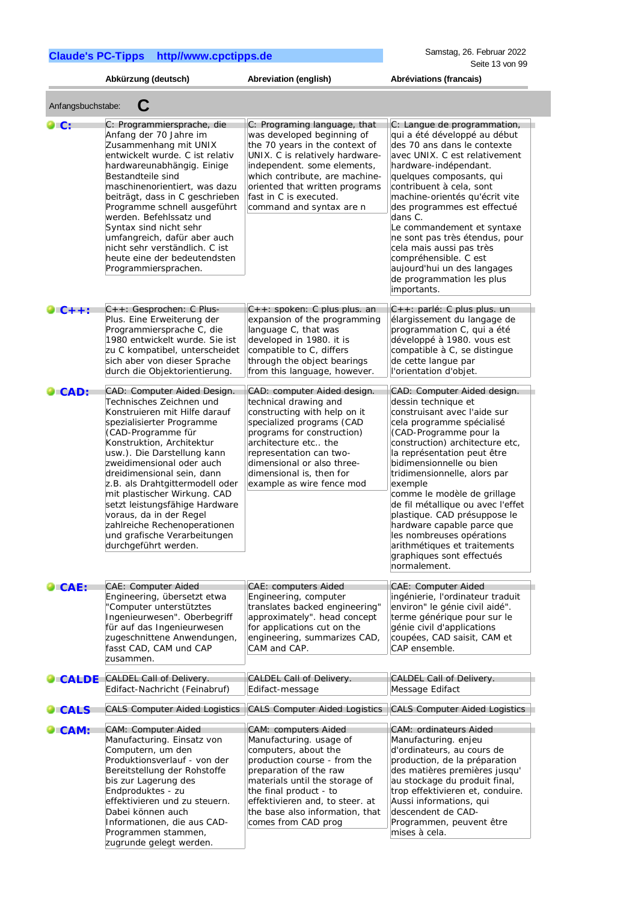zugrunde gelegt werden.

|                | Abkürzung (deutsch)                                                                                                                                                                                                                                                                                                                                                                                                                                                                        | Abreviation (english)                                                                                                                                                                                                                                                                      | Abréviations (francais)                                                                                                                                                                                                                                                                                                                                                                                                                                                                                                        |  |  |
|----------------|--------------------------------------------------------------------------------------------------------------------------------------------------------------------------------------------------------------------------------------------------------------------------------------------------------------------------------------------------------------------------------------------------------------------------------------------------------------------------------------------|--------------------------------------------------------------------------------------------------------------------------------------------------------------------------------------------------------------------------------------------------------------------------------------------|--------------------------------------------------------------------------------------------------------------------------------------------------------------------------------------------------------------------------------------------------------------------------------------------------------------------------------------------------------------------------------------------------------------------------------------------------------------------------------------------------------------------------------|--|--|
|                | C<br>Anfangsbuchstabe:                                                                                                                                                                                                                                                                                                                                                                                                                                                                     |                                                                                                                                                                                                                                                                                            |                                                                                                                                                                                                                                                                                                                                                                                                                                                                                                                                |  |  |
| LC:            | C: Programmiersprache, die<br>Anfang der 70 Jahre im<br>Zusammenhang mit UNIX<br>entwickelt wurde. C ist relativ<br>hardwareunabhängig. Einige<br>Bestandteile sind<br>maschinenorientiert, was dazu<br>beiträgt, dass in C geschrieben<br>Programme schnell ausgeführt<br>werden. Befehlssatz und<br>Syntax sind nicht sehr<br>umfangreich, dafür aber auch<br>nicht sehr verständlich. C ist<br>heute eine der bedeutendsten<br>Programmiersprachen.                                     | C: Programing language, that<br>was developed beginning of<br>the 70 years in the context of<br>UNIX. C is relatively hardware-<br>independent. some elements,<br>which contribute, are machine-<br>oriented that written programs<br>fast in C is executed.<br>command and syntax are n   | C: Langue de programmation,<br>qui a été développé au début<br>des 70 ans dans le contexte<br>avec UNIX. C est relativement<br>hardware-indépendant.<br>quelques composants, qui<br>contribuent à cela, sont<br>machine-orientés qu'écrit vite<br>des programmes est effectué<br>dans C.<br>Le commandement et syntaxe<br>ne sont pas très étendus, pour<br>cela mais aussi pas très<br>compréhensible. C est<br>aujourd'hui un des langages<br>de programmation les plus<br>importants.                                       |  |  |
| $C++$ :        | C++: Gesprochen: C Plus-<br>Plus. Eine Erweiterung der<br>Programmiersprache C, die<br>1980 entwickelt wurde. Sie ist<br>zu C kompatibel, unterscheidet<br>sich aber von dieser Sprache<br>durch die Objektorientierung.                                                                                                                                                                                                                                                                   | C++: spoken: C plus plus. an<br>expansion of the programming<br>language C, that was<br>developed in 1980. it is<br>compatible to C, differs<br>through the object bearings<br>from this language, however.                                                                                | C++: parlé: C plus plus. un<br>élargissement du langage de<br>programmation C, qui a été<br>développé à 1980. vous est<br>compatible à C, se distingue<br>de cette langue par<br>l'orientation d'objet.                                                                                                                                                                                                                                                                                                                        |  |  |
| CAD:           | CAD: Computer Aided Design.<br>Technisches Zeichnen und<br>Konstruieren mit Hilfe darauf<br>spezialisierter Programme<br>(CAD-Programme für<br>Konstruktion, Architektur<br>usw.). Die Darstellung kann<br>zweidimensional oder auch<br>dreidimensional sein, dann<br>z.B. als Drahtgittermodell oder<br>mit plastischer Wirkung. CAD<br>setzt leistungsfähige Hardware<br>voraus, da in der Regel<br>zahlreiche Rechenoperationen<br>und grafische Verarbeitungen<br>durchgeführt werden. | CAD: computer Aided design.<br>technical drawing and<br>constructing with help on it<br>specialized programs (CAD<br>programs for construction)<br>architecture etc the<br>representation can two-<br>dimensional or also three-<br>dimensional is, then for<br>example as wire fence mod  | CAD: Computer Aided design.<br>dessin technique et<br>construisant avec l'aide sur<br>cela programme spécialisé<br>(CAD-Programme pour la<br>construction) architecture etc,<br>la représentation peut être<br>bidimensionnelle ou bien<br>tridimensionnelle, alors par<br>exemple<br>comme le modèle de grillage<br>de fil métallique ou avec l'effet<br>plastique. CAD présuppose le<br>hardware capable parce que<br>les nombreuses opérations<br>arithmétiques et traitements<br>graphiques sont effectués<br>normalement. |  |  |
| $\bullet$ CAE: | <b>CAE: Computer Aided</b><br>Engineering, übersetzt etwa<br>"Computer unterstütztes<br>Ingenieurwesen". Oberbegriff<br>für auf das Ingenieurwesen<br>zugeschnittene Anwendungen,<br>fasst CAD, CAM und CAP<br>zusammen.                                                                                                                                                                                                                                                                   | CAE: computers Aided<br>Engineering, computer<br>translates backed engineering"<br>approximately". head concept<br>for applications cut on the<br>engineering, summarizes CAD,<br>CAM and CAP.                                                                                             | <b>CAE: Computer Aided</b><br>ingénierie, l'ordinateur traduit<br>environ" le génie civil aidé".<br>terme générique pour sur le<br>génie civil d'applications<br>coupées, CAD saisit, CAM et<br>CAP ensemble.                                                                                                                                                                                                                                                                                                                  |  |  |
| <b>O</b> CALDE | CALDEL Call of Delivery.<br>Edifact-Nachricht (Feinabruf)                                                                                                                                                                                                                                                                                                                                                                                                                                  | CALDEL Call of Delivery.<br>Edifact-message                                                                                                                                                                                                                                                | <b>CALDEL Call of Delivery.</b><br>Message Edifact                                                                                                                                                                                                                                                                                                                                                                                                                                                                             |  |  |
| <b>O</b> CALS  | <b>CALS Computer Aided Logistics</b>                                                                                                                                                                                                                                                                                                                                                                                                                                                       | <b>CALS Computer Aided Logistics</b>                                                                                                                                                                                                                                                       | <b>CALS Computer Aided Logistics</b>                                                                                                                                                                                                                                                                                                                                                                                                                                                                                           |  |  |
| CAM:           | CAM: Computer Aided<br>Manufacturing. Einsatz von<br>Computern, um den<br>Produktionsverlauf - von der<br>Bereitstellung der Rohstoffe<br>bis zur Lagerung des<br>Endproduktes - zu<br>effektivieren und zu steuern.<br>Dabei können auch<br>Informationen, die aus CAD-<br>Programmen stammen,                                                                                                                                                                                            | CAM: computers Aided<br>Manufacturing. usage of<br>computers, about the<br>production course - from the<br>preparation of the raw<br>materials until the storage of<br>the final product - to<br>effektivieren and, to steer. at<br>the base also information, that<br>comes from CAD prog | <b>CAM: ordinateurs Aided</b><br>Manufacturing. enjeu<br>d'ordinateurs, au cours de<br>production, de la préparation<br>des matières premières jusqu'<br>au stockage du produit final,<br>trop effektivieren et, conduire.<br>Aussi informations, qui<br>descendent de CAD-<br>Programmen, peuvent être<br>mises à cela.                                                                                                                                                                                                       |  |  |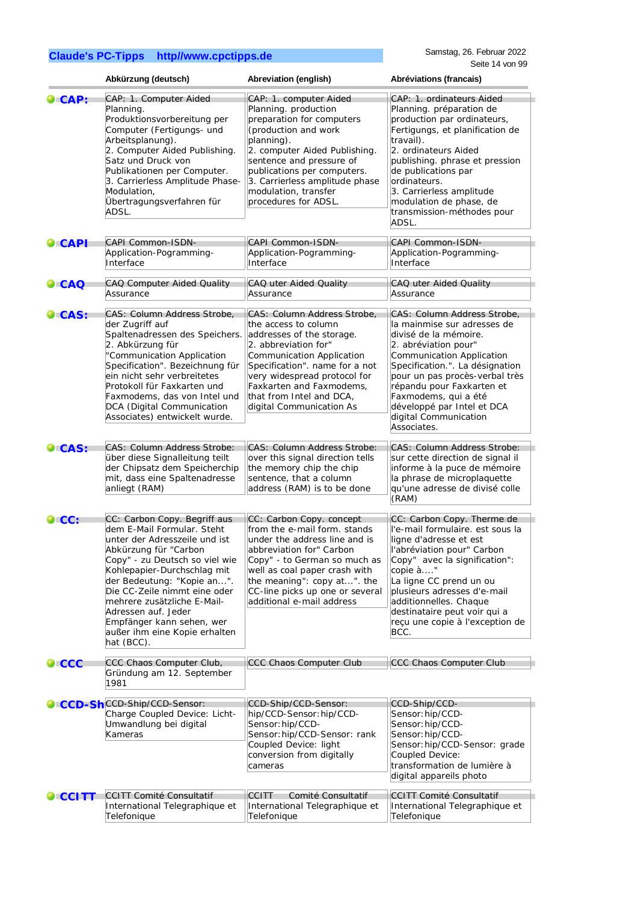|                 | Abkürzung (deutsch)                                                                                                                                                                                                                                                                                                                                                                   | Abreviation (english)                                                                                                                                                                                                                                                                           | Abréviations (francais)                                                                                                                                                                                                                                                                                                                  |
|-----------------|---------------------------------------------------------------------------------------------------------------------------------------------------------------------------------------------------------------------------------------------------------------------------------------------------------------------------------------------------------------------------------------|-------------------------------------------------------------------------------------------------------------------------------------------------------------------------------------------------------------------------------------------------------------------------------------------------|------------------------------------------------------------------------------------------------------------------------------------------------------------------------------------------------------------------------------------------------------------------------------------------------------------------------------------------|
| $\mathsf{CAP:}$ | CAP: 1. Computer Aided<br>Planning.<br>Produktionsvorbereitung per<br>Computer (Fertigungs- und<br>Arbeitsplanung).<br>2. Computer Aided Publishing.<br>Satz und Druck von<br>Publikationen per Computer.<br>3. Carrierless Amplitude Phase-<br>Modulation,<br>Übertragungsverfahren für<br>ADSL.                                                                                     | CAP: 1. computer Aided<br>Planning. production<br>preparation for computers<br>(production and work<br>planning).<br>2. computer Aided Publishing.<br>sentence and pressure of<br>publications per computers.<br>3. Carrierless amplitude phase<br>modulation, transfer<br>procedures for ADSL. | CAP: 1. ordinateurs Aided<br>Planning. préparation de<br>production par ordinateurs,<br>Fertigungs, et planification de<br>travail).<br>2. ordinateurs Aided<br>publishing. phrase et pression<br>de publications par<br>ordinateurs.<br>3. Carrierless amplitude<br>modulation de phase, de<br>transmission-méthodes pour<br>ADSL.      |
| <b>CAPI</b>     | <b>CAPI Common-ISDN-</b><br>Application-Pogramming-<br>Interface                                                                                                                                                                                                                                                                                                                      | CAPI Common-ISDN-<br>Application-Pogramming-<br>Interface                                                                                                                                                                                                                                       | CAPI Common-ISDN-<br>Application-Pogramming-<br>Interface                                                                                                                                                                                                                                                                                |
| $\bullet$ CAQ   | CAQ Computer Aided Quality<br>Assurance                                                                                                                                                                                                                                                                                                                                               | CAQ uter Aided Quality<br>Assurance                                                                                                                                                                                                                                                             | <b>CAQ uter Aided Quality</b><br>Assurance                                                                                                                                                                                                                                                                                               |
| CAS:            | CAS: Column Address Strobe,<br>der Zugriff auf<br>Spaltenadressen des Speichers.<br>2. Abkürzung für<br>"Communication Application<br>Specification". Bezeichnung für<br>ein nicht sehr verbreitetes<br>Protokoll für Faxkarten und<br>Faxmodems, das von Intel und<br>DCA (Digital Communication<br>Associates) entwickelt wurde.                                                    | CAS: Column Address Strobe,<br>the access to column<br>addresses of the storage.<br>2. abbreviation for"<br>Communication Application<br>Specification". name for a not<br>very widespread protocol for<br>Faxkarten and Faxmodems,<br>that from Intel and DCA,<br>digital Communication As     | CAS: Column Address Strobe,<br>la mainmise sur adresses de<br>divisé de la mémoire.<br>2. abréviation pour"<br>Communication Application<br>Specification.". La désignation<br>pour un pas procès-verbal très<br>répandu pour Faxkarten et<br>Faxmodems, qui a été<br>développé par Intel et DCA<br>digital Communication<br>Associates. |
| CAS:            | CAS: Column Address Strobe:<br>über diese Signalleitung teilt<br>der Chipsatz dem Speicherchip<br>mit, dass eine Spaltenadresse<br>anliegt (RAM)                                                                                                                                                                                                                                      | CAS: Column Address Strobe:<br>over this signal direction tells<br>the memory chip the chip<br>sentence, that a column<br>address (RAM) is to be done                                                                                                                                           | CAS: Column Address Strobe:<br>sur cette direction de signal il<br>informe à la puce de mémoire<br>la phrase de microplaquette<br>qu'une adresse de divisé colle<br>(RAM)                                                                                                                                                                |
| $\bullet$ CC:   | CC: Carbon Copy. Begriff aus<br>dem E-Mail Formular. Steht<br>unter der Adresszeile und ist<br>Abkürzung für "Carbon<br>Copy" - zu Deutsch so viel wie<br>Kohlepapier-Durchschlag mit<br>der Bedeutung: "Kopie an".<br>Die CC-Zeile nimmt eine oder<br>mehrere zusätzliche E-Mail-<br>Adressen auf. Jeder<br>Empfänger kann sehen, wer<br>außer ihm eine Kopie erhalten<br>hat (BCC). | CC: Carbon Copy. concept<br>from the e-mail form. stands<br>under the address line and is<br>abbreviation for" Carbon<br>Copy" - to German so much as<br>well as coal paper crash with<br>the meaning": copy at". the<br>CC-line picks up one or several<br>additional e-mail address           | CC: Carbon Copy. Therme de<br>l'e-mail formulaire. est sous la<br>ligne d'adresse et est<br>l'abréviation pour" Carbon<br>Copy" avec la signification":<br>copie à"<br>La ligne CC prend un ou<br>plusieurs adresses d'e-mail<br>additionnelles. Chaque<br>destinataire peut voir qui a<br>reçu une copie à l'exception de<br>BCC.       |
| $\mathsf{LCCC}$ | CCC Chaos Computer Club,<br>Gründung am 12. September<br>1981                                                                                                                                                                                                                                                                                                                         | CCC Chaos Computer Club                                                                                                                                                                                                                                                                         | CCC Chaos Computer Club                                                                                                                                                                                                                                                                                                                  |
|                 |                                                                                                                                                                                                                                                                                                                                                                                       |                                                                                                                                                                                                                                                                                                 |                                                                                                                                                                                                                                                                                                                                          |
| ⊑CCD-Sh         | CCD-Ship/CCD-Sensor:<br>Charge Coupled Device: Licht-<br>Umwandlung bei digital<br>Kameras                                                                                                                                                                                                                                                                                            | CCD-Ship/CCD-Sensor:<br>hip/CCD-Sensor: hip/CCD-<br>Sensor: hip/CCD-<br>Sensor: hip/CCD-Sensor: rank<br>Coupled Device: light<br>conversion from digitally<br>cameras                                                                                                                           | CCD-Ship/CCD-<br>Sensor: hip/CCD-<br>Sensor: hip/CCD-<br>Sensor: hip/CCD-<br>Sensor: hip/CCD-Sensor: grade<br>Coupled Device:<br>transformation de lumière à<br>digital appareils photo                                                                                                                                                  |
| $\bullet$ CCITT | <b>CCITT Comité Consultatif</b>                                                                                                                                                                                                                                                                                                                                                       | Comité Consultatif<br><b>CCITT</b>                                                                                                                                                                                                                                                              | <b>CCITT Comité Consultatif</b>                                                                                                                                                                                                                                                                                                          |
|                 | International Telegraphique et<br>Telefonique                                                                                                                                                                                                                                                                                                                                         | International Telegraphique et<br>Telefonique                                                                                                                                                                                                                                                   | International Telegraphique et<br>Telefonique                                                                                                                                                                                                                                                                                            |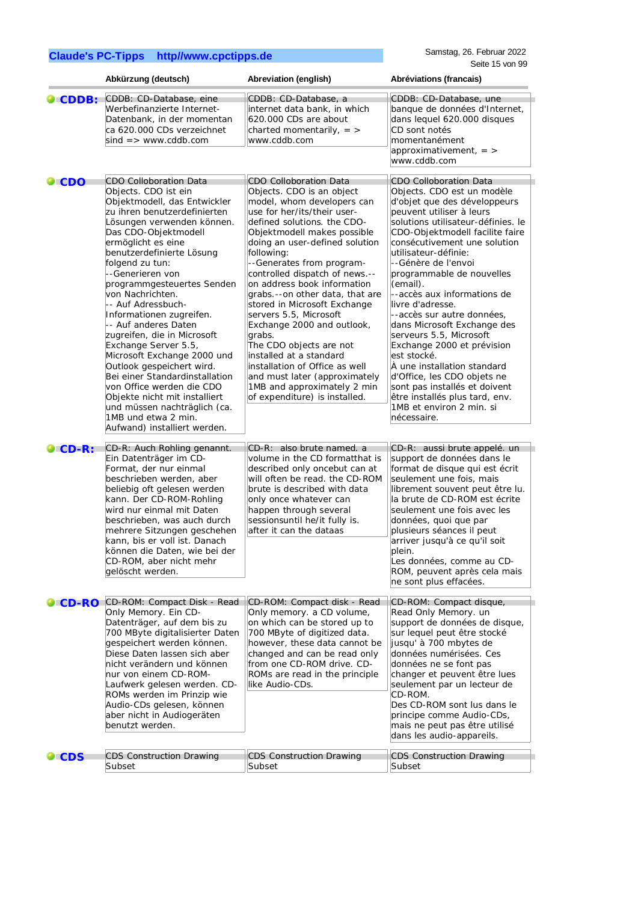|                 | Abkürzung (deutsch)                                                                                                                                                                                                                                                                                                                                                                                                                                                                                                                                                                                                                                                                                         | Abreviation (english)                                                                                                                                                                                                                                                                                                                                                                                                                                                                                                                                                                                                                                             | Abréviations (francais)                                                                                                                                                                                                                                                                                                                                                                                                                                                                                                                                                                                                                                                                      |
|-----------------|-------------------------------------------------------------------------------------------------------------------------------------------------------------------------------------------------------------------------------------------------------------------------------------------------------------------------------------------------------------------------------------------------------------------------------------------------------------------------------------------------------------------------------------------------------------------------------------------------------------------------------------------------------------------------------------------------------------|-------------------------------------------------------------------------------------------------------------------------------------------------------------------------------------------------------------------------------------------------------------------------------------------------------------------------------------------------------------------------------------------------------------------------------------------------------------------------------------------------------------------------------------------------------------------------------------------------------------------------------------------------------------------|----------------------------------------------------------------------------------------------------------------------------------------------------------------------------------------------------------------------------------------------------------------------------------------------------------------------------------------------------------------------------------------------------------------------------------------------------------------------------------------------------------------------------------------------------------------------------------------------------------------------------------------------------------------------------------------------|
| CDDB:           | CDDB: CD-Database, eine<br>Werbefinanzierte Internet-<br>Datenbank, in der momentan<br>ca 620.000 CDs verzeichnet<br>$sind \Rightarrow$ www.cddb.com                                                                                                                                                                                                                                                                                                                                                                                                                                                                                                                                                        | CDDB: CD-Database, a<br>internet data bank, in which<br>620.000 CDs are about<br>charted momentarily, $=$ ><br>www.cddb.com                                                                                                                                                                                                                                                                                                                                                                                                                                                                                                                                       | CDDB: CD-Database, une<br>banque de données d'Internet,<br>dans lequel 620.000 disques<br>CD sont notés<br>momentanément<br>approximativement, $=$ ><br>www.cddb.com                                                                                                                                                                                                                                                                                                                                                                                                                                                                                                                         |
| $\bullet$ CDO   | <b>CDO Colloboration Data</b><br>Objects. CDO ist ein<br>Objektmodell, das Entwickler<br>zu ihren benutzerdefinierten<br>Lösungen verwenden können.<br>Das CDO-Objektmodell<br>ermöglicht es eine<br>benutzerdefinierte Lösung<br>folgend zu tun:<br>--Generieren von<br>programmgesteuertes Senden<br>von Nachrichten.<br>-- Auf Adressbuch-<br>Informationen zugreifen.<br>-- Auf anderes Daten<br>zugreifen, die in Microsoft<br>Exchange Server 5.5,<br>Microsoft Exchange 2000 und<br>Outlook gespeichert wird.<br>Bei einer Standardinstallation<br>von Office werden die CDO<br>Objekte nicht mit installiert<br>und müssen nachträglich (ca.<br>1MB und etwa 2 min.<br>Aufwand) installiert werden. | <b>CDO Colloboration Data</b><br>Objects. CDO is an object<br>model, whom developers can<br>use for her/its/their user-<br>defined solutions. the CDO-<br>Objektmodell makes possible<br>doing an user-defined solution<br>following:<br>--Generates from program-<br>controlled dispatch of news.--<br>on address book information<br>grabs.--on other data, that are<br>stored in Microsoft Exchange<br>servers 5.5, Microsoft<br>Exchange 2000 and outlook,<br>grabs.<br>The CDO objects are not<br>installed at a standard<br>installation of Office as well<br>and must later (approximately<br>1MB and approximately 2 min<br>of expenditure) is installed. | <b>CDO Colloboration Data</b><br>Objects. CDO est un modèle<br>d'objet que des développeurs<br>peuvent utiliser à leurs<br>solutions utilisateur-définies. le<br>CDO-Objektmodell facilite faire<br>consécutivement une solution<br>utilisateur-définie:<br>--Génère de l'envoi<br>programmable de nouvelles<br>(email).<br>--accès aux informations de<br>livre d'adresse.<br>--accès sur autre données,<br>dans Microsoft Exchange des<br>serveurs 5.5, Microsoft<br>Exchange 2000 et prévision<br>est stocké.<br>À une installation standard<br>d'Office, les CDO objets ne<br>sont pas installés et doivent<br>être installés plus tard, env.<br>1MB et environ 2 min. si<br>nécessaire. |
| $\bullet$ CD-R: | CD-R: Auch Rohling genannt.<br>Ein Datenträger im CD-<br>Format, der nur einmal<br>beschrieben werden, aber<br>beliebig oft gelesen werden<br>kann. Der CD-ROM-Rohling<br>wird nur einmal mit Daten<br>beschrieben, was auch durch<br>mehrere Sitzungen geschehen<br>kann, bis er voll ist. Danach<br>können die Daten, wie bei der<br>CD-ROM, aber nicht mehr<br>gelöscht werden.                                                                                                                                                                                                                                                                                                                          | CD-R: also brute named. a<br>volume in the CD formatthat is<br>described only oncebut can at<br>will often be read, the CD-ROM<br>brute is described with data<br>only once whatever can<br>happen through several<br>sessionsuntil he/it fully is.<br>after it can the dataas                                                                                                                                                                                                                                                                                                                                                                                    | CD-R: aussi brute appelé. un<br>support de données dans le<br>format de disque qui est écrit<br>seulement une fois, mais<br>librement souvent peut être lu.<br>la brute de CD-ROM est écrite<br>seulement une fois avec les<br>données, quoi que par<br>plusieurs séances il peut<br>arriver jusqu'à ce qu'il soit<br>plein.<br>Les données, comme au CD-<br>ROM, peuvent après cela mais<br>ne sont plus effacées.                                                                                                                                                                                                                                                                          |
| $\bullet$ CD-RO | CD-ROM: Compact Disk - Read<br>Only Memory. Ein CD-<br>Datenträger, auf dem bis zu<br>700 MByte digitalisierter Daten<br>gespeichert werden können.<br>Diese Daten lassen sich aber<br>nicht verändern und können<br>nur von einem CD-ROM-<br>Laufwerk gelesen werden. CD-<br>ROMs werden im Prinzip wie<br>Audio-CDs gelesen, können<br>aber nicht in Audiogeräten<br>benutzt werden.                                                                                                                                                                                                                                                                                                                      | CD-ROM: Compact disk - Read<br>Only memory. a CD volume,<br>on which can be stored up to<br>700 MByte of digitized data.<br>however, these data cannot be<br>changed and can be read only<br>from one CD-ROM drive. CD-<br>ROMs are read in the principle<br>like Audio-CDs.                                                                                                                                                                                                                                                                                                                                                                                      | CD-ROM: Compact disque,<br>Read Only Memory. un<br>support de données de disque,<br>sur lequel peut être stocké<br>jusqu' à 700 mbytes de<br>données numérisées. Ces<br>données ne se font pas<br>changer et peuvent être lues<br>seulement par un lecteur de<br>CD-ROM.<br>Des CD-ROM sont lus dans le<br>principe comme Audio-CDs,<br>mais ne peut pas être utilisé<br>dans les audio-appareils.                                                                                                                                                                                                                                                                                           |
| $\bullet$ CDS   | <b>CDS Construction Drawing</b><br>Subset                                                                                                                                                                                                                                                                                                                                                                                                                                                                                                                                                                                                                                                                   | <b>CDS Construction Drawing</b><br>Subset                                                                                                                                                                                                                                                                                                                                                                                                                                                                                                                                                                                                                         | <b>CDS Construction Drawing</b><br>Subset                                                                                                                                                                                                                                                                                                                                                                                                                                                                                                                                                                                                                                                    |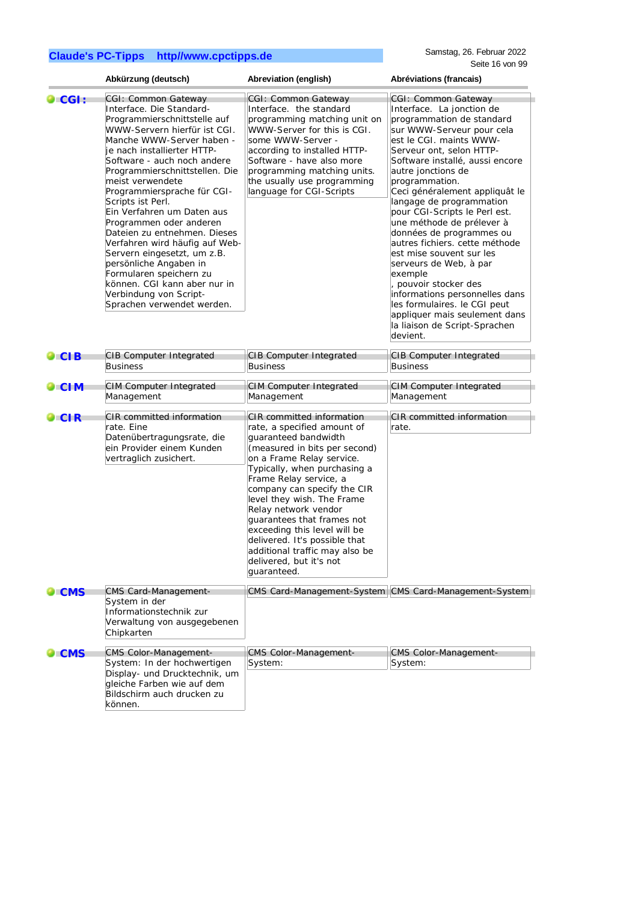Samstag, 26. Februar 2022 Seite 16 von 99

|                 | Abkürzung (deutsch)                                                                                                                                                                                                                                                                                                                                                                                                                                                                                                                                                                                                         | Abreviation (english)                                                                                                                                                                                                                                                                                                                                                                                                                                                    | Abréviations (francais)                                                                                                                                                                                                                                                                                                                                                                                                                                                                                                                                                                                                                                                        |
|-----------------|-----------------------------------------------------------------------------------------------------------------------------------------------------------------------------------------------------------------------------------------------------------------------------------------------------------------------------------------------------------------------------------------------------------------------------------------------------------------------------------------------------------------------------------------------------------------------------------------------------------------------------|--------------------------------------------------------------------------------------------------------------------------------------------------------------------------------------------------------------------------------------------------------------------------------------------------------------------------------------------------------------------------------------------------------------------------------------------------------------------------|--------------------------------------------------------------------------------------------------------------------------------------------------------------------------------------------------------------------------------------------------------------------------------------------------------------------------------------------------------------------------------------------------------------------------------------------------------------------------------------------------------------------------------------------------------------------------------------------------------------------------------------------------------------------------------|
| $\bullet$ CGI : | CGI: Common Gateway<br>Interface. Die Standard-<br>Programmierschnittstelle auf<br>WWW-Servern hierfür ist CGI.<br>Manche WWW-Server haben -<br>je nach installierter HTTP-<br>Software - auch noch andere<br>Programmierschnittstellen. Die<br>meist verwendete<br>Programmiersprache für CGI-<br>Scripts ist Perl.<br>Ein Verfahren um Daten aus<br>Programmen oder anderen<br>Dateien zu entnehmen. Dieses<br>Verfahren wird häufig auf Web-<br>Servern eingesetzt, um z.B.<br>persönliche Angaben in<br>Formularen speichern zu<br>können. CGI kann aber nur in<br>Verbindung von Script-<br>Sprachen verwendet werden. | CGI: Common Gateway<br>Interface. the standard<br>programming matching unit on<br>WWW-Server for this is CGI.<br>some WWW-Server -<br>according to installed HTTP-<br>Software - have also more<br>programming matching units.<br>the usually use programming<br>language for CGI-Scripts                                                                                                                                                                                | CGI: Common Gateway<br>Interface. La jonction de<br>programmation de standard<br>sur WWW-Serveur pour cela<br>est le CGI. maints WWW-<br>Serveur ont, selon HTTP-<br>Software installé, aussi encore<br>autre jonctions de<br>programmation.<br>Ceci généralement appliquât le<br>langage de programmation<br>pour CGI-Scripts le Perl est.<br>une méthode de prélever à<br>données de programmes ou<br>autres fichiers. cette méthode<br>est mise souvent sur les<br>serveurs de Web, à par<br>exemple<br>pouvoir stocker des<br>informations personnelles dans<br>les formulaires. le CGI peut<br>appliquer mais seulement dans<br>la liaison de Script-Sprachen<br>devient. |
| $\bullet$ CIB   | <b>CIB Computer Integrated</b><br><b>Business</b>                                                                                                                                                                                                                                                                                                                                                                                                                                                                                                                                                                           | CIB Computer Integrated<br><b>Business</b>                                                                                                                                                                                                                                                                                                                                                                                                                               | <b>CIB Computer Integrated</b><br><b>Business</b>                                                                                                                                                                                                                                                                                                                                                                                                                                                                                                                                                                                                                              |
| $\bullet$ CIM   | <b>CIM Computer Integrated</b><br>Management                                                                                                                                                                                                                                                                                                                                                                                                                                                                                                                                                                                | <b>CIM Computer Integrated</b><br>Management                                                                                                                                                                                                                                                                                                                                                                                                                             | <b>CIM Computer Integrated</b><br>Management                                                                                                                                                                                                                                                                                                                                                                                                                                                                                                                                                                                                                                   |
| $\bullet$ CIR   | <b>CIR</b> committed information<br>rate. Eine<br>Datenübertragungsrate, die<br>ein Provider einem Kunden<br>vertraglich zusichert.                                                                                                                                                                                                                                                                                                                                                                                                                                                                                         | CIR committed information<br>rate, a specified amount of<br>guaranteed bandwidth<br>(measured in bits per second)<br>on a Frame Relay service.<br>Typically, when purchasing a<br>Frame Relay service, a<br>company can specify the CIR<br>level they wish. The Frame<br>Relay network vendor<br>quarantees that frames not<br>exceeding this level will be<br>delivered. It's possible that<br>additional traffic may also be<br>delivered, but it's not<br>quaranteed. | <b>CIR</b> committed information<br>rate.                                                                                                                                                                                                                                                                                                                                                                                                                                                                                                                                                                                                                                      |
| $\bullet$ CMS   | <b>CMS Card-Management-</b><br>System in der<br>Informationstechnik zur<br>Verwaltung von ausgegebenen<br>Chipkarten                                                                                                                                                                                                                                                                                                                                                                                                                                                                                                        |                                                                                                                                                                                                                                                                                                                                                                                                                                                                          | CMS Card-Management-System CMS Card-Management-System                                                                                                                                                                                                                                                                                                                                                                                                                                                                                                                                                                                                                          |
| $\bullet$ CMS   | <b>CMS Color-Management-</b><br>System: In der hochwertigen<br>Display- und Drucktechnik, um<br>gleiche Farben wie auf dem<br>Bildschirm auch drucken zu<br>können.                                                                                                                                                                                                                                                                                                                                                                                                                                                         | <b>CMS Color-Management-</b><br>System:                                                                                                                                                                                                                                                                                                                                                                                                                                  | <b>CMS Color-Management-</b><br>System:                                                                                                                                                                                                                                                                                                                                                                                                                                                                                                                                                                                                                                        |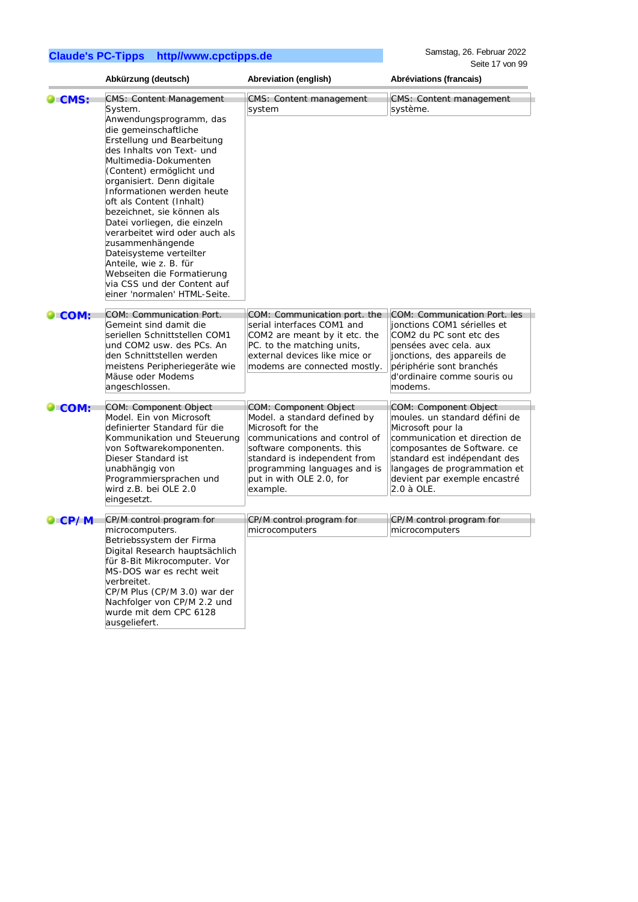Samstag, 26. Februar 2022 Seite 17 von 99

|                |                                                                                                                                                                                                                                                                                                                                                                                                                                                                                                                                                                             |                                                                                                                                                                                                                                                  | Seite 17 von 99                                                                                                                                                                                                                                           |  |
|----------------|-----------------------------------------------------------------------------------------------------------------------------------------------------------------------------------------------------------------------------------------------------------------------------------------------------------------------------------------------------------------------------------------------------------------------------------------------------------------------------------------------------------------------------------------------------------------------------|--------------------------------------------------------------------------------------------------------------------------------------------------------------------------------------------------------------------------------------------------|-----------------------------------------------------------------------------------------------------------------------------------------------------------------------------------------------------------------------------------------------------------|--|
|                | Abkürzung (deutsch)                                                                                                                                                                                                                                                                                                                                                                                                                                                                                                                                                         | Abreviation (english)                                                                                                                                                                                                                            | Abréviations (francais)                                                                                                                                                                                                                                   |  |
| <b>CMS:</b>    | <b>CMS: Content Management</b><br>System.<br>Anwendungsprogramm, das<br>die gemeinschaftliche<br>Erstellung und Bearbeitung<br>des Inhalts von Text- und<br>Multimedia-Dokumenten<br>(Content) ermöglicht und<br>organisiert. Denn digitale<br>Informationen werden heute<br>oft als Content (Inhalt)<br>bezeichnet, sie können als<br>Datei vorliegen, die einzeln<br>verarbeitet wird oder auch als<br>zusammenhängende<br>Dateisysteme verteilter<br>Anteile, wie z. B. für<br>Webseiten die Formatierung<br>via CSS und der Content auf<br>einer 'normalen' HTML-Seite. | CMS: Content management<br>system                                                                                                                                                                                                                | CMS: Content management<br>système.                                                                                                                                                                                                                       |  |
| $\bullet$ COM: | COM: Communication Port.<br>Gemeint sind damit die<br>seriellen Schnittstellen COM1<br>und COM2 usw. des PCs. An<br>den Schnittstellen werden<br>meistens Peripheriegeräte wie<br>Mäuse oder Modems<br>angeschlossen.                                                                                                                                                                                                                                                                                                                                                       | COM: Communication port. the<br>serial interfaces COM1 and<br>COM2 are meant by it etc. the<br>PC. to the matching units,<br>external devices like mice or<br>modems are connected mostly.                                                       | COM: Communication Port. les<br>jonctions COM1 sérielles et<br>COM2 du PC sont etc des<br>pensées avec cela. aux<br>jonctions, des appareils de<br>périphérie sont branchés<br>d'ordinaire comme souris ou<br>modems.                                     |  |
| $\bullet$ COM: | COM: Component Object<br>Model. Ein von Microsoft<br>definierter Standard für die<br>Kommunikation und Steuerung<br>von Softwarekomponenten.<br>Dieser Standard ist<br>unabhängig von<br>Programmiersprachen und<br>wird z.B. bei OLE 2.0<br>eingesetzt.                                                                                                                                                                                                                                                                                                                    | COM: Component Object<br>Model. a standard defined by<br>Microsoft for the<br>communications and control of<br>software components. this<br>standard is independent from<br>programming languages and is<br>put in with OLE 2.0, for<br>example. | COM: Component Object<br>moules. un standard défini de<br>Microsoft pour la<br>communication et direction de<br>composantes de Software. ce<br>standard est indépendant des<br>langages de programmation et<br>devient par exemple encastré<br>2.0 à OLE. |  |
| $\bullet$ CP/M | CP/M control program for<br>microcomputers.<br>Betriebssystem der Firma<br>Digital Research hauptsächlich<br>für 8-Bit Mikrocomputer. Vor<br>MS-DOS war es recht weit<br>verbreitet.<br>CP/M Plus (CP/M 3.0) war der<br>Nachfolger von CP/M 2.2 und<br>wurde mit dem CPC 6128<br>ausgeliefert.                                                                                                                                                                                                                                                                              | CP/M control program for<br>microcomputers                                                                                                                                                                                                       | CP/M control program for<br>microcomputers                                                                                                                                                                                                                |  |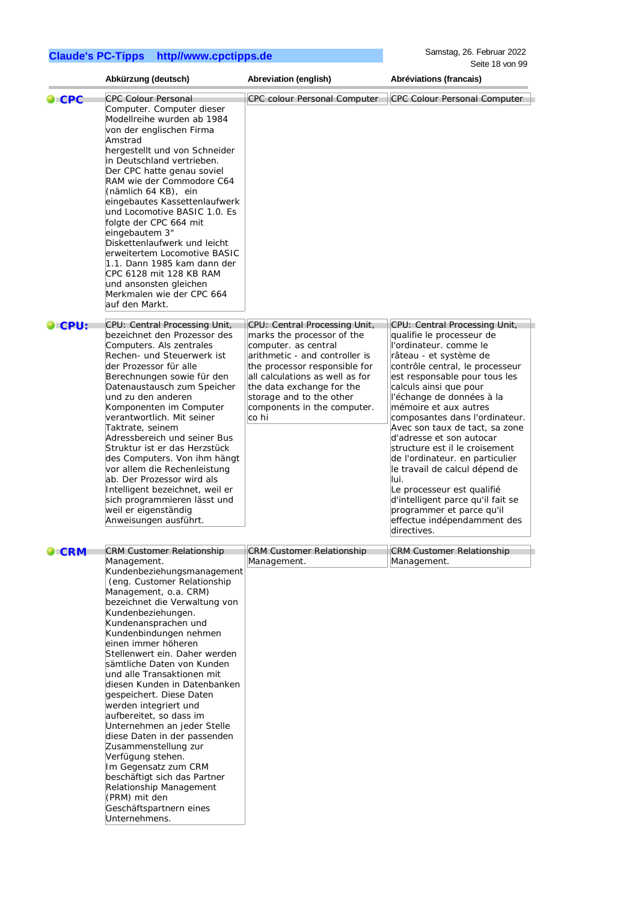Samstag, 26. Februar 2022 Seite 18 von 99

|                    | Abkürzung (deutsch)                                                                                                                                                                                                                                                                                                                                                                                                                                                                                                                                                                                                                                                                                        | Abreviation (english)                                                                                                                                                                                                                                     | Abréviations (francais)                                                                                                                                                                                                                                                                                                                                                                                                                                                                                                                                                                        |
|--------------------|------------------------------------------------------------------------------------------------------------------------------------------------------------------------------------------------------------------------------------------------------------------------------------------------------------------------------------------------------------------------------------------------------------------------------------------------------------------------------------------------------------------------------------------------------------------------------------------------------------------------------------------------------------------------------------------------------------|-----------------------------------------------------------------------------------------------------------------------------------------------------------------------------------------------------------------------------------------------------------|------------------------------------------------------------------------------------------------------------------------------------------------------------------------------------------------------------------------------------------------------------------------------------------------------------------------------------------------------------------------------------------------------------------------------------------------------------------------------------------------------------------------------------------------------------------------------------------------|
| $\bullet$ CPC      | <b>CPC Colour Personal</b><br>Computer. Computer dieser<br>Modellreihe wurden ab 1984<br>von der englischen Firma<br>Amstrad<br>hergestellt und von Schneider<br>in Deutschland vertrieben.<br>Der CPC hatte genau soviel<br>RAM wie der Commodore C64<br>(nämlich 64 KB), ein<br>eingebautes Kassettenlaufwerk<br>und Locomotive BASIC 1.0. Es<br>folgte der CPC 664 mit<br>eingebautem 3"                                                                                                                                                                                                                                                                                                                | <b>CPC colour Personal Computer</b>                                                                                                                                                                                                                       | <b>CPC Colour Personal Computer</b>                                                                                                                                                                                                                                                                                                                                                                                                                                                                                                                                                            |
|                    | Diskettenlaufwerk und leicht<br>erweitertem Locomotive BASIC<br>1.1. Dann 1985 kam dann der<br>CPC 6128 mit 128 KB RAM<br>und ansonsten gleichen<br>Merkmalen wie der CPC 664<br>auf den Markt.                                                                                                                                                                                                                                                                                                                                                                                                                                                                                                            |                                                                                                                                                                                                                                                           |                                                                                                                                                                                                                                                                                                                                                                                                                                                                                                                                                                                                |
| $\bullet$ CPU:     | CPU: Central Processing Unit,                                                                                                                                                                                                                                                                                                                                                                                                                                                                                                                                                                                                                                                                              | CPU: Central Processing Unit,                                                                                                                                                                                                                             | CPU: Central Processing Unit,                                                                                                                                                                                                                                                                                                                                                                                                                                                                                                                                                                  |
|                    | bezeichnet den Prozessor des<br>Computers. Als zentrales<br>Rechen- und Steuerwerk ist<br>der Prozessor für alle<br>Berechnungen sowie für den<br>Datenaustausch zum Speicher<br>und zu den anderen<br>Komponenten im Computer<br>verantwortlich. Mit seiner<br>Taktrate, seinem<br>Adressbereich und seiner Bus<br>Struktur ist er das Herzstück<br>des Computers. Von ihm hängt<br>vor allem die Rechenleistung<br>ab. Der Prozessor wird als<br>Intelligent bezeichnet, weil er<br>sich programmieren lässt und<br>weil er eigenständig<br>Anweisungen ausführt.                                                                                                                                        | marks the processor of the<br>computer. as central<br>arithmetic - and controller is<br>the processor responsible for<br>all calculations as well as for<br>the data exchange for the<br>storage and to the other<br>components in the computer.<br>co hi | qualifie le processeur de<br>l'ordinateur. comme le<br>râteau - et système de<br>contrôle central, le processeur<br>est responsable pour tous les<br>calculs ainsi que pour<br>l'échange de données à la<br>mémoire et aux autres<br>composantes dans l'ordinateur.<br>Avec son taux de tact, sa zone<br>d'adresse et son autocar<br>structure est il le croisement<br>de l'ordinateur. en particulier<br>le travail de calcul dépend de<br>lui.<br>Le processeur est qualifié<br>d'intelligent parce qu'il fait se<br>programmer et parce qu'il<br>effectue indépendamment des<br>directives. |
| $\blacksquare$ CRM | <b>CRM Customer Relationship</b>                                                                                                                                                                                                                                                                                                                                                                                                                                                                                                                                                                                                                                                                           | <b>CRM Customer Relationship</b>                                                                                                                                                                                                                          | <b>CRM Customer Relationship</b>                                                                                                                                                                                                                                                                                                                                                                                                                                                                                                                                                               |
|                    | Management.<br>Kundenbeziehungsmanagement<br>(eng. Customer Relationship<br>Management, o.a. CRM)<br>bezeichnet die Verwaltung von<br>Kundenbeziehungen.<br>Kundenansprachen und<br>Kundenbindungen nehmen<br>einen immer höheren<br>Stellenwert ein. Daher werden<br>sämtliche Daten von Kunden<br>und alle Transaktionen mit<br>diesen Kunden in Datenbanken<br>gespeichert. Diese Daten<br>werden integriert und<br>aufbereitet, so dass im<br>Unternehmen an jeder Stelle<br>diese Daten in der passenden<br>Zusammenstellung zur<br>Verfügung stehen.<br>Im Gegensatz zum CRM<br>beschäftigt sich das Partner<br>Relationship Management<br>(PRM) mit den<br>Geschäftspartnern eines<br>Unternehmens. | Management.                                                                                                                                                                                                                                               | Management.                                                                                                                                                                                                                                                                                                                                                                                                                                                                                                                                                                                    |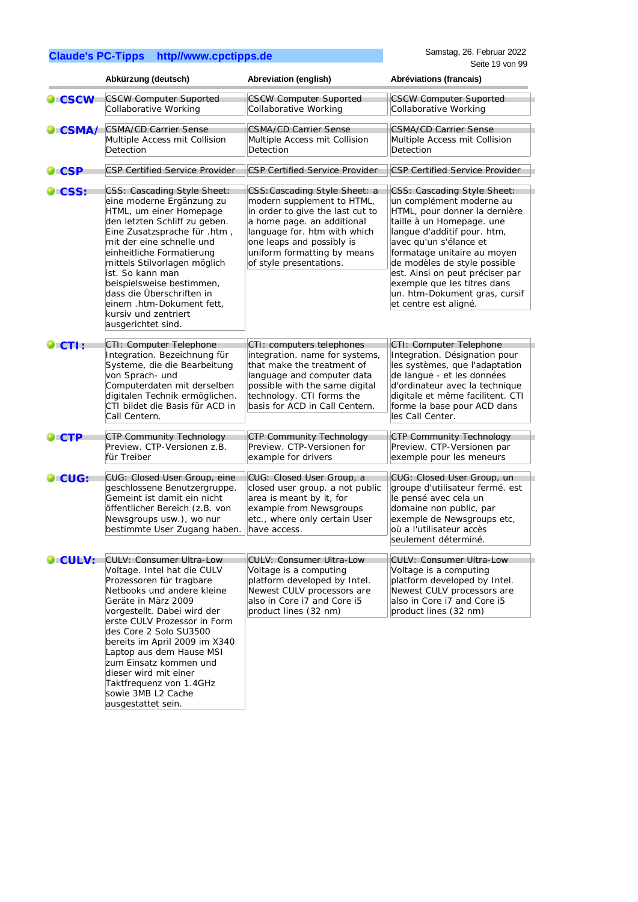|                 | Abkürzung (deutsch)                                                                                                                                                                                                                                                                                                                                                                                                             | Abreviation (english)                                                                                                                                                                                                                                | Abréviations (francais)                                                                                                                                                                                                                                                                                                                                                   |
|-----------------|---------------------------------------------------------------------------------------------------------------------------------------------------------------------------------------------------------------------------------------------------------------------------------------------------------------------------------------------------------------------------------------------------------------------------------|------------------------------------------------------------------------------------------------------------------------------------------------------------------------------------------------------------------------------------------------------|---------------------------------------------------------------------------------------------------------------------------------------------------------------------------------------------------------------------------------------------------------------------------------------------------------------------------------------------------------------------------|
| $\bullet$ CSCW  | <b>CSCW Computer Suported</b><br>Collaborative Working                                                                                                                                                                                                                                                                                                                                                                          | <b>CSCW Computer Suported</b><br>Collaborative Working                                                                                                                                                                                               | <b>CSCW Computer Suported</b><br>Collaborative Working                                                                                                                                                                                                                                                                                                                    |
| $\bullet$ CSMA/ | <b>CSMA/CD Carrier Sense</b><br>Multiple Access mit Collision<br>Detection                                                                                                                                                                                                                                                                                                                                                      | <b>CSMA/CD Carrier Sense</b><br>Multiple Access mit Collision<br>Detection                                                                                                                                                                           | <b>CSMA/CD Carrier Sense</b><br>Multiple Access mit Collision<br>Detection                                                                                                                                                                                                                                                                                                |
| $\bullet$ CSP   | <b>CSP Certified Service Provider</b>                                                                                                                                                                                                                                                                                                                                                                                           | <b>CSP Certified Service Provider</b>                                                                                                                                                                                                                | <b>CSP Certified Service Provider</b>                                                                                                                                                                                                                                                                                                                                     |
| <b>CSS:</b>     | CSS: Cascading Style Sheet:<br>eine moderne Ergänzung zu<br>HTML, um einer Homepage<br>den letzten Schliff zu geben.<br>Eine Zusatzsprache für .htm,<br>mit der eine schnelle und<br>einheitliche Formatierung<br>mittels Stilvorlagen möglich<br>ist. So kann man<br>beispielsweise bestimmen,<br>dass die Überschriften in<br>einem.htm-Dokument fett,<br>kursiv und zentriert<br>ausgerichtet sind.                          | CSS: Cascading Style Sheet: a<br>modern supplement to HTML,<br>in order to give the last cut to<br>a home page. an additional<br>language for. htm with which<br>one leaps and possibly is<br>uniform formatting by means<br>of style presentations. | CSS: Cascading Style Sheet:<br>un complément moderne au<br>HTML, pour donner la dernière<br>taille à un Homepage. une<br>langue d'additif pour. htm,<br>avec qu'un s'élance et<br>formatage unitaire au moyen<br>de modèles de style possible<br>est. Ainsi on peut préciser par<br>exemple que les titres dans<br>un. htm-Dokument gras, cursif<br>et centre est aligné. |
| $\bullet$ CTI : | CTI: Computer Telephone<br>Integration. Bezeichnung für<br>Systeme, die die Bearbeitung<br>von Sprach- und<br>Computerdaten mit derselben<br>digitalen Technik ermöglichen.<br>CTI bildet die Basis für ACD in<br>Call Centern.                                                                                                                                                                                                 | CTI: computers telephones<br>integration. name for systems,<br>that make the treatment of<br>language and computer data<br>possible with the same digital<br>technology. CTI forms the<br>basis for ACD in Call Centern.                             | CTI: Computer Telephone<br>Integration. Désignation pour<br>les systèmes, que l'adaptation<br>de langue - et les données<br>d'ordinateur avec la technique<br>digitale et même facilitent. CTI<br>forme la base pour ACD dans<br>les Call Center.                                                                                                                         |
| $\bullet$ CTP   | <b>CTP Community Technology</b><br>Preview. CTP-Versionen z.B.<br>für Treiber                                                                                                                                                                                                                                                                                                                                                   | <b>CTP Community Technology</b><br>Preview. CTP-Versionen for<br>example for drivers                                                                                                                                                                 | <b>CTP Community Technology</b><br>Preview. CTP-Versionen par<br>exemple pour les meneurs                                                                                                                                                                                                                                                                                 |
| CUG:            | CUG: Closed User Group, eine<br>geschlossene Benutzergruppe.<br>Gemeint ist damit ein nicht<br>öffentlicher Bereich (z.B. von<br>Newsgroups usw.), wo nur<br>bestimmte User Zugang haben.                                                                                                                                                                                                                                       | CUG: Closed User Group, a<br>closed user group. a not public<br>area is meant by it, for<br>example from Newsgroups<br>etc., where only certain User<br>have access.                                                                                 | CUG: Closed User Group, un<br>groupe d'utilisateur fermé. est<br>le pensé avec cela un<br>domaine non public, par<br>exemple de Newsgroups etc,<br>où a l'utilisateur accès<br>seulement déterminé.                                                                                                                                                                       |
| <b>O</b> CULV:  | <b>CULV: Consumer Ultra-Low</b><br>Voltage. Intel hat die CULV<br>Prozessoren für tragbare<br>Netbooks und andere kleine<br>Geräte in März 2009<br>vorgestellt. Dabei wird der<br>erste CULV Prozessor in Form<br>des Core 2 Solo SU3500<br>bereits im April 2009 im X340<br>Laptop aus dem Hause MSI<br>zum Einsatz kommen und<br>dieser wird mit einer<br>Taktfrequenz von 1.4GHz<br>sowie 3MB L2 Cache<br>ausgestattet sein. | <b>CULV: Consumer Ultra-Low</b><br>Voltage is a computing<br>platform developed by Intel.<br>Newest CULV processors are<br>also in Core i7 and Core i5<br>product lines (32 nm)                                                                      | <b>CULV: Consumer Ultra-Low</b><br>Voltage is a computing<br>platform developed by Intel.<br>Newest CULV processors are<br>also in Core i7 and Core i5<br>product lines (32 nm)                                                                                                                                                                                           |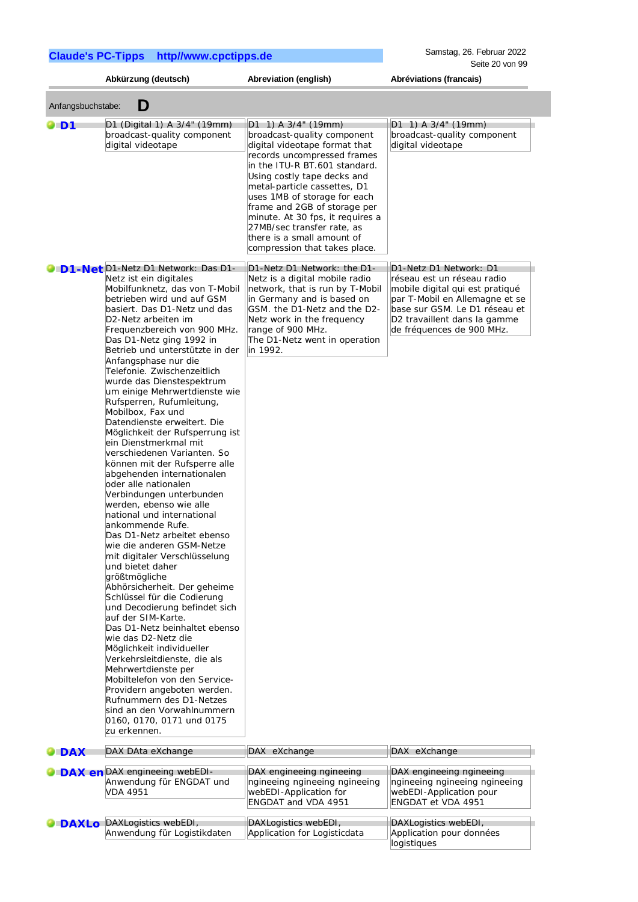|                   | Abkürzung (deutsch)                                                                                                                                                                                                                                                                                                                                                                                                                                                                                                                                                                                                                                                                                                                                                                                                                                                                                                                                                                                                                                                                                                                                                                                                                                                                                                                                            | Abreviation (english)                                                                                                                                                                                                                                                                                                                                                                                                 | Abréviations (francais)                                                                                                                                                                                                 |
|-------------------|----------------------------------------------------------------------------------------------------------------------------------------------------------------------------------------------------------------------------------------------------------------------------------------------------------------------------------------------------------------------------------------------------------------------------------------------------------------------------------------------------------------------------------------------------------------------------------------------------------------------------------------------------------------------------------------------------------------------------------------------------------------------------------------------------------------------------------------------------------------------------------------------------------------------------------------------------------------------------------------------------------------------------------------------------------------------------------------------------------------------------------------------------------------------------------------------------------------------------------------------------------------------------------------------------------------------------------------------------------------|-----------------------------------------------------------------------------------------------------------------------------------------------------------------------------------------------------------------------------------------------------------------------------------------------------------------------------------------------------------------------------------------------------------------------|-------------------------------------------------------------------------------------------------------------------------------------------------------------------------------------------------------------------------|
| Anfangsbuchstabe: | D                                                                                                                                                                                                                                                                                                                                                                                                                                                                                                                                                                                                                                                                                                                                                                                                                                                                                                                                                                                                                                                                                                                                                                                                                                                                                                                                                              |                                                                                                                                                                                                                                                                                                                                                                                                                       |                                                                                                                                                                                                                         |
| $\blacksquare$    | D1 (Digital 1) A 3/4" (19mm)<br>broadcast-quality component<br>digital videotape                                                                                                                                                                                                                                                                                                                                                                                                                                                                                                                                                                                                                                                                                                                                                                                                                                                                                                                                                                                                                                                                                                                                                                                                                                                                               | $D1$ 1) A 3/4" (19mm)<br>broadcast-quality component<br>digital videotape format that<br>records uncompressed frames<br>in the ITU-R BT.601 standard.<br>Using costly tape decks and<br>metal-particle cassettes, D1<br>uses 1MB of storage for each<br>frame and 2GB of storage per<br>minute. At 30 fps, it requires a<br>27MB/sec transfer rate, as<br>there is a small amount of<br>compression that takes place. | $D1$ 1) A 3/4" (19mm)<br>broadcast-quality component<br>digital videotape                                                                                                                                               |
|                   | D1-Net D1-Netz D1 Network: Das D1-<br>Netz ist ein digitales<br>Mobilfunknetz, das von T-Mobil<br>betrieben wird und auf GSM<br>basiert. Das D1-Netz und das<br>D2-Netz arbeiten im<br>Frequenzbereich von 900 MHz.<br>Das D1-Netz ging 1992 in<br>Betrieb und unterstützte in der<br>Anfangsphase nur die<br>Telefonie. Zwischenzeitlich<br>wurde das Dienstespektrum<br>um einige Mehrwertdienste wie<br>Rufsperren, Rufumleitung,<br>Mobilbox, Fax und<br>Datendienste erweitert. Die<br>Möglichkeit der Rufsperrung ist<br>ein Dienstmerkmal mit<br>verschiedenen Varianten. So<br>können mit der Rufsperre alle<br>abgehenden internationalen<br>oder alle nationalen<br>Verbindungen unterbunden<br>werden, ebenso wie alle<br>national und international<br>ankommende Rufe.<br>Das D1-Netz arbeitet ebenso<br>wie die anderen GSM-Netze<br>mit digitaler Verschlüsselung<br>und bietet daher<br>größtmögliche<br>Abhörsicherheit. Der geheime<br>Schlüssel für die Codierung<br>und Decodierung befindet sich<br>auf der SIM-Karte.<br>Das D1-Netz beinhaltet ebenso<br>wie das D2-Netz die<br>Möglichkeit individueller<br>Verkehrsleitdienste, die als<br>Mehrwertdienste per<br>Mobiltelefon von den Service-<br>Providern angeboten werden.<br>Rufnummern des D1-Netzes<br>sind an den Vorwahlnummern<br>0160, 0170, 0171 und 0175<br>zu erkennen. | D1-Netz D1 Network: the D1-<br>Netz is a digital mobile radio<br>network, that is run by T-Mobil<br>in Germany and is based on<br>GSM. the D1-Netz and the D2-<br>Netz work in the frequency<br>range of 900 MHz.<br>The D1-Netz went in operation<br>in 1992.                                                                                                                                                        | D1-Netz D1 Network: D1<br>réseau est un réseau radio<br>mobile digital qui est pratiqué<br>par T-Mobil en Allemagne et se<br>base sur GSM. Le D1 réseau et<br>D2 travaillent dans la gamme<br>de fréquences de 900 MHz. |
| <b>DAX</b>        | DAX DAta eXchange                                                                                                                                                                                                                                                                                                                                                                                                                                                                                                                                                                                                                                                                                                                                                                                                                                                                                                                                                                                                                                                                                                                                                                                                                                                                                                                                              | DAX eXchange                                                                                                                                                                                                                                                                                                                                                                                                          | DAX eXchange                                                                                                                                                                                                            |
|                   | DAX en DAX engineeing webEDI-<br>Anwendung für ENGDAT und<br><b>VDA 4951</b>                                                                                                                                                                                                                                                                                                                                                                                                                                                                                                                                                                                                                                                                                                                                                                                                                                                                                                                                                                                                                                                                                                                                                                                                                                                                                   | DAX engineeing ngineeing<br>ngineeing ngineeing ngineeing<br>webEDI-Application for<br><b>ENGDAT and VDA 4951</b>                                                                                                                                                                                                                                                                                                     | DAX engineeing ngineeing<br>ngineeing ngineeing ngineeing<br>webEDI-Application pour<br>ENGDAT et VDA 4951                                                                                                              |
| <b>DAXLO</b>      | DAXLogistics webEDI,<br>Anwendung für Logistikdaten                                                                                                                                                                                                                                                                                                                                                                                                                                                                                                                                                                                                                                                                                                                                                                                                                                                                                                                                                                                                                                                                                                                                                                                                                                                                                                            | DAXLogistics webEDI,<br>Application for Logisticdata                                                                                                                                                                                                                                                                                                                                                                  | DAXLogistics webEDI,<br>Application pour données<br>logistiques                                                                                                                                                         |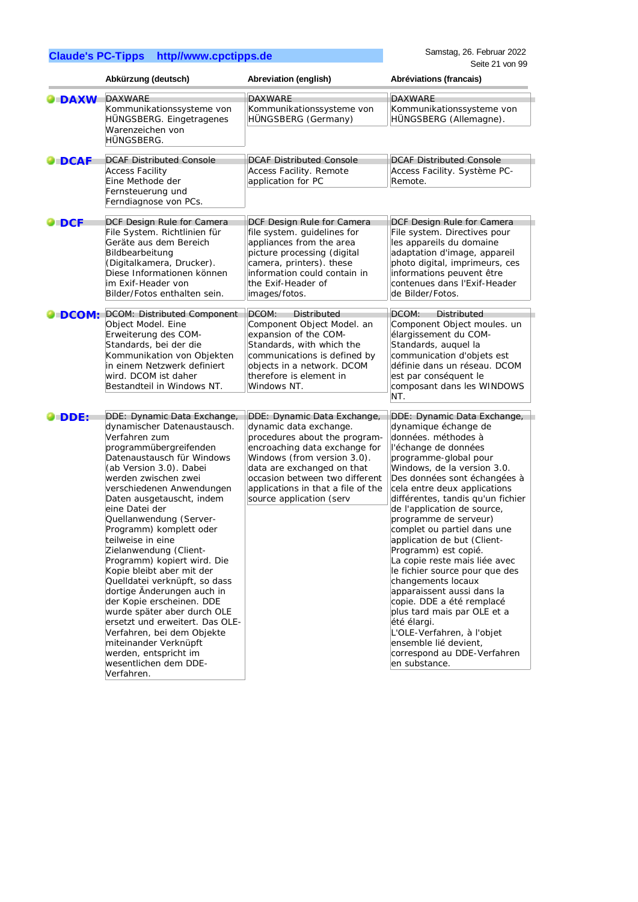Samstag, 26. Februar 2022 Seite 21 von 99

|               | Abkürzung (deutsch)                                                                                                                                                                                                                                                                                                                                                                                                                                                                                                                                                                                                                                                                       | Abreviation (english)                                                                                                                                                                                                                                     | Abréviations (francais)                                                                                                                                                                                                                                                                                                                                                                                                                                                                                                                                                                                                                                                                 |
|---------------|-------------------------------------------------------------------------------------------------------------------------------------------------------------------------------------------------------------------------------------------------------------------------------------------------------------------------------------------------------------------------------------------------------------------------------------------------------------------------------------------------------------------------------------------------------------------------------------------------------------------------------------------------------------------------------------------|-----------------------------------------------------------------------------------------------------------------------------------------------------------------------------------------------------------------------------------------------------------|-----------------------------------------------------------------------------------------------------------------------------------------------------------------------------------------------------------------------------------------------------------------------------------------------------------------------------------------------------------------------------------------------------------------------------------------------------------------------------------------------------------------------------------------------------------------------------------------------------------------------------------------------------------------------------------------|
| <b>DAXW</b>   | <b>DAXWARE</b>                                                                                                                                                                                                                                                                                                                                                                                                                                                                                                                                                                                                                                                                            | <b>DAXWARE</b>                                                                                                                                                                                                                                            | <b>DAXWARE</b>                                                                                                                                                                                                                                                                                                                                                                                                                                                                                                                                                                                                                                                                          |
|               | Kommunikationssysteme von<br>HÜNGSBERG. Eingetragenes<br>Warenzeichen von<br>HÜNGSBERG.                                                                                                                                                                                                                                                                                                                                                                                                                                                                                                                                                                                                   | Kommunikationssysteme von<br>HÜNGSBERG (Germany)                                                                                                                                                                                                          | Kommunikationssysteme von<br>HÜNGSBERG (Allemagne).                                                                                                                                                                                                                                                                                                                                                                                                                                                                                                                                                                                                                                     |
| <b>O</b> DCAF | <b>DCAF Distributed Console</b><br><b>Access Facility</b><br>Eine Methode der<br>Fernsteuerung und<br>Ferndiagnose von PCs.                                                                                                                                                                                                                                                                                                                                                                                                                                                                                                                                                               | <b>DCAF Distributed Console</b><br>Access Facility. Remote<br>application for PC                                                                                                                                                                          | <b>DCAF Distributed Console</b><br>Access Facility. Système PC-<br>Remote.                                                                                                                                                                                                                                                                                                                                                                                                                                                                                                                                                                                                              |
| $\bullet$ DCF | DCF Design Rule for Camera                                                                                                                                                                                                                                                                                                                                                                                                                                                                                                                                                                                                                                                                | DCF Design Rule for Camera                                                                                                                                                                                                                                | DCF Design Rule for Camera                                                                                                                                                                                                                                                                                                                                                                                                                                                                                                                                                                                                                                                              |
|               | File System. Richtlinien für<br>Geräte aus dem Bereich<br>Bildbearbeitung<br>(Digitalkamera, Drucker).<br>Diese Informationen können<br>im Exif-Header von<br>Bilder/Fotos enthalten sein.                                                                                                                                                                                                                                                                                                                                                                                                                                                                                                | file system. guidelines for<br>appliances from the area<br>picture processing (digital<br>camera, printers). these<br>information could contain in<br>the Exif-Header of<br>images/fotos.                                                                 | File system. Directives pour<br>les appareils du domaine<br>adaptation d'image, appareil<br>photo digital, imprimeurs, ces<br>informations peuvent être<br>contenues dans l'Exif-Header<br>de Bilder/Fotos.                                                                                                                                                                                                                                                                                                                                                                                                                                                                             |
| <b>DCOM:</b>  | DCOM: Distributed Component                                                                                                                                                                                                                                                                                                                                                                                                                                                                                                                                                                                                                                                               | DCOM:<br><b>Distributed</b>                                                                                                                                                                                                                               | DCOM:<br><b>Distributed</b>                                                                                                                                                                                                                                                                                                                                                                                                                                                                                                                                                                                                                                                             |
|               | Object Model. Eine<br>Erweiterung des COM-<br>Standards, bei der die<br>Kommunikation von Objekten<br>in einem Netzwerk definiert<br>wird. DCOM ist daher<br>Bestandteil in Windows NT.                                                                                                                                                                                                                                                                                                                                                                                                                                                                                                   | Component Object Model. an<br>expansion of the COM-<br>Standards, with which the<br>communications is defined by<br>objects in a network. DCOM<br>therefore is element in<br>Windows NT.                                                                  | Component Object moules. un<br>élargissement du COM-<br>Standards, auquel la<br>communication d'objets est<br>définie dans un réseau. DCOM<br>est par conséquent le<br>composant dans les WINDOWS<br>NT.                                                                                                                                                                                                                                                                                                                                                                                                                                                                                |
| <b>DDE:</b>   | DDE: Dynamic Data Exchange,                                                                                                                                                                                                                                                                                                                                                                                                                                                                                                                                                                                                                                                               | DDE: Dynamic Data Exchange,                                                                                                                                                                                                                               | DDE: Dynamic Data Exchange,                                                                                                                                                                                                                                                                                                                                                                                                                                                                                                                                                                                                                                                             |
|               | dynamischer Datenaustausch.<br>Verfahren zum<br>programmübergreifenden<br>Datenaustausch für Windows<br>(ab Version 3.0). Dabei<br>werden zwischen zwei<br>verschiedenen Anwendungen<br>Daten ausgetauscht, indem<br>eine Datei der<br>Quellanwendung (Server-<br>Programm) komplett oder<br>teilweise in eine<br>Zielanwendung (Client-<br>Programm) kopiert wird. Die<br>Kopie bleibt aber mit der<br>Quelldatei verknüpft, so dass<br>dortige Änderungen auch in<br>der Kopie erscheinen. DDE<br>wurde später aber durch OLE<br>ersetzt und erweitert. Das OLE-<br>Verfahren, bei dem Objekte<br>miteinander Verknüpft<br>werden, entspricht im<br>wesentlichen dem DDE-<br>Verfahren. | dynamic data exchange.<br>procedures about the program-<br>encroaching data exchange for<br>Windows (from version 3.0).<br>data are exchanged on that<br>occasion between two different<br>applications in that a file of the<br>source application (serv | dynamique échange de<br>données. méthodes à<br>l'échange de données<br>programme-global pour<br>Windows, de la version 3.0.<br>Des données sont échangées à<br>cela entre deux applications<br>différentes, tandis qu'un fichier<br>de l'application de source,<br>programme de serveur)<br>complet ou partiel dans une<br>application de but (Client-<br>Programm) est copié.<br>La copie reste mais liée avec<br>le fichier source pour que des<br>changements locaux<br>apparaissent aussi dans la<br>copie. DDE a été remplacé<br>plus tard mais par OLE et a<br>été élargi.<br>L'OLE-Verfahren, à l'objet<br>ensemble lié devient,<br>correspond au DDE-Verfahren<br>en substance. |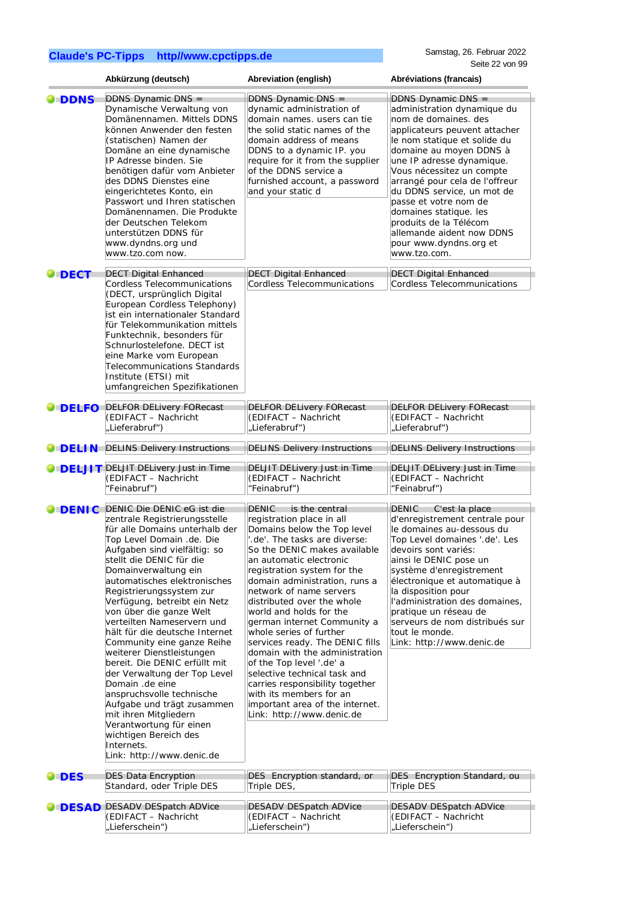|                 | Abkürzung (deutsch)                                                                                                                                                                                                                                                                                                                                                                                                                                                                                                                                                                                                                                                                                                                     | Abreviation (english)                                                                                                                                                                                                                                                                                                                                                                                                                                                                                                                                                                                                                                             | Abréviations (francais)                                                                                                                                                                                                                                                                                                                                                                                                                             |
|-----------------|-----------------------------------------------------------------------------------------------------------------------------------------------------------------------------------------------------------------------------------------------------------------------------------------------------------------------------------------------------------------------------------------------------------------------------------------------------------------------------------------------------------------------------------------------------------------------------------------------------------------------------------------------------------------------------------------------------------------------------------------|-------------------------------------------------------------------------------------------------------------------------------------------------------------------------------------------------------------------------------------------------------------------------------------------------------------------------------------------------------------------------------------------------------------------------------------------------------------------------------------------------------------------------------------------------------------------------------------------------------------------------------------------------------------------|-----------------------------------------------------------------------------------------------------------------------------------------------------------------------------------------------------------------------------------------------------------------------------------------------------------------------------------------------------------------------------------------------------------------------------------------------------|
| <b>DDNS</b>     | DDNS Dynamic DNS =<br>Dynamische Verwaltung von<br>Domänennamen. Mittels DDNS<br>können Anwender den festen<br>(statischen) Namen der<br>Domäne an eine dynamische<br>IP Adresse binden. Sie<br>benötigen dafür vom Anbieter<br>des DDNS Dienstes eine<br>eingerichtetes Konto, ein<br>Passwort und Ihren statischen<br>Domänennamen. Die Produkte<br>der Deutschen Telekom<br>unterstützen DDNS für<br>www.dyndns.org und<br>www.tzo.com now.                                                                                                                                                                                                                                                                                          | DDNS Dynamic DNS =<br>dynamic administration of<br>domain names. users can tie<br>the solid static names of the<br>domain address of means<br>DDNS to a dynamic IP. you<br>require for it from the supplier<br>of the DDNS service a<br>furnished account, a password<br>and your static d                                                                                                                                                                                                                                                                                                                                                                        | DDNS Dynamic DNS =<br>administration dynamique du<br>nom de domaines. des<br>applicateurs peuvent attacher<br>le nom statique et solide du<br>domaine au moyen DDNS à<br>une IP adresse dynamique.<br>Vous nécessitez un compte<br>arrangé pour cela de l'offreur<br>du DDNS service, un mot de<br>passe et votre nom de<br>domaines statique. les<br>produits de la Télécom<br>allemande aident now DDNS<br>pour www.dyndns.org et<br>www.tzo.com. |
| $\bullet$ DECT  | <b>DECT Digital Enhanced</b><br><b>Cordless Telecommunications</b><br>(DECT, ursprünglich Digital<br>European Cordless Telephony)<br>ist ein internationaler Standard<br>für Telekommunikation mittels<br>Funktechnik, besonders für<br>Schnurlostelefone. DECT ist<br>eine Marke vom European<br>Telecommunications Standards<br>Institute (ETSI) mit<br>umfangreichen Spezifikationen                                                                                                                                                                                                                                                                                                                                                 | <b>DECT Digital Enhanced</b><br><b>Cordless Telecommunications</b>                                                                                                                                                                                                                                                                                                                                                                                                                                                                                                                                                                                                | <b>DECT Digital Enhanced</b><br><b>Cordless Telecommunications</b>                                                                                                                                                                                                                                                                                                                                                                                  |
| <b>DELFO</b>    | <b>DELFOR DELivery FORecast</b><br>(EDIFACT - Nachricht<br>"Lieferabruf")                                                                                                                                                                                                                                                                                                                                                                                                                                                                                                                                                                                                                                                               | <b>DELFOR DELivery FORecast</b><br>(EDIFACT - Nachricht<br>"Lieferabruf")                                                                                                                                                                                                                                                                                                                                                                                                                                                                                                                                                                                         | <b>DELFOR DELivery FORecast</b><br>(EDIFACT - Nachricht<br>"Lieferabruf")                                                                                                                                                                                                                                                                                                                                                                           |
| O DELI N        | <b>DELINS Delivery Instructions</b>                                                                                                                                                                                                                                                                                                                                                                                                                                                                                                                                                                                                                                                                                                     | <b>DELINS Delivery Instructions</b>                                                                                                                                                                                                                                                                                                                                                                                                                                                                                                                                                                                                                               | <b>DELINS Delivery Instructions</b>                                                                                                                                                                                                                                                                                                                                                                                                                 |
|                 | <b>O DELJIT</b> DELJIT DELivery Just in Time<br>(EDIFACT - Nachricht<br>"Feinabruf")                                                                                                                                                                                                                                                                                                                                                                                                                                                                                                                                                                                                                                                    | DELJIT DELivery Just in Time<br>(EDIFACT - Nachricht<br>"Feinabruf")                                                                                                                                                                                                                                                                                                                                                                                                                                                                                                                                                                                              | DELJIT DELivery Just in Time<br>(EDIFACT - Nachricht<br>"Feinabruf")                                                                                                                                                                                                                                                                                                                                                                                |
| $\bullet$ DENIC | DENIC Die DENIC eG ist die<br>zentrale Registrierungsstelle<br>für alle Domains unterhalb der<br>Top Level Domain .de. Die<br>Aufgaben sind vielfältig: so<br>stellt die DENIC für die<br>Domainverwaltung ein<br>automatisches elektronisches<br>Registrierungssystem zur<br>Verfügung, betreibt ein Netz<br>von über die ganze Welt<br>verteilten Nameservern und<br>hält für die deutsche Internet<br>Community eine ganze Reihe<br>weiterer Dienstleistungen<br>bereit. Die DENIC erfüllt mit<br>der Verwaltung der Top Level<br>Domain .de eine<br>anspruchsvolle technische<br>Aufgabe und trägt zusammen<br>mit ihren Mitgliedern<br>Verantwortung für einen<br>wichtigen Bereich des<br>Internets.<br>Link: http://www.denic.de | <b>DENIC</b><br>is the central<br>registration place in all<br>Domains below the Top level<br>de'. The tasks are diverse:<br>So the DENIC makes available<br>an automatic electronic<br>registration system for the<br>domain administration, runs a<br>network of name servers<br>distributed over the whole<br>world and holds for the<br>german internet Community a<br>whole series of further<br>services ready. The DENIC fills<br>domain with the administration<br>of the Top level '.de' a<br>selective technical task and<br>carries responsibility together<br>with its members for an<br>important area of the internet.<br>Link: http://www.denic.de | <b>DENIC</b><br>C'est la place<br>d'enregistrement centrale pour<br>le domaines au-dessous du<br>Top Level domaines '.de'. Les<br>devoirs sont variés:<br>ainsi le DENIC pose un<br>système d'enregistrement<br>électronique et automatique à<br>la disposition pour<br>l'administration des domaines,<br>pratique un réseau de<br>serveurs de nom distribués sur<br>tout le monde.<br>Link: http://www.denic.de                                    |
| <b>DES</b>      | <b>DES Data Encryption</b><br>Standard, oder Triple DES                                                                                                                                                                                                                                                                                                                                                                                                                                                                                                                                                                                                                                                                                 | DES Encryption standard, or<br>Triple DES,                                                                                                                                                                                                                                                                                                                                                                                                                                                                                                                                                                                                                        | DES Encryption Standard, ou<br><b>Triple DES</b>                                                                                                                                                                                                                                                                                                                                                                                                    |
| <b>DESAD</b>    | <b>DESADV DESpatch ADVice</b><br>(EDIFACT - Nachricht<br>"Lieferschein")                                                                                                                                                                                                                                                                                                                                                                                                                                                                                                                                                                                                                                                                | <b>DESADV DESpatch ADVice</b><br>(EDIFACT - Nachricht<br>"Lieferschein")                                                                                                                                                                                                                                                                                                                                                                                                                                                                                                                                                                                          | <b>DESADV DESpatch ADVice</b><br>(EDIFACT - Nachricht<br>"Lieferschein")                                                                                                                                                                                                                                                                                                                                                                            |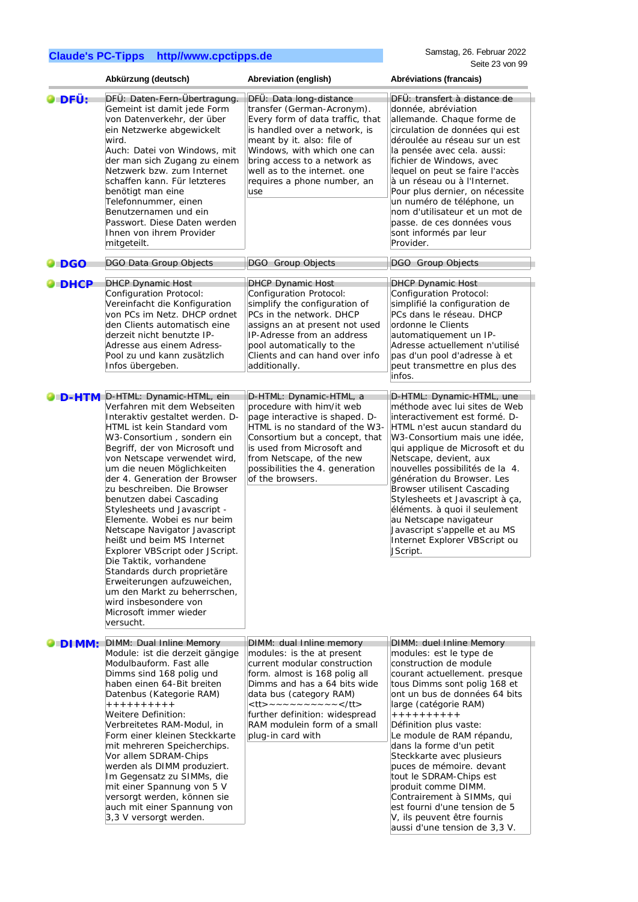|                    | Abkürzung (deutsch)                                                                                                                                                                                                                                                                                                                                                                                                                                                                                                                                                                                                                                                                                          | Abreviation (english)                                                                                                                                                                                                                                                                         | Abréviations (francais)                                                                                                                                                                                                                                                                                                                                                                                                                                                                                                 |
|--------------------|--------------------------------------------------------------------------------------------------------------------------------------------------------------------------------------------------------------------------------------------------------------------------------------------------------------------------------------------------------------------------------------------------------------------------------------------------------------------------------------------------------------------------------------------------------------------------------------------------------------------------------------------------------------------------------------------------------------|-----------------------------------------------------------------------------------------------------------------------------------------------------------------------------------------------------------------------------------------------------------------------------------------------|-------------------------------------------------------------------------------------------------------------------------------------------------------------------------------------------------------------------------------------------------------------------------------------------------------------------------------------------------------------------------------------------------------------------------------------------------------------------------------------------------------------------------|
| O DFÜ:             | DFÜ: Daten-Fern-Übertragung.<br>Gemeint ist damit jede Form<br>von Datenverkehr, der über<br>ein Netzwerke abgewickelt<br>wird.<br>Auch: Datei von Windows, mit<br>der man sich Zugang zu einem<br>Netzwerk bzw. zum Internet<br>schaffen kann. Für letzteres<br>benötigt man eine<br>Telefonnummer, einen<br>Benutzernamen und ein<br>Passwort. Diese Daten werden<br>Ihnen von ihrem Provider<br>mitgeteilt.                                                                                                                                                                                                                                                                                               | DFÜ: Data long-distance<br>transfer (German-Acronym).<br>Every form of data traffic, that<br>is handled over a network, is<br>meant by it. also: file of<br>Windows, with which one can<br>bring access to a network as<br>well as to the internet. one<br>requires a phone number, an<br>use | DFÜ: transfert à distance de<br>donnée, abréviation<br>allemande. Chaque forme de<br>circulation de données qui est<br>déroulée au réseau sur un est<br>la pensée avec cela. aussi:<br>fichier de Windows, avec<br>lequel on peut se faire l'accès<br>à un réseau ou à l'Internet.<br>Pour plus dernier, on nécessite<br>un numéro de téléphone, un<br>nom d'utilisateur et un mot de<br>passe. de ces données vous<br>sont informés par leur<br>Provider.                                                              |
| $\blacksquare$ DGO | DGO Data Group Objects                                                                                                                                                                                                                                                                                                                                                                                                                                                                                                                                                                                                                                                                                       | <b>DGO</b> Group Objects                                                                                                                                                                                                                                                                      | DGO Group Objects                                                                                                                                                                                                                                                                                                                                                                                                                                                                                                       |
| <b>DHCP</b>        | <b>DHCP Dynamic Host</b><br>Configuration Protocol:<br>Vereinfacht die Konfiguration<br>von PCs im Netz. DHCP ordnet<br>den Clients automatisch eine<br>derzeit nicht benutzte IP-<br>Adresse aus einem Adress-<br>Pool zu und kann zusätzlich<br>Infos übergeben.                                                                                                                                                                                                                                                                                                                                                                                                                                           | <b>DHCP Dynamic Host</b><br>Configuration Protocol:<br>simplify the configuration of<br>PCs in the network. DHCP<br>assigns an at present not used<br>IP-Adresse from an address<br>pool automatically to the<br>Clients and can hand over info<br>additionally.                              | <b>DHCP Dynamic Host</b><br>Configuration Protocol:<br>simplifié la configuration de<br>PCs dans le réseau. DHCP<br>ordonne le Clients<br>automatiquement un IP-<br>Adresse actuellement n'utilisé<br>pas d'un pool d'adresse à et<br>peut transmettre en plus des<br>infos.                                                                                                                                                                                                                                            |
| $\bullet$ D-HTM    | D-HTML: Dynamic-HTML, ein<br>Verfahren mit dem Webseiten<br>Interaktiv gestaltet werden. D-<br>HTML ist kein Standard vom<br>W3-Consortium, sondern ein<br>Begriff, der von Microsoft und<br>von Netscape verwendet wird,<br>um die neuen Möglichkeiten<br>der 4. Generation der Browser<br>zu beschreiben. Die Browser<br>benutzen dabei Cascading<br>Stylesheets und Javascript -<br>Elemente. Wobei es nur beim<br>Netscape Navigator Javascript<br>heißt und beim MS Internet<br>Explorer VBScript oder JScript.<br>Die Taktik, vorhandene<br>Standards durch proprietäre<br>Erweiterungen aufzuweichen,<br>um den Markt zu beherrschen,<br>wird insbesondere von<br>Microsoft immer wieder<br>versucht. | D-HTML: Dynamic-HTML, a<br>procedure with him/it web<br>page interactive is shaped. D-<br>HTML is no standard of the W3-<br>Consortium but a concept, that<br>is used from Microsoft and<br>from Netscape, of the new<br>possibilities the 4. generation<br>of the browsers.                  | D-HTML: Dynamic-HTML, une<br>méthode avec lui sites de Web<br>interactivement est formé. D-<br>HTML n'est aucun standard du<br>W3-Consortium mais une idée,<br>qui applique de Microsoft et du<br>Netscape, devient, aux<br>nouvelles possibilités de la 4.<br>génération du Browser. Les<br>Browser utilisent Cascading<br>Stylesheets et Javascript à ça,<br>éléments. à quoi il seulement<br>au Netscape navigateur<br>Javascript s'appelle et au MS<br>Internet Explorer VBScript ou<br>JScript.                    |
| <b>ODIMM:</b>      | DIMM: Dual Inline Memory                                                                                                                                                                                                                                                                                                                                                                                                                                                                                                                                                                                                                                                                                     | DIMM: dual Inline memory                                                                                                                                                                                                                                                                      | DIMM: duel Inline Memory                                                                                                                                                                                                                                                                                                                                                                                                                                                                                                |
|                    | Module: ist die derzeit gängige<br>Modulbauform. Fast alle<br>Dimms sind 168 polig und<br>haben einen 64-Bit breiten<br>Datenbus (Kategorie RAM)<br>++++++++++<br>Weitere Definition:<br>Verbreitetes RAM-Modul, in<br>Form einer kleinen Steckkarte<br>mit mehreren Speicherchips.<br>Vor allem SDRAM-Chips<br>werden als DIMM produziert.<br>Im Gegensatz zu SIMMs, die<br>mit einer Spannung von 5 V<br>versorgt werden, können sie<br>auch mit einer Spannung von<br>3,3 V versorgt werden.                                                                                                                                                                                                              | modules: is the at present<br>current modular construction<br>form. almost is 168 polig all<br>Dimms and has a 64 bits wide<br>data bus (category RAM)<br><tt>~~~~~~~~~</tt><br>further definition: widespread<br>RAM modulein form of a small<br>plug-in card with                           | modules: est le type de<br>construction de module<br>courant actuellement. presque<br>tous Dimms sont polig 168 et<br>ont un bus de données 64 bits<br>large (catégorie RAM)<br>++++++++++<br>Définition plus vaste:<br>Le module de RAM répandu,<br>dans la forme d'un petit<br>Steckkarte avec plusieurs<br>puces de mémoire. devant<br>tout le SDRAM-Chips est<br>produit comme DIMM.<br>Contrairement à SIMMs, qui<br>est fourni d'une tension de 5<br>V, ils peuvent être fournis<br>aussi d'une tension de 3,3 V. |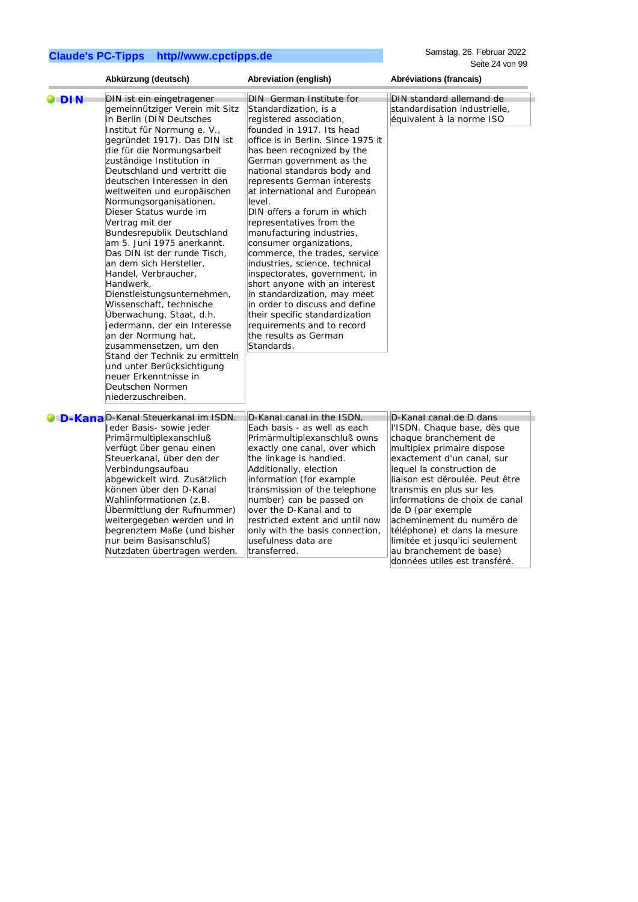Samstag, 26. Februar 2022 Seite 24 von 99

|               | Abkürzung (deutsch)                                                                                                                                                                                                                                                                                                                                                                                                                                                                                                                                                                                                                                                                                                                                                                                                                                            | Abreviation (english)                                                                                                                                                                                                                                                                                                                                                                                                                                                                                                                                                                                                                                                                                                                                      | Abréviations (francais)                                                                                                                                                                                                                                                                                                                                                                                                                                     |
|---------------|----------------------------------------------------------------------------------------------------------------------------------------------------------------------------------------------------------------------------------------------------------------------------------------------------------------------------------------------------------------------------------------------------------------------------------------------------------------------------------------------------------------------------------------------------------------------------------------------------------------------------------------------------------------------------------------------------------------------------------------------------------------------------------------------------------------------------------------------------------------|------------------------------------------------------------------------------------------------------------------------------------------------------------------------------------------------------------------------------------------------------------------------------------------------------------------------------------------------------------------------------------------------------------------------------------------------------------------------------------------------------------------------------------------------------------------------------------------------------------------------------------------------------------------------------------------------------------------------------------------------------------|-------------------------------------------------------------------------------------------------------------------------------------------------------------------------------------------------------------------------------------------------------------------------------------------------------------------------------------------------------------------------------------------------------------------------------------------------------------|
| $\bullet$ DIN | DIN ist ein eingetragener<br>gemeinnütziger Verein mit Sitz<br>in Berlin (DIN Deutsches<br>Institut für Normung e. V.,<br>gegründet 1917). Das DIN ist<br>die für die Normungsarbeit<br>zuständige Institution in<br>Deutschland und vertritt die<br>deutschen Interessen in den<br>weltweiten und europäischen<br>Normungsorganisationen.<br>Dieser Status wurde im<br>Vertrag mit der<br>Bundesrepublik Deutschland<br>am 5. Juni 1975 anerkannt.<br>Das DIN ist der runde Tisch,<br>an dem sich Hersteller,<br>Handel, Verbraucher,<br>Handwerk,<br>Dienstleistungsunternehmen,<br>Wissenschaft, technische<br>Überwachung, Staat, d.h.<br>jedermann, der ein Interesse<br>an der Normung hat,<br>zusammensetzen, um den<br>Stand der Technik zu ermitteln<br>und unter Berücksichtigung<br>neuer Erkenntnisse in<br>Deutschen Normen<br>niederzuschreiben. | <b>DIN</b> German Institute for<br>Standardization, is a<br>registered association,<br>founded in 1917. Its head<br>office is in Berlin. Since 1975 it<br>has been recognized by the<br>German government as the<br>national standards body and<br>represents German interests<br>at international and European<br>level.<br>DIN offers a forum in which<br>representatives from the<br>manufacturing industries,<br>consumer organizations,<br>commerce, the trades, service<br>industries, science, technical<br>inspectorates, government, in<br>short anyone with an interest<br>in standardization, may meet<br>in order to discuss and define<br>their specific standardization<br>requirements and to record<br>the results as German<br>Standards. | DIN standard allemand de<br>standardisation industrielle,<br>équivalent à la norme ISO                                                                                                                                                                                                                                                                                                                                                                      |
|               | <b>O</b> D-KanaD-Kanal Steuerkanal im ISDN.<br>Jeder Basis- sowie jeder<br>Primärmultiplexanschluß<br>verfügt über genau einen<br>Steuerkanal, über den der<br>Verbindungsaufbau<br>abgewickelt wird. Zusätzlich<br>können über den D-Kanal<br>Wahlinformationen (z.B.<br>Ubermittlung der Rufnummer)<br>weitergegeben werden und in<br>begrenztem Maße (und bisher<br>nur beim Basisanschluß)<br>Nutzdaten übertragen werden.                                                                                                                                                                                                                                                                                                                                                                                                                                 | D-Kanal canal in the ISDN.<br>Each basis - as well as each<br>Primärmultiplexanschluß owns<br>exactly one canal, over which<br>the linkage is handled.<br>Additionally, election<br>information (for example<br>transmission of the telephone<br>number) can be passed on<br>over the D-Kanal and to<br>restricted extent and until now<br>only with the basis connection,<br>usefulness data are<br>transferred.                                                                                                                                                                                                                                                                                                                                          | D-Kanal canal de D dans<br>l'ISDN. Chaque base, dès que<br>chaque branchement de<br>multiplex primaire dispose<br>exactement d'un canal, sur<br>lequel la construction de<br>lliaison est déroulée. Peut être<br>transmis en plus sur les<br>informations de choix de canal<br>de D (par exemple<br>acheminement du numéro de<br>téléphone) et dans la mesure<br>limitée et jusqu'ici seulement<br>au branchement de base)<br>données utiles est transféré. |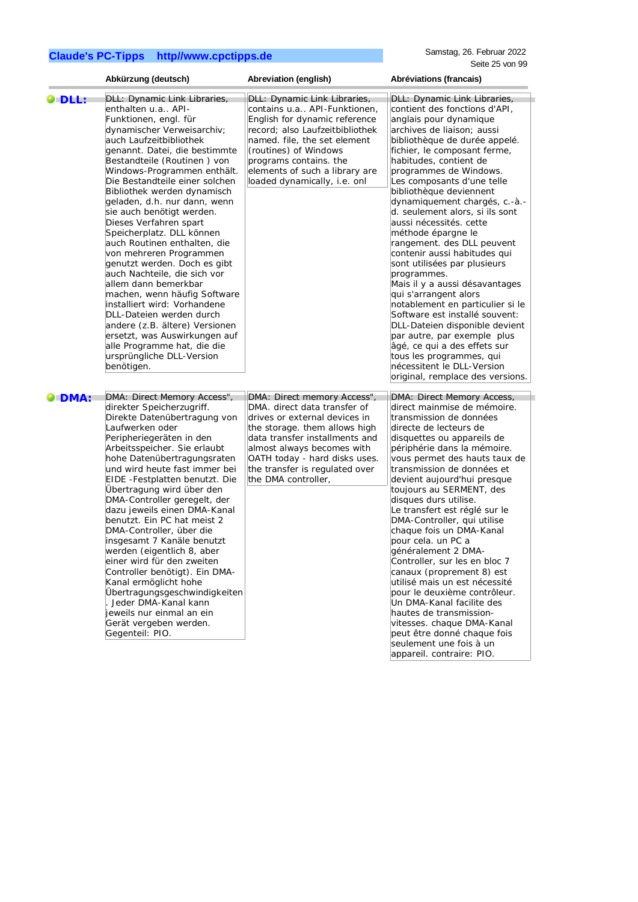|                | Abkürzung (deutsch)                                                                                                                                                                                                                                                                                                                                                                                                                                                                                                                                                                                                                                                                                                                                                                                                  | Abreviation (english)                                                                                                                                                                                                                                                                   | Abréviations (francais)                                                                                                                                                                                                                                                                                                                                                                                                                                                                                                                                                                                                                                                                                                                                                                                                                                               |
|----------------|----------------------------------------------------------------------------------------------------------------------------------------------------------------------------------------------------------------------------------------------------------------------------------------------------------------------------------------------------------------------------------------------------------------------------------------------------------------------------------------------------------------------------------------------------------------------------------------------------------------------------------------------------------------------------------------------------------------------------------------------------------------------------------------------------------------------|-----------------------------------------------------------------------------------------------------------------------------------------------------------------------------------------------------------------------------------------------------------------------------------------|-----------------------------------------------------------------------------------------------------------------------------------------------------------------------------------------------------------------------------------------------------------------------------------------------------------------------------------------------------------------------------------------------------------------------------------------------------------------------------------------------------------------------------------------------------------------------------------------------------------------------------------------------------------------------------------------------------------------------------------------------------------------------------------------------------------------------------------------------------------------------|
| O DLL:         | DLL: Dynamic Link Libraries,<br>enthalten u.a API-<br>Funktionen, engl. für<br>dynamischer Verweisarchiv;<br>auch Laufzeitbibliothek<br>genannt. Datei, die bestimmte<br>Bestandteile (Routinen) von<br>Windows-Programmen enthält.<br>Die Bestandteile einer solchen<br>Bibliothek werden dynamisch<br>geladen, d.h. nur dann, wenn<br>sie auch benötigt werden.<br>Dieses Verfahren spart<br>Speicherplatz. DLL können<br>auch Routinen enthalten, die<br>von mehreren Programmen<br>genutzt werden. Doch es gibt<br>auch Nachteile, die sich vor<br>allem dann bemerkbar<br>machen, wenn häufig Software<br>installiert wird: Vorhandene<br>DLL-Dateien werden durch<br>andere (z.B. ältere) Versionen<br>ersetzt, was Auswirkungen auf<br>alle Programme hat, die die<br>ursprüngliche DLL-Version<br>benötigen. | DLL: Dynamic Link Libraries,<br>contains u.a API-Funktionen,<br>English for dynamic reference<br>record; also Laufzeitbibliothek<br>named. file, the set element<br>(routines) of Windows<br>programs contains. the<br>elements of such a library are<br>loaded dynamically, i.e. onl   | DLL: Dynamic Link Libraries,<br>contient des fonctions d'API,<br>anglais pour dynamique<br>archives de liaison; aussi<br>bibliothèque de durée appelé.<br>fichier, le composant ferme,<br>habitudes, contient de<br>programmes de Windows.<br>Les composants d'une telle<br>bibliothèque deviennent<br>dynamiquement chargés, c.-à.-<br>d. seulement alors, si ils sont<br>aussi nécessités. cette<br>méthode épargne le<br>rangement. des DLL peuvent<br>contenir aussi habitudes qui<br>sont utilisées par plusieurs<br>programmes.<br>Mais il y a aussi désavantages<br>qui s'arrangent alors<br>notablement en particulier si le<br>Software est installé souvent:<br>DLL-Dateien disponible devient<br>par autre, par exemple plus<br>âgé, ce qui a des effets sur<br>tous les programmes, qui<br>nécessitent le DLL-Version<br>original, remplace des versions. |
| $\bullet$ DMA: | DMA: Direct Memory Access",<br>direkter Speicherzugriff.<br>Direkte Datenübertragung von<br>Laufwerken oder<br>Peripheriegeräten in den<br>Arbeitsspeicher. Sie erlaubt<br>hohe Datenübertragungsraten<br>und wird heute fast immer bei<br>EIDE - Festplatten benutzt. Die<br>Übertragung wird über den<br>DMA-Controller geregelt, der<br>dazu jeweils einen DMA-Kanal<br>benutzt. Ein PC hat meist 2<br>DMA-Controller, über die<br>insgesamt 7 Kanäle benutzt<br>werden (eigentlich 8, aber<br>einer wird für den zweiten<br>Controller benötigt). Ein DMA-<br>Kanal ermöglicht hohe<br>Übertragungsgeschwindigkeiten<br>Jeder DMA-Kanal kann<br>jeweils nur einmal an ein<br>Gerät vergeben werden.<br>Gegenteil: PIO.                                                                                           | DMA: Direct memory Access",<br>DMA. direct data transfer of<br>drives or external devices in<br>the storage. them allows high<br>data transfer installments and<br>almost always becomes with<br>OATH today - hard disks uses.<br>the transfer is regulated over<br>the DMA controller, | DMA: Direct Memory Access,<br>direct mainmise de mémoire.<br>transmission de données<br>directe de lecteurs de<br>disquettes ou appareils de<br>périphérie dans la mémoire.<br>vous permet des hauts taux de<br>transmission de données et<br>devient aujourd'hui presque<br>toujours au SERMENT, des<br>disques durs utilise.<br>Le transfert est réglé sur le<br>DMA-Controller, qui utilise<br>chaque fois un DMA-Kanal<br>pour cela. un PC a<br>généralement 2 DMA-<br>Controller, sur les en bloc 7<br>canaux (proprement 8) est<br>utilisé mais un est nécessité<br>pour le deuxième contrôleur.<br>Un DMA-Kanal facilite des<br>hautes de transmission-<br>vitesses. chaque DMA-Kanal<br>peut être donné chaque fois<br>seulement une fois à un                                                                                                                |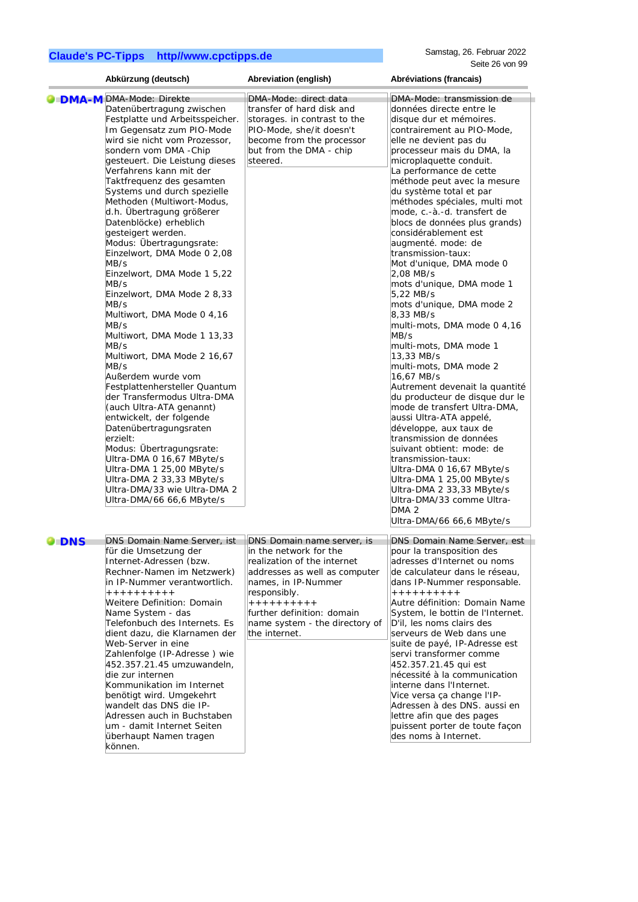können.

|            | Abkürzung (deutsch)                                                                                                                                                                                                                                                                                                                                                                                                                                                                                                                                                                                                                                                                                                                                                                                                                                                                                                                                                                                                              | Abreviation (english)                                                                                                                                                                                                                                                 | Abréviations (francais)                                                                                                                                                                                                                                                                                                                                                                                                                                                                                                                                                                                                                                                                                                                                                                                                                                                                                                                                                                                                                                                                        |
|------------|----------------------------------------------------------------------------------------------------------------------------------------------------------------------------------------------------------------------------------------------------------------------------------------------------------------------------------------------------------------------------------------------------------------------------------------------------------------------------------------------------------------------------------------------------------------------------------------------------------------------------------------------------------------------------------------------------------------------------------------------------------------------------------------------------------------------------------------------------------------------------------------------------------------------------------------------------------------------------------------------------------------------------------|-----------------------------------------------------------------------------------------------------------------------------------------------------------------------------------------------------------------------------------------------------------------------|------------------------------------------------------------------------------------------------------------------------------------------------------------------------------------------------------------------------------------------------------------------------------------------------------------------------------------------------------------------------------------------------------------------------------------------------------------------------------------------------------------------------------------------------------------------------------------------------------------------------------------------------------------------------------------------------------------------------------------------------------------------------------------------------------------------------------------------------------------------------------------------------------------------------------------------------------------------------------------------------------------------------------------------------------------------------------------------------|
|            | <b>DMA-M DMA-Mode: Direkte</b>                                                                                                                                                                                                                                                                                                                                                                                                                                                                                                                                                                                                                                                                                                                                                                                                                                                                                                                                                                                                   | DMA-Mode: direct data                                                                                                                                                                                                                                                 | DMA-Mode: transmission de                                                                                                                                                                                                                                                                                                                                                                                                                                                                                                                                                                                                                                                                                                                                                                                                                                                                                                                                                                                                                                                                      |
|            | Datenübertragung zwischen<br>Festplatte und Arbeitsspeicher.<br>Im Gegensatz zum PIO-Mode<br>wird sie nicht vom Prozessor,<br>sondern vom DMA -Chip<br>gesteuert. Die Leistung dieses<br>Verfahrens kann mit der<br>Taktfrequenz des gesamten<br>Systems und durch spezielle<br>Methoden (Multiwort-Modus,<br>d.h. Übertragung größerer<br>Datenblöcke) erheblich<br>gesteigert werden.<br>Modus: Übertragungsrate:<br>Einzelwort, DMA Mode 0 2,08<br>MB/s<br>Einzelwort, DMA Mode 1 5,22<br>MB/s<br>Einzelwort, DMA Mode 2 8,33<br>MB/s<br>Multiwort, DMA Mode 0 4,16<br>MB/s<br>Multiwort, DMA Mode 1 13,33<br>MB/s<br>Multiwort, DMA Mode 2 16,67<br>MB/s<br>Außerdem wurde vom<br>Festplattenhersteller Quantum<br>der Transfermodus Ultra-DMA<br>(auch Ultra-ATA genannt)<br>entwickelt, der folgende<br>Datenübertragungsraten<br>erzielt:<br>Modus: Übertragungsrate:<br>Ultra-DMA 0 16,67 MByte/s<br>Ultra-DMA 1 25,00 MByte/s<br>Ultra-DMA 2 33,33 MByte/s<br>Ultra-DMA/33 wie Ultra-DMA 2<br>Ultra-DMA/66 66,6 MByte/s | transfer of hard disk and<br>storages. in contrast to the<br>PIO-Mode, she/it doesn't<br>become from the processor<br>but from the DMA - chip<br>steered.                                                                                                             | données directe entre le<br>disque dur et mémoires.<br>contrairement au PIO-Mode,<br>elle ne devient pas du<br>processeur mais du DMA, la<br>microplaquette conduit.<br>La performance de cette<br>méthode peut avec la mesure<br>du système total et par<br>méthodes spéciales, multi mot<br>mode, c.-à.-d. transfert de<br>blocs de données plus grands)<br>considérablement est<br>augmenté. mode: de<br>transmission-taux:<br>Mot d'unique, DMA mode 0<br>2,08 MB/s<br>mots d'unique, DMA mode 1<br>5,22 MB/s<br>mots d'unique, DMA mode 2<br>8,33 MB/s<br>multi-mots, DMA mode 0 4,16<br>MB/s<br>multi-mots, DMA mode 1<br>13,33 MB/s<br>multi-mots, DMA mode 2<br>16,67 MB/s<br>Autrement devenait la quantité<br>du producteur de disque dur le<br>mode de transfert Ultra-DMA,<br>aussi Ultra-ATA appelé,<br>développe, aux taux de<br>transmission de données<br>suivant obtient: mode: de<br>transmission-taux:<br>Ultra-DMA 0 16,67 MByte/s<br>Ultra-DMA 1 25,00 MByte/s<br>Ultra-DMA 2 33,33 MByte/s<br>Ultra-DMA/33 comme Ultra-<br>DMA <sub>2</sub><br>Ultra-DMA/66 66,6 MByte/s |
| <b>DNS</b> | DNS Domain Name Server, ist<br>für die Umsetzung der<br>Internet-Adressen (bzw.<br>Rechner-Namen im Netzwerk)<br>in IP-Nummer verantwortlich.<br>++++++++++<br>Weitere Definition: Domain<br>Name System - das<br>Telefonbuch des Internets. Es<br>dient dazu, die Klarnamen der<br>Web-Server in eine<br>Zahlenfolge (IP-Adresse) wie<br>452.357.21.45 umzuwandeln,<br>die zur internen<br>Kommunikation im Internet<br>benötigt wird. Umgekehrt<br>wandelt das DNS die IP-<br>Adressen auch in Buchstaben<br>um - damit Internet Seiten<br>überhaupt Namen tragen                                                                                                                                                                                                                                                                                                                                                                                                                                                              | DNS Domain name server, is<br>in the network for the<br>realization of the internet<br>addresses as well as computer<br>names, in IP-Nummer<br>responsibly.<br>$+ + + + + + + + + +$<br>further definition: domain<br>name system - the directory of<br>the internet. | DNS Domain Name Server, est<br>pour la transposition des<br>adresses d'Internet ou noms<br>de calculateur dans le réseau,<br>dans IP-Nummer responsable.<br>++++++++++<br>Autre définition: Domain Name<br>System, le bottin de l'Internet.<br>D'il, les noms clairs des<br>serveurs de Web dans une<br>suite de payé, IP-Adresse est<br>servi transformer comme<br>452.357.21.45 qui est<br>nécessité à la communication<br>interne dans l'Internet.<br>Vice versa ça change l'IP-<br>Adressen à des DNS. aussi en<br>lettre afin que des pages<br>puissent porter de toute façon<br>des noms à Internet.                                                                                                                                                                                                                                                                                                                                                                                                                                                                                     |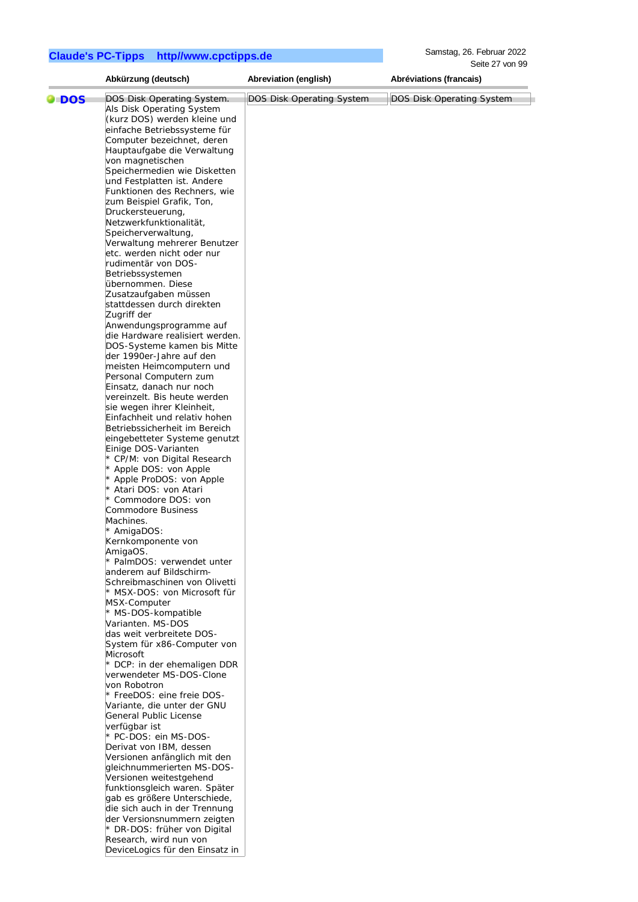Samstag, 26. Februar 2022 Seite 27 von 99

|            | Abkürzung (deutsch)                                 | Abreviation (english)            | Abréviations (francais)   |
|------------|-----------------------------------------------------|----------------------------------|---------------------------|
|            | DOS Disk Operating System.                          | <b>DOS Disk Operating System</b> | DOS Disk Operating System |
| <b>DOS</b> | Als Disk Operating System                           |                                  |                           |
|            | (kurz DOS) werden kleine und                        |                                  |                           |
|            | einfache Betriebssysteme für                        |                                  |                           |
|            | Computer bezeichnet, deren                          |                                  |                           |
|            | Hauptaufgabe die Verwaltung                         |                                  |                           |
|            | von magnetischen                                    |                                  |                           |
|            | Speichermedien wie Disketten                        |                                  |                           |
|            | und Festplatten ist. Andere                         |                                  |                           |
|            | Funktionen des Rechners, wie                        |                                  |                           |
|            | zum Beispiel Grafik, Ton,                           |                                  |                           |
|            | Druckersteuerung,                                   |                                  |                           |
|            | Netzwerkfunktionalität,                             |                                  |                           |
|            | Speicherverwaltung,                                 |                                  |                           |
|            | Verwaltung mehrerer Benutzer                        |                                  |                           |
|            | etc. werden nicht oder nur                          |                                  |                           |
|            | rudimentär von DOS-                                 |                                  |                           |
|            |                                                     |                                  |                           |
|            | Betriebssystemen<br>übernommen. Diese               |                                  |                           |
|            |                                                     |                                  |                           |
|            | Zusatzaufgaben müssen<br>stattdessen durch direkten |                                  |                           |
|            |                                                     |                                  |                           |
|            | Zugriff der                                         |                                  |                           |
|            | Anwendungsprogramme auf                             |                                  |                           |
|            | die Hardware realisiert werden.                     |                                  |                           |
|            | DOS-Systeme kamen bis Mitte                         |                                  |                           |
|            | der 1990er-Jahre auf den                            |                                  |                           |
|            | meisten Heimcomputern und                           |                                  |                           |
|            | Personal Computern zum                              |                                  |                           |
|            | Einsatz, danach nur noch                            |                                  |                           |
|            | vereinzelt. Bis heute werden                        |                                  |                           |
|            | sie wegen ihrer Kleinheit,                          |                                  |                           |
|            | Einfachheit und relativ hohen                       |                                  |                           |
|            | Betriebssicherheit im Bereich                       |                                  |                           |
|            | eingebetteter Systeme genutzt                       |                                  |                           |
|            | Einige DOS-Varianten                                |                                  |                           |
|            | * CP/M: von Digital Research                        |                                  |                           |
|            | * Apple DOS: von Apple                              |                                  |                           |
|            | * Apple ProDOS: von Apple                           |                                  |                           |
|            | * Atari DOS: von Atari                              |                                  |                           |
|            | * Commodore DOS: von                                |                                  |                           |
|            | Commodore Business                                  |                                  |                           |
|            | Machines.                                           |                                  |                           |
|            | * AmigaDOS:                                         |                                  |                           |
|            | Kernkomponente von                                  |                                  |                           |
|            | AmigaOS.                                            |                                  |                           |
|            | * PalmDOS: verwendet unter                          |                                  |                           |
|            | anderem auf Bildschirm-                             |                                  |                           |
|            | Schreibmaschinen von Olivetti                       |                                  |                           |
|            | * MSX-DOS: von Microsoft für                        |                                  |                           |
|            | MSX-Computer                                        |                                  |                           |
|            | * MS-DOS-kompatible                                 |                                  |                           |
|            | Varianten. MS-DOS                                   |                                  |                           |
|            | das weit verbreitete DOS-                           |                                  |                           |
|            | System für x86-Computer von                         |                                  |                           |
|            | Microsoft                                           |                                  |                           |
|            | * DCP: in der ehemaligen DDR                        |                                  |                           |
|            | verwendeter MS-DOS-Clone                            |                                  |                           |
|            | von Robotron                                        |                                  |                           |
|            | * FreeDOS: eine freie DOS-                          |                                  |                           |
|            | Variante, die unter der GNU                         |                                  |                           |
|            | General Public License                              |                                  |                           |
|            | verfügbar ist                                       |                                  |                           |
|            | * PC-DOS: ein MS-DOS-                               |                                  |                           |
|            | Derivat von IBM, dessen                             |                                  |                           |
|            | Versionen anfänglich mit den                        |                                  |                           |
|            | gleichnummerierten MS-DOS-                          |                                  |                           |
|            | Versionen weitestgehend                             |                                  |                           |
|            | funktionsgleich waren. Später                       |                                  |                           |
|            | gab es größere Unterschiede,                        |                                  |                           |
|            | die sich auch in der Trennung                       |                                  |                           |
|            | der Versionsnummern zeigten                         |                                  |                           |
|            | * DR-DOS: früher von Digital                        |                                  |                           |
|            | Research, wird nun von                              |                                  |                           |
|            | DeviceLogics für den Einsatz in                     |                                  |                           |
|            |                                                     |                                  |                           |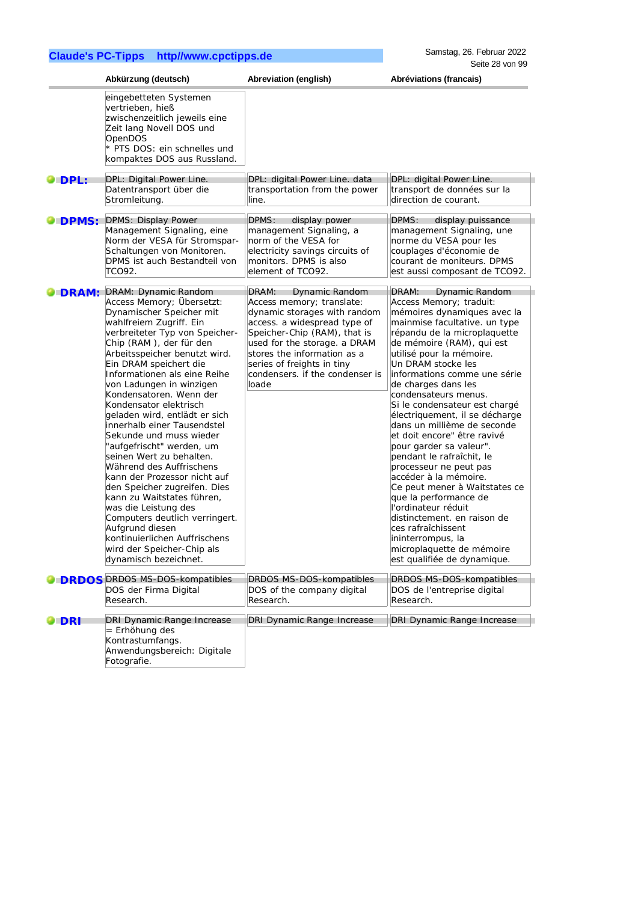|              | Abkürzung (deutsch)                                                                                                                                                                                                                                                                                                                                                                                                                                                                                                                                                                                                                                                                                                                                                          | Abreviation (english)                                                                                                                                                                                                                                              | Abréviations (francais)                                                                                                                                                                                                                                                                                                                                                                                                                                                                                                                                                                                                                                                                                                                                  |
|--------------|------------------------------------------------------------------------------------------------------------------------------------------------------------------------------------------------------------------------------------------------------------------------------------------------------------------------------------------------------------------------------------------------------------------------------------------------------------------------------------------------------------------------------------------------------------------------------------------------------------------------------------------------------------------------------------------------------------------------------------------------------------------------------|--------------------------------------------------------------------------------------------------------------------------------------------------------------------------------------------------------------------------------------------------------------------|----------------------------------------------------------------------------------------------------------------------------------------------------------------------------------------------------------------------------------------------------------------------------------------------------------------------------------------------------------------------------------------------------------------------------------------------------------------------------------------------------------------------------------------------------------------------------------------------------------------------------------------------------------------------------------------------------------------------------------------------------------|
|              | eingebetteten Systemen<br>vertrieben, hieß<br>zwischenzeitlich jeweils eine<br>Zeit lang Novell DOS und<br>OpenDOS<br>* PTS DOS: ein schnelles und<br>kompaktes DOS aus Russland.                                                                                                                                                                                                                                                                                                                                                                                                                                                                                                                                                                                            |                                                                                                                                                                                                                                                                    |                                                                                                                                                                                                                                                                                                                                                                                                                                                                                                                                                                                                                                                                                                                                                          |
| <b>DPL:</b>  | DPL: Digital Power Line.                                                                                                                                                                                                                                                                                                                                                                                                                                                                                                                                                                                                                                                                                                                                                     | DPL: digital Power Line. data                                                                                                                                                                                                                                      | DPL: digital Power Line.                                                                                                                                                                                                                                                                                                                                                                                                                                                                                                                                                                                                                                                                                                                                 |
|              | Datentransport über die<br>Stromleitung.                                                                                                                                                                                                                                                                                                                                                                                                                                                                                                                                                                                                                                                                                                                                     | transportation from the power<br>line.                                                                                                                                                                                                                             | transport de données sur la<br>direction de courant.                                                                                                                                                                                                                                                                                                                                                                                                                                                                                                                                                                                                                                                                                                     |
| <b>DPMS:</b> | <b>DPMS: Display Power</b>                                                                                                                                                                                                                                                                                                                                                                                                                                                                                                                                                                                                                                                                                                                                                   | DPMS:<br>display power                                                                                                                                                                                                                                             | DPMS:<br>display puissance                                                                                                                                                                                                                                                                                                                                                                                                                                                                                                                                                                                                                                                                                                                               |
|              | Management Signaling, eine<br>Norm der VESA für Stromspar-<br>Schaltungen von Monitoren.<br>DPMS ist auch Bestandteil von<br>TCO92.                                                                                                                                                                                                                                                                                                                                                                                                                                                                                                                                                                                                                                          | management Signaling, a<br>norm of the VESA for<br>electricity savings circuits of<br>monitors. DPMS is also<br>element of TCO92.                                                                                                                                  | management Signaling, une<br>norme du VESA pour les<br>couplages d'économie de<br>courant de moniteurs. DPMS<br>est aussi composant de TCO92.                                                                                                                                                                                                                                                                                                                                                                                                                                                                                                                                                                                                            |
| <b>DRAM:</b> | DRAM: Dynamic Random                                                                                                                                                                                                                                                                                                                                                                                                                                                                                                                                                                                                                                                                                                                                                         | DRAM:<br>Dynamic Random                                                                                                                                                                                                                                            | DRAM:<br>Dynamic Random                                                                                                                                                                                                                                                                                                                                                                                                                                                                                                                                                                                                                                                                                                                                  |
|              | Access Memory; Übersetzt:<br>Dynamischer Speicher mit<br>wahlfreiem Zugriff. Ein<br>verbreiteter Typ von Speicher-<br>Chip (RAM), der für den<br>Arbeitsspeicher benutzt wird.<br>Ein DRAM speichert die<br>Informationen als eine Reihe<br>von Ladungen in winzigen<br>Kondensatoren. Wenn der<br>Kondensator elektrisch<br>geladen wird, entlädt er sich<br>innerhalb einer Tausendstel<br>Sekunde und muss wieder<br>'aufgefrischt" werden, um<br>seinen Wert zu behalten.<br>Während des Auffrischens<br>kann der Prozessor nicht auf<br>den Speicher zugreifen. Dies<br>kann zu Waitstates führen,<br>was die Leistung des<br>Computers deutlich verringert.<br>Aufgrund diesen<br>kontinuierlichen Auffrischens<br>wird der Speicher-Chip als<br>dynamisch bezeichnet. | Access memory; translate:<br>dynamic storages with random<br>access. a widespread type of<br>Speicher-Chip (RAM), that is<br>used for the storage. a DRAM<br>stores the information as a<br>series of freights in tiny<br>condensers. If the condenser is<br>loade | Access Memory; traduit:<br>mémoires dynamiques avec la<br>mainmise facultative. un type<br>répandu de la microplaquette<br>de mémoire (RAM), qui est<br>utilisé pour la mémoire.<br>Un DRAM stocke les<br>informations comme une série<br>de charges dans les<br>condensateurs menus.<br>Si le condensateur est chargé<br>électriquement, il se décharge<br>dans un millième de seconde<br>et doit encore" être ravivé<br>pour garder sa valeur".<br>pendant le rafraîchit, le<br>processeur ne peut pas<br>accéder à la mémoire.<br>Ce peut mener à Waitstates ce<br>que la performance de<br>l'ordinateur réduit<br>distinctement. en raison de<br>ces rafraîchissent<br>ininterrompus, la<br>microplaquette de mémoire<br>est qualifiée de dynamique. |
|              | <b>DRDOS DRDOS MS-DOS-kompatibles</b><br>DOS der Firma Digital<br>Research.                                                                                                                                                                                                                                                                                                                                                                                                                                                                                                                                                                                                                                                                                                  | DRDOS MS-DOS-kompatibles<br>DOS of the company digital<br>Research.                                                                                                                                                                                                | DRDOS MS-DOS-kompatibles<br>DOS de l'entreprise digital<br>Research.                                                                                                                                                                                                                                                                                                                                                                                                                                                                                                                                                                                                                                                                                     |
| -DRI         | DRI Dynamic Range Increase<br>= Erhöhung des<br>Kontrastumfangs.<br>Anwendungsbereich: Digitale<br>Fotografie.                                                                                                                                                                                                                                                                                                                                                                                                                                                                                                                                                                                                                                                               | DRI Dynamic Range Increase                                                                                                                                                                                                                                         | DRI Dynamic Range Increase                                                                                                                                                                                                                                                                                                                                                                                                                                                                                                                                                                                                                                                                                                                               |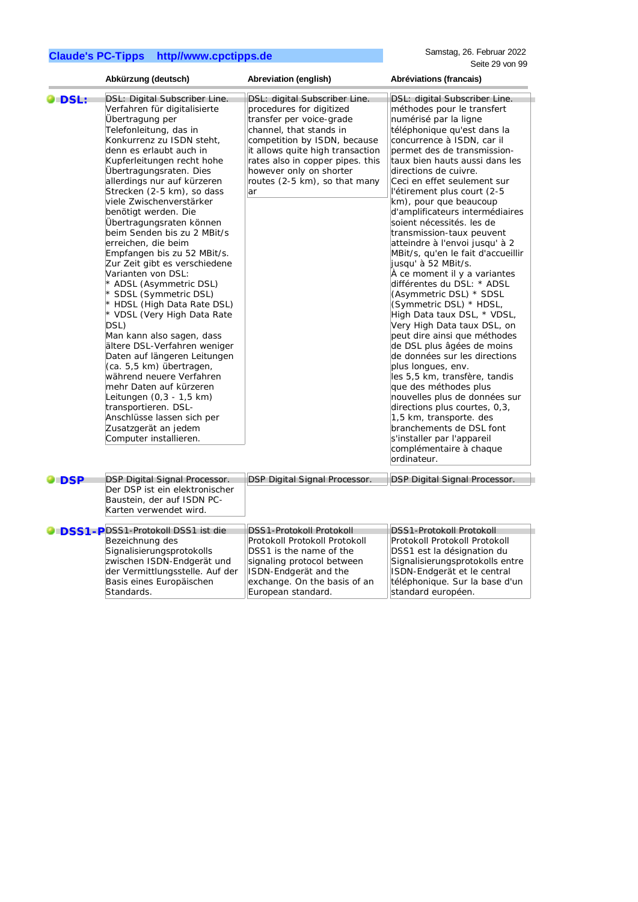Basis eines Europäischen

Standards.

téléphonique. Sur la base d'un

standard européen.

|            | Abkürzung (deutsch)                                                                                                                                                                                                                                                                                                                                                                                                                                                                                                                                                                                                                                                                                                                                                                                                                                                                                                                                                 | Abreviation (english)                                                                                                                                                                                                                                                                      | Abréviations (francais)                                                                                                                                                                                                                                                                                                                                                                                                                                                                                                                                                                                                                                                                                                                                                                                                                                                                                                                                                                                                                                                                           |
|------------|---------------------------------------------------------------------------------------------------------------------------------------------------------------------------------------------------------------------------------------------------------------------------------------------------------------------------------------------------------------------------------------------------------------------------------------------------------------------------------------------------------------------------------------------------------------------------------------------------------------------------------------------------------------------------------------------------------------------------------------------------------------------------------------------------------------------------------------------------------------------------------------------------------------------------------------------------------------------|--------------------------------------------------------------------------------------------------------------------------------------------------------------------------------------------------------------------------------------------------------------------------------------------|---------------------------------------------------------------------------------------------------------------------------------------------------------------------------------------------------------------------------------------------------------------------------------------------------------------------------------------------------------------------------------------------------------------------------------------------------------------------------------------------------------------------------------------------------------------------------------------------------------------------------------------------------------------------------------------------------------------------------------------------------------------------------------------------------------------------------------------------------------------------------------------------------------------------------------------------------------------------------------------------------------------------------------------------------------------------------------------------------|
| O DSL:     | DSL: Digital Subscriber Line.<br>Verfahren für digitalisierte<br>Übertragung per<br>Telefonleitung, das in<br>Konkurrenz zu ISDN steht,<br>denn es erlaubt auch in<br>Kupferleitungen recht hohe<br>Ubertragungsraten. Dies<br>allerdings nur auf kürzeren<br>Strecken (2-5 km), so dass<br>viele Zwischenverstärker<br>benötigt werden. Die<br>Übertragungsraten können<br>beim Senden bis zu 2 MBit/s<br>erreichen, die beim<br>Empfangen bis zu 52 MBit/s.<br>Zur Zeit gibt es verschiedene<br>Varianten von DSL:<br>* ADSL (Asymmetric DSL)<br>* SDSL (Symmetric DSL)<br>* HDSL (High Data Rate DSL)<br>* VDSL (Very High Data Rate<br>DSL)<br>Man kann also sagen, dass<br>ältere DSL-Verfahren weniger<br>Daten auf längeren Leitungen<br>(ca. 5,5 km) übertragen,<br>während neuere Verfahren<br>mehr Daten auf kürzeren<br>Leitungen (0,3 - 1,5 km)<br>transportieren. DSL-<br>Anschlüsse lassen sich per<br>Zusatzgerät an jedem<br>Computer installieren. | DSL: digital Subscriber Line.<br>procedures for digitized<br>transfer per voice-grade<br>channel, that stands in<br>competition by ISDN, because<br>it allows quite high transaction<br>rates also in copper pipes. this<br>however only on shorter<br>routes (2-5 km), so that many<br>ar | DSL: digital Subscriber Line.<br>méthodes pour le transfert<br>numérisé par la ligne<br>téléphonique qu'est dans la<br>concurrence à ISDN, car il<br>permet des de transmission-<br>taux bien hauts aussi dans les<br>directions de cuivre.<br>Ceci en effet seulement sur<br>l'étirement plus court (2-5<br>km), pour que beaucoup<br>d'amplificateurs intermédiaires<br>soient nécessités. les de<br>transmission-taux peuvent<br>atteindre à l'envoi jusqu' à 2<br>MBit/s, qu'en le fait d'accueillir<br>jusqu' à 52 MBit/s.<br>À ce moment il y a variantes<br>différentes du DSL: * ADSL<br>(Asymmetric DSL) * SDSL<br>(Symmetric DSL) * HDSL,<br>High Data taux DSL, * VDSL,<br>Very High Data taux DSL, on<br>peut dire ainsi que méthodes<br>de DSL plus âgées de moins<br>de données sur les directions<br>plus longues, env.<br>les 5,5 km, transfère, tandis<br>que des méthodes plus<br>nouvelles plus de données sur<br>directions plus courtes, 0,3,<br>1,5 km, transporte. des<br>branchements de DSL font<br>s'installer par l'appareil<br>complémentaire à chaque<br>ordinateur. |
| <b>DSP</b> | DSP Digital Signal Processor.<br>Der DSP ist ein elektronischer<br>Baustein, der auf ISDN PC-<br>Karten verwendet wird.                                                                                                                                                                                                                                                                                                                                                                                                                                                                                                                                                                                                                                                                                                                                                                                                                                             | DSP Digital Signal Processor.                                                                                                                                                                                                                                                              | DSP Digital Signal Processor.                                                                                                                                                                                                                                                                                                                                                                                                                                                                                                                                                                                                                                                                                                                                                                                                                                                                                                                                                                                                                                                                     |
|            | <b>ODSS1-PDSS1-Protokoll DSS1 ist die</b><br>Bezeichnung des<br>Signalisierungsprotokolls<br>zwischen ISDN-Endgerät und<br>der Vermittlungsstelle. Auf der                                                                                                                                                                                                                                                                                                                                                                                                                                                                                                                                                                                                                                                                                                                                                                                                          | DSS1-Protokoll Protokoll<br>Protokoll Protokoll Protokoll<br>DSS1 is the name of the<br>signaling protocol between<br>ISDN-Endgerät and the                                                                                                                                                | DSS1-Protokoll Protokoll<br>Protokoll Protokoll Protokoll<br>DSS1 est la désignation du<br>Signalisierungsprotokolls entre<br>ISDN-Endgerät et le central                                                                                                                                                                                                                                                                                                                                                                                                                                                                                                                                                                                                                                                                                                                                                                                                                                                                                                                                         |

exchange. On the basis of an

European standard.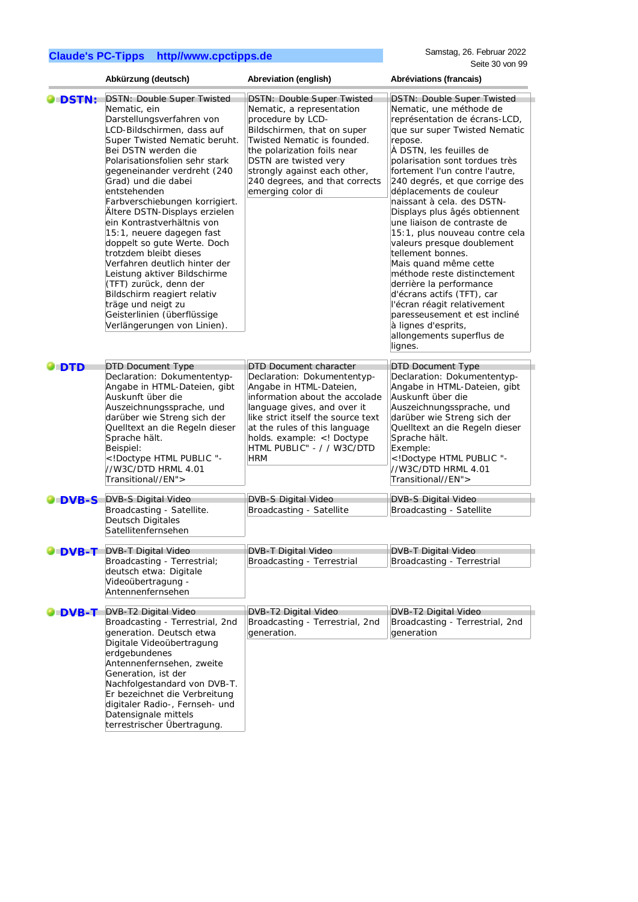|                | Abkürzung (deutsch)                                                                                                                                                                                                                                                                                                                                                                                                                                                                                                                                                                                                                                                               | Abreviation (english)                                                                                                                                                                                                                                                                                  | Abréviations (francais)                                                                                                                                                                                                                                                                                                                                                                                                                                                                                                                                                                                                                                                                                                                  |
|----------------|-----------------------------------------------------------------------------------------------------------------------------------------------------------------------------------------------------------------------------------------------------------------------------------------------------------------------------------------------------------------------------------------------------------------------------------------------------------------------------------------------------------------------------------------------------------------------------------------------------------------------------------------------------------------------------------|--------------------------------------------------------------------------------------------------------------------------------------------------------------------------------------------------------------------------------------------------------------------------------------------------------|------------------------------------------------------------------------------------------------------------------------------------------------------------------------------------------------------------------------------------------------------------------------------------------------------------------------------------------------------------------------------------------------------------------------------------------------------------------------------------------------------------------------------------------------------------------------------------------------------------------------------------------------------------------------------------------------------------------------------------------|
| <b>O</b> DSTN: | <b>DSTN: Double Super Twisted</b><br>Nematic, ein<br>Darstellungsverfahren von<br>LCD-Bildschirmen, dass auf<br>Super Twisted Nematic beruht.<br>Bei DSTN werden die<br>Polarisationsfolien sehr stark<br>gegeneinander verdreht (240<br>Grad) und die dabei<br>entstehenden<br>Farbverschiebungen korrigiert.<br>Ältere DSTN-Displays erzielen<br>ein Kontrastverhältnis von<br>15:1, neuere dagegen fast<br>doppelt so gute Werte. Doch<br>trotzdem bleibt dieses<br>Verfahren deutlich hinter der<br>Leistung aktiver Bildschirme<br>(TFT) zurück, denn der<br>Bildschirm reagiert relativ<br>träge und neigt zu<br>Geisterlinien (überflüssige<br>Verlängerungen von Linien). | <b>DSTN: Double Super Twisted</b><br>Nematic, a representation<br>procedure by LCD-<br>Bildschirmen, that on super<br>Twisted Nematic is founded.<br>the polarization foils near<br>DSTN are twisted very<br>strongly against each other,<br>240 degrees, and that corrects<br>emerging color di       | <b>DSTN: Double Super Twisted</b><br>Nematic, une méthode de<br>représentation de écrans-LCD,<br>que sur super Twisted Nematic<br>repose.<br>À DSTN, les feuilles de<br>polarisation sont tordues très<br>fortement I'un contre l'autre,<br>240 degrés, et que corrige des<br>déplacements de couleur<br>naissant à cela. des DSTN-<br>Displays plus âgés obtiennent<br>une liaison de contraste de<br>15:1, plus nouveau contre cela<br>valeurs presque doublement<br>tellement bonnes.<br>Mais quand même cette<br>méthode reste distinctement<br>derrière la performance<br>d'écrans actifs (TFT), car<br>l'écran réagit relativement<br>paresseusement et est incliné<br>à lignes d'esprits,<br>allongements superflus de<br>lignes. |
| O DTD          | <b>DTD Document Type</b><br>Declaration: Dokumententyp-<br>Angabe in HTML-Dateien, gibt<br>Auskunft über die<br>Auszeichnungssprache, und<br>darüber wie Streng sich der<br>Quelltext an die Regeln dieser<br>Sprache hält.<br>Beispiel:<br>HTML PUBLIC "-<br //W3C/DTD HRML 4.01<br>Transitional//EN">                                                                                                                                                                                                                                                                                                                                                                           | <b>DTD Document character</b><br>Declaration: Dokumententyp-<br>Angabe in HTML-Dateien,<br>information about the accolade<br>language gives, and over it<br>like strict itself the source text<br>at the rules of this language<br>holds. example: Doctype<br HTML PUBLIC" - / / W3C/DTD<br><b>HRM</b> | <b>DTD Document Type</b><br>Declaration: Dokumententyp-<br>Angabe in HTML-Dateien, gibt<br>Auskunft über die<br>Auszeichnungssprache, und<br>darüber wie Streng sich der<br>Quelltext an die Regeln dieser<br>Sprache hält.<br>Exemple:<br>Doctype HTML PUBLIC "-<br //W3C/DTD HRML 4.01<br>Transitional//EN">                                                                                                                                                                                                                                                                                                                                                                                                                           |
| <b>ODVB-S</b>  | <b>DVB-S Digital Video</b><br>Broadcasting - Satellite.<br>Deutsch Digitales<br>Satellitenfernsehen                                                                                                                                                                                                                                                                                                                                                                                                                                                                                                                                                                               | DVB-S Digital Video<br>Broadcasting - Satellite                                                                                                                                                                                                                                                        | DVB-S Digital Video<br>Broadcasting - Satellite                                                                                                                                                                                                                                                                                                                                                                                                                                                                                                                                                                                                                                                                                          |
| <b>O</b> DVB-T | <b>DVB-T Digital Video</b><br>Broadcasting - Terrestrial;<br>deutsch etwa: Digitale<br>Videoübertragung -<br>Antennenfernsehen                                                                                                                                                                                                                                                                                                                                                                                                                                                                                                                                                    | <b>DVB-T Digital Video</b><br>Broadcasting - Terrestrial                                                                                                                                                                                                                                               | <b>DVB-T Digital Video</b><br>Broadcasting - Terrestrial                                                                                                                                                                                                                                                                                                                                                                                                                                                                                                                                                                                                                                                                                 |
| <b>DVB-T</b>   | DVB-T2 Digital Video<br>Broadcasting - Terrestrial, 2nd<br>generation. Deutsch etwa<br>Digitale Videoübertragung<br>erdgebundenes<br>Antennenfernsehen, zweite<br>Generation, ist der<br>Nachfolgestandard von DVB-T.<br>Er bezeichnet die Verbreitung<br>digitaler Radio-, Fernseh- und<br>Datensignale mittels<br>terrestrischer Übertragung.                                                                                                                                                                                                                                                                                                                                   | DVB-T2 Digital Video<br>Broadcasting - Terrestrial, 2nd<br>generation.                                                                                                                                                                                                                                 | DVB-T2 Digital Video<br>Broadcasting - Terrestrial, 2nd<br>generation                                                                                                                                                                                                                                                                                                                                                                                                                                                                                                                                                                                                                                                                    |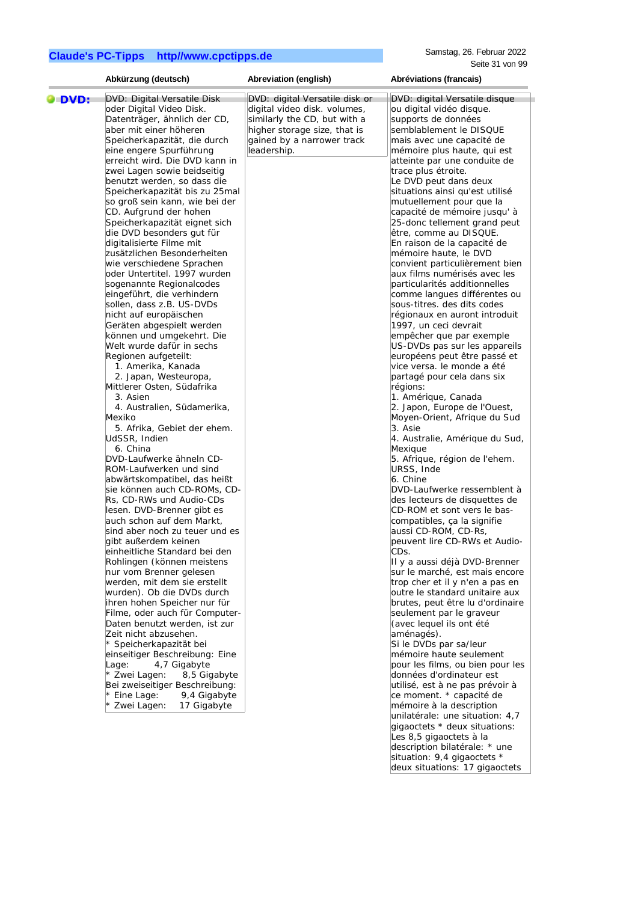|        | Abkürzung (deutsch)            | Abreviation (english)          | Abréviations (francais)          |
|--------|--------------------------------|--------------------------------|----------------------------------|
| O DVD: | DVD: Digital Versatile Disk    | DVD: digital Versatile disk or | DVD: digital Versatile disque    |
|        | oder Digital Video Disk.       | digital video disk. volumes,   | ou digital vidéo disque.         |
|        | Datenträger, ähnlich der CD,   | similarly the CD, but with a   | supports de données              |
|        | aber mit einer höheren         | higher storage size, that is   | semblablement le DISQUE          |
|        | Speicherkapazität, die durch   | gained by a narrower track     | mais avec une capacité de        |
|        | eine engere Spurführung        | leadership.                    | mémoire plus haute, qui est      |
|        | erreicht wird. Die DVD kann in |                                | atteinte par une conduite de     |
|        | zwei Lagen sowie beidseitig    |                                | trace plus étroite.              |
|        | benutzt werden, so dass die    |                                | Le DVD peut dans deux            |
|        | Speicherkapazität bis zu 25mal |                                | situations ainsi qu'est utilisé  |
|        | so groß sein kann, wie bei der |                                | mutuellement pour que la         |
|        | CD. Aufgrund der hohen         |                                | capacité de mémoire jusqu'à      |
|        | Speicherkapazität eignet sich  |                                | 25-donc tellement grand peut     |
|        | die DVD besonders gut für      |                                | être, comme au DISQUE.           |
|        | digitalisierte Filme mit       |                                | En raison de la capacité de      |
|        | zusätzlichen Besonderheiten    |                                | mémoire haute, le DVD            |
|        | wie verschiedene Sprachen      |                                | convient particulièrement bien   |
|        | oder Untertitel. 1997 wurden   |                                | aux films numérisés avec les     |
|        | sogenannte Regionalcodes       |                                | particularités additionnelles    |
|        | eingeführt, die verhindern     |                                | comme langues différentes ou     |
|        | sollen, dass z.B. US-DVDs      |                                | sous-titres. des dits codes      |
|        | nicht auf europäischen         |                                | régionaux en auront introduit    |
|        | Geräten abgespielt werden      |                                | 1997, un ceci devrait            |
|        | können und umgekehrt. Die      |                                | empêcher que par exemple         |
|        | Welt wurde dafür in sechs      |                                | US-DVDs pas sur les appareils    |
|        | Regionen aufgeteilt:           |                                | européens peut être passé et     |
|        | 1. Amerika, Kanada             |                                | vice versa. le monde a été       |
|        | 2. Japan, Westeuropa,          |                                | partagé pour cela dans six       |
|        | Mittlerer Osten, Südafrika     |                                | régions:                         |
|        | 3. Asien                       |                                | 1. Amérique, Canada              |
|        | 4. Australien, Südamerika,     |                                | 2. Japon, Europe de l'Ouest,     |
|        | Mexiko                         |                                | Moyen-Orient, Afrique du Sud     |
|        | 5. Afrika, Gebiet der ehem.    |                                | 3. Asie                          |
|        | UdSSR, Indien                  |                                | 4. Australie, Amérique du Sud,   |
|        | 6. China                       |                                | Mexique                          |
|        | DVD-Laufwerke ähneln CD-       |                                | 5. Afrique, région de l'ehem.    |
|        | ROM-Laufwerken und sind        |                                | URSS, Inde                       |
|        | abwärtskompatibel, das heißt   |                                | 6. Chine                         |
|        | sie können auch CD-ROMs, CD-   |                                | DVD-Laufwerke ressemblent à      |
|        | Rs, CD-RWs und Audio-CDs       |                                | des lecteurs de disquettes de    |
|        | lesen. DVD-Brenner gibt es     |                                | CD-ROM et sont vers le bas-      |
|        | auch schon auf dem Markt,      |                                | compatibles, ça la signifie      |
|        | sind aber noch zu teuer und es |                                | aussi CD-ROM, CD-Rs,             |
|        | gibt außerdem keinen           |                                | peuvent lire CD-RWs et Audio-    |
|        | einheitliche Standard bei den  |                                | CDs.                             |
|        | Rohlingen (können meistens     |                                | II y a aussi déjà DVD-Brenner    |
|        | nur vom Brenner gelesen        |                                | sur le marché, est mais encore   |
|        | werden, mit dem sie erstellt   |                                | trop cher et il y n'en a pas en  |
|        | wurden). Ob die DVDs durch     |                                | outre le standard unitaire aux   |
|        | ihren hohen Speicher nur für   |                                | brutes, peut être lu d'ordinaire |
|        | Filme, oder auch für Computer- |                                | seulement par le graveur         |
|        | Daten benutzt werden, ist zur  |                                | (avec lequel ils ont été         |
|        | Zeit nicht abzusehen.          |                                | aménagés).                       |
|        | * Speicherkapazität bei        |                                | Si le DVDs par sa/leur           |
|        | einseitiger Beschreibung: Eine |                                | mémoire haute seulement          |
|        | Lage:                          |                                | pour les films, ou bien pour les |
|        | 4,7 Gigabyte<br>8,5 Gigabyte   |                                |                                  |
|        | * Zwei Lagen:                  |                                | données d'ordinateur est         |
|        | Bei zweiseitiger Beschreibung: |                                | utilisé, est à ne pas prévoir à  |
|        | * Eine Lage:<br>9,4 Gigabyte   |                                | ce moment. * capacité de         |
|        | * Zwei Lagen:<br>17 Gigabyte   |                                | mémoire à la description         |
|        |                                |                                | unilatérale: une situation: 4,7  |
|        |                                |                                | gigaoctets * deux situations:    |
|        |                                |                                | Les 8,5 gigaoctets à la          |
|        |                                |                                | description bilatérale: * une    |

situation: 9,4 gigaoctets \* deux situations: 17 gigaoctets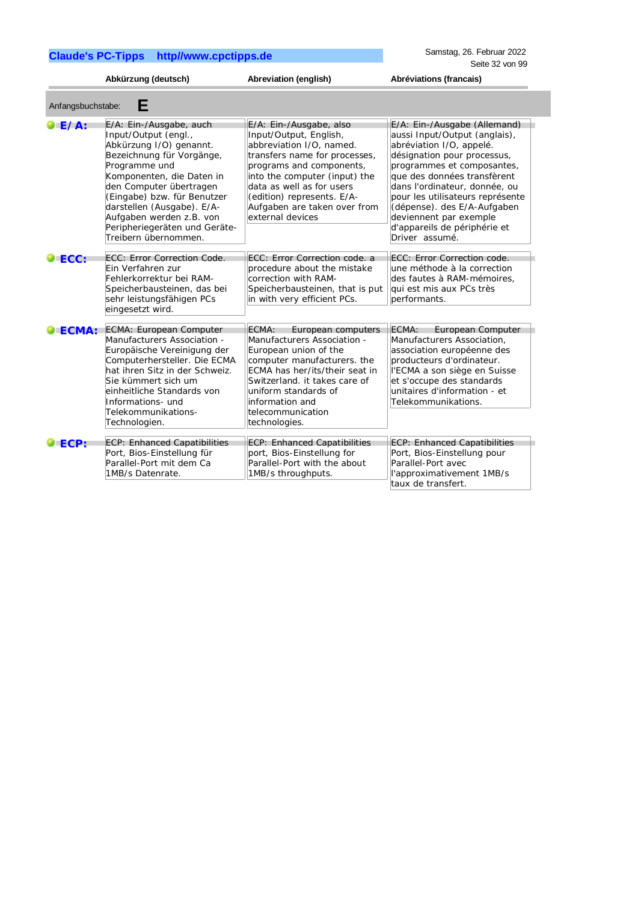Samstag, 26. Februar 2022 Seite 32 von 99

|                            | Abkürzung (deutsch)                                                                                                                                                                                                                                                                                                                | Abreviation (english)                                                                                                                                                                                                                                                                      | Abréviations (francais)                                                                                                                                                                                                                                                                                                                                               |
|----------------------------|------------------------------------------------------------------------------------------------------------------------------------------------------------------------------------------------------------------------------------------------------------------------------------------------------------------------------------|--------------------------------------------------------------------------------------------------------------------------------------------------------------------------------------------------------------------------------------------------------------------------------------------|-----------------------------------------------------------------------------------------------------------------------------------------------------------------------------------------------------------------------------------------------------------------------------------------------------------------------------------------------------------------------|
| Anfangsbuchstabe:          | Е                                                                                                                                                                                                                                                                                                                                  |                                                                                                                                                                                                                                                                                            |                                                                                                                                                                                                                                                                                                                                                                       |
| $\blacktriangleright$ E/A: | E/A: Ein-/Ausgabe, auch<br>Input/Output (engl.,<br>Abkürzung I/O) genannt.<br>Bezeichnung für Vorgänge,<br>Programme und<br>Komponenten, die Daten in<br>den Computer übertragen<br>(Eingabe) bzw. für Benutzer<br>darstellen (Ausgabe). E/A-<br>Aufgaben werden z.B. von<br>Peripheriegeräten und Geräte-<br>Treibern übernommen. | E/A: Ein-/Ausgabe, also<br>Input/Output, English,<br>abbreviation I/O, named.<br>transfers name for processes,<br>programs and components,<br>into the computer (input) the<br>data as well as for users<br>(edition) represents. E/A-<br>Aufgaben are taken over from<br>external devices | E/A: Ein-/Ausgabe (Allemand)<br>aussi Input/Output (anglais),<br>abréviation I/O, appelé.<br>désignation pour processus,<br>programmes et composantes,<br>que des données transfèrent<br>dans l'ordinateur, donnée, ou<br>pour les utilisateurs représente<br>(dépense). des E/A-Aufgaben<br>deviennent par exemple<br>d'appareils de périphérie et<br>Driver assumé. |
| $\blacktriangleright$ ECC: | ECC: Error Correction Code.<br>Ein Verfahren zur<br>Fehlerkorrektur bei RAM-<br>Speicherbausteinen, das bei<br>sehr leistungsfähigen PCs<br>eingesetzt wird.                                                                                                                                                                       | ECC: Error Correction code, a<br>procedure about the mistake<br>correction with RAM-<br>Speicherbausteinen, that is put<br>in with very efficient PCs.                                                                                                                                     | ECC: Error Correction code.<br>une méthode à la correction<br>des fautes à RAM-mémoires.<br>qui est mis aux PCs très<br>performants.                                                                                                                                                                                                                                  |
| ECMA:                      | ECMA: European Computer<br>Manufacturers Association -<br>Europäische Vereinigung der<br>Computerhersteller. Die ECMA<br>hat ihren Sitz in der Schweiz.<br>Sie kümmert sich um<br>einheitliche Standards von<br>Informations-und<br>Telekommunikations-<br>Technologien.                                                           | European computers<br>ECMA:<br>Manufacturers Association -<br>European union of the<br>computer manufacturers. the<br>ECMA has her/its/their seat in<br>Switzerland, it takes care of<br>uniform standards of<br>information and<br>telecommunication<br>technologies.                     | European Computer<br>ECMA:<br>Manufacturers Association,<br>association européenne des<br>producteurs d'ordinateur.<br>l'ECMA a son siège en Suisse<br>et s'occupe des standards<br>unitaires d'information - et<br>Telekommunikations.                                                                                                                               |
| ECP:                       | ECP: Enhanced Capatibilities<br>Port, Bios-Einstellung für<br>Parallel-Port mit dem Ca<br>1MB/s Datenrate.                                                                                                                                                                                                                         | <b>ECP: Enhanced Capatibilities</b><br>port, Bios-Einstellung for<br>Parallel-Port with the about<br>1MB/s throughputs.                                                                                                                                                                    | <b>ECP: Enhanced Capatibilities</b><br>Port, Bios-Einstellung pour<br>Parallel-Port avec<br>l'approximativement 1MB/s<br>taux de transfert.                                                                                                                                                                                                                           |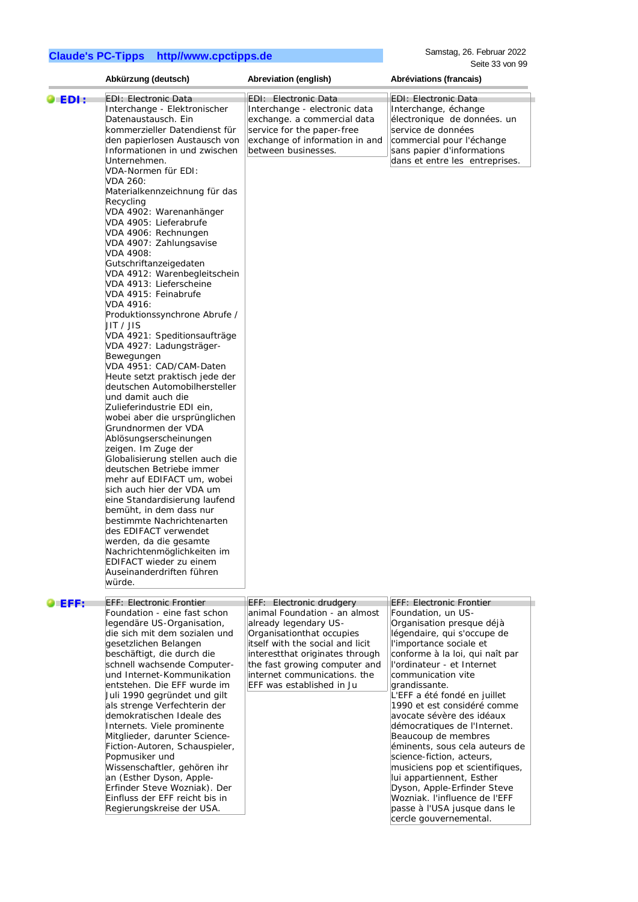Samstag, 26. Februar 2022 Seite 33 von 99

|         | Abkürzung (deutsch)                                                                                                                                                                                                                                                                                                                                                                                                                                                                                                                                                                                                                                                                                                                                                                                                                                                                                                                                                                                                                                                                                                                                                                                                                                                                              | Abreviation (english)                                                                                                                                                                                                                                                                | Abréviations (francais)                                                                                                                                                                                                                                                                                                                                                                                                                                                                                                                                                                                                                                          |
|---------|--------------------------------------------------------------------------------------------------------------------------------------------------------------------------------------------------------------------------------------------------------------------------------------------------------------------------------------------------------------------------------------------------------------------------------------------------------------------------------------------------------------------------------------------------------------------------------------------------------------------------------------------------------------------------------------------------------------------------------------------------------------------------------------------------------------------------------------------------------------------------------------------------------------------------------------------------------------------------------------------------------------------------------------------------------------------------------------------------------------------------------------------------------------------------------------------------------------------------------------------------------------------------------------------------|--------------------------------------------------------------------------------------------------------------------------------------------------------------------------------------------------------------------------------------------------------------------------------------|------------------------------------------------------------------------------------------------------------------------------------------------------------------------------------------------------------------------------------------------------------------------------------------------------------------------------------------------------------------------------------------------------------------------------------------------------------------------------------------------------------------------------------------------------------------------------------------------------------------------------------------------------------------|
| O EDI : | <b>EDI: Electronic Data</b><br>Interchange - Elektronischer<br>Datenaustausch. Ein<br>kommerzieller Datendienst für<br>den papierlosen Austausch von<br>Informationen in und zwischen<br>Unternehmen.<br>VDA-Normen für EDI:<br>VDA 260:<br>Materialkennzeichnung für das<br>Recycling<br>VDA 4902: Warenanhänger<br>VDA 4905: Lieferabrufe<br>VDA 4906: Rechnungen<br>VDA 4907: Zahlungsavise<br>VDA 4908:<br>Gutschriftanzeigedaten<br>VDA 4912: Warenbegleitschein<br>VDA 4913: Lieferscheine<br>VDA 4915: Feinabrufe<br>VDA 4916:<br>Produktionssynchrone Abrufe /<br>JIT / JIS<br>VDA 4921: Speditionsaufträge<br>VDA 4927: Ladungsträger-<br>Bewegungen<br>VDA 4951: CAD/CAM-Daten<br>Heute setzt praktisch jede der<br>deutschen Automobilhersteller<br>und damit auch die<br>Zulieferindustrie EDI ein,<br>wobei aber die ursprünglichen<br>Grundnormen der VDA<br>Ablösungserscheinungen<br>zeigen. Im Zuge der<br>Globalisierung stellen auch die<br>deutschen Betriebe immer<br>mehr auf EDIFACT um, wobei<br>sich auch hier der VDA um<br>eine Standardisierung laufend<br>bemüht, in dem dass nur<br>bestimmte Nachrichtenarten<br>des EDIFACT verwendet<br>werden, da die gesamte<br>Nachrichtenmöglichkeiten im<br>EDIFACT wieder zu einem<br>Auseinanderdriften führen<br>würde. | EDI: Electronic Data<br>Interchange - electronic data<br>exchange. a commercial data<br>service for the paper-free<br>exchange of information in and<br>between businesses.                                                                                                          | <b>EDI: Electronic Data</b><br>Interchange, échange<br>électronique de données. un<br>service de données<br>commercial pour l'échange<br>sans papier d'informations<br>dans et entre les entreprises.                                                                                                                                                                                                                                                                                                                                                                                                                                                            |
| DEFF:   | <b>EFF: Electronic Frontier</b><br>Foundation - eine fast schon<br>legendäre US-Organisation,<br>die sich mit dem sozialen und<br>gesetzlichen Belangen<br>beschäftigt, die durch die<br>schnell wachsende Computer-<br>und Internet-Kommunikation<br>entstehen. Die EFF wurde im<br>Juli 1990 gegründet und gilt<br>als strenge Verfechterin der<br>demokratischen Ideale des<br>Internets. Viele prominente<br>Mitglieder, darunter Science-<br>Fiction-Autoren, Schauspieler,<br>Popmusiker und<br>Wissenschaftler, gehören ihr<br>an (Esther Dyson, Apple-<br>Erfinder Steve Wozniak). Der<br>Einfluss der EFF reicht bis in<br>Regierungskreise der USA.                                                                                                                                                                                                                                                                                                                                                                                                                                                                                                                                                                                                                                    | EFF: Electronic drudgery<br>animal Foundation - an almost<br>already legendary US-<br>Organisationthat occupies<br>itself with the social and licit<br>interestthat originates through<br>the fast growing computer and<br>internet communications, the<br>EFF was established in Ju | <b>EFF: Electronic Frontier</b><br>Foundation, un US-<br>Organisation presque déjà<br>légendaire, qui s'occupe de<br>l'importance sociale et<br>conforme à la loi, qui naît par<br>l'ordinateur - et Internet<br>communication vite<br>grandissante.<br>L'EFF a été fondé en juillet<br>1990 et est considéré comme<br>avocate sévère des idéaux<br>démocratiques de l'Internet.<br>Beaucoup de membres<br>éminents, sous cela auteurs de<br>science-fiction, acteurs,<br>musiciens pop et scientifiques,<br>lui appartiennent, Esther<br>Dyson, Apple-Erfinder Steve<br>Wozniak. l'influence de l'EFF<br>passe à l'USA jusque dans le<br>cercle gouvernemental. |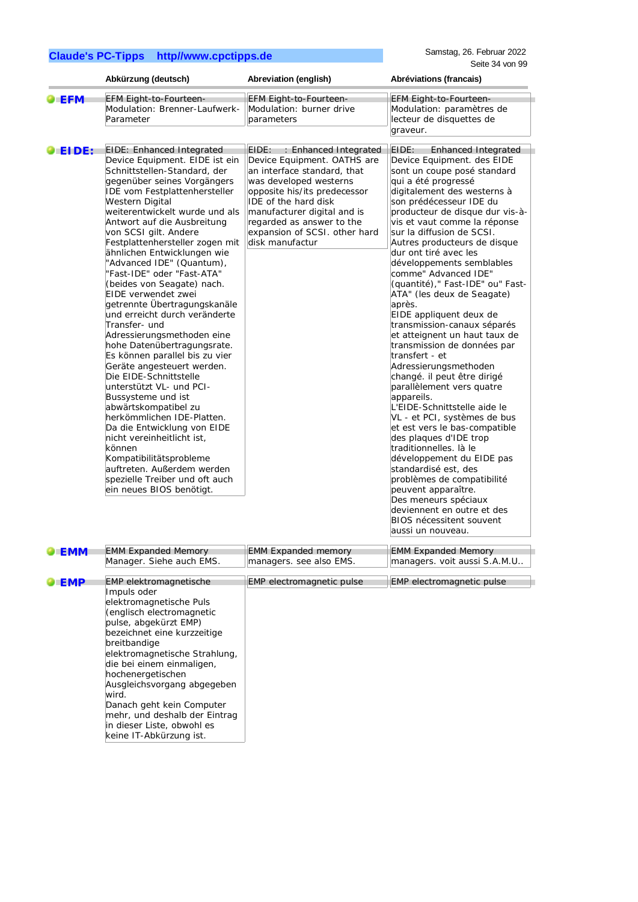|       | Abkürzung (deutsch)                                                                                                                                                                                                                                                                                                                                                                                                                                                                                                                                                                                                                                                                                                                                                                                                                                                                                                                                                                                              | Abreviation (english)                                                                                                                                                                                                                                                                                 | Abréviations (francais)                                                                                                                                                                                                                                                                                                                                                                                                                                                                                                                                                                                                                                                                                                                                                                                                                                                                                                                                                                                                                                                                                  |
|-------|------------------------------------------------------------------------------------------------------------------------------------------------------------------------------------------------------------------------------------------------------------------------------------------------------------------------------------------------------------------------------------------------------------------------------------------------------------------------------------------------------------------------------------------------------------------------------------------------------------------------------------------------------------------------------------------------------------------------------------------------------------------------------------------------------------------------------------------------------------------------------------------------------------------------------------------------------------------------------------------------------------------|-------------------------------------------------------------------------------------------------------------------------------------------------------------------------------------------------------------------------------------------------------------------------------------------------------|----------------------------------------------------------------------------------------------------------------------------------------------------------------------------------------------------------------------------------------------------------------------------------------------------------------------------------------------------------------------------------------------------------------------------------------------------------------------------------------------------------------------------------------------------------------------------------------------------------------------------------------------------------------------------------------------------------------------------------------------------------------------------------------------------------------------------------------------------------------------------------------------------------------------------------------------------------------------------------------------------------------------------------------------------------------------------------------------------------|
| EFM   | EFM Eight-to-Fourteen-<br>Modulation: Brenner-Laufwerk-<br>Parameter                                                                                                                                                                                                                                                                                                                                                                                                                                                                                                                                                                                                                                                                                                                                                                                                                                                                                                                                             | EFM Eight-to-Fourteen-<br>Modulation: burner drive<br>parameters                                                                                                                                                                                                                                      | EFM Eight-to-Fourteen-<br>Modulation: paramètres de<br>lecteur de disquettes de<br>graveur.                                                                                                                                                                                                                                                                                                                                                                                                                                                                                                                                                                                                                                                                                                                                                                                                                                                                                                                                                                                                              |
| EIDE: | <b>EIDE: Enhanced Integrated</b><br>Device Equipment. EIDE ist ein<br>Schnittstellen-Standard, der<br>gegenüber seines Vorgängers<br>IDE vom Festplattenhersteller<br>Western Digital<br>weiterentwickelt wurde und als<br>Antwort auf die Ausbreitung<br>von SCSI gilt. Andere<br>Festplattenhersteller zogen mit<br>ähnlichen Entwicklungen wie<br>"Advanced IDE" (Quantum),<br>'Fast-IDE" oder "Fast-ATA"<br>(beides von Seagate) nach.<br>EIDE verwendet zwei<br>getrennte Übertragungskanäle<br>und erreicht durch veränderte<br>Transfer- und<br>Adressierungsmethoden eine<br>hohe Datenübertragungsrate.<br>Es können parallel bis zu vier<br>Geräte angesteuert werden.<br>Die EIDE-Schnittstelle<br>unterstützt VL- und PCI-<br>Bussysteme und ist<br>abwärtskompatibel zu<br>herkömmlichen IDE-Platten.<br>Da die Entwicklung von EIDE<br>nicht vereinheitlicht ist,<br>können<br>Kompatibilitätsprobleme<br>auftreten. Außerdem werden<br>spezielle Treiber und oft auch<br>ein neues BIOS benötigt. | EIDE:<br>: Enhanced Integrated<br>Device Equipment. OATHS are<br>an interface standard, that<br>was developed westerns<br>opposite his/its predecessor<br><b>IDE</b> of the hard disk<br>manufacturer digital and is<br>regarded as answer to the<br>expansion of SCSI. other hard<br>disk manufactur | EIDE:<br><b>Enhanced Integrated</b><br>Device Equipment. des EIDE<br>sont un coupe posé standard<br>qui a été progressé<br>digitalement des westerns à<br>son prédécesseur IDE du<br>producteur de disque dur vis-à-<br>vis et vaut comme la réponse<br>sur la diffusion de SCSI.<br>Autres producteurs de disque<br>dur ont tiré avec les<br>développements semblables<br>comme" Advanced IDE"<br>(quantité)," Fast-IDE" ou" Fast-<br>ATA" (les deux de Seagate)<br>après.<br>EIDE appliquent deux de<br>transmission-canaux séparés<br>et atteignent un haut taux de<br>transmission de données par<br>transfert - et<br>Adressierungsmethoden<br>changé. il peut être dirigé<br>parallèlement vers quatre<br>appareils.<br>L'EIDE-Schnittstelle aide le<br>VL - et PCI, systèmes de bus<br>et est vers le bas-compatible<br>des plaques d'IDE trop<br>traditionnelles. là le<br>développement du EIDE pas<br>standardisé est, des<br>problèmes de compatibilité<br>peuvent apparaître.<br>Des meneurs spéciaux<br>ldeviennent en outre et des<br><b>BIOS nécessitent souvent</b><br>aussi un nouveau. |

| EMM        | <b>EMM Expanded Memory</b>                                                                                                                                                                                                                                                                                                                                                                                                     | <b>EMM Expanded memory</b> | <b>EMM Expanded Memory</b>       |
|------------|--------------------------------------------------------------------------------------------------------------------------------------------------------------------------------------------------------------------------------------------------------------------------------------------------------------------------------------------------------------------------------------------------------------------------------|----------------------------|----------------------------------|
|            | Manager. Siehe auch EMS.                                                                                                                                                                                                                                                                                                                                                                                                       | managers. see also EMS.    | managers. voit aussi S.A.M.U     |
| <b>EMP</b> | <b>EMP</b> elektromagnetische<br>Impuls oder<br>elektromagnetische Puls<br>(englisch electromagnetic<br>pulse, abgekürzt EMP)<br>bezeichnet eine kurzzeitige<br>breitbandige<br>elektromagnetische Strahlung,<br>die bei einem einmaligen,<br>hochenergetischen<br>Ausgleichsvorgang abgegeben<br>wird.<br>Danach geht kein Computer<br>mehr, und deshalb der Eintrag<br>in dieser Liste, obwohl es<br>keine IT-Abkürzung ist. | EMP electromagnetic pulse  | <b>EMP</b> electromagnetic pulse |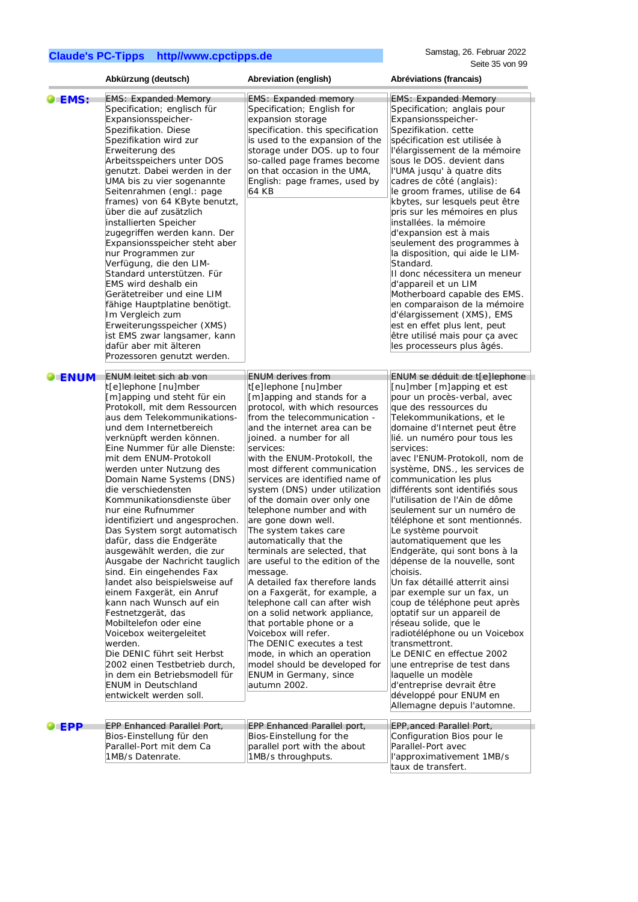|              | Abkürzung (deutsch)                                                                                                                                                                                                                                                                                                                                                                                                                                                                                                                                                                                                                                                                                                                                                                                                                                      | Abreviation (english)                                                                                                                                                                                                                                                                                                                                                                                                                                                                                                                                                                                                                                                                                                                                                                                                                                                           | Abréviations (francais)                                                                                                                                                                                                                                                                                                                                                                                                                                                                                                                                                                                                                                                                                                                                                                                                                                 |
|--------------|----------------------------------------------------------------------------------------------------------------------------------------------------------------------------------------------------------------------------------------------------------------------------------------------------------------------------------------------------------------------------------------------------------------------------------------------------------------------------------------------------------------------------------------------------------------------------------------------------------------------------------------------------------------------------------------------------------------------------------------------------------------------------------------------------------------------------------------------------------|---------------------------------------------------------------------------------------------------------------------------------------------------------------------------------------------------------------------------------------------------------------------------------------------------------------------------------------------------------------------------------------------------------------------------------------------------------------------------------------------------------------------------------------------------------------------------------------------------------------------------------------------------------------------------------------------------------------------------------------------------------------------------------------------------------------------------------------------------------------------------------|---------------------------------------------------------------------------------------------------------------------------------------------------------------------------------------------------------------------------------------------------------------------------------------------------------------------------------------------------------------------------------------------------------------------------------------------------------------------------------------------------------------------------------------------------------------------------------------------------------------------------------------------------------------------------------------------------------------------------------------------------------------------------------------------------------------------------------------------------------|
| <b>DEMS:</b> | <b>EMS: Expanded Memory</b>                                                                                                                                                                                                                                                                                                                                                                                                                                                                                                                                                                                                                                                                                                                                                                                                                              | <b>EMS: Expanded memory</b>                                                                                                                                                                                                                                                                                                                                                                                                                                                                                                                                                                                                                                                                                                                                                                                                                                                     | <b>EMS: Expanded Memory</b>                                                                                                                                                                                                                                                                                                                                                                                                                                                                                                                                                                                                                                                                                                                                                                                                                             |
|              | Specification; englisch für<br>Expansionsspeicher-<br>Spezifikation. Diese<br>Spezifikation wird zur<br>Erweiterung des<br>Arbeitsspeichers unter DOS<br>genutzt. Dabei werden in der<br>UMA bis zu vier sogenannte<br>Seitenrahmen (engl.: page<br>frames) von 64 KByte benutzt,<br>über die auf zusätzlich<br>installierten Speicher<br>zugegriffen werden kann. Der<br>Expansionsspeicher steht aber<br>nur Programmen zur<br>Verfügung, die den LIM-<br>Standard unterstützen. Für<br>EMS wird deshalb ein<br>Gerätetreiber und eine LIM<br>fähige Hauptplatine benötigt.<br>Im Vergleich zum<br>Erweiterungsspeicher (XMS)<br>ist EMS zwar langsamer, kann<br>dafür aber mit älteren                                                                                                                                                                | Specification; English for<br>expansion storage<br>specification. this specification<br>is used to the expansion of the<br>storage under DOS. up to four<br>so-called page frames become<br>on that occasion in the UMA,<br>English: page frames, used by<br>64 KB                                                                                                                                                                                                                                                                                                                                                                                                                                                                                                                                                                                                              | Specification; anglais pour<br>Expansionsspeicher-<br>Spezifikation. cette<br>spécification est utilisée à<br>l'élargissement de la mémoire<br>sous le DOS. devient dans<br>l'UMA jusqu' à quatre dits<br>cadres de côté (anglais):<br>le groom frames, utilise de 64<br>kbytes, sur lesquels peut être<br>pris sur les mémoires en plus<br>installées. la mémoire<br>d'expansion est à mais<br>seulement des programmes à<br>la disposition, qui aide le LIM-<br>Standard.<br>Il donc nécessitera un meneur<br>d'appareil et un LIM<br>Motherboard capable des EMS.<br>en comparaison de la mémoire<br>d'élargissement (XMS), EMS<br>est en effet plus lent, peut<br>être utilisé mais pour ça avec<br>les processeurs plus âgés.                                                                                                                      |
|              | Prozessoren genutzt werden.                                                                                                                                                                                                                                                                                                                                                                                                                                                                                                                                                                                                                                                                                                                                                                                                                              |                                                                                                                                                                                                                                                                                                                                                                                                                                                                                                                                                                                                                                                                                                                                                                                                                                                                                 |                                                                                                                                                                                                                                                                                                                                                                                                                                                                                                                                                                                                                                                                                                                                                                                                                                                         |
|              | t[e]lephone [nu]mber<br>[m]apping und steht für ein<br>Protokoll, mit dem Ressourcen<br>aus dem Telekommunikations-<br>und dem Internetbereich<br>verknüpft werden können.<br>Eine Nummer für alle Dienste:<br>mit dem ENUM-Protokoll<br>werden unter Nutzung des<br>Domain Name Systems (DNS)<br>die verschiedensten<br>Kommunikationsdienste über<br>nur eine Rufnummer<br>identifiziert und angesprochen.<br>Das System sorgt automatisch<br>dafür, dass die Endgeräte<br>ausgewählt werden, die zur<br>Ausgabe der Nachricht tauglich<br>sind. Ein eingehendes Fax<br>landet also beispielsweise auf<br>einem Faxgerät, ein Anruf<br>kann nach Wunsch auf ein<br>Festnetzgerät, das<br>Mobiltelefon oder eine<br>Voicebox weitergeleitet<br>werden.<br>Die DENIC führt seit Herbst<br>2002 einen Testbetrieb durch,<br>in dem ein Betriebsmodell für | t[e]lephone [nu]mber<br>[m]apping and stands for a<br>protocol, with which resources<br>from the telecommunication -<br>and the internet area can be<br>joined. a number for all<br>services:<br>with the ENUM-Protokoll, the<br>most different communication<br>services are identified name of<br>system (DNS) under utilization<br>of the domain over only one<br>telephone number and with<br>are gone down well.<br>The system takes care<br>automatically that the<br>terminals are selected, that<br>are useful to the edition of the<br>message.<br>A detailed fax therefore lands<br>on a Faxgerät, for example, a<br>telephone call can after wish<br>on a solid network appliance,<br>that portable phone or a<br>Voicebox will refer.<br>The DENIC executes a test<br>mode, in which an operation<br>model should be developed for<br><b>ENUM</b> in Germany, since | [nu]mber [m]apping et est<br>pour un procès-verbal, avec<br>que des ressources du<br>Telekommunikations, et le<br>domaine d'Internet peut être<br>lié. un numéro pour tous les<br>services:<br>avec l'ENUM-Protokoll, nom de<br>système, DNS., les services de<br>communication les plus<br>différents sont identifiés sous<br>l'utilisation de l'Ain de dôme<br>seulement sur un numéro de<br>téléphone et sont mentionnés.<br>Le système pourvoit<br>automatiquement que les<br>Endgeräte, qui sont bons à la<br>dépense de la nouvelle, sont<br>choisis.<br>Un fax détaillé atterrit ainsi<br>par exemple sur un fax, un<br>coup de téléphone peut après<br>optatif sur un appareil de<br>réseau solide, que le<br>radiotéléphone ou un Voicebox<br>transmettront.<br>Le DENIC en effectue 2002<br>une entreprise de test dans<br>laquelle un modèle |
|              | entwickelt werden soll.                                                                                                                                                                                                                                                                                                                                                                                                                                                                                                                                                                                                                                                                                                                                                                                                                                  |                                                                                                                                                                                                                                                                                                                                                                                                                                                                                                                                                                                                                                                                                                                                                                                                                                                                                 | développé pour ENUM en<br>Allemagne depuis l'automne.                                                                                                                                                                                                                                                                                                                                                                                                                                                                                                                                                                                                                                                                                                                                                                                                   |
|              |                                                                                                                                                                                                                                                                                                                                                                                                                                                                                                                                                                                                                                                                                                                                                                                                                                                          |                                                                                                                                                                                                                                                                                                                                                                                                                                                                                                                                                                                                                                                                                                                                                                                                                                                                                 |                                                                                                                                                                                                                                                                                                                                                                                                                                                                                                                                                                                                                                                                                                                                                                                                                                                         |
| EPP          | <b>EPP Enhanced Parallel Port,</b><br>Bios-Einstellung für den<br>Parallel-Port mit dem Ca<br>1MB/s Datenrate.                                                                                                                                                                                                                                                                                                                                                                                                                                                                                                                                                                                                                                                                                                                                           | EPP Enhanced Parallel port,<br>Bios-Einstellung for the<br>parallel port with the about<br>1MB/s throughputs.                                                                                                                                                                                                                                                                                                                                                                                                                                                                                                                                                                                                                                                                                                                                                                   | EPP, anced Parallel Port,<br>Configuration Bios pour le<br>Parallel-Port avec<br>l'approximativement 1MB/s<br>taux de transfert.                                                                                                                                                                                                                                                                                                                                                                                                                                                                                                                                                                                                                                                                                                                        |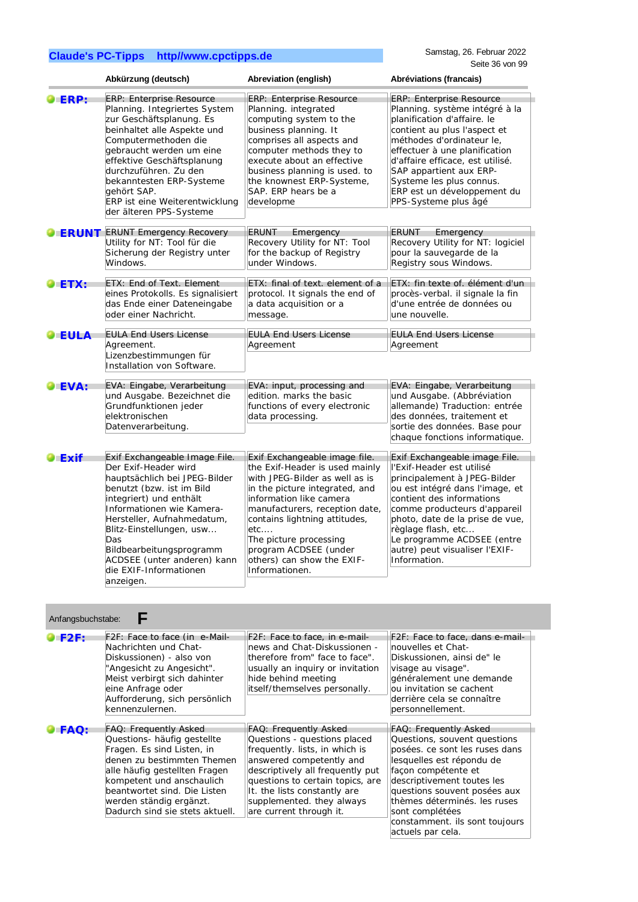|                | Abkürzung (deutsch)                                                                                                                                                                                                                                                                                                                            | Abreviation (english)                                                                                                                                                                                                                                                                                                                       | Abréviations (francais)                                                                                                                                                                                                                                                                                                                          |
|----------------|------------------------------------------------------------------------------------------------------------------------------------------------------------------------------------------------------------------------------------------------------------------------------------------------------------------------------------------------|---------------------------------------------------------------------------------------------------------------------------------------------------------------------------------------------------------------------------------------------------------------------------------------------------------------------------------------------|--------------------------------------------------------------------------------------------------------------------------------------------------------------------------------------------------------------------------------------------------------------------------------------------------------------------------------------------------|
| ERP:           | <b>ERP: Enterprise Resource</b><br>Planning. Integriertes System<br>zur Geschäftsplanung. Es<br>beinhaltet alle Aspekte und<br>Computermethoden die<br>gebraucht werden um eine<br>effektive Geschäftsplanung<br>durchzuführen. Zu den<br>bekanntesten ERP-Systeme<br>gehört SAP.<br>ERP ist eine Weiterentwicklung<br>der älteren PPS-Systeme | ERP: Enterprise Resource<br>Planning. integrated<br>computing system to the<br>business planning. It<br>comprises all aspects and<br>computer methods they to<br>execute about an effective<br>business planning is used. to<br>the knownest ERP-Systeme,<br>SAP. ERP hears be a<br>developme                                               | <b>ERP: Enterprise Resource</b><br>Planning. système intégré à la<br>planification d'affaire. le<br>contient au plus l'aspect et<br>méthodes d'ordinateur le,<br>effectuer à une planification<br>d'affaire efficace, est utilisé.<br>SAP appartient aux ERP-<br>Systeme les plus connus.<br>ERP est un développement du<br>PPS-Systeme plus âgé |
| <b>OERUNT</b>  | <b>ERUNT Emergency Recovery</b><br>Utility for NT: Tool für die<br>Sicherung der Registry unter<br>Windows.                                                                                                                                                                                                                                    | <b>ERUNT</b><br>Emergency<br>Recovery Utility for NT: Tool<br>for the backup of Registry<br>under Windows.                                                                                                                                                                                                                                  | <b>ERUNT</b><br>Emergency<br>Recovery Utility for NT: logiciel<br>pour la sauvegarde de la<br>Registry sous Windows.                                                                                                                                                                                                                             |
| $\bullet$ ETX: | ETX: End of Text. Element<br>eines Protokolls. Es signalisiert<br>das Ende einer Dateneingabe<br>oder einer Nachricht.                                                                                                                                                                                                                         | ETX: final of text, element of a<br>protocol. It signals the end of<br>a data acquisition or a<br>message.                                                                                                                                                                                                                                  | ETX: fin texte of. élément d'un<br>procès-verbal. il signale la fin<br>d'une entrée de données ou<br>une nouvelle.                                                                                                                                                                                                                               |
| $\bullet$ EULA | <b>EULA End Users License</b><br>Agreement.<br>Lizenzbestimmungen für<br>Installation von Software.                                                                                                                                                                                                                                            | <b>EULA End Users License</b><br>Agreement                                                                                                                                                                                                                                                                                                  | <b>EULA End Users License</b><br>Agreement                                                                                                                                                                                                                                                                                                       |
| LEVA:          | EVA: Eingabe, Verarbeitung<br>und Ausgabe. Bezeichnet die<br>Grundfunktionen jeder<br>elektronischen<br>Datenverarbeitung.                                                                                                                                                                                                                     | EVA: input, processing and<br>edition. marks the basic<br>functions of every electronic<br>data processing.                                                                                                                                                                                                                                 | EVA: Eingabe, Verarbeitung<br>und Ausgabe. (Abbréviation<br>allemande) Traduction: entrée<br>des données, traitement et<br>sortie des données. Base pour<br>chaque fonctions informatique.                                                                                                                                                       |
| $\bullet$ Exif | Exif Exchangeable Image File.<br>Der Exif-Header wird<br>hauptsächlich bei JPEG-Bilder<br>benutzt (bzw. ist im Bild<br>integriert) und enthält<br>Informationen wie Kamera-<br>Hersteller, Aufnahmedatum,<br>Blitz-Einstellungen, usw<br>Das<br>Bildbearbeitungsprogramm<br>ACDSEE (unter anderen) kann<br>die EXIF-Informationen<br>anzeigen. | Exif Exchangeable image file.<br>the Exif-Header is used mainly<br>with JPEG-Bilder as well as is<br>in the picture integrated, and<br>information like camera<br>manufacturers, reception date,<br>contains lightning attitudes,<br>etc<br>The picture processing<br>program ACDSEE (under<br>others) can show the EXIF-<br>Informationen. | Exif Exchangeable image File.<br>l'Exif-Header est utilisé<br>principalement à JPEG-Bilder<br>ou est intégré dans l'image, et<br>contient des informations<br>comme producteurs d'appareil<br>photo, date de la prise de vue,<br>règlage flash, etc<br>Le programme ACDSEE (entre<br>autre) peut visualiser l'EXIF-<br>Information.              |

| F2F: Face to face, in e-mail-<br>F2F: Face to face, dans e-mail-<br>news and Chat-Diskussionen -<br>nouvelles et Chat-                                                                                                                                                                                                                                                                                                                                                                                                                                   |
|----------------------------------------------------------------------------------------------------------------------------------------------------------------------------------------------------------------------------------------------------------------------------------------------------------------------------------------------------------------------------------------------------------------------------------------------------------------------------------------------------------------------------------------------------------|
| therefore from" face to face".<br>Diskussionen, ainsi de" le<br>usually an inquiry or invitation<br>visage au visage".<br>hide behind meeting<br>généralement une demande<br>itself/themselves personally.<br>ou invitation se cachent<br>derrière cela se connaître<br>personnellement.                                                                                                                                                                                                                                                                 |
| <b>FAQ: Frequently Asked</b><br>FAQ: Frequently Asked                                                                                                                                                                                                                                                                                                                                                                                                                                                                                                    |
| Questions - questions placed<br>Questions, souvent questions<br>frequently. lists, in which is<br>posées. ce sont les ruses dans<br>answered competently and<br>lesquelles est répondu de<br>descriptively all frequently put<br>facon compétente et<br>questions to certain topics, are<br>descriptivement toutes les<br>It. the lists constantly are<br>questions souvent posées aux<br>supplemented. they always<br>thèmes déterminés, les ruses<br>are current through it.<br>sont complétées<br>constamment. ils sont toujours<br>actuels par cela. |
|                                                                                                                                                                                                                                                                                                                                                                                                                                                                                                                                                          |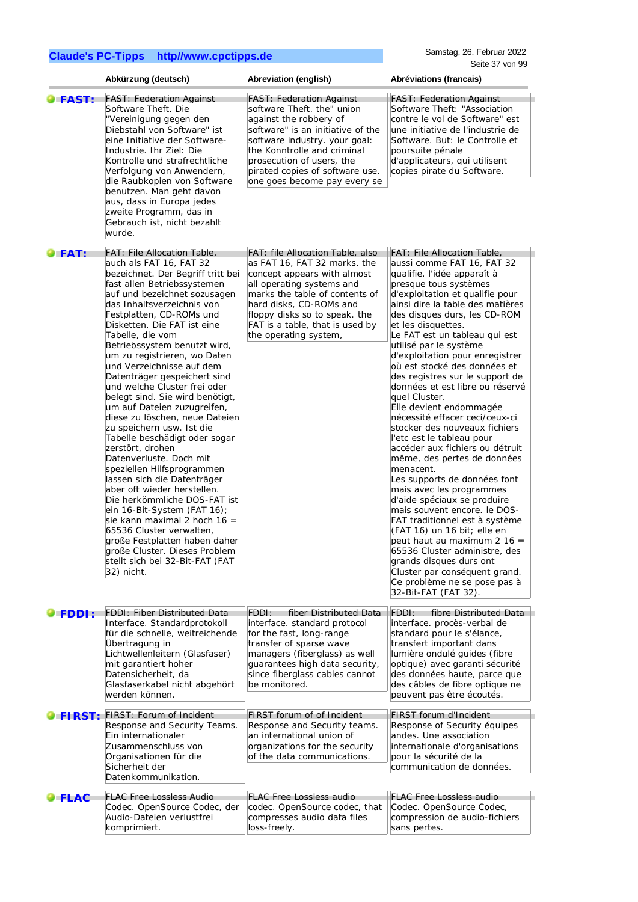Samstag, 26. Februar 2022 Seite 37 von 99

|                | Abkürzung (deutsch)                                                                                                                                                                                                                                                                                                                                                                                                                                                                                                                                                                                                                                                                                                                                                                                                                                                                                                                                                                                            | Abreviation (english)                                                                                                                                                                                                                                                                        | Abréviations (francais)                                                                                                                                                                                                                                                                                                                                                                                                                                                                                                                                                                                                                                                                                                                                                                                                                                                                                                                                                                                                                                       |
|----------------|----------------------------------------------------------------------------------------------------------------------------------------------------------------------------------------------------------------------------------------------------------------------------------------------------------------------------------------------------------------------------------------------------------------------------------------------------------------------------------------------------------------------------------------------------------------------------------------------------------------------------------------------------------------------------------------------------------------------------------------------------------------------------------------------------------------------------------------------------------------------------------------------------------------------------------------------------------------------------------------------------------------|----------------------------------------------------------------------------------------------------------------------------------------------------------------------------------------------------------------------------------------------------------------------------------------------|---------------------------------------------------------------------------------------------------------------------------------------------------------------------------------------------------------------------------------------------------------------------------------------------------------------------------------------------------------------------------------------------------------------------------------------------------------------------------------------------------------------------------------------------------------------------------------------------------------------------------------------------------------------------------------------------------------------------------------------------------------------------------------------------------------------------------------------------------------------------------------------------------------------------------------------------------------------------------------------------------------------------------------------------------------------|
| <b>OFAST:</b>  | <b>FAST: Federation Against</b><br>Software Theft. Die<br>"Vereinigung gegen den<br>Diebstahl von Software" ist<br>eine Initiative der Software-<br>Industrie. Ihr Ziel: Die<br>Kontrolle und strafrechtliche<br>Verfolgung von Anwendern,<br>die Raubkopien von Software<br>benutzen. Man geht davon<br>aus, dass in Europa jedes<br>zweite Programm, das in<br>Gebrauch ist, nicht bezahlt<br>wurde.                                                                                                                                                                                                                                                                                                                                                                                                                                                                                                                                                                                                         | <b>FAST: Federation Against</b><br>software Theft. the" union<br>against the robbery of<br>software" is an initiative of the<br>software industry. your goal:<br>the Konntrolle and criminal<br>prosecution of users, the<br>pirated copies of software use.<br>one goes become pay every se | <b>FAST: Federation Against</b><br>Software Theft: "Association<br>contre le vol de Software" est<br>une initiative de l'industrie de<br>Software. But: le Controlle et<br>poursuite pénale<br>d'applicateurs, qui utilisent<br>copies pirate du Software.                                                                                                                                                                                                                                                                                                                                                                                                                                                                                                                                                                                                                                                                                                                                                                                                    |
| $\bullet$ FAT: | <b>FAT: File Allocation Table,</b><br>auch als FAT 16, FAT 32<br>bezeichnet. Der Begriff tritt bei<br>fast allen Betriebssystemen<br>auf und bezeichnet sozusagen<br>das Inhaltsverzeichnis von<br>Festplatten, CD-ROMs und<br>Disketten. Die FAT ist eine<br>Tabelle, die vom<br>Betriebssystem benutzt wird,<br>um zu registrieren, wo Daten<br>und Verzeichnisse auf dem<br>Datenträger gespeichert sind<br>und welche Cluster frei oder<br>belegt sind. Sie wird benötigt,<br>um auf Dateien zuzugreifen,<br>diese zu löschen, neue Dateien<br>zu speichern usw. Ist die<br>Tabelle beschädigt oder sogar<br>zerstört, drohen<br>Datenverluste. Doch mit<br>speziellen Hilfsprogrammen<br>lassen sich die Datenträger<br>aber oft wieder herstellen.<br>Die herkömmliche DOS-FAT ist<br>ein $16$ -Bit-System (FAT $16$ );<br>sie kann maximal 2 hoch $16 =$<br>65536 Cluster verwalten,<br>große Festplatten haben daher<br>große Cluster. Dieses Problem<br>stellt sich bei 32-Bit-FAT (FAT<br>32) nicht. | FAT: file Allocation Table, also<br>as FAT 16, FAT 32 marks. the<br>concept appears with almost<br>all operating systems and<br>marks the table of contents of<br>hard disks, CD-ROMs and<br>floppy disks so to speak. the<br>FAT is a table, that is used by<br>the operating system,       | FAT: File Allocation Table,<br>aussi comme FAT 16, FAT 32<br>qualifie. l'idée apparaît à<br>presque tous systèmes<br>d'exploitation et qualifie pour<br>ainsi dire la table des matières<br>des disques durs, les CD-ROM<br>et les disquettes.<br>Le FAT est un tableau qui est<br>utilisé par le système<br>d'exploitation pour enregistrer<br>où est stocké des données et<br>des registres sur le support de<br>données et est libre ou réservé<br>quel Cluster.<br>Elle devient endommagée<br>nécessité effacer ceci/ceux-ci<br>stocker des nouveaux fichiers<br>l'etc est le tableau pour<br>accéder aux fichiers ou détruit<br>même, des pertes de données<br>menacent.<br>Les supports de données font<br>mais avec les programmes<br>d'aide spéciaux se produire<br>mais souvent encore. le DOS-<br>FAT traditionnel est à système<br>(FAT 16) un 16 bit; elle en<br>peut haut au maximum 2 16 =<br>65536 Cluster administre, des<br>grands disques durs ont<br>Cluster par conséquent grand.<br>Ce problème ne se pose pas à<br>32-Bit-FAT (FAT 32). |
| <b>FDDI:</b>   | <b>FDDI: Fiber Distributed Data</b><br>Interface. Standardprotokoll<br>für die schnelle, weitreichende<br>Übertragung in<br>Lichtwellenleitern (Glasfaser)<br>mit garantiert hoher<br>Datensicherheit, da<br>Glasfaserkabel nicht abgehört<br>werden können.                                                                                                                                                                                                                                                                                                                                                                                                                                                                                                                                                                                                                                                                                                                                                   | fiber Distributed Data<br>FDDI:<br>interface. standard protocol<br>for the fast, long-range<br>transfer of sparse wave<br>managers (fiberglass) as well<br>guarantees high data security,<br>since fiberglass cables cannot<br>be monitored.                                                 | FDDI:<br>fibre Distributed Data<br>interface. procès-verbal de<br>standard pour le s'élance,<br>transfert important dans<br>lumière ondulé guides (fibre<br>optique) avec garanti sécurité<br>des données haute, parce que<br>des câbles de fibre optique ne<br>peuvent pas être écoutés.                                                                                                                                                                                                                                                                                                                                                                                                                                                                                                                                                                                                                                                                                                                                                                     |
| FIRST:         | FIRST: Forum of Incident<br>Response and Security Teams.<br>Ein internationaler<br>Zusammenschluss von<br>Organisationen für die<br>Sicherheit der<br>Datenkommunikation.                                                                                                                                                                                                                                                                                                                                                                                                                                                                                                                                                                                                                                                                                                                                                                                                                                      | FIRST forum of of Incident<br>Response and Security teams.<br>an international union of<br>organizations for the security<br>of the data communications.                                                                                                                                     | FIRST forum d'Incident<br>Response of Security équipes<br>andes. Une association<br>internationale d'organisations<br>pour la sécurité de la<br>communication de données.                                                                                                                                                                                                                                                                                                                                                                                                                                                                                                                                                                                                                                                                                                                                                                                                                                                                                     |
| <b>FLAC</b>    | <b>FLAC Free Lossless Audio</b><br>Codec. OpenSource Codec, der<br>Audio-Dateien verlustfrei<br>komprimiert.                                                                                                                                                                                                                                                                                                                                                                                                                                                                                                                                                                                                                                                                                                                                                                                                                                                                                                   | <b>FLAC Free Lossless audio</b><br>codec. OpenSource codec, that<br>compresses audio data files<br>loss-freely.                                                                                                                                                                              | <b>FLAC Free Lossless audio</b><br>Codec. OpenSource Codec,<br>compression de audio-fichiers<br>sans pertes.                                                                                                                                                                                                                                                                                                                                                                                                                                                                                                                                                                                                                                                                                                                                                                                                                                                                                                                                                  |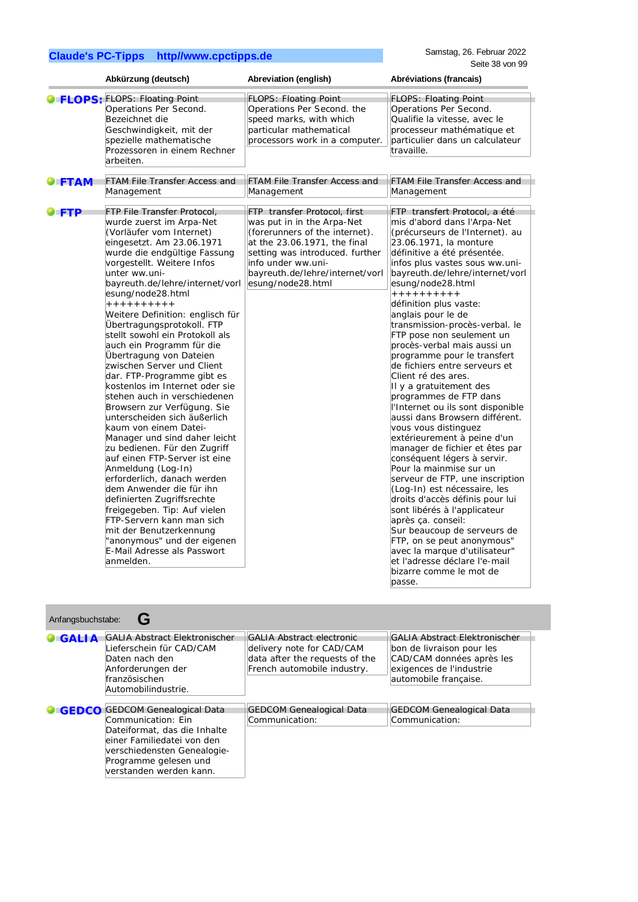|                            | Abkürzung (deutsch)                                                                                                                                                                                                                                                                                                                                                                                                                                                                                                                                                                                                                                                                                                                                                                                                                                                                                                                                                                                                                          | Abreviation (english)                                                                                                                                                                                                                         | Abréviations (francais)                                                                                                                                                                                                                                                                                                                                                                                                                                                                                                                                                                                                                                                                                                                                                                                                                                                                                                                                                                                                                                                                                              |
|----------------------------|----------------------------------------------------------------------------------------------------------------------------------------------------------------------------------------------------------------------------------------------------------------------------------------------------------------------------------------------------------------------------------------------------------------------------------------------------------------------------------------------------------------------------------------------------------------------------------------------------------------------------------------------------------------------------------------------------------------------------------------------------------------------------------------------------------------------------------------------------------------------------------------------------------------------------------------------------------------------------------------------------------------------------------------------|-----------------------------------------------------------------------------------------------------------------------------------------------------------------------------------------------------------------------------------------------|----------------------------------------------------------------------------------------------------------------------------------------------------------------------------------------------------------------------------------------------------------------------------------------------------------------------------------------------------------------------------------------------------------------------------------------------------------------------------------------------------------------------------------------------------------------------------------------------------------------------------------------------------------------------------------------------------------------------------------------------------------------------------------------------------------------------------------------------------------------------------------------------------------------------------------------------------------------------------------------------------------------------------------------------------------------------------------------------------------------------|
|                            | <b>O</b> FLOPS: FLOPS: Floating Point<br>Operations Per Second.<br>Bezeichnet die<br>Geschwindigkeit, mit der<br>spezielle mathematische<br>Prozessoren in einem Rechner<br>arbeiten.                                                                                                                                                                                                                                                                                                                                                                                                                                                                                                                                                                                                                                                                                                                                                                                                                                                        | <b>FLOPS: Floating Point</b><br>Operations Per Second. the<br>speed marks, with which<br>particular mathematical<br>processors work in a computer.                                                                                            | <b>FLOPS: Floating Point</b><br>Operations Per Second.<br>Qualifie la vitesse, avec le<br>processeur mathématique et<br>particulier dans un calculateur<br>travaille.                                                                                                                                                                                                                                                                                                                                                                                                                                                                                                                                                                                                                                                                                                                                                                                                                                                                                                                                                |
| $\blacksquare$ FTAM        | FTAM File Transfer Access and<br>Management                                                                                                                                                                                                                                                                                                                                                                                                                                                                                                                                                                                                                                                                                                                                                                                                                                                                                                                                                                                                  | <b>FTAM File Transfer Access and</b><br>Management                                                                                                                                                                                            | FTAM File Transfer Access and<br>Management                                                                                                                                                                                                                                                                                                                                                                                                                                                                                                                                                                                                                                                                                                                                                                                                                                                                                                                                                                                                                                                                          |
| $\blacktriangleright$ FTP. | FTP File Transfer Protocol,<br>wurde zuerst im Arpa-Net<br>(Vorläufer vom Internet)<br>eingesetzt. Am 23.06.1971<br>wurde die endgültige Fassung<br>vorgestellt. Weitere Infos<br>unter ww.uni-<br>bayreuth.de/lehre/internet/vorl<br>esung/node28.html<br>++++++++++<br>Weitere Definition: englisch für<br>Übertragungsprotokoll. FTP<br>stellt sowohl ein Protokoll als<br>auch ein Programm für die<br>Übertragung von Dateien<br>zwischen Server und Client<br>dar. FTP-Programme gibt es<br>kostenlos im Internet oder sie<br>stehen auch in verschiedenen<br>Browsern zur Verfügung. Sie<br>unterscheiden sich äußerlich<br>kaum von einem Datei-<br>Manager und sind daher leicht<br>zu bedienen. Für den Zugriff<br>auf einen FTP-Server ist eine<br>Anmeldung (Log-In)<br>erforderlich, danach werden<br>dem Anwender die für ihn<br>definierten Zugriffsrechte<br>freigegeben. Tip: Auf vielen<br>FTP-Servern kann man sich<br>mit der Benutzerkennung<br>"anonymous" und der eigenen<br>E-Mail Adresse als Passwort<br>anmelden. | FTP transfer Protocol, first<br>was put in in the Arpa-Net<br>(forerunners of the internet).<br>at the 23.06.1971, the final<br>setting was introduced. further<br>info under ww.uni-<br>bayreuth.de/lehre/internet/vorl<br>esung/node28.html | FTP transfert Protocol, a été<br>mis d'abord dans l'Arpa-Net<br>(précurseurs de l'Internet). au<br>23.06.1971, la monture<br>définitive a été présentée.<br>infos plus vastes sous ww.uni-<br>bayreuth.de/lehre/internet/vorl<br>esung/node28.html<br>++++++++++<br>définition plus vaste:<br>anglais pour le de<br>transmission-procès-verbal. le<br>FTP pose non seulement un<br>procès-verbal mais aussi un<br>programme pour le transfert<br>de fichiers entre serveurs et<br>Client ré des ares.<br>Il y a gratuitement des<br>programmes de FTP dans<br>l'Internet ou ils sont disponible<br>aussi dans Browsern différent.<br>vous vous distinguez<br>extérieurement à peine d'un<br>manager de fichier et êtes par<br>conséquent légers à servir.<br>Pour la mainmise sur un<br>serveur de FTP, une inscription<br>(Log-In) est nécessaire, les<br>droits d'accès définis pour lui<br>sont libérés à l'applicateur<br>après ça. conseil:<br>Sur beaucoup de serveurs de<br>FTP, on se peut anonymous"<br>avec la marque d'utilisateur"<br>et l'adresse déclare l'e-mail<br>bizarre comme le mot de<br>passe. |

| Anfangsbuchstabe: |                                                                                                                                                                                                         |                                                                                                                                |                                                                                                                                                     |  |
|-------------------|---------------------------------------------------------------------------------------------------------------------------------------------------------------------------------------------------------|--------------------------------------------------------------------------------------------------------------------------------|-----------------------------------------------------------------------------------------------------------------------------------------------------|--|
| <b>GALIA</b>      | <b>GALIA Abstract Elektronischer</b><br>Lieferschein für CAD/CAM<br>Daten nach den<br>Anforderungen der<br>französischen<br>Automobilindustrie.                                                         | <b>GALIA Abstract electronic</b><br>delivery note for CAD/CAM<br>data after the requests of the<br>French automobile industry. | <b>GALIA Abstract Elektronischer</b><br>bon de livraison pour les<br>CAD/CAM données après les<br>exigences de l'industrie<br>automobile française. |  |
| <b>GEDCO</b>      | <b>GEDCOM Genealogical Data</b><br>Communication: Fin<br>Dateiformat, das die Inhalte<br>leiner Familiedatei von den<br>verschiedensten Genealogie-<br>Programme gelesen und<br>verstanden werden kann. | <b>GEDCOM Genealogical Data</b><br>Communication:                                                                              | <b>GEDCOM Genealogical Data</b><br>Communication:                                                                                                   |  |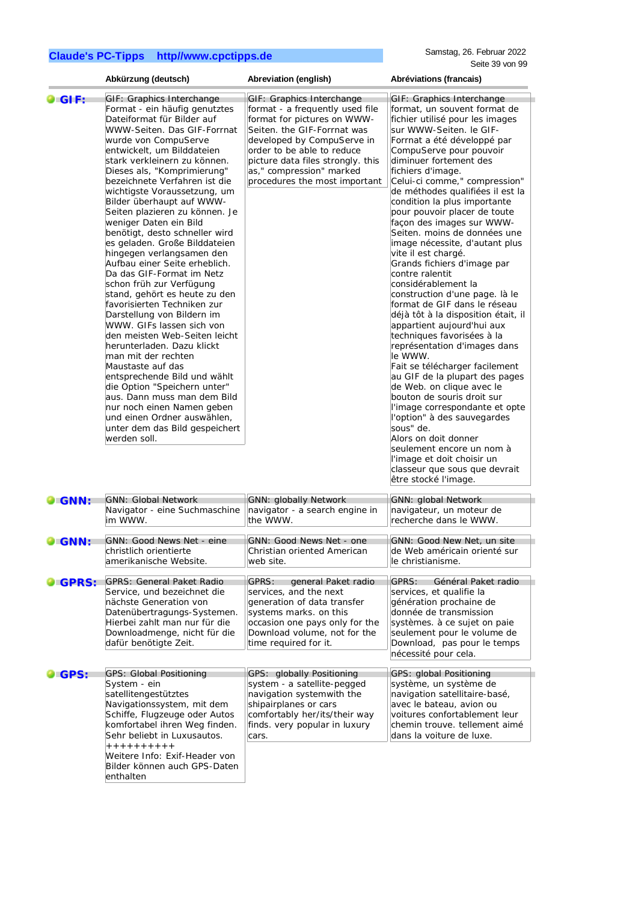enthalten

|                     | Abkürzung (deutsch)                                                                                                                                                                                                                                                                                                                                                                                                                                                                                                                                                                                                                                                                                                                                                                                                                                                                                                                                                                                                                                  | Abreviation (english)                                                                                                                                                                                                                                                                    | Abréviations (francais)                                                                                                                                                                                                                                                                                                                                                                                                                                                                                                                                                                                                                                                                                                                                                                                                                                                                                                                                                                                                                                                                                                                       |
|---------------------|------------------------------------------------------------------------------------------------------------------------------------------------------------------------------------------------------------------------------------------------------------------------------------------------------------------------------------------------------------------------------------------------------------------------------------------------------------------------------------------------------------------------------------------------------------------------------------------------------------------------------------------------------------------------------------------------------------------------------------------------------------------------------------------------------------------------------------------------------------------------------------------------------------------------------------------------------------------------------------------------------------------------------------------------------|------------------------------------------------------------------------------------------------------------------------------------------------------------------------------------------------------------------------------------------------------------------------------------------|-----------------------------------------------------------------------------------------------------------------------------------------------------------------------------------------------------------------------------------------------------------------------------------------------------------------------------------------------------------------------------------------------------------------------------------------------------------------------------------------------------------------------------------------------------------------------------------------------------------------------------------------------------------------------------------------------------------------------------------------------------------------------------------------------------------------------------------------------------------------------------------------------------------------------------------------------------------------------------------------------------------------------------------------------------------------------------------------------------------------------------------------------|
| $\bullet$ GIF:      | GIF: Graphics Interchange<br>Format - ein häufig genutztes<br>Dateiformat für Bilder auf<br>WWW-Seiten. Das GIF-Forrnat<br>wurde von CompuServe<br>entwickelt, um Bilddateien<br>stark verkleinern zu können.<br>Dieses als, "Komprimierung"<br>bezeichnete Verfahren ist die<br>wichtigste Voraussetzung, um<br>Bilder überhaupt auf WWW-<br>Seiten plazieren zu können. Je<br>weniger Daten ein Bild<br>benötigt, desto schneller wird<br>es geladen. Große Bilddateien<br>hingegen verlangsamen den<br>Aufbau einer Seite erheblich.<br>Da das GIF-Format im Netz<br>schon früh zur Verfügung<br>stand, gehört es heute zu den<br>favorisierten Techniken zur<br>Darstellung von Bildern im<br>WWW. GIFs lassen sich von<br>den meisten Web-Seiten leicht<br>herunterladen. Dazu klickt<br>man mit der rechten<br>Maustaste auf das<br>entsprechende Bild und wählt<br>die Option "Speichern unter"<br>aus. Dann muss man dem Bild<br>nur noch einen Namen geben<br>und einen Ordner auswählen,<br>unter dem das Bild gespeichert<br>werden soll. | GIF: Graphics Interchange<br>format - a frequently used file<br>format for pictures on WWW-<br>Seiten. the GIF-Forrnat was<br>developed by CompuServe in<br>order to be able to reduce<br>picture data files strongly. this<br>as," compression" marked<br>procedures the most important | GIF: Graphics Interchange<br>format, un souvent format de<br>fichier utilisé pour les images<br>sur WWW-Seiten. le GIF-<br>Forrnat a été développé par<br>CompuServe pour pouvoir<br>diminuer fortement des<br>fichiers d'image.<br>Celui-ci comme," compression"<br>de méthodes qualifiées il est la<br>condition la plus importante<br>pour pouvoir placer de toute<br>façon des images sur WWW-<br>Seiten. moins de données une<br>image nécessite, d'autant plus<br>vite il est chargé.<br>Grands fichiers d'image par<br>contre ralentit<br>considérablement la<br>construction d'une page. là le<br>format de GIF dans le réseau<br>déjà tôt à la disposition était, il<br>appartient aujourd'hui aux<br>techniques favorisées à la<br>représentation d'images dans<br>le WWW.<br>Fait se télécharger facilement<br>au GIF de la plupart des pages<br>de Web. on clique avec le<br>bouton de souris droit sur<br>l'image correspondante et opte<br>l'option" à des sauvegardes<br>sous" de.<br>Alors on doit donner<br>seulement encore un nom à<br>l'image et doit choisir un<br>classeur que sous que devrait<br>être stocké l'image. |
| <b>O</b> GNN:       | <b>GNN: Global Network</b><br>Navigator - eine Suchmaschine<br>im WWW.                                                                                                                                                                                                                                                                                                                                                                                                                                                                                                                                                                                                                                                                                                                                                                                                                                                                                                                                                                               | <b>GNN: globally Network</b><br>navigator - a search engine in<br>the WWW.                                                                                                                                                                                                               | <b>GNN: global Network</b><br>navigateur, un moteur de<br>recherche dans le WWW.                                                                                                                                                                                                                                                                                                                                                                                                                                                                                                                                                                                                                                                                                                                                                                                                                                                                                                                                                                                                                                                              |
| <b>DIGNN:</b>       | GNN: Good News Net - eine<br>christlich orientierte<br>amerikanische Website.                                                                                                                                                                                                                                                                                                                                                                                                                                                                                                                                                                                                                                                                                                                                                                                                                                                                                                                                                                        | GNN: Good News Net - one<br>Christian oriented American<br>web site.                                                                                                                                                                                                                     | GNN: Good New Net, un site<br>de Web américain orienté sur<br>le christianisme.                                                                                                                                                                                                                                                                                                                                                                                                                                                                                                                                                                                                                                                                                                                                                                                                                                                                                                                                                                                                                                                               |
| <b>O</b> GPRS:      | <b>GPRS: General Paket Radio</b><br>Service, und bezeichnet die<br>nächste Generation von<br>Datenübertragungs-Systemen.<br>Hierbei zahlt man nur für die<br>Downloadmenge, nicht für die<br>dafür benötigte Zeit.                                                                                                                                                                                                                                                                                                                                                                                                                                                                                                                                                                                                                                                                                                                                                                                                                                   | GPRS:<br>general Paket radio<br>services, and the next<br>generation of data transfer<br>systems marks. on this<br>occasion one pays only for the<br>Download volume, not for the<br>time required for it.                                                                               | GPRS:<br>Général Paket radio<br>services, et qualifie la<br>génération prochaine de<br>donnée de transmission<br>systèmes. à ce sujet on paie<br>seulement pour le volume de<br>Download, pas pour le temps<br>nécessité pour cela.                                                                                                                                                                                                                                                                                                                                                                                                                                                                                                                                                                                                                                                                                                                                                                                                                                                                                                           |
| $\blacksquare$ GPS: | <b>GPS: Global Positioning</b><br>System - ein<br>satellitengestütztes<br>Navigationssystem, mit dem<br>Schiffe, Flugzeuge oder Autos<br>komfortabel ihren Weg finden.<br>Sehr beliebt in Luxusautos.<br>++++++++++<br>Weitere Info: Exif-Header von<br>Bilder können auch GPS-Daten                                                                                                                                                                                                                                                                                                                                                                                                                                                                                                                                                                                                                                                                                                                                                                 | GPS: globally Positioning<br>system - a satellite-pegged<br>navigation systemwith the<br>shipairplanes or cars<br>comfortably her/its/their way<br>finds. very popular in luxury<br>cars.                                                                                                | GPS: global Positioning<br>système, un système de<br>navigation satellitaire-basé,<br>avec le bateau, avion ou<br>voitures confortablement leur<br>chemin trouve. tellement aimé<br>dans la voiture de luxe.                                                                                                                                                                                                                                                                                                                                                                                                                                                                                                                                                                                                                                                                                                                                                                                                                                                                                                                                  |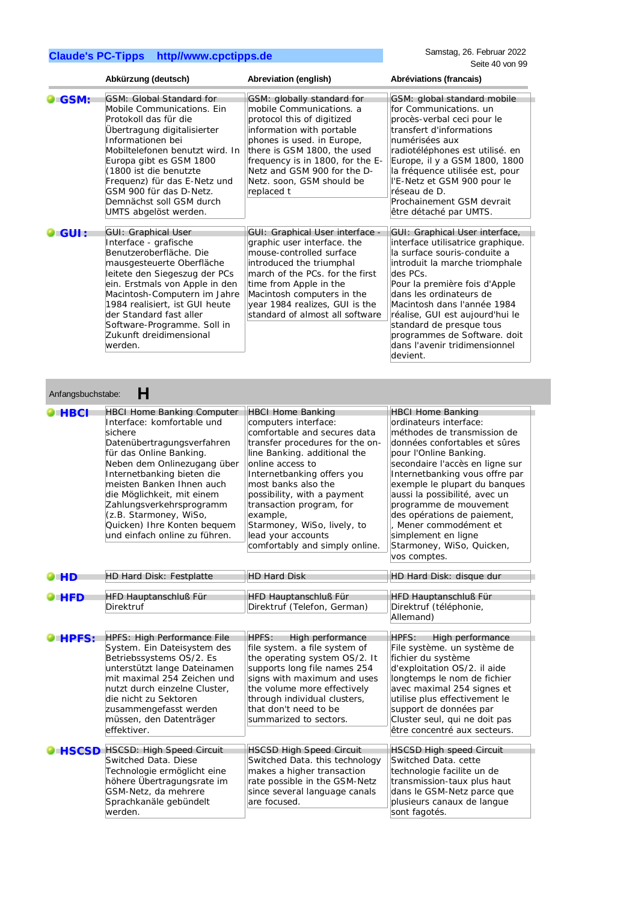|       | Abkürzung (deutsch)                                                                                                                                                                                                                                                                                                                              | Abreviation (english)                                                                                                                                                                                                                                                                        | Abréviations (francais)                                                                                                                                                                                                                                                                                                                                                                  |
|-------|--------------------------------------------------------------------------------------------------------------------------------------------------------------------------------------------------------------------------------------------------------------------------------------------------------------------------------------------------|----------------------------------------------------------------------------------------------------------------------------------------------------------------------------------------------------------------------------------------------------------------------------------------------|------------------------------------------------------------------------------------------------------------------------------------------------------------------------------------------------------------------------------------------------------------------------------------------------------------------------------------------------------------------------------------------|
| GSM:  | GSM: Global Standard for<br>Mobile Communications. Ein<br>Protokoll das für die<br>Übertragung digitalisierter<br>Informationen bei<br>Mobiltelefonen benutzt wird. In<br>Europa gibt es GSM 1800<br>(1800 ist die benutzte<br>Frequenz) für das E-Netz und<br>GSM 900 für das D-Netz.<br>Demnächst soll GSM durch<br>UMTS abgelöst werden.      | GSM: globally standard for<br>mobile Communications. a<br>protocol this of digitized<br>information with portable<br>phones is used. in Europe,<br>there is GSM 1800, the used<br>frequency is in 1800, for the E-<br>Netz and GSM 900 for the D-<br>Netz. soon, GSM should be<br>replaced t | GSM: global standard mobile<br>for Communications, un<br>procès-verbal ceci pour le<br>transfert d'informations<br>numérisées aux<br>radiotéléphones est utilisé. en<br>Europe, il y a GSM 1800, 1800<br>la fréquence utilisée est, pour<br>l'E-Netz et GSM 900 pour le<br>réseau de D.<br>Prochainement GSM devrait<br>être détaché par UMTS.                                           |
| GUI : | <b>GUI: Graphical User</b><br>Interface - grafische<br>Benutzeroberfläche. Die<br>mausgesteuerte Oberfläche<br>leitete den Siegeszug der PCs<br>ein. Erstmals von Apple in den<br>Macintosh-Computern im Jahre<br>1984 realisiert, ist GUI heute<br>der Standard fast aller<br>Software-Programme. Soll in<br>Zukunft dreidimensional<br>werden. | GUI: Graphical User interface -<br>graphic user interface. the<br>mouse-controlled surface<br>introduced the triumphal<br>march of the PCs. for the first<br>time from Apple in the<br>Macintosh computers in the<br>year 1984 realizes, GUI is the<br>standard of almost all software       | GUI: Graphical User interface,<br>interface utilisatrice graphique.<br>la surface souris-conduite a<br>introduit la marche triomphale<br>des PCs.<br>Pour la première fois d'Apple<br>dans les ordinateurs de<br>Macintosh dans l'année 1984<br>réalise, GUI est aujourd'hui le<br>standard de presque tous<br>programmes de Software. doit<br>dans l'avenir tridimensionnel<br>devient. |

| <b>HBCI</b>  | <b>HBCI Home Banking Computer</b><br>Interface: komfortable und<br>sichere<br>Datenübertragungsverfahren<br>für das Online Banking.<br>Neben dem Onlinezugang über<br>Internetbanking bieten die<br>meisten Banken Ihnen auch<br>die Möglichkeit, mit einem<br>Zahlungsverkehrsprogramm<br>(z.B. Starmoney, WiSo,<br>Quicken) Ihre Konten bequem<br>und einfach online zu führen. | <b>HBCI Home Banking</b><br>computers interface:<br>comfortable and secures data<br>transfer procedures for the on-<br>line Banking. additional the<br>online access to<br>Internetbanking offers you<br>most banks also the<br>possibility, with a payment<br>transaction program, for<br>example,<br>Starmoney, WiSo, lively, to<br>lead your accounts<br>comfortably and simply online. | <b>HBCI Home Banking</b><br>ordinateurs interface:<br>méthodes de transmission de<br>données confortables et sûres<br>pour l'Online Banking.<br>secondaire l'accès en ligne sur<br>Internetbanking vous offre par<br>exemple le plupart du banques<br>aussi la possibilité, avec un<br>programme de mouvement<br>des opérations de paiement,<br>Mener commodément et<br>simplement en ligne<br>Starmoney, WiSo, Quicken,<br>vos comptes. |
|--------------|-----------------------------------------------------------------------------------------------------------------------------------------------------------------------------------------------------------------------------------------------------------------------------------------------------------------------------------------------------------------------------------|--------------------------------------------------------------------------------------------------------------------------------------------------------------------------------------------------------------------------------------------------------------------------------------------------------------------------------------------------------------------------------------------|------------------------------------------------------------------------------------------------------------------------------------------------------------------------------------------------------------------------------------------------------------------------------------------------------------------------------------------------------------------------------------------------------------------------------------------|
| <b>PHD</b>   | HD Hard Disk: Festplatte                                                                                                                                                                                                                                                                                                                                                          | <b>HD Hard Disk</b>                                                                                                                                                                                                                                                                                                                                                                        | HD Hard Disk: disque dur                                                                                                                                                                                                                                                                                                                                                                                                                 |
| <b>HFD</b>   | HFD Hauptanschluß Für<br><b>Direktruf</b>                                                                                                                                                                                                                                                                                                                                         | HFD Hauptanschluß Für<br>Direktruf (Telefon, German)                                                                                                                                                                                                                                                                                                                                       | HFD Hauptanschluß Für<br>Direktruf (téléphonie,<br>Allemand)                                                                                                                                                                                                                                                                                                                                                                             |
| <b>HPFS:</b> | <b>HPFS: High Performance File</b><br>System. Ein Dateisystem des<br>Betriebssystems OS/2. Es<br>unterstützt lange Dateinamen<br>mit maximal 254 Zeichen und<br>nutzt durch einzelne Cluster,<br>die nicht zu Sektoren<br>zusammengefasst werden<br>müssen, den Datenträger<br>effektiver.                                                                                        | HPFS:<br>High performance<br>file system. a file system of<br>the operating system OS/2. It<br>supports long file names 254<br>signs with maximum and uses<br>the volume more effectively<br>through individual clusters,<br>that don't need to be<br>summarized to sectors.                                                                                                               | <b>HPFS:</b><br>High performance<br>File système. un système de<br>fichier du système<br>d'exploitation OS/2. il aide<br>longtemps le nom de fichier<br>avec maximal 254 signes et<br>utilise plus effectivement le<br>support de données par<br>Cluster seul, qui ne doit pas<br>être concentré aux secteurs.                                                                                                                           |
|              | <b>HSCSD</b> HSCSD: High Speed Circuit<br>Switched Data. Diese<br>Technologie ermöglicht eine<br>höhere Übertragungsrate im<br>GSM-Netz, da mehrere<br>Sprachkanäle gebündelt<br>werden.                                                                                                                                                                                          | <b>HSCSD High Speed Circuit</b><br>Switched Data. this technology<br>makes a higher transaction<br>rate possible in the GSM-Netz<br>since several language canals<br>are focused.                                                                                                                                                                                                          | <b>HSCSD High speed Circuit</b><br>Switched Data. cette<br>technologie facilite un de<br>transmission-taux plus haut<br>dans le GSM-Netz parce que<br>plusieurs canaux de langue<br>sont fagotés.                                                                                                                                                                                                                                        |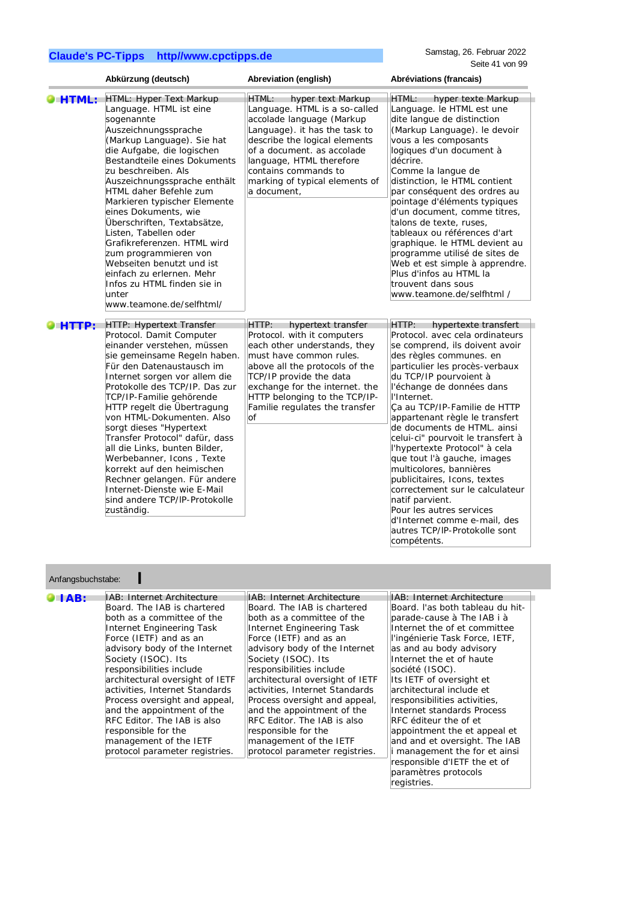Samstag, 26. Februar 2022 Seite 41 von 99

|                   | Abkürzung (deutsch)                                                                                                                                                                                                                                                                                                                                                                                                                                                                                                                                                                      | Abreviation (english)                                                                                                                                                                                                                                                                                                                                                                                                                                                                    | Abréviations (francais)                                                                                                                                                                                                                                                                                                                                                                                                                                                                                                                                                                                                                                                  |
|-------------------|------------------------------------------------------------------------------------------------------------------------------------------------------------------------------------------------------------------------------------------------------------------------------------------------------------------------------------------------------------------------------------------------------------------------------------------------------------------------------------------------------------------------------------------------------------------------------------------|------------------------------------------------------------------------------------------------------------------------------------------------------------------------------------------------------------------------------------------------------------------------------------------------------------------------------------------------------------------------------------------------------------------------------------------------------------------------------------------|--------------------------------------------------------------------------------------------------------------------------------------------------------------------------------------------------------------------------------------------------------------------------------------------------------------------------------------------------------------------------------------------------------------------------------------------------------------------------------------------------------------------------------------------------------------------------------------------------------------------------------------------------------------------------|
| <b>HTML:</b>      | HTML: Hyper Text Markup<br>Language. HTML ist eine<br>sogenannte<br>Auszeichnungssprache<br>(Markup Language). Sie hat<br>die Aufgabe, die logischen<br>Bestandteile eines Dokuments<br>zu beschreiben. Als<br>Auszeichnungssprache enthält<br>HTML daher Befehle zum<br>Markieren typischer Elemente<br>eines Dokuments, wie<br>Überschriften, Textabsätze,<br>Listen, Tabellen oder<br>Grafikreferenzen. HTML wird<br>zum programmieren von<br>Webseiten benutzt und ist<br>einfach zu erlernen. Mehr<br>Infos zu HTML finden sie in<br>unter<br>www.teamone.de/selfhtml/              | HTML:<br>hyper text Markup<br>Language. HTML is a so-called<br>accolade language (Markup<br>Language). it has the task to<br>describe the logical elements<br>of a document, as accolade<br>language, HTML therefore<br>contains commands to<br>marking of typical elements of<br>a document,                                                                                                                                                                                            | HTML:<br>hyper texte Markup<br>Language. le HTML est une<br>dite langue de distinction<br>(Markup Language). le devoir<br>vous a les composants<br>logiques d'un document à<br>décrire.<br>Comme la langue de<br>distinction, le HTML contient<br>par conséquent des ordres au<br>pointage d'éléments typiques<br>d'un document, comme titres,<br>talons de texte, ruses,<br>tableaux ou références d'art<br>graphique. le HTML devient au<br>programme utilisé de sites de<br>Web et est simple à apprendre.<br>Plus d'infos au HTML la<br>trouvent dans sous<br>www.teamone.de/selfhtml /                                                                              |
|                   |                                                                                                                                                                                                                                                                                                                                                                                                                                                                                                                                                                                          |                                                                                                                                                                                                                                                                                                                                                                                                                                                                                          |                                                                                                                                                                                                                                                                                                                                                                                                                                                                                                                                                                                                                                                                          |
| HTTP:             | <b>HTTP: Hypertext Transfer</b><br>Protocol. Damit Computer<br>einander verstehen, müssen<br>sie gemeinsame Regeln haben.<br>Für den Datenaustausch im<br>Internet sorgen vor allem die<br>Protokolle des TCP/IP. Das zur<br>TCP/IP-Familie gehörende<br>HTTP regelt die Übertragung<br>von HTML-Dokumenten. Also<br>sorgt dieses "Hypertext<br>Transfer Protocol" dafür, dass<br>all die Links, bunten Bilder,<br>Werbebanner, Icons, Texte<br>korrekt auf den heimischen<br>Rechner gelangen. Für andere<br>Internet-Dienste wie E-Mail<br>sind andere TCP/IP-Protokolle<br>zuständig. | HTTP:<br>hypertext transfer<br>Protocol. with it computers<br>each other understands, they<br>must have common rules.<br>above all the protocols of the<br>TCP/IP provide the data<br>exchange for the internet. the<br>HTTP belonging to the TCP/IP-<br>Familie regulates the transfer<br>lof                                                                                                                                                                                           | HTTP:<br>hypertexte transfert<br>Protocol. avec cela ordinateurs<br>se comprend, ils doivent avoir<br>des règles communes. en<br>particulier les procès-verbaux<br>du TCP/IP pourvoient à<br>l'échange de données dans<br>l'Internet.<br>Ça au TCP/IP-Familie de HTTP<br>appartenant règle le transfert<br>de documents de HTML. ainsi<br>celui-ci" pourvoit le transfert à<br>l'hypertexte Protocol" à cela<br>que tout l'à gauche, images<br>multicolores, bannières<br>publicitaires, Icons, textes<br>correctement sur le calculateur<br>natif parvient.<br>Pour les autres services<br>d'Internet comme e-mail, des<br>autres TCP/IP-Protokolle sont<br>compétents. |
|                   |                                                                                                                                                                                                                                                                                                                                                                                                                                                                                                                                                                                          |                                                                                                                                                                                                                                                                                                                                                                                                                                                                                          |                                                                                                                                                                                                                                                                                                                                                                                                                                                                                                                                                                                                                                                                          |
| Anfangsbuchstabe: |                                                                                                                                                                                                                                                                                                                                                                                                                                                                                                                                                                                          |                                                                                                                                                                                                                                                                                                                                                                                                                                                                                          |                                                                                                                                                                                                                                                                                                                                                                                                                                                                                                                                                                                                                                                                          |
| HAB:              | IAB: Internet Architecture<br>Board. The IAB is chartered<br>both as a committee of the<br>Internet Engineering Task<br>Force (IETF) and as an<br>advisory body of the Internet<br>Society (ISOC). Its<br>responsibilities include<br>architectural oversight of IETF<br>activities, Internet Standards<br>Process oversight and appeal,<br>and the appointment of the<br>RFC Editor. The IAB is also<br>responsible for the<br>management of the IETF<br>protocol parameter registries.                                                                                                 | IAB: Internet Architecture<br>Board. The IAB is chartered<br>both as a committee of the<br>Internet Engineering Task<br>Force (IETF) and as an<br>advisory body of the Internet<br>Society (ISOC). Its<br>responsibilities include<br>architectural oversight of IETF<br>activities, Internet Standards<br>Process oversight and appeal,<br>and the appointment of the<br>RFC Editor. The IAB is also<br>responsible for the<br>management of the IETF<br>protocol parameter registries. | IAB: Internet Architecture<br>Board. I'as both tableau du hit-<br>parade-cause à The IAB i à<br>Internet the of et committee<br>l'ingénierie Task Force, IETF,<br>as and au body advisory<br>Internet the et of haute<br>société (ISOC).<br>Its IETF of oversight et<br>architectural include et<br>responsibilities activities,<br>Internet standards Process<br>RFC éditeur the of et<br>appointment the et appeal et<br>and and et oversight. The IAB<br>i management the for et ainsi<br>responsible d'IETF the et of<br>paramètres protocols<br>registries.                                                                                                         |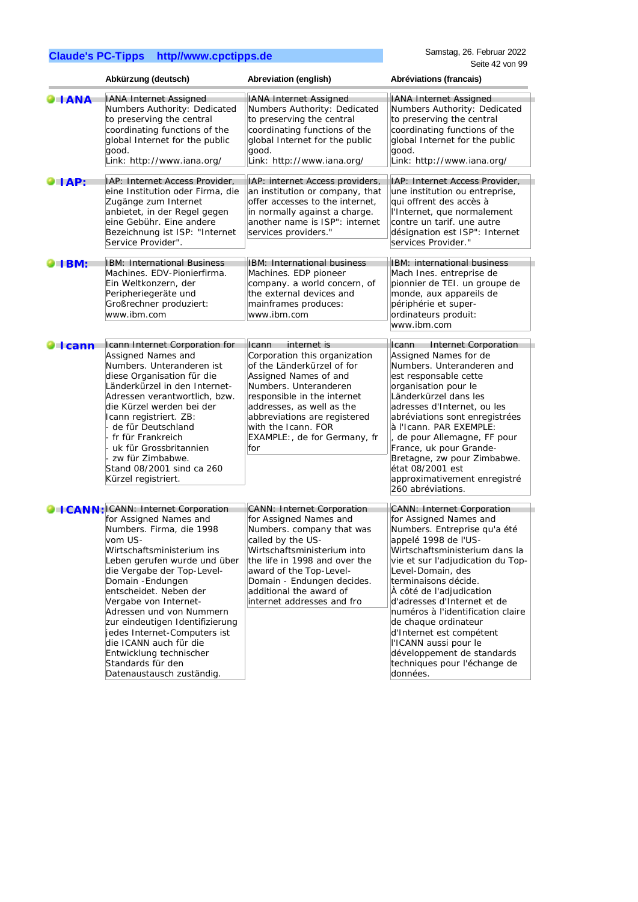|                       | Abkürzung (deutsch)                                                                                                                                                                                                                                                                                                                                                                                                                                                              | Abreviation (english)                                                                                                                                                                                                                                                                    | Abréviations (francais)                                                                                                                                                                                                                                                                                                                                                                                                                                                                        |
|-----------------------|----------------------------------------------------------------------------------------------------------------------------------------------------------------------------------------------------------------------------------------------------------------------------------------------------------------------------------------------------------------------------------------------------------------------------------------------------------------------------------|------------------------------------------------------------------------------------------------------------------------------------------------------------------------------------------------------------------------------------------------------------------------------------------|------------------------------------------------------------------------------------------------------------------------------------------------------------------------------------------------------------------------------------------------------------------------------------------------------------------------------------------------------------------------------------------------------------------------------------------------------------------------------------------------|
| <b>ANA</b>            | <b>IANA Internet Assigned</b><br>Numbers Authority: Dedicated<br>to preserving the central<br>coordinating functions of the<br>global Internet for the public<br>good.<br>Link: http://www.iana.org/                                                                                                                                                                                                                                                                             | <b>IANA Internet Assigned</b><br>Numbers Authority: Dedicated<br>to preserving the central<br>coordinating functions of the<br>global Internet for the public<br>good.<br>Link: http://www.iana.org/                                                                                     | <b>IANA Internet Assigned</b><br>Numbers Authority: Dedicated<br>to preserving the central<br>coordinating functions of the<br>global Internet for the public<br>good.<br>Link: http://www.iana.org/                                                                                                                                                                                                                                                                                           |
|                       | IAP: Internet Access Provider,                                                                                                                                                                                                                                                                                                                                                                                                                                                   |                                                                                                                                                                                                                                                                                          | IAP: Internet Access Provider,                                                                                                                                                                                                                                                                                                                                                                                                                                                                 |
| $\blacksquare$        | eine Institution oder Firma, die<br>Zugänge zum Internet<br>anbietet, in der Regel gegen<br>eine Gebühr. Eine andere<br>Bezeichnung ist ISP: "Internet<br>Service Provider".                                                                                                                                                                                                                                                                                                     | IAP: internet Access providers,<br>an institution or company, that<br>offer accesses to the internet,<br>in normally against a charge.<br>another name is ISP": internet<br>services providers."                                                                                         | une institution ou entreprise,<br>qui offrent des accès à<br>l'Internet, que normalement<br>contre un tarif. une autre<br>désignation est ISP": Internet<br>services Provider."                                                                                                                                                                                                                                                                                                                |
| <b>ELBM:</b>          | IBM: International Business                                                                                                                                                                                                                                                                                                                                                                                                                                                      | IBM: International business                                                                                                                                                                                                                                                              | IBM: international business                                                                                                                                                                                                                                                                                                                                                                                                                                                                    |
|                       | Machines. EDV-Pionierfirma.<br>Ein Weltkonzern, der<br>Peripheriegeräte und<br>Großrechner produziert:<br>www.ibm.com                                                                                                                                                                                                                                                                                                                                                            | Machines. EDP pioneer<br>company. a world concern, of<br>the external devices and<br>mainframes produces:<br>www.ibm.com                                                                                                                                                                 | Mach Ines. entreprise de<br>pionnier de TEI. un groupe de<br>monde, aux appareils de<br>périphérie et super-<br>ordinateurs produit:<br>www.ibm.com                                                                                                                                                                                                                                                                                                                                            |
| $\blacksquare$ I cann | Icann Internet Corporation for<br>Assigned Names and<br>Numbers. Unteranderen ist                                                                                                                                                                                                                                                                                                                                                                                                | Icann<br>internet is<br>Corporation this organization<br>of the Länderkürzel of for                                                                                                                                                                                                      | Icann<br><b>Internet Corporation</b><br>Assigned Names for de<br>Numbers. Unteranderen and                                                                                                                                                                                                                                                                                                                                                                                                     |
|                       | diese Organisation für die<br>Länderkürzel in den Internet-<br>Adressen verantwortlich, bzw.<br>die Kürzel werden bei der<br>Icann registriert. ZB:<br>- de für Deutschland<br>- fr für Frankreich<br>uk für Grossbritannien<br>- zw für Zimbabwe.<br>Stand 08/2001 sind ca 260<br>Kürzel registriert.                                                                                                                                                                           | Assigned Names of and<br>Numbers. Unteranderen<br>responsible in the internet<br>addresses, as well as the<br>abbreviations are registered<br>with the Icann. FOR<br>EXAMPLE:, de for Germany, fr<br>for                                                                                 | est responsable cette<br>organisation pour le<br>Länderkürzel dans les<br>adresses d'Internet, ou les<br>abréviations sont enregistrées<br>à l'Icann. PAR EXEMPLE:<br>, de pour Allemagne, FF pour<br>France, uk pour Grande-<br>Bretagne, zw pour Zimbabwe.<br>état 08/2001 est<br>approximativement enregistré                                                                                                                                                                               |
|                       |                                                                                                                                                                                                                                                                                                                                                                                                                                                                                  |                                                                                                                                                                                                                                                                                          | 260 abréviations.                                                                                                                                                                                                                                                                                                                                                                                                                                                                              |
|                       | C   CANN: ICANN: Internet Corporation<br>for Assigned Names and<br>Numbers. Firma, die 1998<br>vom US-<br>Wirtschaftsministerium ins<br>Leben gerufen wurde und über<br>die Vergabe der Top-Level-<br>Domain - Endungen<br>entscheidet. Neben der<br>Vergabe von Internet-<br>Adressen und von Nummern<br>zur eindeutigen Identifizierung<br>jedes Internet-Computers ist<br>die ICANN auch für die<br>Entwicklung technischer<br>Standards für den<br>Datenaustausch zuständig. | CANN: Internet Corporation<br>for Assigned Names and<br>Numbers. company that was<br>called by the US-<br>Wirtschaftsministerium into<br>the life in 1998 and over the<br>award of the Top-Level-<br>Domain - Endungen decides.<br>additional the award of<br>internet addresses and fro | <b>CANN: Internet Corporation</b><br>for Assigned Names and<br>Numbers. Entreprise qu'a été<br>appelé 1998 de l'US-<br>Wirtschaftsministerium dans la<br>vie et sur l'adjudication du Top-<br>Level-Domain, des<br>terminaisons décide.<br>À côté de l'adjudication<br>d'adresses d'Internet et de<br>numéros à l'identification claire<br>de chaque ordinateur<br>d'Internet est compétent<br>l'ICANN aussi pour le<br>développement de standards<br>techniques pour l'échange de<br>données. |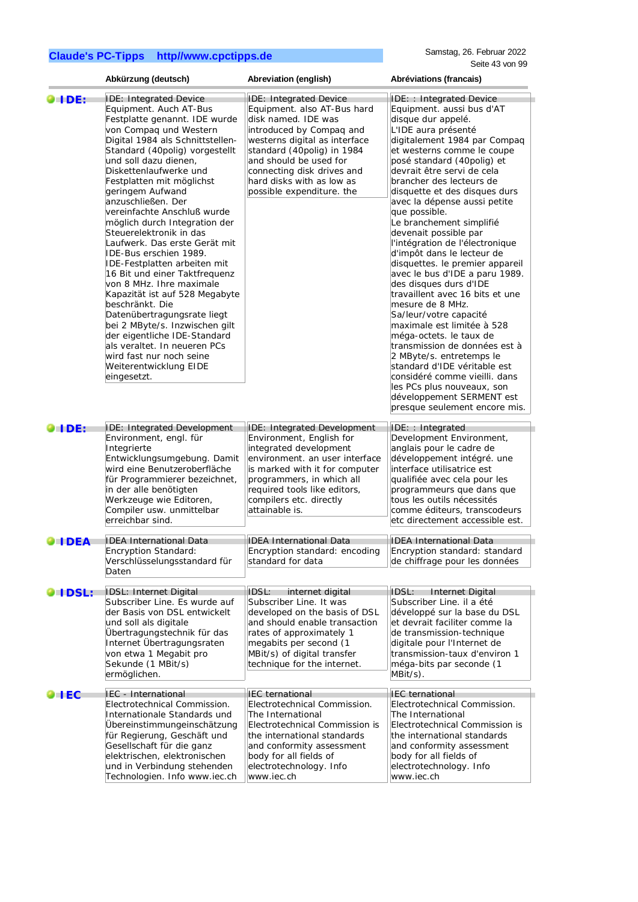|                      | Abkürzung (deutsch)                                                                                                                                                                                                                                                                                                                                                                                                                                                                                                                                                                                                                                                                                                                                                                                                              | Abreviation (english)                                                                                                                                                                                                                                                                            | Abréviations (francais)                                                                                                                                                                                                                                                                                                                                                                                                                                                                                                                                                                                                                                                                                                                                                                                                                                                                                                             |
|----------------------|----------------------------------------------------------------------------------------------------------------------------------------------------------------------------------------------------------------------------------------------------------------------------------------------------------------------------------------------------------------------------------------------------------------------------------------------------------------------------------------------------------------------------------------------------------------------------------------------------------------------------------------------------------------------------------------------------------------------------------------------------------------------------------------------------------------------------------|--------------------------------------------------------------------------------------------------------------------------------------------------------------------------------------------------------------------------------------------------------------------------------------------------|-------------------------------------------------------------------------------------------------------------------------------------------------------------------------------------------------------------------------------------------------------------------------------------------------------------------------------------------------------------------------------------------------------------------------------------------------------------------------------------------------------------------------------------------------------------------------------------------------------------------------------------------------------------------------------------------------------------------------------------------------------------------------------------------------------------------------------------------------------------------------------------------------------------------------------------|
| $\bullet$ ide:       | <b>IDE: Integrated Device</b><br>Equipment. Auch AT-Bus<br>Festplatte genannt. IDE wurde<br>von Compaq und Western<br>Digital 1984 als Schnittstellen-<br>Standard (40polig) vorgestellt<br>und soll dazu dienen,<br>Diskettenlaufwerke und<br>Festplatten mit möglichst<br>geringem Aufwand<br>anzuschließen. Der<br>vereinfachte Anschluß wurde<br>möglich durch Integration der<br>Steuerelektronik in das<br>Laufwerk. Das erste Gerät mit<br>IDE-Bus erschien 1989.<br>IDE-Festplatten arbeiten mit<br>16 Bit und einer Taktfrequenz<br>von 8 MHz. Ihre maximale<br>Kapazität ist auf 528 Megabyte<br>beschränkt. Die<br>Datenübertragungsrate liegt<br>bei 2 MByte/s. Inzwischen gilt<br>der eigentliche IDE-Standard<br>als veraltet. In neueren PCs<br>wird fast nur noch seine<br>Weiterentwicklung EIDE<br>eingesetzt. | <b>IDE: Integrated Device</b><br>Equipment. also AT-Bus hard<br>disk named. IDE was<br>introduced by Compaq and<br>westerns digital as interface<br>standard (40polig) in 1984<br>and should be used for<br>connecting disk drives and<br>hard disks with as low as<br>possible expenditure. the | IDE: : Integrated Device<br>Equipment. aussi bus d'AT<br>disque dur appelé.<br>L'IDE aura présenté<br>digitalement 1984 par Compaq<br>et westerns comme le coupe<br>posé standard (40polig) et<br>devrait être servi de cela<br>brancher des lecteurs de<br>disquette et des disques durs<br>avec la dépense aussi petite<br>que possible.<br>Le branchement simplifié<br>devenait possible par<br>l'intégration de l'électronique<br>d'impôt dans le lecteur de<br>disquettes. le premier appareil<br>avec le bus d'IDE a paru 1989.<br>des disques durs d'IDE<br>travaillent avec 16 bits et une<br>mesure de 8 MHz.<br>Sa/leur/votre capacité<br>maximale est limitée à 528<br>méga-octets. le taux de<br>transmission de données est à<br>2 MByte/s. entretemps le<br>standard d'IDE véritable est<br>considéré comme vieilli. dans<br>les PCs plus nouveaux, son<br>développement SERMENT est<br>presque seulement encore mis. |
| <b>OHDE:</b>         | IDE: Integrated Development<br>Environment, engl. für<br>Integrierte<br>Entwicklungsumgebung. Damit<br>wird eine Benutzeroberfläche<br>für Programmierer bezeichnet,<br>in der alle benötigten<br>Werkzeuge wie Editoren,<br>Compiler usw. unmittelbar<br>erreichbar sind.                                                                                                                                                                                                                                                                                                                                                                                                                                                                                                                                                       | <b>IDE: Integrated Development</b><br>Environment, English for<br>integrated development<br>environment. an user interface<br>is marked with it for computer<br>programmers, in which all<br>required tools like editors,<br>compilers etc. directly<br>attainable is.                           | IDE: : Integrated<br>Development Environment,<br>anglais pour le cadre de<br>développement intégré. une<br>interface utilisatrice est<br>qualifiée avec cela pour les<br>programmeurs que dans que<br>tous les outils nécessités<br>comme éditeurs, transcodeurs<br>etc directement accessible est.                                                                                                                                                                                                                                                                                                                                                                                                                                                                                                                                                                                                                                 |
| $\blacksquare$ I DEA | IDEA International Data<br>Encryption Standard:<br>Verschlüsselungsstandard für<br>Daten                                                                                                                                                                                                                                                                                                                                                                                                                                                                                                                                                                                                                                                                                                                                         | <b>IDEA International Data</b><br>Encryption standard: encoding<br>standard for data                                                                                                                                                                                                             | <b>IDEA International Data</b><br>Encryption standard: standard<br>de chiffrage pour les données                                                                                                                                                                                                                                                                                                                                                                                                                                                                                                                                                                                                                                                                                                                                                                                                                                    |
| <b>O</b> I DSL:      | IDSL: Internet Digital<br>Subscriber Line. Es wurde auf<br>der Basis von DSL entwickelt<br>und soll als digitale<br>Übertragungstechnik für das<br>Internet Übertragungsraten<br>von etwa 1 Megabit pro<br>Sekunde (1 MBit/s)<br>ermöglichen.                                                                                                                                                                                                                                                                                                                                                                                                                                                                                                                                                                                    | IDSL: internet digital<br>Subscriber Line. It was<br>developed on the basis of DSL<br>and should enable transaction<br>rates of approximately 1<br>megabits per second (1<br>MBit/s) of digital transfer<br>technique for the internet.                                                          | IDSL:<br>Internet Digital<br>Subscriber Line. il a été<br>développé sur la base du DSL<br>et devrait faciliter comme la<br>de transmission-technique<br>digitale pour l'Internet de<br>transmission-taux d'environ 1<br>méga-bits par seconde (1<br>MBit/s).                                                                                                                                                                                                                                                                                                                                                                                                                                                                                                                                                                                                                                                                        |
| $\bullet$ TEC        | IEC - International<br>Electrotechnical Commission.<br>Internationale Standards und<br>Übereinstimmungeinschätzung<br>für Regierung, Geschäft und<br>Gesellschaft für die ganz<br>elektrischen, elektronischen<br>und in Verbindung stehenden<br>Technologien. Info www.iec.ch                                                                                                                                                                                                                                                                                                                                                                                                                                                                                                                                                   | <b>IEC</b> ternational<br>Electrotechnical Commission.<br>The International<br>Electrotechnical Commission is<br>the international standards<br>and conformity assessment<br>body for all fields of<br>electrotechnology. Info<br>www.iec.ch                                                     | <b>IEC</b> ternational<br>Electrotechnical Commission.<br>The International<br>Electrotechnical Commission is<br>the international standards<br>and conformity assessment<br>body for all fields of<br>electrotechnology. Info<br>www.iec.ch                                                                                                                                                                                                                                                                                                                                                                                                                                                                                                                                                                                                                                                                                        |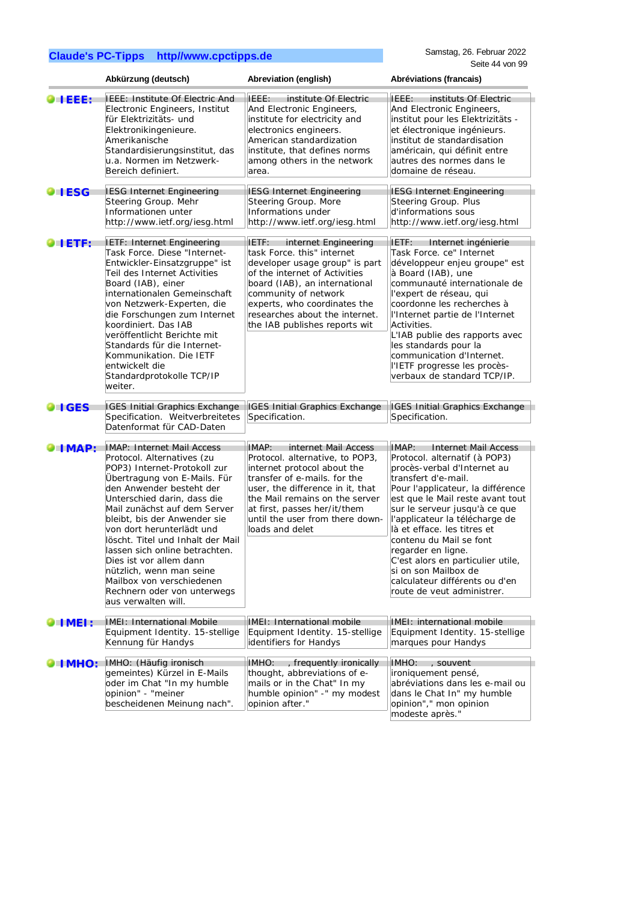|                 | Abkürzung (deutsch)                                                                                                                                                                                                                                                                                                                                                                                                                                                                               | Abreviation (english)                                                                                                                                                                                                                                                                       | Abréviations (francais)                                                                                                                                                                                                                                                                                                                                                                                                                                                              |
|-----------------|---------------------------------------------------------------------------------------------------------------------------------------------------------------------------------------------------------------------------------------------------------------------------------------------------------------------------------------------------------------------------------------------------------------------------------------------------------------------------------------------------|---------------------------------------------------------------------------------------------------------------------------------------------------------------------------------------------------------------------------------------------------------------------------------------------|--------------------------------------------------------------------------------------------------------------------------------------------------------------------------------------------------------------------------------------------------------------------------------------------------------------------------------------------------------------------------------------------------------------------------------------------------------------------------------------|
| <b>TEEE:</b>    | IEEE: Institute Of Electric And<br>Electronic Engineers, Institut<br>für Elektrizitäts- und<br>Elektronikingenieure.<br>Amerikanische<br>Standardisierungsinstitut, das<br>u.a. Normen im Netzwerk-<br>Bereich definiert.                                                                                                                                                                                                                                                                         | IEEE:<br>institute Of Electric<br>And Electronic Engineers,<br>institute for electricity and<br>electronics engineers.<br>American standardization<br>institute, that defines norms<br>among others in the network<br>area.                                                                 | instituts Of Electric<br>IFFF:<br>And Electronic Engineers,<br>institut pour les Elektrizitäts -<br>et électronique ingénieurs.<br>institut de standardisation<br>américain, qui définit entre<br>autres des normes dans le<br>domaine de réseau.                                                                                                                                                                                                                                    |
| <b>O</b> I ESG  | <b>IESG Internet Engineering</b><br>Steering Group. Mehr<br>Informationen unter<br>http://www.ietf.org/iesg.html                                                                                                                                                                                                                                                                                                                                                                                  | <b>IESG Internet Engineering</b><br>Steering Group. More<br>Informations under<br>http://www.ietf.org/iesg.html                                                                                                                                                                             | <b>IESG Internet Engineering</b><br>Steering Group. Plus<br>d'informations sous<br>http://www.ietf.org/iesg.html                                                                                                                                                                                                                                                                                                                                                                     |
| O LETF:         | IETF: Internet Engineering<br>Task Force. Diese "Internet-<br>Entwickler-Einsatzgruppe" ist<br>Teil des Internet Activities<br>Board (IAB), einer<br>internationalen Gemeinschaft<br>von Netzwerk-Experten, die<br>die Forschungen zum Internet<br>koordiniert. Das IAB<br>veröffentlicht Berichte mit<br>Standards für die Internet-<br>Kommunikation. Die IETF<br>entwickelt die<br>Standardprotokolle TCP/IP<br>weiter.                                                                        | IETF:<br>internet Engineering<br>task Force. this" internet<br>developer usage group" is part<br>of the internet of Activities<br>board (IAB), an international<br>community of network<br>experts, who coordinates the<br>researches about the internet.<br>the IAB publishes reports wit  | IETF:<br>Internet ingénierie<br>Task Force. ce" Internet<br>développeur enjeu groupe" est<br>à Board (IAB), une<br>communauté internationale de<br>l'expert de réseau, qui<br>coordonne les recherches à<br>l'Internet partie de l'Internet<br>Activities.<br>L'IAB publie des rapports avec<br>les standards pour la<br>communication d'Internet.<br>l'IETF progresse les procès-<br>verbaux de standard TCP/IP.                                                                    |
| <b>OIIGES</b>   | <b>IGES Initial Graphics Exchange</b><br>Specification. Weitverbreitetes<br>Datenformat für CAD-Daten                                                                                                                                                                                                                                                                                                                                                                                             | <b>IGES Initial Graphics Exchange</b><br>Specification.                                                                                                                                                                                                                                     | IGES Initial Graphics Exchange<br>Specification.                                                                                                                                                                                                                                                                                                                                                                                                                                     |
| <b>IMAP:</b>    | IMAP: Internet Mail Access<br>Protocol. Alternatives (zu<br>POP3) Internet-Protokoll zur<br>Übertragung von E-Mails. Für<br>den Anwender besteht der<br>Unterschied darin, dass die<br>Mail zunächst auf dem Server<br>bleibt, bis der Anwender sie<br>von dort herunterlädt und<br>löscht. Titel und Inhalt der Mail<br>lassen sich online betrachten.<br>Dies ist vor allem dann<br>nützlich, wenn man seine<br>Mailbox von verschiedenen<br>Rechnern oder von unterwegs<br>aus verwalten will. | IMAP:<br>internet Mail Access<br>Protocol. alternative, to POP3,<br>internet protocol about the<br>transfer of e-mails. for the<br>user, the difference in it, that<br>the Mail remains on the server<br>at first, passes her/it/them<br>until the user from there down-<br>loads and delet | <b>Internet Mail Access</b><br>IMAP:<br>Protocol. alternatif (à POP3)<br>procès-verbal d'Internet au<br>transfert d'e-mail.<br>Pour l'applicateur, la différence<br>est que le Mail reste avant tout<br>sur le serveur jusqu'à ce que<br>l'applicateur la télécharge de<br>là et efface. les titres et<br>contenu du Mail se font<br>regarder en ligne.<br>C'est alors en particulier utile,<br>si on son Mailbox de<br>calculateur différents ou d'en<br>route de veut administrer. |
| $\bullet$ IMEL: | IMEI: International Mobile<br>Equipment Identity. 15-stellige<br>Kennung für Handys                                                                                                                                                                                                                                                                                                                                                                                                               | IMEI: International mobile<br>Equipment Identity. 15-stellige<br>identifiers for Handys                                                                                                                                                                                                     | IMEI: international mobile<br>Equipment Identity. 15-stellige<br>marques pour Handys                                                                                                                                                                                                                                                                                                                                                                                                 |
| <b>IMHO:</b>    | IMHO: (Häufig ironisch<br>gemeintes) Kürzel in E-Mails<br>oder im Chat "In my humble<br>opinion" - "meiner<br>bescheidenen Meinung nach".                                                                                                                                                                                                                                                                                                                                                         | IMHO: , frequently ironically<br>thought, abbreviations of e-<br>mails or in the Chat" In my<br>humble opinion" -" my modest<br>opinion after."                                                                                                                                             | IMHO: , souvent<br>ironiquement pensé,<br>abréviations dans les e-mail ou<br>dans le Chat In" my humble<br>opinion"," mon opinion<br>modeste après."                                                                                                                                                                                                                                                                                                                                 |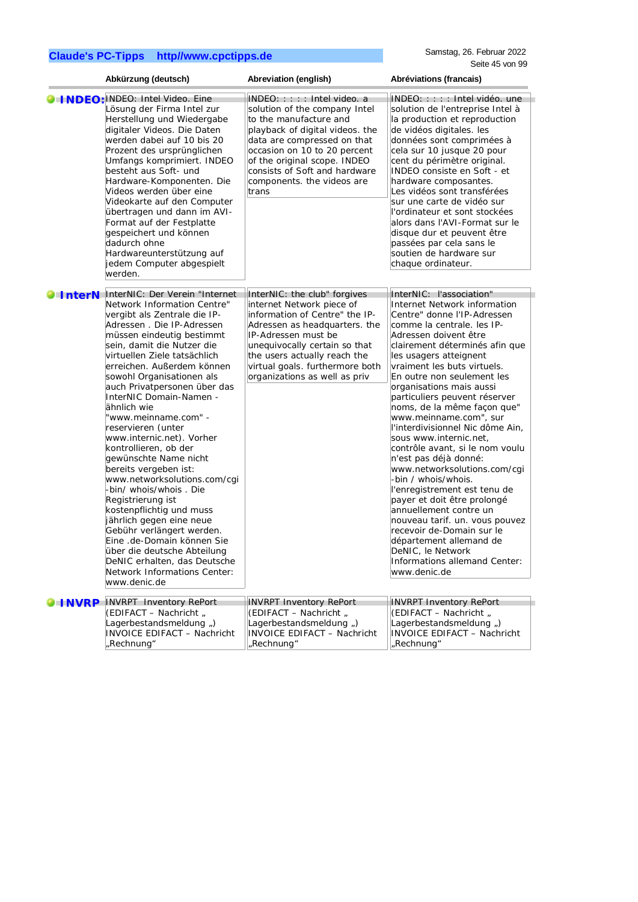|                       | Abkürzung (deutsch)                                                                                                                                                                                                                                                                                                                                                                                                                                                                                                                                                                                                                                                                                                                                                                                                                 | Abreviation (english)                                                                                                                                                                                                                                                                              | Abréviations (francais)                                                                                                                                                                                                                                                                                                                                                                                                                                                                                                                                                                                                                                                                                                                                                                                                                 |
|-----------------------|-------------------------------------------------------------------------------------------------------------------------------------------------------------------------------------------------------------------------------------------------------------------------------------------------------------------------------------------------------------------------------------------------------------------------------------------------------------------------------------------------------------------------------------------------------------------------------------------------------------------------------------------------------------------------------------------------------------------------------------------------------------------------------------------------------------------------------------|----------------------------------------------------------------------------------------------------------------------------------------------------------------------------------------------------------------------------------------------------------------------------------------------------|-----------------------------------------------------------------------------------------------------------------------------------------------------------------------------------------------------------------------------------------------------------------------------------------------------------------------------------------------------------------------------------------------------------------------------------------------------------------------------------------------------------------------------------------------------------------------------------------------------------------------------------------------------------------------------------------------------------------------------------------------------------------------------------------------------------------------------------------|
|                       | <b>O INDEO: INDEO:</b> Intel Video. Eine<br>Lösung der Firma Intel zur<br>Herstellung und Wiedergabe<br>digitaler Videos. Die Daten<br>werden dabei auf 10 bis 20<br>Prozent des ursprünglichen<br>Umfangs komprimiert. INDEO<br>besteht aus Soft- und<br>Hardware-Komponenten. Die<br>Videos werden über eine<br>Videokarte auf den Computer<br>übertragen und dann im AVI-<br>Format auf der Festplatte<br>gespeichert und können<br>dadurch ohne<br>Hardwareunterstützung auf<br>jedem Computer abgespielt<br>werden.                                                                                                                                                                                                                                                                                                            | INDEO: : : : : Intel video. a<br>solution of the company Intel<br>to the manufacture and<br>playback of digital videos. the<br>data are compressed on that<br>occasion on 10 to 20 percent<br>of the original scope. INDEO<br>consists of Soft and hardware<br>components. the videos are<br>trans | INDEO: : : : : Intel vidéo, une<br>solution de l'entreprise Intel à<br>la production et reproduction<br>de vidéos digitales. les<br>données sont comprimées à<br>cela sur 10 jusque 20 pour<br>cent du périmètre original.<br>INDEO consiste en Soft - et<br>hardware composantes.<br>Les vidéos sont transférées<br>sur une carte de vidéo sur<br>l'ordinateur et sont stockées<br>alors dans l'AVI-Format sur le<br>disque dur et peuvent être<br>passées par cela sans le<br>soutien de hardware sur<br>chaque ordinateur.                                                                                                                                                                                                                                                                                                           |
| $\blacksquare$ InterN | InterNIC: Der Verein "Internet<br>Network Information Centre"<br>vergibt als Zentrale die IP-<br>Adressen . Die IP-Adressen<br>müssen eindeutig bestimmt<br>sein, damit die Nutzer die<br>virtuellen Ziele tatsächlich<br>erreichen. Außerdem können<br>sowohl Organisationen als<br>auch Privatpersonen über das<br>InterNIC Domain-Namen -<br>ähnlich wie<br>"www.meinname.com" -<br>reservieren (unter<br>www.internic.net). Vorher<br>kontrollieren, ob der<br>gewünschte Name nicht<br>bereits vergeben ist:<br>www.networksolutions.com/cgi<br>-bin/ whois/whois . Die<br>Registrierung ist<br>kostenpflichtig und muss<br>jährlich gegen eine neue<br>Gebühr verlängert werden.<br>Eine .de-Domain können Sie<br>über die deutsche Abteilung<br>DeNIC erhalten, das Deutsche<br>Network Informations Center:<br>www.denic.de | InterNIC: the club" forgives<br>internet Network piece of<br>information of Centre" the IP-<br>Adressen as headquarters. the<br>IP-Adressen must be<br>unequivocally certain so that<br>the users actually reach the<br>virtual goals. furthermore both<br>organizations as well as priv           | InterNIC: l'association"<br>Internet Network information<br>Centre" donne l'IP-Adressen<br>comme la centrale. les IP-<br>Adressen doivent être<br>clairement déterminés afin que<br>les usagers atteignent<br>vraiment les buts virtuels.<br>En outre non seulement les<br>organisations mais aussi<br>particuliers peuvent réserver<br>noms, de la même façon que"<br>www.meinname.com", sur<br>l'interdivisionnel Nic dôme Ain,<br>sous www.internic.net,<br>contrôle avant, si le nom voulu<br>n'est pas déjà donné:<br>www.networksolutions.com/cgi<br>-bin / whois/whois.<br>l'enregistrement est tenu de<br>payer et doit être prolongé<br>annuellement contre un<br>nouveau tarif. un. vous pouvez<br>recevoir de-Domain sur le<br>département allemand de<br>DeNIC. le Network<br>Informations allemand Center:<br>www.denic.de |
| <b>HNVRP</b>          | <b>INVRPT</b> Inventory RePort<br>(EDIFACT - Nachricht,<br>Lagerbestandsmeldung,)<br><b>INVOICE EDIFACT - Nachricht</b><br>"Rechnung"                                                                                                                                                                                                                                                                                                                                                                                                                                                                                                                                                                                                                                                                                               | <b>INVRPT Inventory RePort</b><br>(EDIFACT - Nachricht,<br>Lagerbestandsmeldung,)<br><b>INVOICE EDIFACT - Nachricht</b><br>"Rechnung"                                                                                                                                                              | <b>INVRPT Inventory RePort</b><br>(EDIFACT - Nachricht,<br>Lagerbestandsmeldung,)<br>INVOICE EDIFACT - Nachricht<br>"Rechnung"                                                                                                                                                                                                                                                                                                                                                                                                                                                                                                                                                                                                                                                                                                          |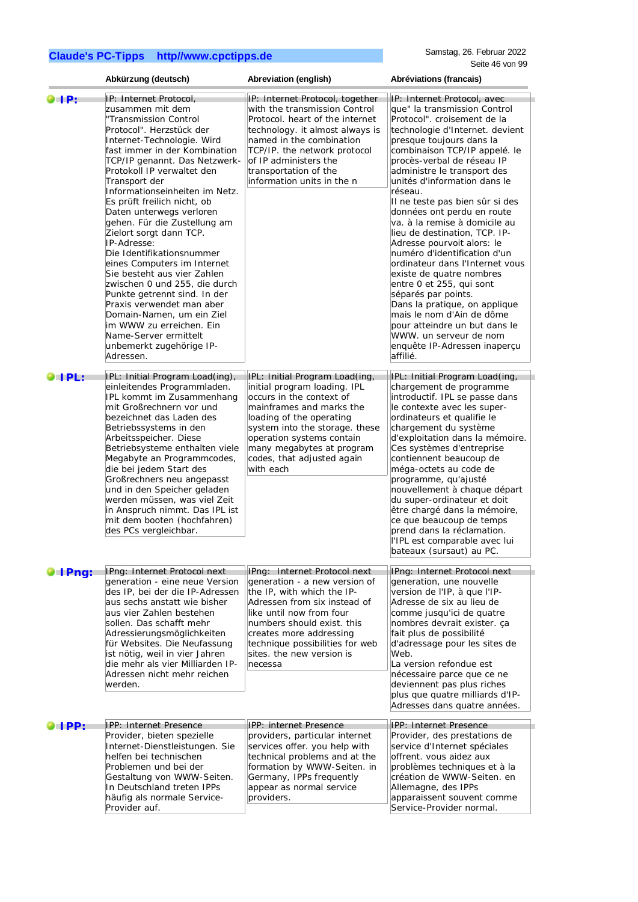|                       | Abkürzung (deutsch)                                                                                                                                                                                                                                                                                                                                                                                                                                                                                                                                                                                                                                                                                                                       | Abreviation (english)                                                                                                                                                                                                                                                                       | Abréviations (francais)                                                                                                                                                                                                                                                                                                                                                                                                                                                                                                                                                                                                                                                                                                                                                                    |
|-----------------------|-------------------------------------------------------------------------------------------------------------------------------------------------------------------------------------------------------------------------------------------------------------------------------------------------------------------------------------------------------------------------------------------------------------------------------------------------------------------------------------------------------------------------------------------------------------------------------------------------------------------------------------------------------------------------------------------------------------------------------------------|---------------------------------------------------------------------------------------------------------------------------------------------------------------------------------------------------------------------------------------------------------------------------------------------|--------------------------------------------------------------------------------------------------------------------------------------------------------------------------------------------------------------------------------------------------------------------------------------------------------------------------------------------------------------------------------------------------------------------------------------------------------------------------------------------------------------------------------------------------------------------------------------------------------------------------------------------------------------------------------------------------------------------------------------------------------------------------------------------|
| $\blacksquare$        | IP: Internet Protocol,<br>zusammen mit dem<br>"Transmission Control<br>Protocol". Herzstück der<br>Internet-Technologie. Wird<br>fast immer in der Kombination<br>TCP/IP genannt. Das Netzwerk-<br>Protokoll IP verwaltet den<br>Transport der<br>Informationseinheiten im Netz.<br>Es prüft freilich nicht, ob<br>Daten unterwegs verloren<br>gehen. Für die Zustellung am<br>Zielort sorgt dann TCP.<br>IP-Adresse:<br>Die Identifikationsnummer<br>eines Computers im Internet<br>Sie besteht aus vier Zahlen<br>zwischen 0 und 255, die durch<br>Punkte getrennt sind. In der<br>Praxis verwendet man aber<br>Domain-Namen, um ein Ziel<br>im WWW zu erreichen. Ein<br>Name-Server ermittelt<br>unbemerkt zugehörige IP-<br>Adressen. | IP: Internet Protocol, together<br>with the transmission Control<br>Protocol. heart of the internet<br>technology. it almost always is<br>named in the combination<br>TCP/IP. the network protocol<br>of IP administers the<br>transportation of the<br>information units in the n          | IP: Internet Protocol, avec<br>que" la transmission Control<br>Protocol". croisement de la<br>technologie d'Internet. devient<br>presque toujours dans la<br>combinaison TCP/IP appelé. le<br>procès-verbal de réseau IP<br>administre le transport des<br>unités d'information dans le<br>réseau.<br>Il ne teste pas bien sûr si des<br>données ont perdu en route<br>va. à la remise à domicile au<br>lieu de destination, TCP. IP-<br>Adresse pourvoit alors: le<br>numéro d'identification d'un<br>ordinateur dans l'Internet vous<br>existe de quatre nombres<br>entre 0 et 255, qui sont<br>séparés par points.<br>Dans la pratique, on applique<br>mais le nom d'Ain de dôme<br>pour atteindre un but dans le<br>WWW. un serveur de nom<br>enquête IP-Adressen inaperçu<br>affilié. |
| O I PL:               | IPL: Initial Program Load(ing),<br>einleitendes Programmladen.<br>IPL kommt im Zusammenhang<br>mit Großrechnern vor und<br>bezeichnet das Laden des<br>Betriebssystems in den<br>Arbeitsspeicher. Diese<br>Betriebsysteme enthalten viele<br>Megabyte an Programmcodes,<br>die bei jedem Start des<br>Großrechners neu angepasst<br>und in den Speicher geladen<br>werden müssen, was viel Zeit<br>in Anspruch nimmt. Das IPL ist<br>mit dem booten (hochfahren)<br>des PCs vergleichbar.                                                                                                                                                                                                                                                 | IPL: Initial Program Load(ing,<br>initial program loading. IPL<br>occurs in the context of<br>mainframes and marks the<br>loading of the operating<br>system into the storage. these<br>operation systems contain<br>many megabytes at program<br>codes, that adjusted again<br>with each   | IPL: Initial Program Load(ing,<br>chargement de programme<br>introductif. IPL se passe dans<br>le contexte avec les super-<br>ordinateurs et qualifie le<br>chargement du système<br>d'exploitation dans la mémoire.<br>Ces systèmes d'entreprise<br>contiennent beaucoup de<br>méga-octets au code de<br>programme, qu'ajusté<br>nouvellement à chaque départ<br>du super-ordinateur et doit<br>être chargé dans la mémoire,<br>ce que beaucoup de temps<br>prend dans la réclamation.<br>l'IPL est comparable avec lui<br>bateaux (sursaut) au PC.                                                                                                                                                                                                                                       |
| $\blacksquare$ I Png: | IPng: Internet Protocol next<br>generation - eine neue Version<br>des IP, bei der die IP-Adressen<br>aus sechs anstatt wie bisher<br>aus vier Zahlen bestehen<br>sollen. Das schafft mehr<br>Adressierungsmöglichkeiten<br>für Websites. Die Neufassung<br>ist nötig, weil in vier Jahren<br>die mehr als vier Milliarden IP-<br>Adressen nicht mehr reichen<br>werden.                                                                                                                                                                                                                                                                                                                                                                   | IPng: Internet Protocol next<br>generation - a new version of<br>the IP, with which the IP-<br>Adressen from six instead of<br>like until now from four<br>numbers should exist. this<br>creates more addressing<br>technique possibilities for web<br>sites. the new version is<br>necessa | IPng: Internet Protocol next<br>generation, une nouvelle<br>version de l'IP, à que l'IP-<br>Adresse de six au lieu de<br>comme jusqu'ici de quatre<br>nombres devrait exister. ca<br>fait plus de possibilité<br>d'adressage pour les sites de<br>Web.<br>La version refondue est<br>nécessaire parce que ce ne<br>deviennent pas plus riches<br>plus que quatre milliards d'IP-<br>Adresses dans quatre années.                                                                                                                                                                                                                                                                                                                                                                           |
| $\blacksquare$ PP:    | IPP: Internet Presence<br>Provider, bieten spezielle<br>Internet-Dienstleistungen. Sie<br>helfen bei technischen<br>Problemen und bei der<br>Gestaltung von WWW-Seiten.<br>In Deutschland treten IPPs<br>häufig als normale Service-<br>Provider auf.                                                                                                                                                                                                                                                                                                                                                                                                                                                                                     | IPP: internet Presence<br>providers, particular internet<br>services offer. you help with<br>technical problems and at the<br>formation by WWW-Seiten. in<br>Germany, IPPs frequently<br>appear as normal service<br>providers.                                                             | IPP: Internet Presence<br>Provider, des prestations de<br>service d'Internet spéciales<br>offrent. vous aidez aux<br>problèmes techniques et à la<br>création de WWW-Seiten. en<br>Allemagne, des IPPs<br>apparaissent souvent comme<br>Service-Provider normal.                                                                                                                                                                                                                                                                                                                                                                                                                                                                                                                           |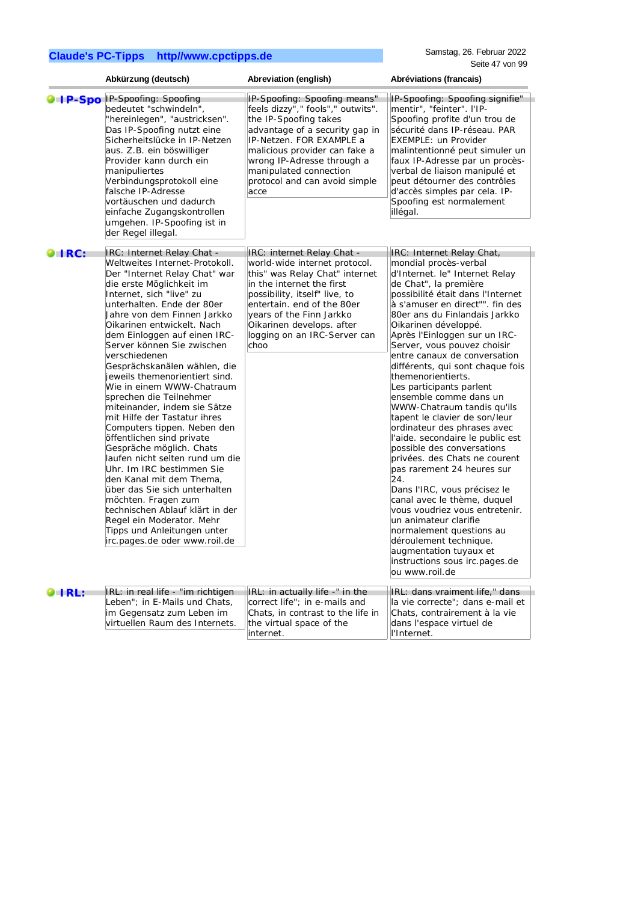Samstag, 26. Februar 2022 Seite 47 von 99

|                                                             | Abkürzung (deutsch)                                                                                                                                                                                                                                                                                                                                                                                                                                                                                                                                                                                                                                                                                                                                                                                                                                                                                   | Abreviation (english)                                                                                                                                                                                                                                                                      | Abréviations (francais)                                                                                                                                                                                                                                                                                                                                                                                                                                                                                                                                                                                                                                                                                                                                                                                                                                                                                                                                            |
|-------------------------------------------------------------|-------------------------------------------------------------------------------------------------------------------------------------------------------------------------------------------------------------------------------------------------------------------------------------------------------------------------------------------------------------------------------------------------------------------------------------------------------------------------------------------------------------------------------------------------------------------------------------------------------------------------------------------------------------------------------------------------------------------------------------------------------------------------------------------------------------------------------------------------------------------------------------------------------|--------------------------------------------------------------------------------------------------------------------------------------------------------------------------------------------------------------------------------------------------------------------------------------------|--------------------------------------------------------------------------------------------------------------------------------------------------------------------------------------------------------------------------------------------------------------------------------------------------------------------------------------------------------------------------------------------------------------------------------------------------------------------------------------------------------------------------------------------------------------------------------------------------------------------------------------------------------------------------------------------------------------------------------------------------------------------------------------------------------------------------------------------------------------------------------------------------------------------------------------------------------------------|
|                                                             | <b>OIP-SpoIP-Spoofing: Spoofing</b><br>bedeutet "schwindeln",<br>"hereinlegen", "austricksen".<br>Das IP-Spoofing nutzt eine<br>Sicherheitslücke in IP-Netzen<br>aus. Z.B. ein böswilliger<br>Provider kann durch ein<br>manipuliertes<br>Verbindungsprotokoll eine<br>falsche IP-Adresse<br>vortäuschen und dadurch<br>einfache Zugangskontrollen<br>umgehen. IP-Spoofing ist in<br>der Regel illegal.                                                                                                                                                                                                                                                                                                                                                                                                                                                                                               | IP-Spoofing: Spoofing means"<br>feels dizzy"," fools"," outwits".<br>the IP-Spoofing takes<br>advantage of a security gap in<br>IP-Netzen. FOR EXAMPLE a<br>malicious provider can fake a<br>wrong IP-Adresse through a<br>manipulated connection<br>protocol and can avoid simple<br>acce | IP-Spoofing: Spoofing signifie"<br>mentir", "feinter". I'IP-<br>Spoofing profite d'un trou de<br>sécurité dans IP-réseau. PAR<br><b>EXEMPLE: un Provider</b><br>malintentionné peut simuler un<br>faux IP-Adresse par un procès-<br>verbal de liaison manipulé et<br>peut détourner des contrôles<br>d'accès simples par cela. IP-<br>Spoofing est normalement<br>illégal.                                                                                                                                                                                                                                                                                                                                                                                                                                                                                                                                                                                         |
| $\blacksquare$ $\blacksquare$ $\blacksquare$ $\blacksquare$ | IRC: Internet Relay Chat -<br>Weltweites Internet-Protokoll.<br>Der "Internet Relay Chat" war<br>die erste Möglichkeit im<br>Internet, sich "live" zu<br>unterhalten. Ende der 80er<br>Jahre von dem Finnen Jarkko<br>Oikarinen entwickelt. Nach<br>dem Einloggen auf einen IRC-<br>Server können Sie zwischen<br>verschiedenen<br>Gesprächskanälen wählen, die<br>jeweils themenorientiert sind.<br>Wie in einem WWW-Chatraum<br>sprechen die Teilnehmer<br>miteinander, indem sie Sätze<br>mit Hilfe der Tastatur ihres<br>Computers tippen. Neben den<br>öffentlichen sind private<br>Gespräche möglich. Chats<br>laufen nicht selten rund um die<br>Uhr. Im IRC bestimmen Sie<br>den Kanal mit dem Thema,<br>über das Sie sich unterhalten<br>möchten. Fragen zum<br>technischen Ablauf klärt in der<br>Regel ein Moderator. Mehr<br>Tipps und Anleitungen unter<br>irc.pages.de oder www.roil.de | IRC: internet Relay Chat -<br>world-wide internet protocol.<br>this" was Relay Chat" internet<br>in the internet the first<br>possibility, itself" live, to<br>entertain. end of the 80er<br>years of the Finn Jarkko<br>Oikarinen develops. after<br>logging on an IRC-Server can<br>choo | IRC: Internet Relay Chat,<br>mondial procès-verbal<br>d'Internet. le" Internet Relay<br>de Chat", la première<br>possibilité était dans l'Internet<br>à s'amuser en direct"". fin des<br>80er ans du Finlandais Jarkko<br>Oikarinen développé.<br>Après l'Einloggen sur un IRC-<br>Server, vous pouvez choisir<br>entre canaux de conversation<br>différents, qui sont chaque fois<br>themenorientierts.<br>Les participants parlent<br>ensemble comme dans un<br>WWW-Chatraum tandis qu'ils<br>tapent le clavier de son/leur<br>ordinateur des phrases avec<br>l'aide. secondaire le public est<br>possible des conversations<br>privées. des Chats ne courent<br>pas rarement 24 heures sur<br>24.<br>Dans l'IRC, vous précisez le<br>canal avec le thème, duquel<br>vous voudriez vous entretenir.<br>un animateur clarifie<br>normalement questions au<br>déroulement technique.<br>augmentation tuyaux et<br>instructions sous irc.pages.de<br>ou www.roil.de |
| O IRL:                                                      | IRL: in real life - "im richtigen<br>Leben"; in E-Mails und Chats,<br>im Gegensatz zum Leben im<br>virtuellen Raum des Internets.                                                                                                                                                                                                                                                                                                                                                                                                                                                                                                                                                                                                                                                                                                                                                                     | IRL: in actually life -" in the<br>correct life"; in e-mails and<br>Chats, in contrast to the life in<br>the virtual space of the<br>internet.                                                                                                                                             | IRL: dans vraiment life," dans<br>la vie correcte"; dans e-mail et<br>Chats, contrairement à la vie<br>dans l'espace virtuel de<br>l'Internet.                                                                                                                                                                                                                                                                                                                                                                                                                                                                                                                                                                                                                                                                                                                                                                                                                     |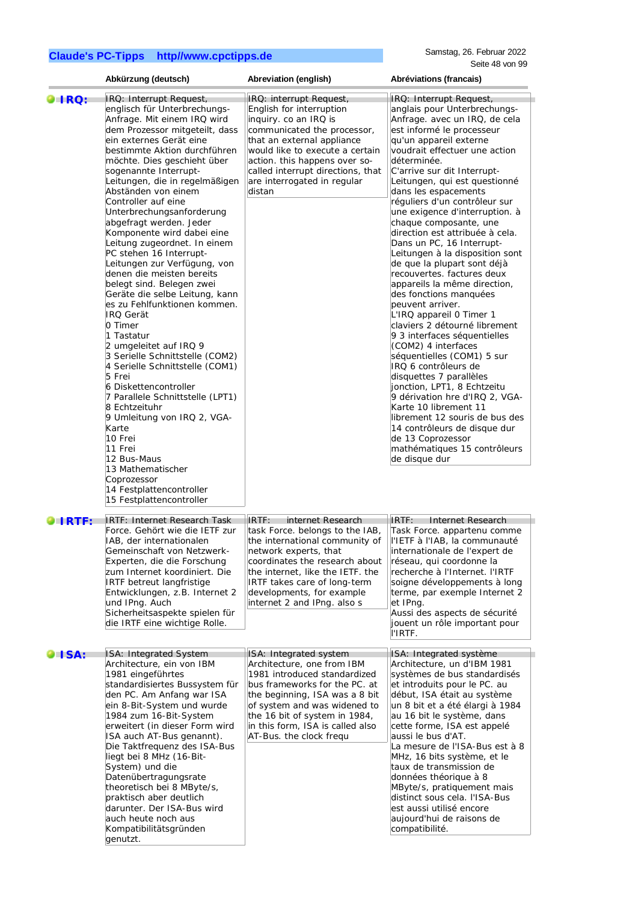|                    | Abkürzung (deutsch)                                                                                                                                                                                                                                                                                                                                                                                                                                                                                                                                                                                                                                                                                                                                                                                                                                                                                                                                                                                                                                    | Abreviation (english)                                                                                                                                                                                                                                                                       | Abréviations (francais)                                                                                                                                                                                                                                                                                                                                                                                                                                                                                                                                                                                                                                                                                                                                                                                                                                                                                                                                                                                                                                                   |
|--------------------|--------------------------------------------------------------------------------------------------------------------------------------------------------------------------------------------------------------------------------------------------------------------------------------------------------------------------------------------------------------------------------------------------------------------------------------------------------------------------------------------------------------------------------------------------------------------------------------------------------------------------------------------------------------------------------------------------------------------------------------------------------------------------------------------------------------------------------------------------------------------------------------------------------------------------------------------------------------------------------------------------------------------------------------------------------|---------------------------------------------------------------------------------------------------------------------------------------------------------------------------------------------------------------------------------------------------------------------------------------------|---------------------------------------------------------------------------------------------------------------------------------------------------------------------------------------------------------------------------------------------------------------------------------------------------------------------------------------------------------------------------------------------------------------------------------------------------------------------------------------------------------------------------------------------------------------------------------------------------------------------------------------------------------------------------------------------------------------------------------------------------------------------------------------------------------------------------------------------------------------------------------------------------------------------------------------------------------------------------------------------------------------------------------------------------------------------------|
| <b>DIRQ:</b>       | IRQ: Interrupt Request,<br>englisch für Unterbrechungs-<br>Anfrage. Mit einem IRQ wird<br>dem Prozessor mitgeteilt, dass<br>ein externes Gerät eine<br>bestimmte Aktion durchführen<br>möchte. Dies geschieht über<br>sogenannte Interrupt-<br>Leitungen, die in regelmäßigen<br>Abständen von einem<br>Controller auf eine<br>Unterbrechungsanforderung<br>abgefragt werden. Jeder<br>Komponente wird dabei eine<br>Leitung zugeordnet. In einem<br>PC stehen 16 Interrupt-<br>Leitungen zur Verfügung, von<br>denen die meisten bereits<br>belegt sind. Belegen zwei<br>Geräte die selbe Leitung, kann<br>es zu Fehlfunktionen kommen.<br><b>IRO Gerät</b><br>0 Timer<br>1 Tastatur<br>2 umgeleitet auf IRQ 9<br>3 Serielle Schnittstelle (COM2)<br>4 Serielle Schnittstelle (COM1)<br>5 Frei<br>6 Diskettencontroller<br>7 Parallele Schnittstelle (LPT1)<br>8 Echtzeituhr<br>9 Umleitung von IRQ 2, VGA-<br>Karte<br>10 Frei<br>11 Frei<br>12 Bus-Maus<br>13 Mathematischer<br>Coprozessor<br>14 Festplattencontroller<br>15 Festplattencontroller | IRQ: interrupt Request,<br>English for interruption<br>inquiry. co an IRQ is<br>communicated the processor,<br>that an external appliance<br>would like to execute a certain<br>action. this happens over so-<br>called interrupt directions, that<br>are interrogated in regular<br>distan | IRQ: Interrupt Request,<br>anglais pour Unterbrechungs-<br>Anfrage. avec un IRQ, de cela<br>est informé le processeur<br>qu'un appareil externe<br>voudrait effectuer une action<br>déterminée.<br>C'arrive sur dit Interrupt-<br>Leitungen, qui est questionné<br>dans les espacements<br>réguliers d'un contrôleur sur<br>une exigence d'interruption. à<br>chaque composante, une<br>direction est attribuée à cela.<br>Dans un PC, 16 Interrupt-<br>Leitungen à la disposition sont<br>de que la plupart sont déjà<br>recouvertes. factures deux<br>appareils la même direction,<br>des fonctions manquées<br>peuvent arriver.<br>L'IRQ appareil 0 Timer 1<br>claviers 2 détourné librement<br>9 3 interfaces séquentielles<br>(COM2) 4 interfaces<br>séquentielles (COM1) 5 sur<br>IRQ 6 contrôleurs de<br>disquettes 7 parallèles<br>jonction, LPT1, 8 Echtzeitu<br>9 dérivation hre d'IRQ 2, VGA-<br>Karte 10 librement 11<br>librement 12 souris de bus des<br>14 contrôleurs de disque dur<br>de 13 Coprozessor<br>mathématiques 15 contrôleurs<br>de disque dur |
| LIRTE:             | IRTF: Internet Research Task<br>Force. Gehört wie die IETF zur<br>IAB, der internationalen<br>Gemeinschaft von Netzwerk-<br>Experten, die die Forschung<br>zum Internet koordiniert. Die<br><b>IRTF</b> betreut langfristige<br>Entwicklungen, z.B. Internet 2<br>und IPng. Auch<br>Sicherheitsaspekte spielen für<br>die IRTF eine wichtige Rolle.                                                                                                                                                                                                                                                                                                                                                                                                                                                                                                                                                                                                                                                                                                    | internet Research<br>IRTF:<br>task Force. belongs to the IAB,<br>the international community of<br>network experts, that<br>coordinates the research about<br>the internet, like the IETF. the<br>IRTF takes care of long-term<br>developments, for example<br>internet 2 and IPng. also s  | IRTF:<br>Internet Research<br>Task Force. appartenu comme<br>ll'IETF à l'IAB, la communauté<br>linternationale de l'expert de<br>réseau, qui coordonne la<br>recherche à l'Internet. l'IRTF<br>soigne développements à long<br>terme, par exemple Internet 2<br>et IPng.<br>Aussi des aspects de sécurité<br>jouent un rôle important pour<br>l'IRTF.                                                                                                                                                                                                                                                                                                                                                                                                                                                                                                                                                                                                                                                                                                                     |
| $\blacksquare$ SA: | ISA: Integrated System<br>Architecture, ein von IBM<br>1981 eingeführtes<br>standardisiertes Bussystem für<br>den PC. Am Anfang war ISA<br>ein 8-Bit-System und wurde<br>1984 zum 16-Bit-System<br>erweitert (in dieser Form wird<br>ISA auch AT-Bus genannt).<br>Die Taktfrequenz des ISA-Bus<br>liegt bei 8 MHz (16-Bit-<br>System) und die<br>Datenübertragungsrate<br>theoretisch bei 8 MByte/s,<br>praktisch aber deutlich<br>darunter. Der ISA-Bus wird<br>auch heute noch aus<br>Kompatibilitätsgründen<br>genutzt.                                                                                                                                                                                                                                                                                                                                                                                                                                                                                                                             | ISA: Integrated system<br>Architecture, one from IBM<br>1981 introduced standardized<br>bus frameworks for the PC. at<br>the beginning, ISA was a 8 bit<br>of system and was widened to<br>the 16 bit of system in 1984,<br>in this form, ISA is called also<br>AT-Bus. the clock frequ     | ISA: Integrated système<br>Architecture, un d'IBM 1981<br>systèmes de bus standardisés<br>et introduits pour le PC. au<br>début, ISA était au système<br>un 8 bit et a été élargi à 1984<br>au 16 bit le système, dans<br>cette forme, ISA est appelé<br>aussi le bus d'AT.<br>La mesure de l'ISA-Bus est à 8<br>MHz, 16 bits système, et le<br>taux de transmission de<br>données théorique à 8<br>MByte/s, pratiquement mais<br>distinct sous cela. I'ISA-Bus<br>est aussi utilisé encore<br>aujourd'hui de raisons de<br>compatibilité.                                                                                                                                                                                                                                                                                                                                                                                                                                                                                                                                |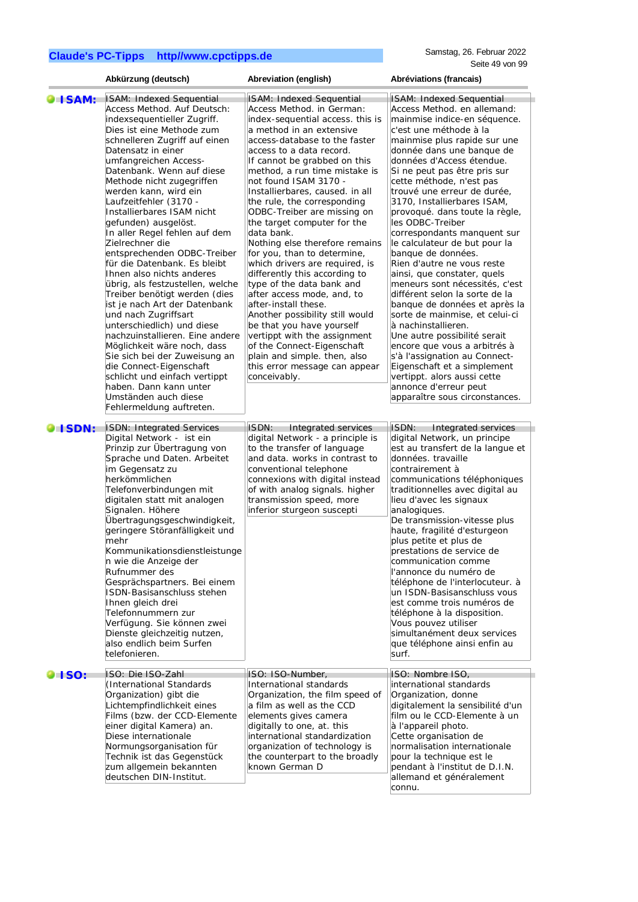|                | Abkürzung (deutsch)                                                                                                                                                                                                                                                                                                                                                                                                                                                                                                                                                                                                                                                                                                                                                                                                                                                                                                             | Abreviation (english)                                                                                                                                                                                                                                                                                                                                                                                                                                                                                                                                                                                                                                                                                                                                                                                                                                                   | Abréviations (francais)                                                                                                                                                                                                                                                                                                                                                                                                                                                                                                                                                                                                                                                                                                                                                                                                                                                                                                                |
|----------------|---------------------------------------------------------------------------------------------------------------------------------------------------------------------------------------------------------------------------------------------------------------------------------------------------------------------------------------------------------------------------------------------------------------------------------------------------------------------------------------------------------------------------------------------------------------------------------------------------------------------------------------------------------------------------------------------------------------------------------------------------------------------------------------------------------------------------------------------------------------------------------------------------------------------------------|-------------------------------------------------------------------------------------------------------------------------------------------------------------------------------------------------------------------------------------------------------------------------------------------------------------------------------------------------------------------------------------------------------------------------------------------------------------------------------------------------------------------------------------------------------------------------------------------------------------------------------------------------------------------------------------------------------------------------------------------------------------------------------------------------------------------------------------------------------------------------|----------------------------------------------------------------------------------------------------------------------------------------------------------------------------------------------------------------------------------------------------------------------------------------------------------------------------------------------------------------------------------------------------------------------------------------------------------------------------------------------------------------------------------------------------------------------------------------------------------------------------------------------------------------------------------------------------------------------------------------------------------------------------------------------------------------------------------------------------------------------------------------------------------------------------------------|
| <b>O</b> ISAM: | ISAM: Indexed Sequential<br>Access Method. Auf Deutsch:<br>indexsequentieller Zugriff.<br>Dies ist eine Methode zum<br>schnelleren Zugriff auf einen<br>Datensatz in einer<br>umfangreichen Access-<br>Datenbank. Wenn auf diese<br>Methode nicht zugegriffen<br>werden kann, wird ein<br>Laufzeitfehler (3170 -<br>Installierbares ISAM nicht<br>gefunden) ausgelöst.<br>In aller Regel fehlen auf dem<br>Zielrechner die<br>entsprechenden ODBC-Treiber<br>für die Datenbank. Es bleibt<br>Ihnen also nichts anderes<br>übrig, als festzustellen, welche<br>Treiber benötigt werden (dies<br>ist je nach Art der Datenbank<br>und nach Zugriffsart<br>unterschiedlich) und diese<br>nachzuinstallieren. Eine andere<br>Möglichkeit wäre noch, dass<br>Sie sich bei der Zuweisung an<br>die Connect-Eigenschaft<br>schlicht und einfach vertippt<br>haben. Dann kann unter<br>Umständen auch diese<br>Fehlermeldung auftreten. | <b>ISAM: Indexed Sequential</b><br>Access Method. in German:<br>index-sequential access. this is<br>a method in an extensive<br>access-database to the faster<br>access to a data record.<br>If cannot be grabbed on this<br>method, a run time mistake is<br>not found ISAM 3170 -<br>Installierbares, caused. in all<br>the rule, the corresponding<br>ODBC-Treiber are missing on<br>the target computer for the<br>data bank.<br>Nothing else therefore remains<br>for you, than to determine,<br>which drivers are required, is<br>differently this according to<br>type of the data bank and<br>after access mode, and, to<br>after-install these.<br>Another possibility still would<br>be that you have yourself<br>vertippt with the assignment<br>of the Connect-Eigenschaft<br>plain and simple. then, also<br>this error message can appear<br>conceivably. | ISAM: Indexed Sequential<br>Access Method. en allemand:<br>mainmise indice-en séquence.<br>c'est une méthode à la<br>mainmise plus rapide sur une<br>donnée dans une banque de<br>données d'Access étendue.<br>Si ne peut pas être pris sur<br>cette méthode, n'est pas<br>trouvé une erreur de durée,<br>3170, Installierbares ISAM,<br>provoqué. dans toute la règle,<br>les ODBC-Treiber<br>correspondants manquent sur<br>le calculateur de but pour la<br>banque de données.<br>Rien d'autre ne vous reste<br>ainsi, que constater, quels<br>meneurs sont nécessités, c'est<br>différent selon la sorte de la<br>banque de données et après la<br>sorte de mainmise, et celui-ci<br>à nachinstallieren.<br>Une autre possibilité serait<br>encore que vous a arbitrés à<br>s'à l'assignation au Connect-<br>Eigenschaft et a simplement<br>vertippt. alors aussi cette<br>annonce d'erreur peut<br>apparaître sous circonstances. |
| <b>O</b> ISDN: | <b>ISDN: Integrated Services</b><br>Digital Network - ist ein<br>Prinzip zur Übertragung von<br>Sprache und Daten. Arbeitet<br>im Gegensatz zu<br>herkömmlichen<br>Telefonverbindungen mit<br>digitalen statt mit analogen<br>Signalen. Höhere<br>Übertragungsgeschwindigkeit,<br>geringere Störanfälligkeit und<br>mehr<br>Kommunikationsdienstleistunge<br>n wie die Anzeige der<br>Rufnummer des<br>Gesprächspartners. Bei einem<br>ISDN-Basisanschluss stehen<br>Ihnen gleich drei<br>Telefonnummern zur<br>Verfügung. Sie können zwei<br>Dienste gleichzeitig nutzen,<br>also endlich beim Surfen<br>telefonieren.                                                                                                                                                                                                                                                                                                         | ISDN:<br>Integrated services<br>digital Network - a principle is<br>to the transfer of language<br>and data. works in contrast to<br>conventional telephone<br>connexions with digital instead<br>of with analog signals. higher<br>transmission speed, more<br>inferior sturgeon suscepti                                                                                                                                                                                                                                                                                                                                                                                                                                                                                                                                                                              | ISDN:<br>Integrated services<br>digital Network, un principe<br>est au transfert de la langue et<br>données. travaille<br>contrairement à<br>communications téléphoniques<br>traditionnelles avec digital au<br>lieu d'avec les signaux<br>analogiques.<br>De transmission-vitesse plus<br>haute, fragilité d'esturgeon<br>plus petite et plus de<br>prestations de service de<br>communication comme<br>l'annonce du numéro de<br>téléphone de l'interlocuteur. à<br>un ISDN-Basisanschluss vous<br>est comme trois numéros de<br>téléphone à la disposition.<br>Vous pouvez utiliser<br>simultanément deux services<br>que téléphone ainsi enfin au<br>surf.                                                                                                                                                                                                                                                                         |
| <b>OISO:</b>   | ISO: Die ISO-Zahl<br>(International Standards)<br>Organization) gibt die<br>Lichtempfindlichkeit eines<br>Films (bzw. der CCD-Elemente<br>einer digital Kamera) an.<br>Diese internationale<br>Normungsorganisation für<br>Technik ist das Gegenstück<br>zum allgemein bekannten<br>deutschen DIN-Institut.                                                                                                                                                                                                                                                                                                                                                                                                                                                                                                                                                                                                                     | ISO: ISO-Number,<br>International standards<br>Organization, the film speed of<br>a film as well as the CCD<br>elements gives camera<br>digitally to one, at. this<br>international standardization<br>organization of technology is<br>the counterpart to the broadly<br>known German D                                                                                                                                                                                                                                                                                                                                                                                                                                                                                                                                                                                | ISO: Nombre ISO,<br>international standards<br>Organization, donne<br>digitalement la sensibilité d'un<br>film ou le CCD-Elemente à un<br>à l'appareil photo.<br>Cette organisation de<br>normalisation internationale<br>pour la technique est le<br>pendant à l'institut de D.I.N.<br>allemand et généralement<br>connu.                                                                                                                                                                                                                                                                                                                                                                                                                                                                                                                                                                                                             |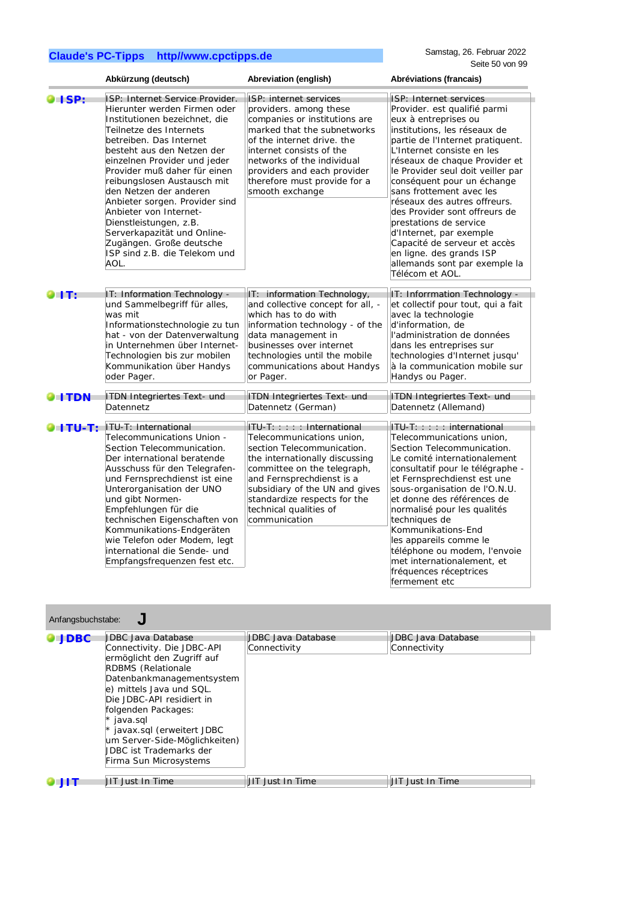|                | Abkürzung (deutsch)                                                                                                                                                                                                                                                                                                                                                                                                                                                                                     | Abreviation (english)                                                                                                                                                                                                                                                                          | Abréviations (francais)                                                                                                                                                                                                                                                                                                                                                                                                                                                                                                                                |
|----------------|---------------------------------------------------------------------------------------------------------------------------------------------------------------------------------------------------------------------------------------------------------------------------------------------------------------------------------------------------------------------------------------------------------------------------------------------------------------------------------------------------------|------------------------------------------------------------------------------------------------------------------------------------------------------------------------------------------------------------------------------------------------------------------------------------------------|--------------------------------------------------------------------------------------------------------------------------------------------------------------------------------------------------------------------------------------------------------------------------------------------------------------------------------------------------------------------------------------------------------------------------------------------------------------------------------------------------------------------------------------------------------|
| $\bullet$ ISP: | ISP: Internet Service Provider.<br>Hierunter werden Firmen oder<br>Institutionen bezeichnet, die<br>Teilnetze des Internets<br>betreiben. Das Internet<br>besteht aus den Netzen der<br>einzelnen Provider und jeder<br>Provider muß daher für einen<br>reibungslosen Austausch mit<br>den Netzen der anderen<br>Anbieter sorgen. Provider sind<br>Anbieter von Internet-<br>Dienstleistungen, z.B.<br>Serverkapazität und Online-<br>Zugängen. Große deutsche<br>ISP sind z.B. die Telekom und<br>AOL. | ISP: internet services<br>providers, among these<br>companies or institutions are<br>marked that the subnetworks<br>of the internet drive, the<br>internet consists of the<br>networks of the individual<br>providers and each provider<br>therefore must provide for a<br>smooth exchange     | ISP: Internet services<br>Provider. est qualifié parmi<br>eux à entreprises ou<br>institutions, les réseaux de<br>partie de l'Internet pratiquent.<br>L'Internet consiste en les<br>réseaux de chaque Provider et<br>le Provider seul doit veiller par<br>conséquent pour un échange<br>sans frottement avec les<br>réseaux des autres offreurs.<br>des Provider sont offreurs de<br>prestations de service<br>d'Internet, par exemple<br>Capacité de serveur et accès<br>en ligne. des grands ISP<br>allemands sont par exemple la<br>Télécom et AOL. |
| GIT:           | IT: Information Technology -<br>und Sammelbegriff für alles,<br>was mit<br>Informationstechnologie zu tun<br>hat - von der Datenverwaltung<br>in Unternehmen über Internet-<br>Technologien bis zur mobilen<br>Kommunikation über Handys<br>oder Pager.                                                                                                                                                                                                                                                 | IT: information Technology,<br>and collective concept for all, -<br>which has to do with<br>information technology - of the<br>data management in<br>businesses over internet<br>technologies until the mobile<br>communications about Handys<br>or Pager.                                     | IT: Inforrmation Technology -<br>et collectif pour tout, qui a fait<br>avec la technologie<br>d'information, de<br>l'administration de données<br>dans les entreprises sur<br>technologies d'Internet jusqu'<br>à la communication mobile sur<br>Handys ou Pager.                                                                                                                                                                                                                                                                                      |
| <b>OITDN</b>   | <b>ITDN Integriertes Text- und</b><br>Datennetz                                                                                                                                                                                                                                                                                                                                                                                                                                                         | <b>ITDN Integriertes Text- und</b><br>Datennetz <sup>(German)</sup>                                                                                                                                                                                                                            | <b>ITDN Integriertes Text- und</b><br>Datennetz (Allemand)                                                                                                                                                                                                                                                                                                                                                                                                                                                                                             |
| O I TU-T:      | ITU-T: International<br>Telecommunications Union -<br>Section Telecommunication.<br>Der international beratende<br>Ausschuss für den Telegrafen-<br>und Fernsprechdienst ist eine<br>Unterorganisation der UNO<br>und gibt Normen-<br>Empfehlungen für die<br>technischen Eigenschaften von<br>Kommunikations-Endgeräten<br>wie Telefon oder Modem, legt<br>international die Sende- und<br>Empfangsfrequenzen fest etc.                                                                                | ITU-T::::: International<br>Telecommunications union.<br>section Telecommunication.<br>the internationally discussing<br>committee on the telegraph,<br>and Fernsprechdienst is a<br>subsidiary of the UN and gives<br>standardize respects for the<br>technical qualities of<br>communication | $ITU-T: :: : :$ international<br>Telecommunications union.<br>Section Telecommunication.<br>Le comité internationalement<br>consultatif pour le télégraphe -<br>et Fernsprechdienst est une<br>sous-organisation de l'O.N.U.<br>et donne des références de<br>normalisé pour les qualités<br>techniques de<br>Kommunikations-End<br>les appareils comme le<br>téléphone ou modem, l'envoie<br>met internationalement, et<br>fréquences réceptrices                                                                                                     |

| Anfangsbuchstabe: |
|-------------------|
|-------------------|

Anfangsbuchstabe: **J**

| $\bullet$ JDBC | UDBC Java Database<br>Connectivity. Die JDBC-API<br>ermöglicht den Zugriff auf<br><b>RDBMS</b> (Relationale<br>Datenbankmanagementsystem<br>e) mittels Java und SQL.<br>Die JDBC-API residiert in<br>folgenden Packages:<br>$*$ java.sql<br>$*$ javax.sql (erweitert JDBC<br>um Server-Side-Möglichkeiten)<br><b>JDBC</b> ist Trademarks der<br>Firma Sun Microsystems | <b>JDBC Java Database</b><br>Connectivity | <b>JDBC Java Database</b><br>Connectivity |
|----------------|------------------------------------------------------------------------------------------------------------------------------------------------------------------------------------------------------------------------------------------------------------------------------------------------------------------------------------------------------------------------|-------------------------------------------|-------------------------------------------|
| 9 J I          | <b>JIT Just In Time</b>                                                                                                                                                                                                                                                                                                                                                | <b>JIT Just In Time</b>                   | <b>JIT Just In Time</b>                   |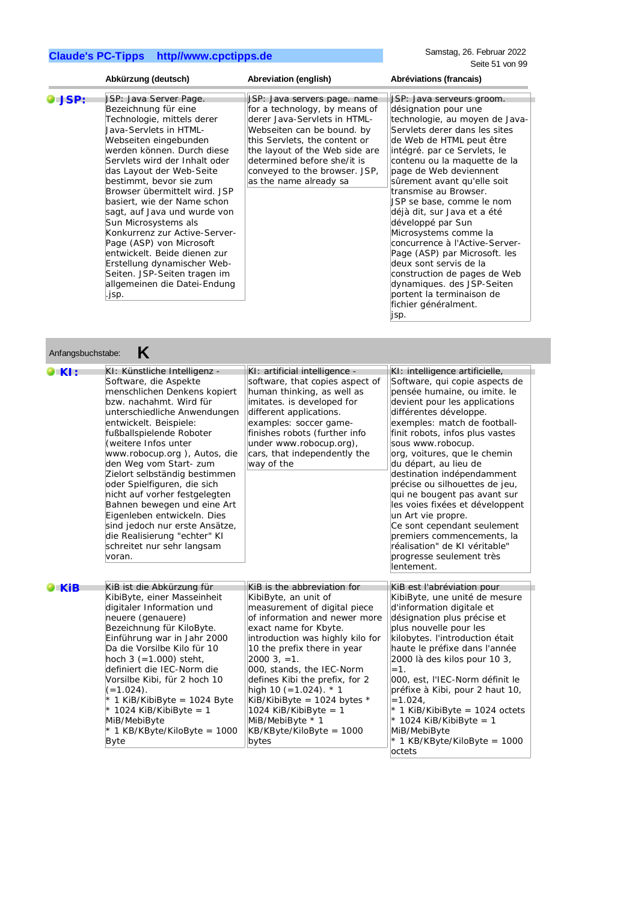Samstag, 26. Februar 2022 Seite 51 von 99

|                   | Abkürzung (deutsch)                                                                                                                                                                                                                                                                                                                                                                                                                                                                                                                                                                | Abreviation (english)                                                                                                                                                                                                                                                                                                                                                                                                                         | Abréviations (francais)                                                                                                                                                                                                                                                                                                                                                                                                                                                                                                                                                                                                              |
|-------------------|------------------------------------------------------------------------------------------------------------------------------------------------------------------------------------------------------------------------------------------------------------------------------------------------------------------------------------------------------------------------------------------------------------------------------------------------------------------------------------------------------------------------------------------------------------------------------------|-----------------------------------------------------------------------------------------------------------------------------------------------------------------------------------------------------------------------------------------------------------------------------------------------------------------------------------------------------------------------------------------------------------------------------------------------|--------------------------------------------------------------------------------------------------------------------------------------------------------------------------------------------------------------------------------------------------------------------------------------------------------------------------------------------------------------------------------------------------------------------------------------------------------------------------------------------------------------------------------------------------------------------------------------------------------------------------------------|
| JSP:              | JSP: Java Server Page.<br>Bezeichnung für eine<br>Technologie, mittels derer<br>Java-Servlets in HTML-<br>Webseiten eingebunden<br>werden können. Durch diese<br>Servlets wird der Inhalt oder<br>das Layout der Web-Seite<br>bestimmt, bevor sie zum<br>Browser übermittelt wird. JSP<br>basiert, wie der Name schon<br>sagt, auf Java und wurde von<br>Sun Microsystems als<br>Konkurrenz zur Active-Server-<br>Page (ASP) von Microsoft<br>entwickelt. Beide dienen zur<br>Erstellung dynamischer Web-<br>Seiten. JSP-Seiten tragen im<br>allgemeinen die Datei-Endung<br>.jsp. | JSP: Java servers page. name<br>for a technology, by means of<br>derer Java-Servlets in HTML-<br>Webseiten can be bound. by<br>this Servlets, the content or<br>the layout of the Web side are<br>determined before she/it is<br>conveyed to the browser. JSP,<br>as the name already sa                                                                                                                                                      | JSP: Java serveurs groom.<br>désignation pour une<br>technologie, au moyen de Java-<br>Servlets derer dans les sites<br>de Web de HTML peut être<br>intégré. par ce Servlets, le<br>contenu ou la maquette de la<br>page de Web deviennent<br>sûrement avant qu'elle soit<br>transmise au Browser.<br>JSP se base, comme le nom<br>déjà dit, sur Java et a été<br>développé par Sun<br>Microsystems comme la<br>concurrence à l'Active-Server-<br>Page (ASP) par Microsoft. les<br>deux sont servis de la<br>construction de pages de Web<br>dynamiques. des JSP-Seiten<br>portent la terminaison de<br>fichier généralment.<br>jsp. |
| Anfangsbuchstabe: | Κ                                                                                                                                                                                                                                                                                                                                                                                                                                                                                                                                                                                  |                                                                                                                                                                                                                                                                                                                                                                                                                                               |                                                                                                                                                                                                                                                                                                                                                                                                                                                                                                                                                                                                                                      |
| U KI :            | KI: Künstliche Intelligenz -<br>Software, die Aspekte<br>menschlichen Denkens kopiert<br>bzw. nachahmt. Wird für<br>unterschiedliche Anwendungen<br>entwickelt. Beispiele:<br>fußballspielende Roboter<br>(weitere Infos unter<br>www.robocup.org), Autos, die<br>den Weg vom Start- zum<br>Zielort selbständig bestimmen<br>oder Spielfiguren, die sich<br>nicht auf vorher festgelegten<br>Bahnen bewegen und eine Art<br>Eigenleben entwickeln. Dies<br>sind jedoch nur erste Ansätze,<br>die Realisierung "echter" KI<br>schreitet nur sehr langsam<br>voran.                  | KI: artificial intelligence -<br>software, that copies aspect of<br>human thinking, as well as<br>imitates. is developed for<br>different applications.<br>examples: soccer game-<br>finishes robots (further info<br>under www.robocup.org),<br>cars, that independently the<br>way of the                                                                                                                                                   | KI: intelligence artificielle,<br>Software, qui copie aspects de<br>pensée humaine, ou imite. le<br>devient pour les applications<br>différentes développe.<br>exemples: match de football-<br>finit robots, infos plus vastes<br>sous www.robocup.<br>org, voitures, que le chemin<br>du départ, au lieu de<br>destination indépendamment<br>précise ou silhouettes de jeu,<br>qui ne bougent pas avant sur<br>les voies fixées et développent<br>un Art vie propre.<br>Ce sont cependant seulement<br>premiers commencements, la<br>réalisation" de KI véritable"<br>progresse seulement très<br>lentement.                        |
|                   |                                                                                                                                                                                                                                                                                                                                                                                                                                                                                                                                                                                    |                                                                                                                                                                                                                                                                                                                                                                                                                                               |                                                                                                                                                                                                                                                                                                                                                                                                                                                                                                                                                                                                                                      |
| <b>KiB</b>        | KiB ist die Abkürzung für<br>KibiByte, einer Masseinheit<br>digitaler Information und<br>neuere (genauere)<br>Bezeichnung für KiloByte.<br>Einführung war in Jahr 2000<br>Da die Vorsilbe Kilo für 10<br>hoch $3 (=1.000)$ steht,<br>definiert die IEC-Norm die<br>Vorsilbe Kibi, für 2 hoch 10<br>$(-1.024)$ .<br>* 1 KiB/KibiByte = 1024 Byte<br>* 1024 KiB/KibiByte = 1<br>MiB/MebiByte<br>$*$ 1 KB/KByte/KiloByte = 1000<br><b>Byte</b>                                                                                                                                        | KiB is the abbreviation for<br>KibiByte, an unit of<br>measurement of digital piece<br>of information and newer more<br>exact name for Kbyte.<br>introduction was highly kilo for<br>10 the prefix there in year<br>$20003, =1.$<br>000, stands, the IEC-Norm<br>defines Kibi the prefix, for 2<br>high 10 (=1.024). $*$ 1<br>KiB/KibiByte = 1024 bytes $*$<br>1024 KiB/KibiByte = 1<br>MiB/MebiByte * 1<br>KB/KByte/KiloByte = 1000<br>bytes | KiB est l'abréviation pour<br>KibiByte, une unité de mesure<br>d'information digitale et<br>désignation plus précise et<br>plus nouvelle pour les<br>kilobytes. l'introduction était<br>haute le préfixe dans l'année<br>2000 là des kilos pour 10 3,<br>$=1$ .<br>000, est, l'IEC-Norm définit le<br>préfixe à Kibi, pour 2 haut 10,<br>$=1.024$ ,<br>* 1 KiB/KibiByte = 1024 octets<br>* 1024 KiB/KibiByte = 1<br>MiB/MebiByte<br>$*$ 1 KB/KByte/KiloByte = 1000<br>octets                                                                                                                                                         |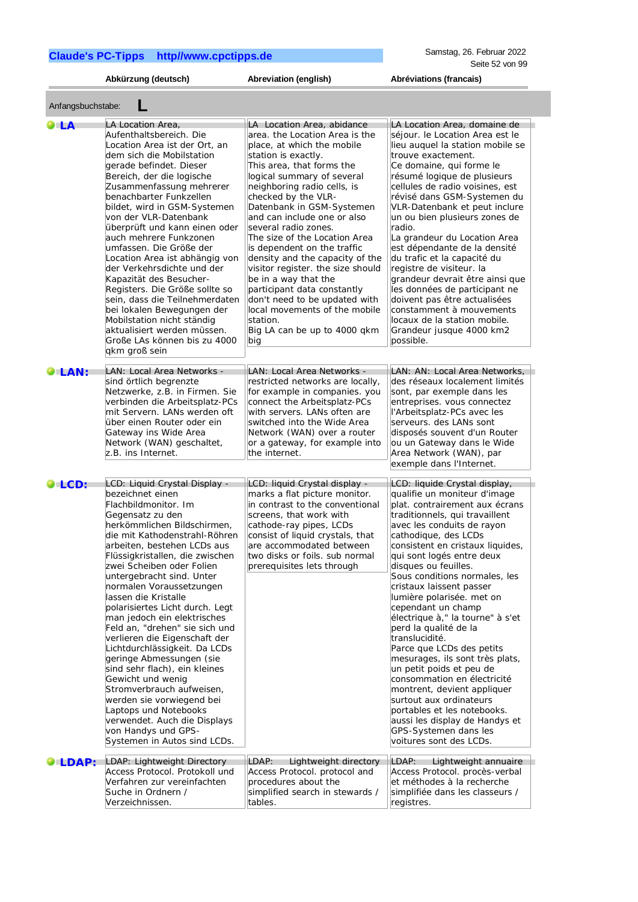Anfangsbuchstabe: **L**

**Abkürzung (deutsch) Abreviation (english) Abréviations (francais)**

| O LA          | LA Location Area,<br>Aufenthaltsbereich. Die<br>Location Area ist der Ort, an<br>dem sich die Mobilstation<br>gerade befindet. Dieser<br>Bereich, der die logische<br>Zusammenfassung mehrerer<br>benachbarter Funkzellen<br>bildet, wird in GSM-Systemen<br>von der VLR-Datenbank<br>überprüft und kann einen oder<br>auch mehrere Funkzonen<br>umfassen. Die Größe der<br>Location Area ist abhängig von<br>der Verkehrsdichte und der<br>Kapazität des Besucher-<br>Registers. Die Größe sollte so<br>sein, dass die Teilnehmerdaten<br>bei lokalen Bewegungen der<br>Mobilstation nicht ständig<br>aktualisiert werden müssen.<br>Große LAs können bis zu 4000<br>gkm groß sein                                                                                             | LA Location Area, abidance<br>area. the Location Area is the<br>place, at which the mobile<br>station is exactly.<br>This area, that forms the<br>logical summary of several<br>neighboring radio cells, is<br>checked by the VLR-<br>Datenbank in GSM-Systemen<br>and can include one or also<br>several radio zones.<br>The size of the Location Area<br>is dependent on the traffic<br>density and the capacity of the<br>visitor register. the size should<br>be in a way that the<br>participant data constantly<br>don't need to be updated with<br>local movements of the mobile<br>station.<br>Big LA can be up to 4000 gkm<br>big | LA Location Area, domaine de<br>séjour. le Location Area est le<br>lieu auquel la station mobile se<br>trouve exactement.<br>Ce domaine, qui forme le<br>résumé logique de plusieurs<br>cellules de radio voisines, est<br>révisé dans GSM-Systemen du<br>VLR-Datenbank et peut inclure<br>un ou bien plusieurs zones de<br>radio.<br>La grandeur du Location Area<br>est dépendante de la densité<br>du trafic et la capacité du<br>registre de visiteur. la<br>grandeur devrait être ainsi que<br>les données de participant ne<br>doivent pas être actualisées<br>constamment à mouvements<br>locaux de la station mobile.<br>Grandeur jusque 4000 km2<br>possible.                                                                                                                    |
|---------------|---------------------------------------------------------------------------------------------------------------------------------------------------------------------------------------------------------------------------------------------------------------------------------------------------------------------------------------------------------------------------------------------------------------------------------------------------------------------------------------------------------------------------------------------------------------------------------------------------------------------------------------------------------------------------------------------------------------------------------------------------------------------------------|--------------------------------------------------------------------------------------------------------------------------------------------------------------------------------------------------------------------------------------------------------------------------------------------------------------------------------------------------------------------------------------------------------------------------------------------------------------------------------------------------------------------------------------------------------------------------------------------------------------------------------------------|-------------------------------------------------------------------------------------------------------------------------------------------------------------------------------------------------------------------------------------------------------------------------------------------------------------------------------------------------------------------------------------------------------------------------------------------------------------------------------------------------------------------------------------------------------------------------------------------------------------------------------------------------------------------------------------------------------------------------------------------------------------------------------------------|
| <b>OLAN:</b>  | LAN: Local Area Networks -<br>sind örtlich begrenzte<br>Netzwerke, z.B. in Firmen. Sie<br>verbinden die Arbeitsplatz-PCs<br>mit Servern. LANs werden oft<br>über einen Router oder ein<br>Gateway ins Wide Area<br>Network (WAN) geschaltet,<br>z.B. ins Internet.                                                                                                                                                                                                                                                                                                                                                                                                                                                                                                              | LAN: Local Area Networks -<br>restricted networks are locally,<br>for example in companies. you<br>connect the Arbeitsplatz-PCs<br>with servers. LANs often are<br>switched into the Wide Area<br>Network (WAN) over a router<br>or a gateway, for example into<br>the internet.                                                                                                                                                                                                                                                                                                                                                           | LAN: AN: Local Area Networks,<br>des réseaux localement limités<br>sont, par exemple dans les<br>entreprises. vous connectez<br>l'Arbeitsplatz-PCs avec les<br>serveurs. des LANs sont<br>disposés souvent d'un Router<br>ou un Gateway dans le Wide<br>Area Network (WAN), par<br>exemple dans l'Internet.                                                                                                                                                                                                                                                                                                                                                                                                                                                                               |
| OLCD:         | LCD: Liquid Crystal Display -<br>bezeichnet einen<br>Flachbildmonitor. Im<br>Gegensatz zu den<br>herkömmlichen Bildschirmen,<br>die mit Kathodenstrahl-Röhren<br>arbeiten, bestehen LCDs aus<br>Flüssigkristallen, die zwischen<br>zwei Scheiben oder Folien<br>untergebracht sind. Unter<br>normalen Voraussetzungen<br>lassen die Kristalle<br>polarisiertes Licht durch. Legt<br>man jedoch ein elektrisches<br>Feld an, "drehen" sie sich und<br>verlieren die Eigenschaft der<br>Lichtdurchlässigkeit. Da LCDs<br>geringe Abmessungen (sie<br>sind sehr flach), ein kleines<br>Gewicht und wenig<br>Stromverbrauch aufweisen,<br>werden sie vorwiegend bei<br>Laptops und Notebooks<br>verwendet. Auch die Displays<br>von Handys und GPS-<br>Systemen in Autos sind LCDs. | LCD: liquid Crystal display -<br>marks a flat picture monitor.<br>in contrast to the conventional<br>screens, that work with<br>cathode-ray pipes, LCDs<br>consist of liquid crystals, that<br>are accommodated between<br>two disks or foils. sub normal<br>prerequisites lets through                                                                                                                                                                                                                                                                                                                                                    | LCD: liquide Crystal display,<br>qualifie un moniteur d'image<br>plat. contrairement aux écrans<br>traditionnels, qui travaillent<br>avec les conduits de rayon<br>cathodique, des LCDs<br>consistent en cristaux liquides,<br>qui sont logés entre deux<br>disques ou feuilles.<br>Sous conditions normales, les<br>cristaux laissent passer<br>lumière polarisée. met on<br>cependant un champ<br>électrique à," la tourne" à s'et<br>perd la qualité de la<br>translucidité.<br>Parce que LCDs des petits<br>mesurages, ils sont très plats,<br>un petit poids et peu de<br>consommation en électricité<br>montrent, devient appliquer<br>surtout aux ordinateurs<br>portables et les notebooks.<br>aussi les display de Handys et<br>GPS-Systemen dans les<br>voitures sont des LCDs. |
| <b>OLDAP:</b> | LDAP: Lightweight Directory<br>Access Protocol. Protokoll und<br>Verfahren zur vereinfachten<br>Suche in Ordnern /<br>Verzeichnissen.                                                                                                                                                                                                                                                                                                                                                                                                                                                                                                                                                                                                                                           | LDAP:<br>Lightweight directory<br>Access Protocol. protocol and<br>procedures about the<br>simplified search in stewards /<br>tables.                                                                                                                                                                                                                                                                                                                                                                                                                                                                                                      | LDAP:<br>Lightweight annuaire<br>Access Protocol. procès-verbal<br>et méthodes à la recherche<br>simplifiée dans les classeurs /<br>registres.                                                                                                                                                                                                                                                                                                                                                                                                                                                                                                                                                                                                                                            |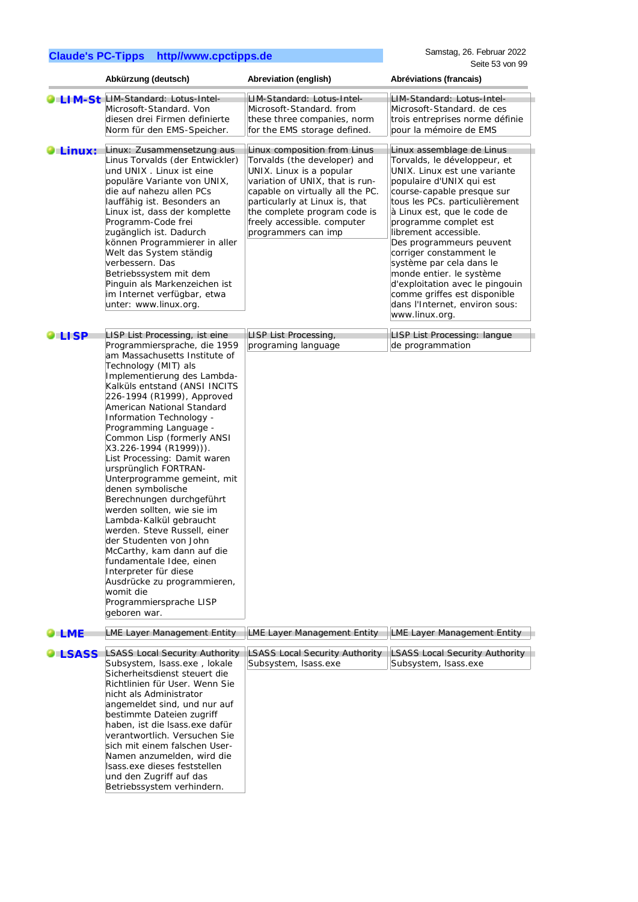|                  | Abkürzung (deutsch)                                                                                                                                                                                                                                                                                                                                                                                                                                                                                                                                                                                                                                                                                                                                                                                      | Abreviation (english)                                                                                                                                                                                                                                                                   | Abréviations (francais)                                                                                                                                                                                                                                                                                                                                                                                                                                                                                      |
|------------------|----------------------------------------------------------------------------------------------------------------------------------------------------------------------------------------------------------------------------------------------------------------------------------------------------------------------------------------------------------------------------------------------------------------------------------------------------------------------------------------------------------------------------------------------------------------------------------------------------------------------------------------------------------------------------------------------------------------------------------------------------------------------------------------------------------|-----------------------------------------------------------------------------------------------------------------------------------------------------------------------------------------------------------------------------------------------------------------------------------------|--------------------------------------------------------------------------------------------------------------------------------------------------------------------------------------------------------------------------------------------------------------------------------------------------------------------------------------------------------------------------------------------------------------------------------------------------------------------------------------------------------------|
|                  | LIM-St LIM-Standard: Lotus-Intel-<br>Microsoft-Standard, Von<br>diesen drei Firmen definierte<br>Norm für den EMS-Speicher.                                                                                                                                                                                                                                                                                                                                                                                                                                                                                                                                                                                                                                                                              | LIM-Standard: Lotus-Intel-<br>Microsoft-Standard, from<br>these three companies, norm<br>for the EMS storage defined.                                                                                                                                                                   | LIM-Standard: Lotus-Intel-<br>Microsoft-Standard, de ces<br>trois entreprises norme définie<br>pour la mémoire de EMS                                                                                                                                                                                                                                                                                                                                                                                        |
| $\bullet$ Linux: | Linux: Zusammensetzung aus<br>Linus Torvalds (der Entwickler)<br>und UNIX . Linux ist eine<br>populäre Variante von UNIX,<br>die auf nahezu allen PCs<br>lauffähig ist. Besonders an<br>Linux ist, dass der komplette<br>Programm-Code frei<br>zugänglich ist. Dadurch<br>können Programmierer in aller<br>Welt das System ständig<br>verbessern. Das<br>Betriebssystem mit dem<br>Pinguin als Markenzeichen ist<br>im Internet verfügbar, etwa<br>unter: www.linux.org.                                                                                                                                                                                                                                                                                                                                 | Linux composition from Linus<br>Torvalds (the developer) and<br>UNIX. Linux is a popular<br>variation of UNIX, that is run-<br>capable on virtually all the PC.<br>particularly at Linux is, that<br>the complete program code is<br>freely accessible. computer<br>programmers can imp | Linux assemblage de Linus<br>Torvalds, le développeur, et<br>UNIX. Linux est une variante<br>populaire d'UNIX qui est<br>course-capable presque sur<br>tous les PCs. particulièrement<br>à Linux est, que le code de<br>programme complet est<br>librement accessible.<br>Des programmeurs peuvent<br>corriger constamment le<br>système par cela dans le<br>monde entier. le système<br>d'exploitation avec le pingouin<br>comme griffes est disponible<br>dans l'Internet, environ sous:<br>www.linux.org. |
| LISP             | LISP List Processing, ist eine<br>Programmiersprache, die 1959<br>am Massachusetts Institute of<br>Technology (MIT) als<br>Implementierung des Lambda-<br>Kalküls entstand (ANSI INCITS<br>226-1994 (R1999), Approved<br>American National Standard<br>Information Technology -<br>Programming Language -<br>Common Lisp (formerly ANSI<br>X3.226-1994 (R1999))).<br>List Processing: Damit waren<br>ursprünglich FORTRAN-<br>Unterprogramme gemeint, mit<br>denen symbolische<br>Berechnungen durchgeführt<br>werden sollten, wie sie im<br>Lambda-Kalkül gebraucht<br>werden. Steve Russell, einer<br>der Studenten von John<br>McCarthy, kam dann auf die<br>fundamentale Idee, einen<br>Interpreter für diese<br>Ausdrücke zu programmieren,<br>womit die<br>Programmiersprache LISP<br>geboren war. | LISP List Processing,<br>programing language                                                                                                                                                                                                                                            | LISP List Processing: langue<br>de programmation                                                                                                                                                                                                                                                                                                                                                                                                                                                             |
| <b>LME</b>       | <b>LME Layer Management Entity</b>                                                                                                                                                                                                                                                                                                                                                                                                                                                                                                                                                                                                                                                                                                                                                                       | LME Layer Management Entity                                                                                                                                                                                                                                                             | LME Layer Management Entity                                                                                                                                                                                                                                                                                                                                                                                                                                                                                  |
| <b>LSASS</b>     | <b>LSASS Local Security Authority</b><br>Subsystem, Isass.exe, lokale<br>Sicherheitsdienst steuert die<br>Richtlinien für User. Wenn Sie<br>nicht als Administrator<br>angemeldet sind, und nur auf<br>bestimmte Dateien zugriff<br>haben, ist die Isass.exe dafür<br>verantwortlich. Versuchen Sie<br>sich mit einem falschen User-<br>Namen anzumelden, wird die<br>Isass.exe dieses feststellen<br>und den Zugriff auf das<br>Betriebssystem verhindern.                                                                                                                                                                                                                                                                                                                                              | <b>LSASS Local Security Authority</b><br>Subsystem, Isass.exe                                                                                                                                                                                                                           | LSASS Local Security Authority<br>Subsystem, Isass.exe                                                                                                                                                                                                                                                                                                                                                                                                                                                       |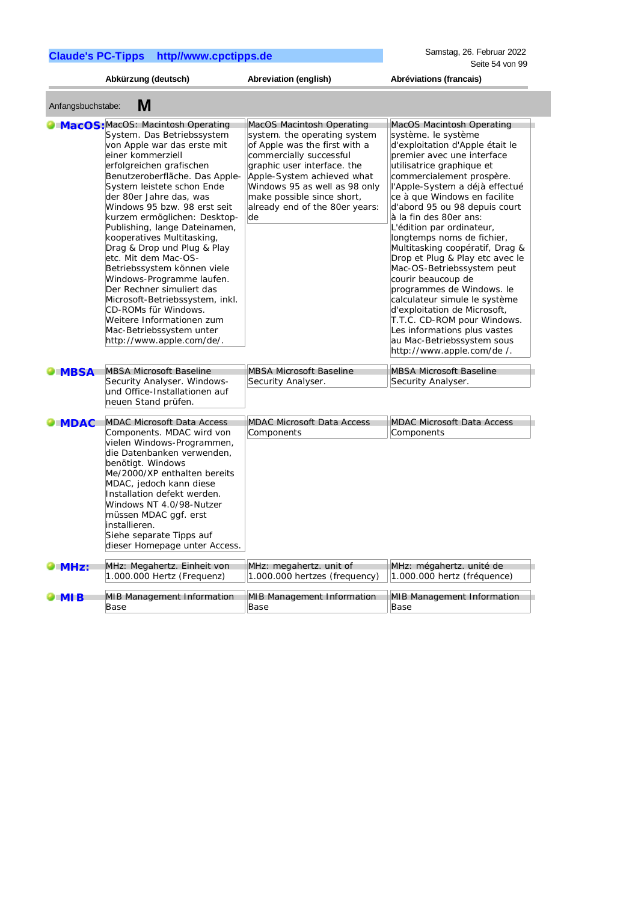|                     | Abkürzung (deutsch)                                                                                                                                                                                                                                                                                                                                                                                                                                                                                                                                                                                                                                                        | Abreviation (english)                                                                                                                                                                                                                                                                     | Abréviations (francais)                                                                                                                                                                                                                                                                                                                                                                                                                                                                                                                                                                                                                                                                                               |
|---------------------|----------------------------------------------------------------------------------------------------------------------------------------------------------------------------------------------------------------------------------------------------------------------------------------------------------------------------------------------------------------------------------------------------------------------------------------------------------------------------------------------------------------------------------------------------------------------------------------------------------------------------------------------------------------------------|-------------------------------------------------------------------------------------------------------------------------------------------------------------------------------------------------------------------------------------------------------------------------------------------|-----------------------------------------------------------------------------------------------------------------------------------------------------------------------------------------------------------------------------------------------------------------------------------------------------------------------------------------------------------------------------------------------------------------------------------------------------------------------------------------------------------------------------------------------------------------------------------------------------------------------------------------------------------------------------------------------------------------------|
| Anfangsbuchstabe:   | M                                                                                                                                                                                                                                                                                                                                                                                                                                                                                                                                                                                                                                                                          |                                                                                                                                                                                                                                                                                           |                                                                                                                                                                                                                                                                                                                                                                                                                                                                                                                                                                                                                                                                                                                       |
|                     | MacOS: MacOS: Macintosh Operating<br>System. Das Betriebssystem<br>von Apple war das erste mit<br>einer kommerziell<br>erfolgreichen grafischen<br>Benutzeroberfläche. Das Apple-<br>System leistete schon Ende<br>der 80er Jahre das, was<br>Windows 95 bzw. 98 erst seit<br>kurzem ermöglichen: Desktop-<br>Publishing, lange Dateinamen,<br>kooperatives Multitasking,<br>Drag & Drop und Plug & Play<br>etc. Mit dem Mac-OS-<br>Betriebssystem können viele<br>Windows-Programme laufen.<br>Der Rechner simuliert das<br>Microsoft-Betriebssystem, inkl.<br>CD-ROMs für Windows.<br>Weitere Informationen zum<br>Mac-Betriebssystem unter<br>http://www.apple.com/de/. | MacOS Macintosh Operating<br>system. the operating system<br>of Apple was the first with a<br>commercially successful<br>graphic user interface. the<br>Apple-System achieved what<br>Windows 95 as well as 98 only<br>make possible since short,<br>already end of the 80er years:<br>de | MacOS Macintosh Operating<br>système. le système<br>d'exploitation d'Apple était le<br>premier avec une interface<br>utilisatrice graphique et<br>commercialement prospère.<br>l'Apple-System a déjà effectué<br>ce à que Windows en facilite<br>d'abord 95 ou 98 depuis court<br>à la fin des 80er ans:<br>L'édition par ordinateur,<br>longtemps noms de fichier,<br>Multitasking coopératif, Drag &<br>Drop et Plug & Play etc avec le<br>Mac-OS-Betriebssystem peut<br>courir beaucoup de<br>programmes de Windows. le<br>calculateur simule le système<br>d'exploitation de Microsoft,<br>T.T.C. CD-ROM pour Windows.<br>Les informations plus vastes<br>au Mac-Betriebssystem sous<br>http://www.apple.com/de/. |
| <b>MBSA</b>         | <b>MBSA Microsoft Baseline</b><br>Security Analyser. Windows-<br>und Office-Installationen auf<br>neuen Stand prüfen.                                                                                                                                                                                                                                                                                                                                                                                                                                                                                                                                                      | <b>MBSA Microsoft Baseline</b><br>Security Analyser.                                                                                                                                                                                                                                      | <b>MBSA Microsoft Baseline</b><br>Security Analyser.                                                                                                                                                                                                                                                                                                                                                                                                                                                                                                                                                                                                                                                                  |
| <b>MDAC</b>         | <b>MDAC Microsoft Data Access</b><br>Components. MDAC wird von<br>vielen Windows-Programmen,<br>die Datenbanken verwenden,<br>benötigt. Windows<br>Me/2000/XP enthalten bereits<br>MDAC, jedoch kann diese<br>Installation defekt werden.<br>Windows NT 4.0/98-Nutzer<br>müssen MDAC ggf. erst<br>installieren.<br>Siehe separate Tipps auf<br>dieser Homepage unter Access.                                                                                                                                                                                                                                                                                               | <b>MDAC Microsoft Data Access</b><br>Components                                                                                                                                                                                                                                           | <b>MDAC Microsoft Data Access</b><br>Components                                                                                                                                                                                                                                                                                                                                                                                                                                                                                                                                                                                                                                                                       |
| $\blacksquare$ MHz: | MHz: Megahertz. Einheit von<br>1.000.000 Hertz (Frequenz)                                                                                                                                                                                                                                                                                                                                                                                                                                                                                                                                                                                                                  | MHz: megahertz. unit of<br>1.000.000 hertzes (frequency)                                                                                                                                                                                                                                  | MHz: mégahertz. unité de<br>1.000.000 hertz (fréquence)                                                                                                                                                                                                                                                                                                                                                                                                                                                                                                                                                                                                                                                               |
| $\blacksquare$ MI B | MIB Management Information<br>Base                                                                                                                                                                                                                                                                                                                                                                                                                                                                                                                                                                                                                                         | <b>MIB Management Information</b><br>Base                                                                                                                                                                                                                                                 | <b>MIB Management Information</b><br>Base                                                                                                                                                                                                                                                                                                                                                                                                                                                                                                                                                                                                                                                                             |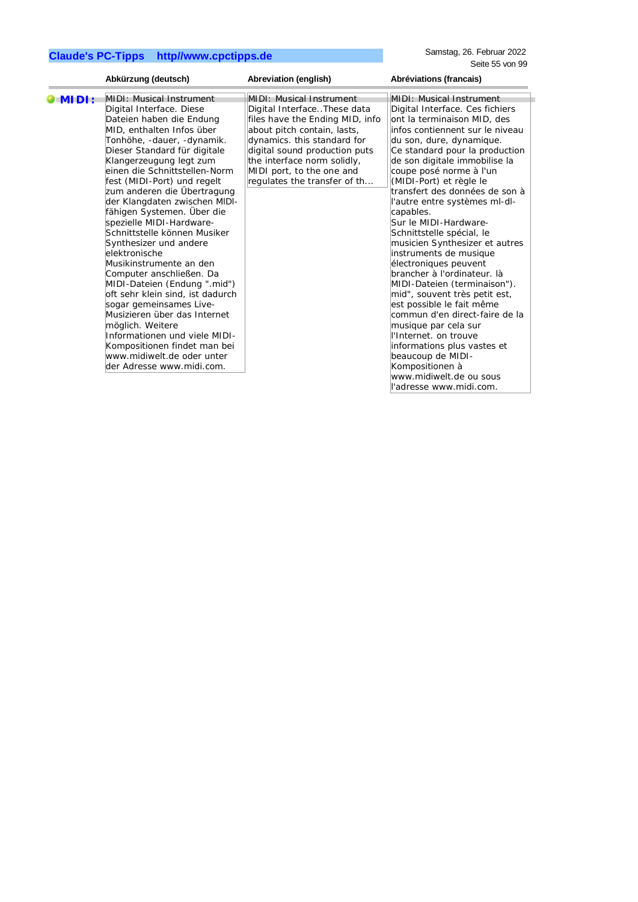|         | Abkürzung (deutsch)                                                                                                                                                                                                                                                                                                                                                                                                                                                                                                                                                                                                                                                                                                                                                                                               | Abreviation (english)                                                                                                                                                                                                                                                                        | Abréviations (francais)                                                                                                                                                                                                                                                                                                                                                                                                                                                                                                                                                                                                                                                                                                                                                                                                                                            |
|---------|-------------------------------------------------------------------------------------------------------------------------------------------------------------------------------------------------------------------------------------------------------------------------------------------------------------------------------------------------------------------------------------------------------------------------------------------------------------------------------------------------------------------------------------------------------------------------------------------------------------------------------------------------------------------------------------------------------------------------------------------------------------------------------------------------------------------|----------------------------------------------------------------------------------------------------------------------------------------------------------------------------------------------------------------------------------------------------------------------------------------------|--------------------------------------------------------------------------------------------------------------------------------------------------------------------------------------------------------------------------------------------------------------------------------------------------------------------------------------------------------------------------------------------------------------------------------------------------------------------------------------------------------------------------------------------------------------------------------------------------------------------------------------------------------------------------------------------------------------------------------------------------------------------------------------------------------------------------------------------------------------------|
| $MLD$ : | MIDI: Musical Instrument<br>Digital Interface. Diese<br>Dateien haben die Endung<br>MID, enthalten Infos über<br>Tonhöhe, -dauer, -dynamik.<br>Dieser Standard für digitale<br>Klangerzeugung legt zum<br>einen die Schnittstellen-Norm<br>fest (MIDI-Port) und regelt<br>zum anderen die Übertragung<br>der Klangdaten zwischen MIDI-<br>fähigen Systemen. Über die<br>spezielle MIDI-Hardware-<br>Schnittstelle können Musiker<br>Synthesizer und andere<br>elektronische<br>Musikinstrumente an den<br>Computer anschließen. Da<br>MIDI-Dateien (Endung ".mid")<br>oft sehr klein sind, ist dadurch<br>sogar gemeinsames Live-<br>Musizieren über das Internet<br>möglich. Weitere<br>Informationen und viele MIDI-<br>Kompositionen findet man bei<br>www.midiwelt.de oder unter<br>der Adresse www.midi.com. | <b>MIDI: Musical Instrument</b><br>Digital InterfaceThese data<br>files have the Ending MID, info<br>about pitch contain, lasts,<br>dynamics. this standard for<br>digital sound production puts<br>the interface norm solidly,<br>MIDI port, to the one and<br>regulates the transfer of th | <b>MIDI: Musical Instrument</b><br>Digital Interface. Ces fichiers<br>ont la terminaison MID, des<br>infos contiennent sur le niveau<br>du son, dure, dynamique.<br>Ce standard pour la production<br>de son digitale immobilise la<br>coupe posé norme à l'un<br>(MIDI-Port) et règle le<br>transfert des données de son à<br>l'autre entre systèmes ml-dl-<br>capables.<br>Sur le MIDI-Hardware-<br>Schnittstelle spécial, le<br>musicien Synthesizer et autres<br>instruments de musique<br>électroniques peuvent<br>brancher à l'ordinateur. là<br>MIDI-Dateien (terminaison").<br>mid", souvent très petit est,<br>est possible le fait même<br>commun d'en direct-faire de la<br>musique par cela sur<br>l'Internet. on trouve<br>informations plus vastes et<br>beaucoup de MIDI-<br>Kompositionen à<br>www.midiwelt.de ou sous<br>ll'adresse www.midi.com. |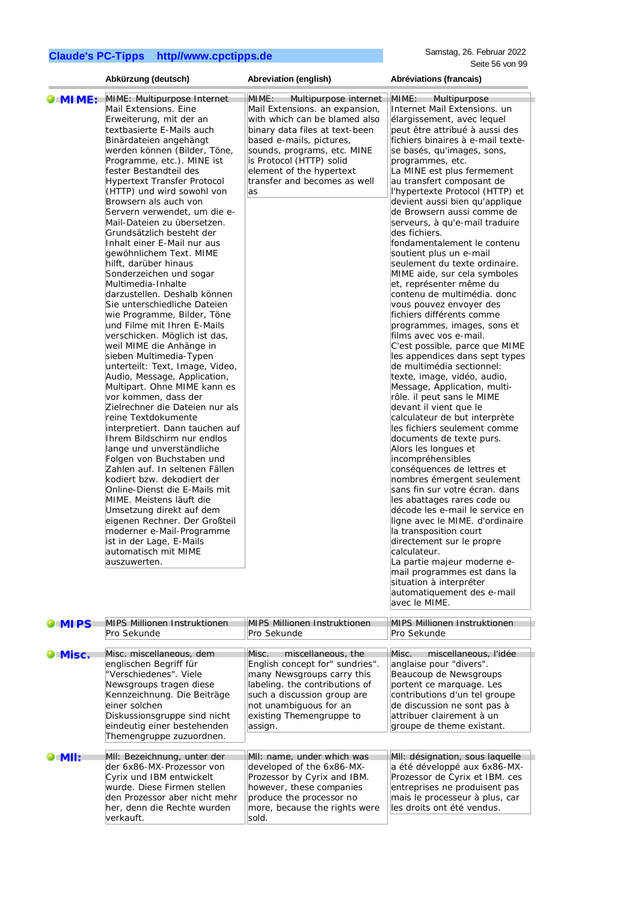|              | Abkürzung (deutsch)                                                                                                                                                                                                                                                                                                                                                                                                                                                                                                                                                                                                                                                                                                                                                                                                                                                                                                                                                                                                                                                                                                                                                                                                                                                                                                                                     | Abreviation (english)                                                                                                                                                                                                                                      | Abréviations (francais)                                                                                                                                                                                                                                                                                                                                                                                                                                                                                                                                                                                                                                                                                                                                                                                                                                                                                                                                                                                                                                                                                                                                                                                                                                                                                                                                                                                                                                                                        |
|--------------|---------------------------------------------------------------------------------------------------------------------------------------------------------------------------------------------------------------------------------------------------------------------------------------------------------------------------------------------------------------------------------------------------------------------------------------------------------------------------------------------------------------------------------------------------------------------------------------------------------------------------------------------------------------------------------------------------------------------------------------------------------------------------------------------------------------------------------------------------------------------------------------------------------------------------------------------------------------------------------------------------------------------------------------------------------------------------------------------------------------------------------------------------------------------------------------------------------------------------------------------------------------------------------------------------------------------------------------------------------|------------------------------------------------------------------------------------------------------------------------------------------------------------------------------------------------------------------------------------------------------------|------------------------------------------------------------------------------------------------------------------------------------------------------------------------------------------------------------------------------------------------------------------------------------------------------------------------------------------------------------------------------------------------------------------------------------------------------------------------------------------------------------------------------------------------------------------------------------------------------------------------------------------------------------------------------------------------------------------------------------------------------------------------------------------------------------------------------------------------------------------------------------------------------------------------------------------------------------------------------------------------------------------------------------------------------------------------------------------------------------------------------------------------------------------------------------------------------------------------------------------------------------------------------------------------------------------------------------------------------------------------------------------------------------------------------------------------------------------------------------------------|
| OMIME:       | MIME: Multipurpose Internet                                                                                                                                                                                                                                                                                                                                                                                                                                                                                                                                                                                                                                                                                                                                                                                                                                                                                                                                                                                                                                                                                                                                                                                                                                                                                                                             | MIME:<br>Multipurpose internet                                                                                                                                                                                                                             | MIME:<br>Multipurpose                                                                                                                                                                                                                                                                                                                                                                                                                                                                                                                                                                                                                                                                                                                                                                                                                                                                                                                                                                                                                                                                                                                                                                                                                                                                                                                                                                                                                                                                          |
|              | Mail Extensions. Eine<br>Erweiterung, mit der an<br>textbasierte E-Mails auch<br>Binärdateien angehängt<br>werden können (Bilder, Töne,<br>Programme, etc.). MINE ist<br>fester Bestandteil des<br>Hypertext Transfer Protocol<br>(HTTP) und wird sowohl von<br>Browsern als auch von<br>Servern verwendet, um die e-<br>Mail-Dateien zu übersetzen.<br>Grundsätzlich besteht der<br>Inhalt einer E-Mail nur aus<br>gewöhnlichem Text. MIME<br>hilft, darüber hinaus<br>Sonderzeichen und sogar<br>Multimedia-Inhalte<br>darzustellen. Deshalb können<br>Sie unterschiedliche Dateien<br>wie Programme, Bilder, Töne<br>und Filme mit Ihren E-Mails<br>verschicken. Möglich ist das,<br>weil MIME die Anhänge in<br>sieben Multimedia-Typen<br>unterteilt: Text, Image, Video,<br>Audio, Message, Application,<br>Multipart. Ohne MIME kann es<br>vor kommen, dass der<br>Zielrechner die Dateien nur als<br>reine Textdokumente<br>interpretiert. Dann tauchen auf<br>Ihrem Bildschirm nur endlos<br>lange und unverständliche<br>Folgen von Buchstaben und<br>Zahlen auf. In seltenen Fällen<br>kodiert bzw. dekodiert der<br>Online-Dienst die E-Mails mit<br>MIME. Meistens läuft die<br>Umsetzung direkt auf dem<br>eigenen Rechner. Der Großteil<br>moderner e-Mail-Programme<br>ist in der Lage, E-Mails<br>automatisch mit MIME<br>auszuwerten. | Mail Extensions. an expansion,<br>with which can be blamed also<br>binary data files at text-been<br>based e-mails, pictures,<br>sounds, programs, etc. MINE<br>is Protocol (HTTP) solid<br>element of the hypertext<br>transfer and becomes as well<br>as | Internet Mail Extensions. un<br>élargissement, avec lequel<br>peut être attribué à aussi des<br>fichiers binaires à e-mail texte-<br>se basés, qu'images, sons,<br>programmes, etc.<br>La MINE est plus fermement<br>au transfert composant de<br>l'hypertexte Protocol (HTTP) et<br>devient aussi bien qu'applique<br>de Browsern aussi comme de<br>serveurs, à qu'e-mail traduire<br>des fichiers.<br>fondamentalement le contenu<br>soutient plus un e-mail<br>seulement du texte ordinaire.<br>MIME aide, sur cela symboles<br>et, représenter même du<br>contenu de multimédia. donc<br>vous pouvez envoyer des<br>fichiers différents comme<br>programmes, images, sons et<br>films avec vos e-mail.<br>C'est possible, parce que MIME<br>les appendices dans sept types<br>de multimédia sectionnel:<br>texte, image, vidéo, audio,<br>Message, Application, multi-<br>rôle. il peut sans le MIME<br>devant il vient que le<br>calculateur de but interprète<br>les fichiers seulement comme<br>documents de texte purs.<br>Alors les longues et<br>incompréhensibles<br>conséquences de lettres et<br>nombres émergent seulement<br>sans fin sur votre écran. dans<br>les abattages rares code ou<br>décode les e-mail le service en<br>ligne avec le MIME. d'ordinaire<br>la transposition court<br>directement sur le propre<br>calculateur.<br>La partie majeur moderne e-<br>mail programmes est dans la<br>situation à interpréter<br>automatiquement des e-mail<br>avec le MIME. |
| <b>OMIPS</b> | <b>MIPS Millionen Instruktionen</b><br>Pro Sekunde                                                                                                                                                                                                                                                                                                                                                                                                                                                                                                                                                                                                                                                                                                                                                                                                                                                                                                                                                                                                                                                                                                                                                                                                                                                                                                      | <b>MIPS Millionen Instruktionen</b><br>Pro Sekunde                                                                                                                                                                                                         | MIPS Millionen Instruktionen<br>Pro Sekunde                                                                                                                                                                                                                                                                                                                                                                                                                                                                                                                                                                                                                                                                                                                                                                                                                                                                                                                                                                                                                                                                                                                                                                                                                                                                                                                                                                                                                                                    |
|              |                                                                                                                                                                                                                                                                                                                                                                                                                                                                                                                                                                                                                                                                                                                                                                                                                                                                                                                                                                                                                                                                                                                                                                                                                                                                                                                                                         |                                                                                                                                                                                                                                                            |                                                                                                                                                                                                                                                                                                                                                                                                                                                                                                                                                                                                                                                                                                                                                                                                                                                                                                                                                                                                                                                                                                                                                                                                                                                                                                                                                                                                                                                                                                |

| <b>O</b> Misc. | Misc. miscellaneous, dem                                                                                                                                                                          | miscellaneous, the                                                                                                                                                                       | Misc.                                                                                                                                                                                              |
|----------------|---------------------------------------------------------------------------------------------------------------------------------------------------------------------------------------------------|------------------------------------------------------------------------------------------------------------------------------------------------------------------------------------------|----------------------------------------------------------------------------------------------------------------------------------------------------------------------------------------------------|
|                | englischen Begriff für                                                                                                                                                                            | Misc.                                                                                                                                                                                    | miscellaneous, l'idée                                                                                                                                                                              |
|                | "Verschiedenes". Viele                                                                                                                                                                            | English concept for" sundries".                                                                                                                                                          | anglaise pour "divers".                                                                                                                                                                            |
|                | Newsgroups tragen diese                                                                                                                                                                           | many Newsgroups carry this                                                                                                                                                               | Beaucoup de Newsgroups                                                                                                                                                                             |
|                | Kennzeichnung. Die Beiträge                                                                                                                                                                       | labeling. the contributions of                                                                                                                                                           | portent ce marquage. Les                                                                                                                                                                           |
|                | einer solchen                                                                                                                                                                                     | such a discussion group are                                                                                                                                                              | contributions d'un tel groupe                                                                                                                                                                      |
|                | Diskussionsgruppe sind nicht                                                                                                                                                                      | not unambiguous for an                                                                                                                                                                   | de discussion ne sont pas à                                                                                                                                                                        |
|                | eindeutig einer bestehenden                                                                                                                                                                       | existing Themengruppe to                                                                                                                                                                 | attribuer clairement à un                                                                                                                                                                          |
|                | Themengruppe zuzuordnen.                                                                                                                                                                          | assign.                                                                                                                                                                                  | groupe de theme existant.                                                                                                                                                                          |
| $\bullet$ MII: | MII: Bezeichnung, unter der<br>der 6x86-MX-Prozessor von<br>Cyrix und IBM entwickelt<br>wurde. Diese Firmen stellen.<br>den Prozessor aber nicht mehr<br>her, denn die Rechte wurden<br>verkauft. | MII: name, under which was<br>developed of the 6x86-MX-<br>Prozessor by Cyrix and IBM.<br>however, these companies<br>produce the processor no<br>more, because the rights were<br>sold. | MII: désignation, sous laquelle<br>a été développé aux 6x86-MX-<br>Prozessor de Cyrix et IBM. ces<br>entreprises ne produisent pas<br>mais le processeur à plus, car<br>les droits ont été vendus. |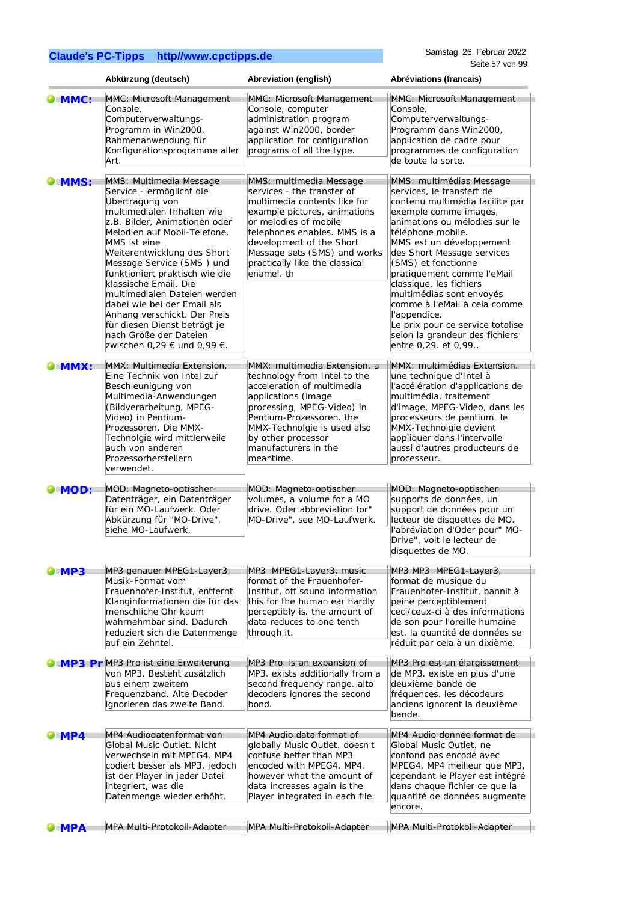|                     | Abkürzung (deutsch)                                                                                                                                                                                                                                                                                                                                                                                                                                                                                  | Abreviation (english)                                                                                                                                                                                                                                                                      | Abréviations (francais)                                                                                                                                                                                                                                                                                                                                                                                                                                                                    |
|---------------------|------------------------------------------------------------------------------------------------------------------------------------------------------------------------------------------------------------------------------------------------------------------------------------------------------------------------------------------------------------------------------------------------------------------------------------------------------------------------------------------------------|--------------------------------------------------------------------------------------------------------------------------------------------------------------------------------------------------------------------------------------------------------------------------------------------|--------------------------------------------------------------------------------------------------------------------------------------------------------------------------------------------------------------------------------------------------------------------------------------------------------------------------------------------------------------------------------------------------------------------------------------------------------------------------------------------|
| $\blacksquare$ MMC: | MMC: Microsoft Management<br>Console,<br>Computerverwaltungs-<br>Programm in Win2000,<br>Rahmenanwendung für<br>Konfigurationsprogramme aller<br>Art.                                                                                                                                                                                                                                                                                                                                                | MMC: Microsoft Management<br>Console, computer<br>administration program<br>against Win2000, border<br>application for configuration<br>programs of all the type.                                                                                                                          | MMC: Microsoft Management<br>Console.<br>Computerverwaltungs-<br>Programm dans Win2000,<br>application de cadre pour<br>programmes de configuration<br>de toute la sorte.                                                                                                                                                                                                                                                                                                                  |
| MMS:                | MMS: Multimedia Message<br>Service - ermöglicht die<br>Übertragung von<br>multimedialen Inhalten wie<br>z.B. Bilder, Animationen oder<br>Melodien auf Mobil-Telefone.<br>MMS ist eine<br>Weiterentwicklung des Short<br>Message Service (SMS) und<br>funktioniert praktisch wie die<br>klassische Email. Die<br>multimedialen Dateien werden<br>dabei wie bei der Email als<br>Anhang verschickt. Der Preis<br>für diesen Dienst beträgt je<br>nach Größe der Dateien<br>zwischen 0,29 € und 0,99 €. | MMS: multimedia Message<br>services - the transfer of<br>multimedia contents like for<br>example pictures, animations<br>or melodies of mobile<br>telephones enables. MMS is a<br>development of the Short<br>Message sets (SMS) and works<br>practically like the classical<br>enamel, th | MMS: multimédias Message<br>services, le transfert de<br>contenu multimédia facilite par<br>exemple comme images,<br>animations ou mélodies sur le<br>téléphone mobile.<br>MMS est un développement<br>des Short Message services<br>(SMS) et fonctionne<br>pratiquement comme l'eMail<br>classique. les fichiers<br>multimédias sont envoyés<br>comme à l'eMail à cela comme<br>l'appendice.<br>Le prix pour ce service totalise<br>selon la grandeur des fichiers<br>entre 0,29. et 0,99 |
| MMX:                | MMX: Multimedia Extension.<br>Eine Technik von Intel zur<br>Beschleunigung von<br>Multimedia-Anwendungen<br>(Bildverarbeitung, MPEG-<br>Video) in Pentium-<br>Prozessoren. Die MMX-<br>Technolgie wird mittlerweile<br>auch von anderen<br>Prozessorherstellern<br>verwendet.                                                                                                                                                                                                                        | MMX: multimedia Extension. a<br>technology from Intel to the<br>acceleration of multimedia<br>applications (image<br>processing, MPEG-Video) in<br>Pentium-Prozessoren. the<br>MMX-Technolgie is used also<br>by other processor<br>manufacturers in the<br>meantime.                      | MMX: multimédias Extension.<br>une technique d'Intel à<br>l'accélération d'applications de<br>multimédia, traitement<br>d'image, MPEG-Video, dans les<br>processeurs de pentium. le<br>MMX-Technolgie devient<br>appliquer dans l'intervalle<br>aussi d'autres producteurs de<br>processeur.                                                                                                                                                                                               |
| MOD:                | MOD: Magneto-optischer<br>Datenträger, ein Datenträger<br>für ein MO-Laufwerk. Oder<br>Abkürzung für "MO-Drive",<br>siehe MO-Laufwerk.                                                                                                                                                                                                                                                                                                                                                               | MOD: Magneto-optischer<br>volumes, a volume for a MO<br>drive. Oder abbreviation for"<br>MO-Drive", see MO-Laufwerk.                                                                                                                                                                       | MOD: Magneto-optischer<br>supports de données, un<br>support de données pour un<br>lecteur de disquettes de MO.<br>l'abréviation d'Oder pour" MO-<br>Drive", voit le lecteur de<br>disquettes de MO.                                                                                                                                                                                                                                                                                       |
| <b>MP3</b>          | MP3 genauer MPEG1-Layer3,<br>Musik-Format vom<br>Frauenhofer-Institut, entfernt<br>Klanginformationen die für das<br>menschliche Ohr kaum<br>wahrnehmbar sind. Dadurch<br>reduziert sich die Datenmenge<br>auf ein Zehntel.                                                                                                                                                                                                                                                                          | MP3 MPEG1-Layer3, music<br>format of the Frauenhofer-<br>Institut, off sound information<br>this for the human ear hardly<br>perceptibly is. the amount of<br>data reduces to one tenth<br>through it.                                                                                     | MP3 MP3 MPEG1-Layer3,<br>format de musique du<br>Frauenhofer-Institut, bannit à<br>peine perceptiblement<br>ceci/ceux-ci à des informations<br>de son pour l'oreille humaine<br>est. la quantité de données se<br>réduit par cela à un dixième.                                                                                                                                                                                                                                            |
|                     | MP3 Pr MP3 Pro ist eine Erweiterung<br>von MP3. Besteht zusätzlich<br>aus einem zweitem<br>Frequenzband. Alte Decoder<br>ignorieren das zweite Band.                                                                                                                                                                                                                                                                                                                                                 | MP3 Pro is an expansion of<br>MP3. exists additionally from a<br>second frequency range. alto<br>decoders ignores the second<br>bond.                                                                                                                                                      | MP3 Pro est un élargissement<br>de MP3. existe en plus d'une<br>deuxième bande de<br>fréquences. les décodeurs<br>anciens ignorent la deuxième<br>bande.                                                                                                                                                                                                                                                                                                                                   |
| <b>MP4</b>          | MP4 Audiodatenformat von<br>Global Music Outlet. Nicht<br>verwechseln mit MPEG4. MP4<br>codiert besser als MP3, jedoch<br>ist der Player in jeder Datei<br>integriert, was die<br>Datenmenge wieder erhöht.                                                                                                                                                                                                                                                                                          | MP4 Audio data format of<br>globally Music Outlet. doesn't<br>confuse better than MP3<br>encoded with MPEG4. MP4,<br>however what the amount of<br>data increases again is the<br>Player integrated in each file.                                                                          | MP4 Audio donnée format de<br>Global Music Outlet. ne<br>confond pas encodé avec<br>MPEG4. MP4 meilleur que MP3,<br>cependant le Player est intégré<br>dans chaque fichier ce que la<br>quantité de données augmente<br>encore.                                                                                                                                                                                                                                                            |
| <b>MPA</b>          | MPA Multi-Protokoll-Adapter                                                                                                                                                                                                                                                                                                                                                                                                                                                                          | MPA Multi-Protokoll-Adapter                                                                                                                                                                                                                                                                | MPA Multi-Protokoll-Adapter                                                                                                                                                                                                                                                                                                                                                                                                                                                                |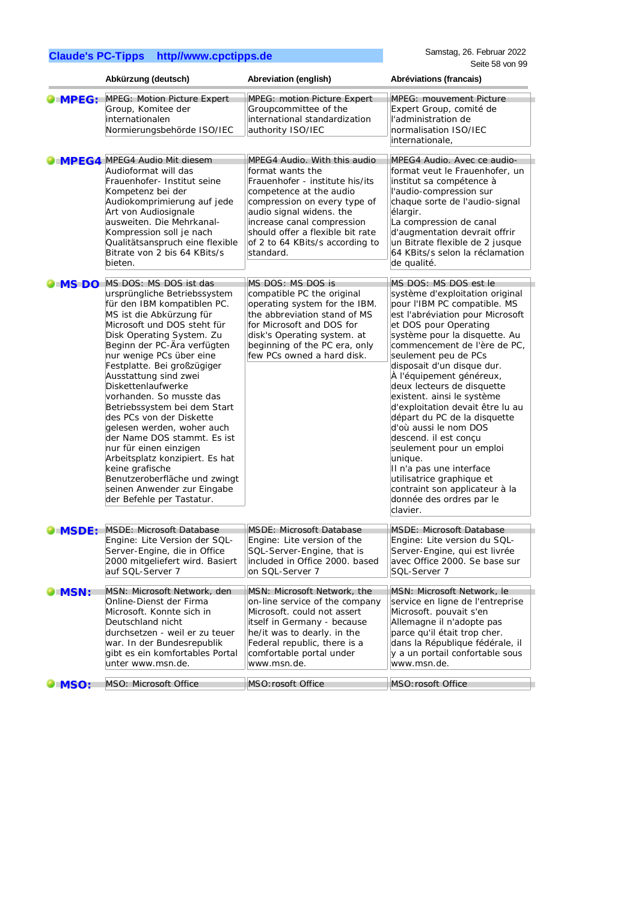|               | Abkürzung (deutsch)                                                                                                                                                                                                                                                                                                                                                                                                                                                                                                                                                                                                                                      | Abreviation (english)                                                                                                                                                                                                                                                                        | Abréviations (francais)                                                                                                                                                                                                                                                                                                                                                                                                                                                                                                                                                                                                                                              |
|---------------|----------------------------------------------------------------------------------------------------------------------------------------------------------------------------------------------------------------------------------------------------------------------------------------------------------------------------------------------------------------------------------------------------------------------------------------------------------------------------------------------------------------------------------------------------------------------------------------------------------------------------------------------------------|----------------------------------------------------------------------------------------------------------------------------------------------------------------------------------------------------------------------------------------------------------------------------------------------|----------------------------------------------------------------------------------------------------------------------------------------------------------------------------------------------------------------------------------------------------------------------------------------------------------------------------------------------------------------------------------------------------------------------------------------------------------------------------------------------------------------------------------------------------------------------------------------------------------------------------------------------------------------------|
| <b>MPEG:</b>  | <b>MPEG: Motion Picture Expert</b><br>Group, Komitee der<br>internationalen<br>Normierungsbehörde ISO/IEC                                                                                                                                                                                                                                                                                                                                                                                                                                                                                                                                                | MPEG: motion Picture Expert<br>Groupcommittee of the<br>international standardization<br>authority ISO/IEC                                                                                                                                                                                   | <b>MPEG: mouvement Picture</b><br>Expert Group, comité de<br>l'administration de<br>normalisation ISO/IEC<br>internationale,                                                                                                                                                                                                                                                                                                                                                                                                                                                                                                                                         |
| <b>IMPEG4</b> | MPEG4 Audio Mit diesem<br>Audioformat will das<br>Frauenhofer- Institut seine<br>Kompetenz bei der<br>Audiokomprimierung auf jede<br>Art von Audiosignale<br>ausweiten. Die Mehrkanal-<br>Kompression soll je nach<br>Qualitätsanspruch eine flexible<br>Bitrate von 2 bis 64 KBits/s<br>bieten.                                                                                                                                                                                                                                                                                                                                                         | MPEG4 Audio. With this audio<br>format wants the<br>Frauenhofer - institute his/its<br>competence at the audio<br>compression on every type of<br>audio signal widens. the<br>increase canal compression<br>should offer a flexible bit rate<br>of 2 to 64 KBits/s according to<br>standard. | MPEG4 Audio. Avec ce audio-<br>format veut le Frauenhofer, un<br>institut sa compétence à<br>l'audio-compression sur<br>chaque sorte de l'audio-signal<br>élargir.<br>La compression de canal<br>d'augmentation devrait offrir<br>un Bitrate flexible de 2 jusque<br>64 KBits/s selon la réclamation<br>de qualité.                                                                                                                                                                                                                                                                                                                                                  |
| MS DO         | MS DOS: MS DOS ist das<br>ursprüngliche Betriebssystem<br>für den IBM kompatiblen PC.<br>MS ist die Abkürzung für<br>Microsoft und DOS steht für<br>Disk Operating System. Zu<br>Beginn der PC-Ära verfügten<br>nur wenige PCs über eine<br>Festplatte. Bei großzügiger<br>Ausstattung sind zwei<br>Diskettenlaufwerke<br>vorhanden. So musste das<br>Betriebssystem bei dem Start<br>des PCs von der Diskette<br>gelesen werden, woher auch<br>der Name DOS stammt. Es ist<br>nur für einen einzigen<br>Arbeitsplatz konzipiert. Es hat<br>keine grafische<br>Benutzeroberfläche und zwingt<br>seinen Anwender zur Eingabe<br>der Befehle per Tastatur. | MS DOS: MS DOS is<br>compatible PC the original<br>operating system for the IBM.<br>the abbreviation stand of MS<br>for Microsoft and DOS for<br>disk's Operating system. at<br>beginning of the PC era, only<br>few PCs owned a hard disk.                                                  | MS DOS: MS DOS est le<br>système d'exploitation original<br>pour l'IBM PC compatible. MS<br>est l'abréviation pour Microsoft<br>et DOS pour Operating<br>système pour la disquette. Au<br>commencement de l'ère de PC,<br>seulement peu de PCs<br>disposait d'un disque dur.<br>À l'équipement généreux,<br>deux lecteurs de disquette<br>existent. ainsi le système<br>d'exploitation devait être lu au<br>départ du PC de la disquette<br>d'où aussi le nom DOS<br>descend. il est conçu<br>seulement pour un emploi<br>unique.<br>Il n'a pas une interface<br>utilisatrice graphique et<br>contraint son applicateur à la<br>donnée des ordres par le<br>clavier. |
| <b>MSDE:</b>  | MSDE: Microsoft Database<br>Engine: Lite Version der SQL-<br>Server-Engine, die in Office<br>2000 mitgeliefert wird. Basiert<br>auf SQL-Server 7                                                                                                                                                                                                                                                                                                                                                                                                                                                                                                         | MSDE: Microsoft Database<br>Engine: Lite version of the<br>SQL-Server-Engine, that is<br>included in Office 2000. based<br>on SQL-Server 7                                                                                                                                                   | <b>MSDE: Microsoft Database</b><br>Engine: Lite version du SQL-<br>Server-Engine, qui est livrée<br>avec Office 2000. Se base sur<br>SQL-Server 7                                                                                                                                                                                                                                                                                                                                                                                                                                                                                                                    |
| <b>DIMSN:</b> | MSN: Microsoft Network, den<br>Online-Dienst der Firma<br>Microsoft. Konnte sich in<br>Deutschland nicht<br>durchsetzen - weil er zu teuer<br>war. In der Bundesrepublik<br>gibt es ein komfortables Portal<br>unter www.msn.de.                                                                                                                                                                                                                                                                                                                                                                                                                         | MSN: Microsoft Network, the<br>on-line service of the company<br>Microsoft. could not assert<br>itself in Germany - because<br>he/it was to dearly. in the<br>Federal republic, there is a<br>comfortable portal under<br>www.msn.de.                                                        | MSN: Microsoft Network, le<br>service en ligne de l'entreprise<br>Microsoft. pouvait s'en<br>Allemagne il n'adopte pas<br>parce qu'il était trop cher.<br>dans la République fédérale, il<br>y a un portail confortable sous<br>www.msn.de.                                                                                                                                                                                                                                                                                                                                                                                                                          |
| <b>MSO:</b>   | MSO: Microsoft Office                                                                                                                                                                                                                                                                                                                                                                                                                                                                                                                                                                                                                                    | MSO: rosoft Office                                                                                                                                                                                                                                                                           | MSO: rosoft Office                                                                                                                                                                                                                                                                                                                                                                                                                                                                                                                                                                                                                                                   |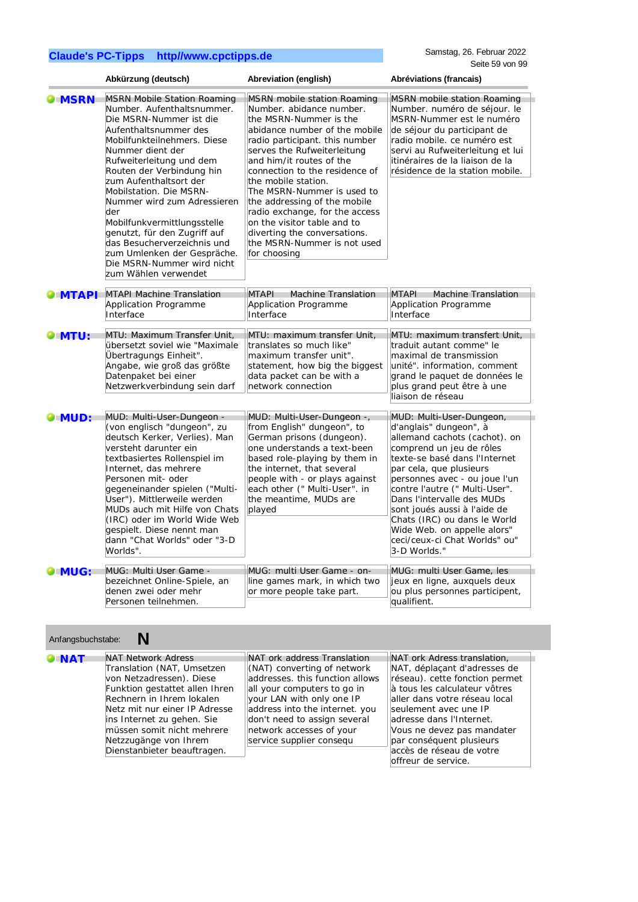|                      | Abkürzung (deutsch)                                                                                                                                                                                                                                                                                                                                                                                                                                                                                            | Abreviation (english)                                                                                                                                                                                                                                                                                                                                                                                                                                                                         | Abréviations (francais)                                                                                                                                                                                                                                                                                                                                                                                                      |
|----------------------|----------------------------------------------------------------------------------------------------------------------------------------------------------------------------------------------------------------------------------------------------------------------------------------------------------------------------------------------------------------------------------------------------------------------------------------------------------------------------------------------------------------|-----------------------------------------------------------------------------------------------------------------------------------------------------------------------------------------------------------------------------------------------------------------------------------------------------------------------------------------------------------------------------------------------------------------------------------------------------------------------------------------------|------------------------------------------------------------------------------------------------------------------------------------------------------------------------------------------------------------------------------------------------------------------------------------------------------------------------------------------------------------------------------------------------------------------------------|
| <b>MSRN</b>          | <b>MSRN Mobile Station Roaming</b><br>Number. Aufenthaltsnummer.<br>Die MSRN-Nummer ist die<br>Aufenthaltsnummer des<br>Mobilfunkteilnehmers. Diese<br>Nummer dient der<br>Rufweiterleitung und dem<br>Routen der Verbindung hin<br>zum Aufenthaltsort der<br>Mobilstation. Die MSRN-<br>Nummer wird zum Adressieren<br>der<br>Mobilfunkvermittlungsstelle<br>genutzt, für den Zugriff auf<br>das Besucherverzeichnis und<br>zum Umlenken der Gespräche.<br>Die MSRN-Nummer wird nicht<br>zum Wählen verwendet | <b>MSRN</b> mobile station Roaming<br>Number. abidance number.<br>the MSRN-Nummer is the<br>abidance number of the mobile<br>radio participant. this number<br>serves the Rufweiterleitung<br>and him/it routes of the<br>connection to the residence of<br>the mobile station.<br>The MSRN-Nummer is used to<br>the addressing of the mobile<br>radio exchange, for the access<br>on the visitor table and to<br>diverting the conversations.<br>the MSRN-Nummer is not used<br>for choosing | <b>MSRN</b> mobile station Roaming<br>Number. numéro de séjour. le<br>MSRN-Nummer est le numéro<br>de séjour du participant de<br>radio mobile. ce numéro est<br>servi au Rufweiterleitung et lui<br>itinéraires de la liaison de la<br>résidence de la station mobile.                                                                                                                                                      |
| $\blacksquare$ MTAPI | <b>MTAPI Machine Translation</b><br>Application Programme<br>Interface                                                                                                                                                                                                                                                                                                                                                                                                                                         | <b>MTAPI</b><br><b>Machine Translation</b><br>Application Programme<br>Interface                                                                                                                                                                                                                                                                                                                                                                                                              | <b>MTAPI</b><br><b>Machine Translation</b><br>Application Programme<br>Interface                                                                                                                                                                                                                                                                                                                                             |
| $\bullet$ MTU:       | MTU: Maximum Transfer Unit,<br>übersetzt soviel wie "Maximale<br>Übertragungs Einheit".<br>Angabe, wie groß das größte<br>Datenpaket bei einer<br>Netzwerkverbindung sein darf                                                                                                                                                                                                                                                                                                                                 | MTU: maximum transfer Unit,<br>translates so much like"<br>maximum transfer unit".<br>statement, how big the biggest<br>data packet can be with a<br>network connection                                                                                                                                                                                                                                                                                                                       | MTU: maximum transfert Unit,<br>traduit autant comme" le<br>maximal de transmission<br>unité". information, comment<br>grand le paquet de données le<br>plus grand peut être à une<br>liaison de réseau                                                                                                                                                                                                                      |
| <b>OMUD:</b>         | MUD: Multi-User-Dungeon -<br>(von englisch "dungeon", zu<br>deutsch Kerker, Verlies). Man<br>versteht darunter ein<br>textbasiertes Rollenspiel im<br>Internet, das mehrere<br>Personen mit- oder<br>gegeneinander spielen ("Multi-<br>User"). Mittlerweile werden<br>MUDs auch mit Hilfe von Chats<br>(IRC) oder im World Wide Web<br>gespielt. Diese nennt man<br>dann "Chat Worlds" oder "3-D<br>Worlds".                                                                                                   | MUD: Multi-User-Dungeon -,<br>from English" dungeon", to<br>German prisons (dungeon).<br>one understands a text-been<br>based role-playing by them in<br>the internet, that several<br>people with - or plays against<br>each other (" Multi-User". in<br>the meantime, MUDs are<br>played                                                                                                                                                                                                    | MUD: Multi-User-Dungeon,<br>d'anglais" dungeon", à<br>allemand cachots (cachot). on<br>comprend un jeu de rôles<br>texte-se basé dans l'Internet<br>par cela, que plusieurs<br>personnes avec - ou joue l'un<br>contre l'autre (" Multi-User".<br>Dans l'intervalle des MUDs<br>sont joués aussi à l'aide de<br>Chats (IRC) ou dans le World<br>Wide Web. on appelle alors"<br>ceci/ceux-ci Chat Worlds" ou"<br>3-D Worlds." |
| <b>UMUG:</b>         | MUG: Multi User Game -<br>bezeichnet Online-Spiele, an<br>denen zwei oder mehr<br>Personen teilnehmen.                                                                                                                                                                                                                                                                                                                                                                                                         | MUG: multi User Game - on-<br>line games mark, in which two<br>or more people take part.                                                                                                                                                                                                                                                                                                                                                                                                      | MUG: multi User Game, les<br>jeux en ligne, auxquels deux<br>ou plus personnes participent,<br>qualifient.                                                                                                                                                                                                                                                                                                                   |

| Anfangsbuchstabe: |                                                                                                                                                                                                                                                                                                         |                                                                                                                                                                                                                                                                                     |                                                                                                                                                                                                                                                                                                                                   |
|-------------------|---------------------------------------------------------------------------------------------------------------------------------------------------------------------------------------------------------------------------------------------------------------------------------------------------------|-------------------------------------------------------------------------------------------------------------------------------------------------------------------------------------------------------------------------------------------------------------------------------------|-----------------------------------------------------------------------------------------------------------------------------------------------------------------------------------------------------------------------------------------------------------------------------------------------------------------------------------|
| <b>O</b> NAT      | <b>NAT Network Adress</b><br>Translation (NAT, Umsetzen<br>von Netzadressen). Diese<br>Funktion gestattet allen Ihren<br>Rechnern in Ihrem lokalen<br>Netz mit nur einer IP Adresse<br>ins Internet zu gehen. Sie<br>müssen somit nicht mehrere<br>Netzzugänge von Ihrem<br>Dienstanbieter beauftragen. | NAT ork address Translation<br>(NAT) converting of network<br>addresses, this function allows<br>all your computers to go in<br>your LAN with only one IP<br>address into the internet. you<br>don't need to assign several<br>network accesses of your<br>service supplier consequ | NAT ork Adress translation.<br>NAT, déplacant d'adresses de<br>réseau). cette fonction permet<br>à tous les calculateur vôtres<br>aller dans votre réseau local<br>seulement avec une IP<br>adresse dans l'Internet.<br>Vous ne devez pas mandater<br>par conséquent plusieurs<br>accès de réseau de votre<br>offreur de service. |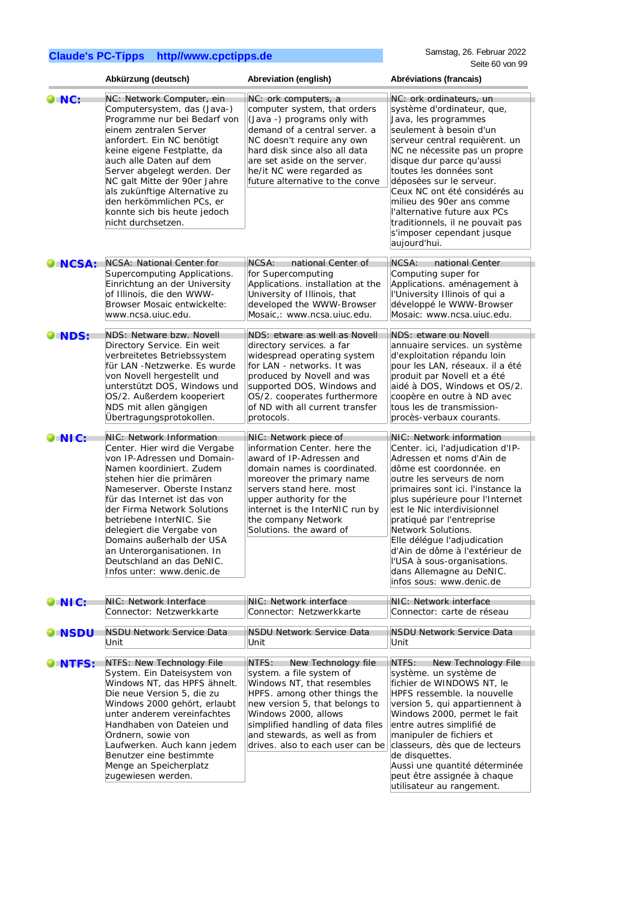|                 | Abkürzung (deutsch)                                                                                                                                                                                                                                                                                                                                                                                                          | Abreviation (english)                                                                                                                                                                                                                                                                      | Abréviations (francais)                                                                                                                                                                                                                                                                                                                                                                                                                                              |
|-----------------|------------------------------------------------------------------------------------------------------------------------------------------------------------------------------------------------------------------------------------------------------------------------------------------------------------------------------------------------------------------------------------------------------------------------------|--------------------------------------------------------------------------------------------------------------------------------------------------------------------------------------------------------------------------------------------------------------------------------------------|----------------------------------------------------------------------------------------------------------------------------------------------------------------------------------------------------------------------------------------------------------------------------------------------------------------------------------------------------------------------------------------------------------------------------------------------------------------------|
| $\bullet$ NC:   | NC: Network Computer, ein<br>Computersystem, das (Java-)<br>Programme nur bei Bedarf von<br>einem zentralen Server<br>anfordert. Ein NC benötigt<br>keine eigene Festplatte, da<br>auch alle Daten auf dem<br>Server abgelegt werden. Der<br>NC galt Mitte der 90er Jahre<br>als zukünftige Alternative zu<br>den herkömmlichen PCs, er<br>konnte sich bis heute jedoch<br>nicht durchsetzen.                                | NC: ork computers, a<br>computer system, that orders<br>(Java -) programs only with<br>demand of a central server. a<br>NC doesn't require any own<br>hard disk since also all data<br>are set aside on the server.<br>he/it NC were regarded as<br>future alternative to the conve        | NC: ork ordinateurs, un<br>système d'ordinateur, que,<br>Java, les programmes<br>seulement à besoin d'un<br>serveur central requièrent. un<br>NC ne nécessite pas un propre<br>disque dur parce qu'aussi<br>toutes les données sont<br>déposées sur le serveur.<br>Ceux NC ont été considérés au<br>milieu des 90er ans comme<br>l'alternative future aux PCs<br>traditionnels, il ne pouvait pas<br>s'imposer cependant jusque<br>aujourd'hui.                      |
| $\bullet$ NCSA: | <b>NCSA: National Center for</b><br>Supercomputing Applications.<br>Einrichtung an der University<br>of Illinois, die den WWW-<br>Browser Mosaic entwickelte:<br>www.ncsa.uiuc.edu.                                                                                                                                                                                                                                          | NCSA:<br>national Center of<br>for Supercomputing<br>Applications. installation at the<br>University of Illinois, that<br>developed the WWW-Browser<br>Mosaic,: www.ncsa.uiuc.edu.                                                                                                         | NCSA:<br>national Center<br>Computing super for<br>Applications. aménagement à<br>l'University Illinois of qui a<br>développé le WWW-Browser<br>Mosaic: www.ncsa.uiuc.edu.                                                                                                                                                                                                                                                                                           |
| <b>OINDS:</b>   | NDS: Netware bzw. Novell<br>Directory Service. Ein weit<br>verbreitetes Betriebssystem<br>für LAN -Netzwerke. Es wurde<br>von Novell hergestellt und<br>unterstützt DOS, Windows und<br>OS/2. Außerdem kooperiert<br>NDS mit allen gängigen<br>Übertragungsprotokollen.                                                                                                                                                      | NDS: etware as well as Novell<br>directory services. a far<br>widespread operating system<br>for LAN - networks. It was<br>produced by Novell and was<br>supported DOS, Windows and<br>OS/2. cooperates furthermore<br>of ND with all current transfer<br>protocols.                       | NDS: etware ou Novell<br>annuaire services. un système<br>d'exploitation répandu loin<br>pour les LAN, réseaux. il a été<br>produit par Novell et a été<br>aidé à DOS, Windows et OS/2.<br>coopère en outre à ND avec<br>tous les de transmission-<br>procès-verbaux courants.                                                                                                                                                                                       |
| $\bullet$ NIC:  | NIC: Network Information<br>Center. Hier wird die Vergabe<br>von IP-Adressen und Domain-<br>Namen koordiniert. Zudem<br>stehen hier die primären<br>Nameserver. Oberste Instanz<br>für das Internet ist das von<br>der Firma Network Solutions<br>betriebene InterNIC. Sie<br>delegiert die Vergabe von<br>Domains außerhalb der USA<br>an Unterorganisationen. In<br>Deutschland an das DeNIC.<br>Infos unter: www.denic.de | NIC: Network piece of<br>information Center. here the<br>award of IP-Adressen and<br>domain names is coordinated.<br>moreover the primary name<br>servers stand here. most<br>upper authority for the<br>internet is the InterNIC run by<br>the company Network<br>Solutions, the award of | NIC: Network information<br>Center. ici, l'adjudication d'IP-<br>Adressen et noms d'Ain de<br>dôme est coordonnée. en<br>outre les serveurs de nom<br>primaires sont ici. l'instance la<br>plus supérieure pour l'Internet<br>est le Nic interdivisionnel<br>pratiqué par l'entreprise<br>Network Solutions.<br>Elle délégue l'adjudication<br>d'Ain de dôme à l'extérieur de<br>l'USA à sous-organisations.<br>dans Allemagne au DeNIC.<br>infos sous: www.denic.de |
| $\bullet$ NIC:  | NIC: Network Interface<br>Connector: Netzwerkkarte                                                                                                                                                                                                                                                                                                                                                                           | NIC: Network interface<br>Connector: Netzwerkkarte                                                                                                                                                                                                                                         | NIC: Network interface<br>Connector: carte de réseau                                                                                                                                                                                                                                                                                                                                                                                                                 |
| <b>O</b> NSDU   | NSDU Network Service Data<br>Unit                                                                                                                                                                                                                                                                                                                                                                                            | NSDU Network Service Data<br>Unit                                                                                                                                                                                                                                                          | <b>NSDU Network Service Data</b><br>Unit                                                                                                                                                                                                                                                                                                                                                                                                                             |
| NTFS:           | NTFS: New Technology File<br>System. Ein Dateisystem von<br>Windows NT, das HPFS ähnelt.<br>Die neue Version 5, die zu<br>Windows 2000 gehört, erlaubt<br>unter anderem vereinfachtes<br>Handhaben von Dateien und<br>Ordnern, sowie von<br>Laufwerken. Auch kann jedem<br>Benutzer eine bestimmte<br>Menge an Speicherplatz<br>zugewiesen werden.                                                                           | NTFS:<br>New Technology file<br>system. a file system of<br>Windows NT, that resembles<br>HPFS. among other things the<br>new version 5, that belongs to<br>Windows 2000, allows<br>simplified handling of data files<br>and stewards, as well as from<br>drives. also to each user can be | New Technology File<br>NTFS:<br>système. un système de<br>fichier de WINDOWS NT, le<br>HPFS ressemble. la nouvelle<br>version 5, qui appartiennent à<br>Windows 2000, permet le fait<br>entre autres simplifié de<br>manipuler de fichiers et<br>classeurs, dès que de lecteurs<br>de disquettes.<br>Aussi une quantité déterminée<br>peut être assignée à chaque<br>utilisateur au rangement.                                                                       |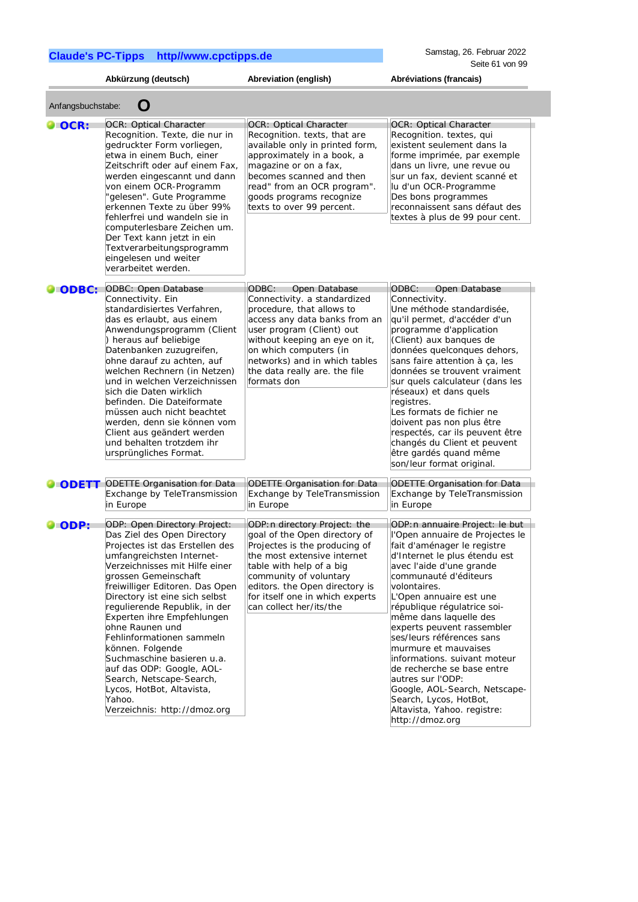http://dmoz.org

|                   | Abkürzung (deutsch)                                                                                                                                                                                                                                                                                                                                                                                                                                                                                                                                         | Abreviation (english)                                                                                                                                                                                                                                                                         | Abréviations (francais)                                                                                                                                                                                                                                                                                                                                                                                                                                                                                                                                                        |
|-------------------|-------------------------------------------------------------------------------------------------------------------------------------------------------------------------------------------------------------------------------------------------------------------------------------------------------------------------------------------------------------------------------------------------------------------------------------------------------------------------------------------------------------------------------------------------------------|-----------------------------------------------------------------------------------------------------------------------------------------------------------------------------------------------------------------------------------------------------------------------------------------------|--------------------------------------------------------------------------------------------------------------------------------------------------------------------------------------------------------------------------------------------------------------------------------------------------------------------------------------------------------------------------------------------------------------------------------------------------------------------------------------------------------------------------------------------------------------------------------|
| Anfangsbuchstabe: | O                                                                                                                                                                                                                                                                                                                                                                                                                                                                                                                                                           |                                                                                                                                                                                                                                                                                               |                                                                                                                                                                                                                                                                                                                                                                                                                                                                                                                                                                                |
| $\bigcirc$ OCR:   | <b>OCR: Optical Character</b><br>Recognition. Texte, die nur in<br>gedruckter Form vorliegen,<br>etwa in einem Buch, einer<br>Zeitschrift oder auf einem Fax,<br>werden eingescannt und dann<br>von einem OCR-Programm<br>'gelesen". Gute Programme<br>erkennen Texte zu über 99%<br>fehlerfrei und wandeln sie in<br>computerlesbare Zeichen um.<br>Der Text kann jetzt in ein<br>Textverarbeitungsprogramm<br>eingelesen und weiter<br>verarbeitet werden.                                                                                                | <b>OCR: Optical Character</b><br>Recognition. texts, that are<br>available only in printed form,<br>approximately in a book, a<br>magazine or on a fax,<br>becomes scanned and then<br>read" from an OCR program".<br>goods programs recognize<br>texts to over 99 percent.                   | <b>OCR: Optical Character</b><br>Recognition. textes, qui<br>existent seulement dans la<br>forme imprimée, par exemple<br>dans un livre, une revue ou<br>sur un fax, devient scanné et<br>lu d'un OCR-Programme<br>Des bons programmes<br>reconnaissent sans défaut des<br>textes à plus de 99 pour cent.                                                                                                                                                                                                                                                                      |
| $\bullet$ ODBC:   | ODBC: Open Database<br>Connectivity. Ein<br>standardisiertes Verfahren,<br>das es erlaubt, aus einem<br>Anwendungsprogramm (Client<br>) heraus auf beliebige<br>Datenbanken zuzugreifen,<br>ohne darauf zu achten, auf<br>welchen Rechnern (in Netzen)<br>und in welchen Verzeichnissen<br>sich die Daten wirklich<br>befinden. Die Dateiformate<br>müssen auch nicht beachtet<br>werden, denn sie können vom<br>Client aus geändert werden<br>und behalten trotzdem ihr<br>ursprüngliches Format.                                                          | ODBC:<br>Open Database<br>Connectivity. a standardized<br>procedure, that allows to<br>access any data banks from an<br>user program (Client) out<br>without keeping an eye on it,<br>on which computers (in<br>networks) and in which tables<br>the data really are. the file<br>formats don | Open Database<br>ODBC:<br>Connectivity.<br>Une méthode standardisée,<br>qu'il permet, d'accéder d'un<br>programme d'application<br>(Client) aux banques de<br>données quelconques dehors,<br>sans faire attention à ça, les<br>données se trouvent vraiment<br>sur quels calculateur (dans les<br>réseaux) et dans quels<br>registres.<br>Les formats de fichier ne<br>doivent pas non plus être<br>respectés, car ils peuvent être<br>changés du Client et peuvent<br>être gardés quand même<br>son/leur format original.                                                     |
| $\bullet$ ODETT   | <b>ODETTE Organisation for Data</b><br>Exchange by TeleTransmission<br>in Europe                                                                                                                                                                                                                                                                                                                                                                                                                                                                            | <b>ODETTE Organisation for Data</b><br>Exchange by TeleTransmission<br>in Europe                                                                                                                                                                                                              | <b>ODETTE Organisation for Data</b><br>Exchange by TeleTransmission<br>in Europe                                                                                                                                                                                                                                                                                                                                                                                                                                                                                               |
| $\bigcirc$ ODP:   | ODP: Open Directory Project:<br>Das Ziel des Open Directory<br>Projectes ist das Erstellen des<br>umfangreichsten Internet-<br>Verzeichnisses mit Hilfe einer<br>grossen Gemeinschaft<br>freiwilliger Editoren. Das Open<br>Directory ist eine sich selbst<br>regulierende Republik, in der<br>Experten ihre Empfehlungen<br>ohne Raunen und<br>Fehlinformationen sammeln<br>können. Folgende<br>Suchmaschine basieren u.a.<br>auf das ODP: Google, AOL-<br>Search, Netscape-Search,<br>Lycos, HotBot, Altavista,<br>Yahoo.<br>Verzeichnis: http://dmoz.org | ODP: n directory Project: the<br>goal of the Open directory of<br>Projectes is the producing of<br>the most extensive internet<br>table with help of a big<br>community of voluntary<br>editors. the Open directory is<br>for itself one in which experts<br>can collect her/its/the          | ODP: n annuaire Project: le but<br>l'Open annuaire de Projectes le<br>fait d'aménager le registre<br>d'Internet le plus étendu est<br>avec l'aide d'une grande<br>communauté d'éditeurs<br>volontaires.<br>L'Open annuaire est une<br>république régulatrice soi-<br>même dans laquelle des<br>experts peuvent rassembler<br>ses/leurs références sans<br>murmure et mauvaises<br>informations. suivant moteur<br>de recherche se base entre<br>autres sur l'ODP:<br>Google, AOL-Search, Netscape-<br>Search, Lycos, HotBot,<br>Altavista, Yahoo. registre:<br>http://dmoz.org |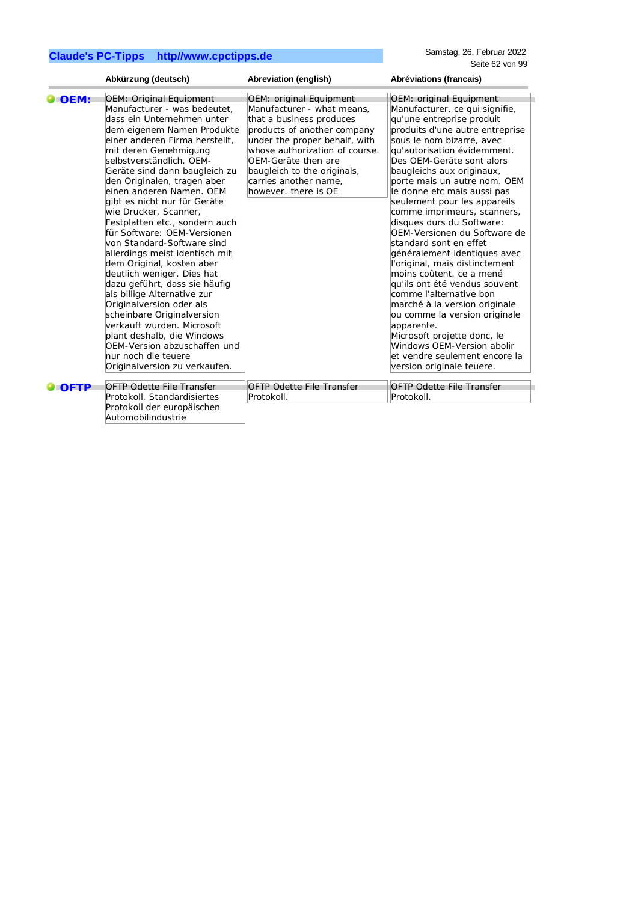|             | Abkürzung (deutsch)                                                                                                                                                                                                                                                                                                                                                                                                                                                                                                                                                                                                                                                                                                                                                                                                                              | Abreviation (english)                                                                                                                                                                                                                                                                      | Abréviations (francais)                                                                                                                                                                                                                                                                                                                                                                                                                                                                                                                                                                                                                                                                                                                                                                                                                   |
|-------------|--------------------------------------------------------------------------------------------------------------------------------------------------------------------------------------------------------------------------------------------------------------------------------------------------------------------------------------------------------------------------------------------------------------------------------------------------------------------------------------------------------------------------------------------------------------------------------------------------------------------------------------------------------------------------------------------------------------------------------------------------------------------------------------------------------------------------------------------------|--------------------------------------------------------------------------------------------------------------------------------------------------------------------------------------------------------------------------------------------------------------------------------------------|-------------------------------------------------------------------------------------------------------------------------------------------------------------------------------------------------------------------------------------------------------------------------------------------------------------------------------------------------------------------------------------------------------------------------------------------------------------------------------------------------------------------------------------------------------------------------------------------------------------------------------------------------------------------------------------------------------------------------------------------------------------------------------------------------------------------------------------------|
| <b>OEM:</b> | <b>OEM: Original Equipment</b><br>Manufacturer - was bedeutet,<br>dass ein Unternehmen unter<br>dem eigenem Namen Produkte<br>einer anderen Firma herstellt,<br>mit deren Genehmigung<br>selbstverständlich. OEM-<br>Geräte sind dann baugleich zu<br>den Originalen, tragen aber<br>einen anderen Namen. OEM<br>gibt es nicht nur für Geräte<br>wie Drucker, Scanner,<br>Festplatten etc., sondern auch<br>für Software: OEM-Versionen<br>von Standard-Software sind<br>allerdings meist identisch mit<br>dem Original, kosten aber<br>deutlich weniger. Dies hat<br>dazu geführt, dass sie häufig<br>als billige Alternative zur<br>Originalversion oder als<br>scheinbare Originalversion<br>verkauft wurden. Microsoft<br>plant deshalb, die Windows<br>OEM-Version abzuschaffen und<br>nur noch die teuere<br>Originalversion zu verkaufen. | OEM: original Equipment<br>Manufacturer - what means.<br>that a business produces<br>products of another company<br>under the proper behalf, with<br>whose authorization of course.<br>OEM-Geräte then are<br>baugleich to the originals,<br>carries another name.<br>however, there is OE | OEM: original Equipment<br>Manufacturer, ce qui signifie,<br>qu'une entreprise produit<br>produits d'une autre entreprise<br>sous le nom bizarre, avec<br>qu'autorisation évidemment.<br>Des OEM-Geräte sont alors<br>baugleichs aux originaux,<br>porte mais un autre nom. OEM<br>le donne etc mais aussi pas<br>seulement pour les appareils<br>comme imprimeurs, scanners,<br>disques durs du Software:<br>OEM-Versionen du Software de<br>standard sont en effet<br>généralement identiques avec<br>l'original, mais distinctement<br>moins coûtent. ce a mené<br>qu'ils ont été vendus souvent<br>comme l'alternative bon<br>marché à la version originale<br>ou comme la version originale<br>apparente.<br>Microsoft projette donc, le<br>Windows OEM-Version abolir<br>et vendre seulement encore la<br>version originale teuere. |
| <b>OFTP</b> | <b>OFTP Odette File Transfer</b><br>Protokoll, Standardisiertes<br>Protokoll der europäischen<br>Automobilindustrie                                                                                                                                                                                                                                                                                                                                                                                                                                                                                                                                                                                                                                                                                                                              | <b>OFTP Odette File Transfer</b><br>Protokoll.                                                                                                                                                                                                                                             | <b>OFTP Odette File Transfer</b><br>Protokoll.                                                                                                                                                                                                                                                                                                                                                                                                                                                                                                                                                                                                                                                                                                                                                                                            |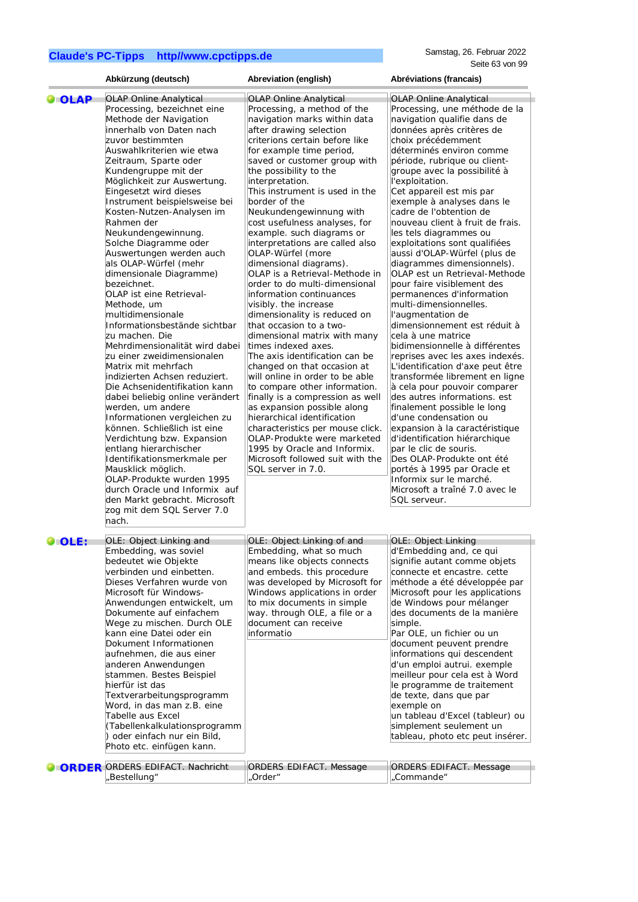|                | Abkürzung (deutsch)                                                                                                                                                                                                                                                                                                                                                                                                                                                                                                                                                                                                                                                                                                                                                                                                                                                                                                                                                                                                                                                                                                            | Abreviation (english)                                                                                                                                                                                                                                                                                                                                                                                                                                                                                                                                                                                                                                                                                                                                                                                                                                                                                                                                                                                                                                                                                         | Abréviations (francais)                                                                                                                                                                                                                                                                                                                                                                                                                                                                                                                                                                                                                                                                                                                                                                                                                                                                                                                                                                                                                                                                                                                                                                    |
|----------------|--------------------------------------------------------------------------------------------------------------------------------------------------------------------------------------------------------------------------------------------------------------------------------------------------------------------------------------------------------------------------------------------------------------------------------------------------------------------------------------------------------------------------------------------------------------------------------------------------------------------------------------------------------------------------------------------------------------------------------------------------------------------------------------------------------------------------------------------------------------------------------------------------------------------------------------------------------------------------------------------------------------------------------------------------------------------------------------------------------------------------------|---------------------------------------------------------------------------------------------------------------------------------------------------------------------------------------------------------------------------------------------------------------------------------------------------------------------------------------------------------------------------------------------------------------------------------------------------------------------------------------------------------------------------------------------------------------------------------------------------------------------------------------------------------------------------------------------------------------------------------------------------------------------------------------------------------------------------------------------------------------------------------------------------------------------------------------------------------------------------------------------------------------------------------------------------------------------------------------------------------------|--------------------------------------------------------------------------------------------------------------------------------------------------------------------------------------------------------------------------------------------------------------------------------------------------------------------------------------------------------------------------------------------------------------------------------------------------------------------------------------------------------------------------------------------------------------------------------------------------------------------------------------------------------------------------------------------------------------------------------------------------------------------------------------------------------------------------------------------------------------------------------------------------------------------------------------------------------------------------------------------------------------------------------------------------------------------------------------------------------------------------------------------------------------------------------------------|
| $\bullet$ OLAP | <b>OLAP Online Analytical</b>                                                                                                                                                                                                                                                                                                                                                                                                                                                                                                                                                                                                                                                                                                                                                                                                                                                                                                                                                                                                                                                                                                  | <b>OLAP Online Analytical</b>                                                                                                                                                                                                                                                                                                                                                                                                                                                                                                                                                                                                                                                                                                                                                                                                                                                                                                                                                                                                                                                                                 | <b>OLAP Online Analytical</b>                                                                                                                                                                                                                                                                                                                                                                                                                                                                                                                                                                                                                                                                                                                                                                                                                                                                                                                                                                                                                                                                                                                                                              |
|                | Processing, bezeichnet eine<br>Methode der Navigation<br>innerhalb von Daten nach<br>zuvor bestimmten<br>Auswahlkriterien wie etwa<br>Zeitraum, Sparte oder<br>Kundengruppe mit der<br>Möglichkeit zur Auswertung.<br>Eingesetzt wird dieses<br>Instrument beispielsweise bei<br>Kosten-Nutzen-Analysen im<br>Rahmen der<br>Neukundengewinnung.<br>Solche Diagramme oder<br>Auswertungen werden auch<br>als OLAP-Würfel (mehr<br>dimensionale Diagramme)<br>bezeichnet.<br>OLAP ist eine Retrieval-<br>Methode, um<br>multidimensionale<br>Informationsbestände sichtbar<br>zu machen. Die<br>Mehrdimensionalität wird dabei<br>zu einer zweidimensionalen<br>Matrix mit mehrfach<br>indizierten Achsen reduziert.<br>Die Achsenidentifikation kann<br>dabei beliebig online verändert<br>werden, um andere<br>Informationen vergleichen zu<br>können. Schließlich ist eine<br>Verdichtung bzw. Expansion<br>entlang hierarchischer<br>Identifikationsmerkmale per<br>Mausklick möglich.<br>OLAP-Produkte wurden 1995<br>durch Oracle und Informix auf<br>den Markt gebracht. Microsoft<br>zog mit dem SQL Server 7.0<br>nach. | Processing, a method of the<br>navigation marks within data<br>after drawing selection<br>criterions certain before like<br>for example time period,<br>saved or customer group with<br>the possibility to the<br>interpretation.<br>This instrument is used in the<br>border of the<br>Neukundengewinnung with<br>cost usefulness analyses, for<br>example. such diagrams or<br>interpretations are called also<br>OLAP-Würfel (more<br>dimensional diagrams).<br>OLAP is a Retrieval-Methode in<br>order to do multi-dimensional<br>information continuances<br>visibly. the increase<br>dimensionality is reduced on<br>that occasion to a two-<br>dimensional matrix with many<br>times indexed axes.<br>The axis identification can be<br>changed on that occasion at<br>will online in order to be able<br>to compare other information.<br>finally is a compression as well<br>as expansion possible along<br>hierarchical identification<br>characteristics per mouse click.<br>OLAP-Produkte were marketed<br>1995 by Oracle and Informix.<br>Microsoft followed suit with the<br>SQL server in 7.0. | Processing, une méthode de la<br>navigation qualifie dans de<br>données après critères de<br>choix précédemment<br>déterminés environ comme<br>période, rubrique ou client-<br>groupe avec la possibilité à<br>l'exploitation.<br>Cet appareil est mis par<br>exemple à analyses dans le<br>cadre de l'obtention de<br>nouveau client à fruit de frais.<br>les tels diagrammes ou<br>exploitations sont qualifiées<br>aussi d'OLAP-Würfel (plus de<br>diagrammes dimensionnels).<br>OLAP est un Retrieval-Methode<br>pour faire visiblement des<br>permanences d'information<br>multi-dimensionnelles.<br>l'augmentation de<br>dimensionnement est réduit à<br>cela à une matrice<br>bidimensionnelle à différentes<br>reprises avec les axes indexés.<br>L'identification d'axe peut être<br>transformée librement en ligne<br>à cela pour pouvoir comparer<br>des autres informations. est<br>finalement possible le long<br>d'une condensation ou<br>expansion à la caractéristique<br>d'identification hiérarchique<br>par le clic de souris.<br>Des OLAP-Produkte ont été<br>portés à 1995 par Oracle et<br>Informix sur le marché.<br>Microsoft a traîné 7.0 avec le<br>SQL serveur. |
| OLE:           | OLE: Object Linking and<br>Embedding, was soviel                                                                                                                                                                                                                                                                                                                                                                                                                                                                                                                                                                                                                                                                                                                                                                                                                                                                                                                                                                                                                                                                               | OLE: Object Linking of and<br>Embedding, what so much                                                                                                                                                                                                                                                                                                                                                                                                                                                                                                                                                                                                                                                                                                                                                                                                                                                                                                                                                                                                                                                         | <b>OLE: Object Linking</b><br>d'Embedding and, ce qui                                                                                                                                                                                                                                                                                                                                                                                                                                                                                                                                                                                                                                                                                                                                                                                                                                                                                                                                                                                                                                                                                                                                      |
|                | bedeutet wie Objekte<br>verbinden und einbetten.<br>Dieses Verfahren wurde von<br>Microsoft für Windows-<br>Anwendungen entwickelt, um<br>Dokumente auf einfachem<br>Wege zu mischen. Durch OLE<br>kann eine Datei oder ein<br>Dokument Informationen<br>aufnehmen, die aus einer<br>anderen Anwendungen<br>stammen. Bestes Beispiel<br>hierfür ist das<br>Textverarbeitungsprogramm<br>Word, in das man z.B. eine<br>Tabelle aus Excel<br>(Tabellenkalkulationsprogramm<br>) oder einfach nur ein Bild,<br>Photo etc. einfügen kann.<br><b>ORDER ORDERS EDIFACT. Nachricht</b>                                                                                                                                                                                                                                                                                                                                                                                                                                                                                                                                                | means like objects connects<br>and embeds. this procedure<br>was developed by Microsoft for<br>Windows applications in order<br>to mix documents in simple<br>way. through OLE, a file or a<br>document can receive<br>informatio<br>ORDERS EDIFACT. Message                                                                                                                                                                                                                                                                                                                                                                                                                                                                                                                                                                                                                                                                                                                                                                                                                                                  | signifie autant comme objets<br>connecte et encastre. cette<br>méthode a été développée par<br>Microsoft pour les applications<br>de Windows pour mélanger<br>des documents de la manière<br>simple.<br>Par OLE, un fichier ou un<br>document peuvent prendre<br>informations qui descendent<br>d'un emploi autrui. exemple<br>meilleur pour cela est à Word<br>le programme de traitement<br>de texte, dans que par<br>exemple on<br>un tableau d'Excel (tableur) ou<br>simplement seulement un<br>tableau, photo etc peut insérer.<br><b>ORDERS EDIFACT. Message</b>                                                                                                                                                                                                                                                                                                                                                                                                                                                                                                                                                                                                                     |
|                | ,Bestellung"                                                                                                                                                                                                                                                                                                                                                                                                                                                                                                                                                                                                                                                                                                                                                                                                                                                                                                                                                                                                                                                                                                                   | Order"                                                                                                                                                                                                                                                                                                                                                                                                                                                                                                                                                                                                                                                                                                                                                                                                                                                                                                                                                                                                                                                                                                        | ,Commande"                                                                                                                                                                                                                                                                                                                                                                                                                                                                                                                                                                                                                                                                                                                                                                                                                                                                                                                                                                                                                                                                                                                                                                                 |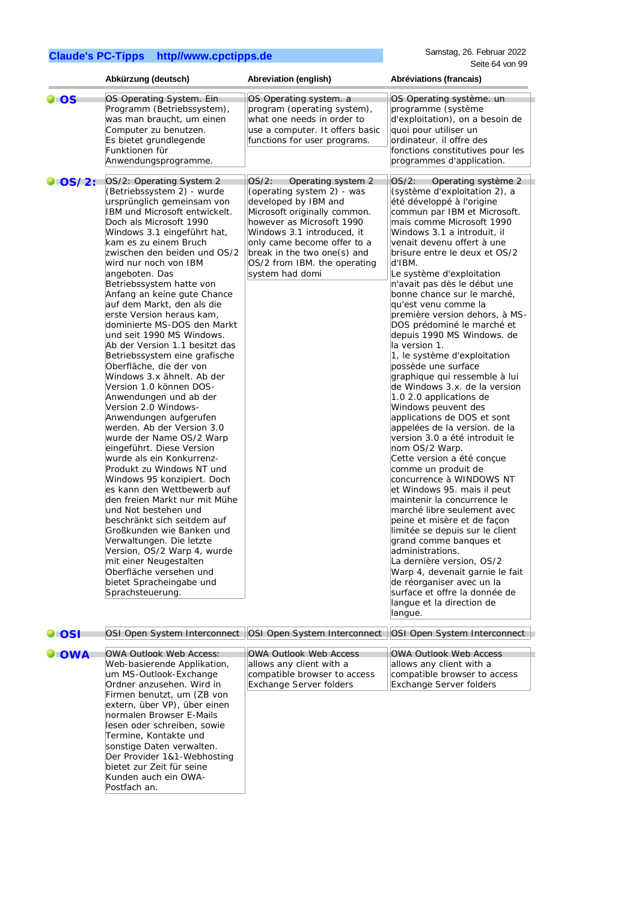|               | Abkürzung (deutsch)                                                                                                                                                                                                                                                                                                                                                                                                                                                                                                                                                                                                                                                                                                                                                                                                                                                                                                                                                                                                                                                                                                                                                                                         | Abreviation (english)                                                                                                                                                                                                                                                                         | Abréviations (francais)                                                                                                                                                                                                                                                                                                                                                                                                                                                                                                                                                                                                                                                                                                                                                                                                                                                                                                                                                                                                                                                                                                                                                                                                                                                  |
|---------------|-------------------------------------------------------------------------------------------------------------------------------------------------------------------------------------------------------------------------------------------------------------------------------------------------------------------------------------------------------------------------------------------------------------------------------------------------------------------------------------------------------------------------------------------------------------------------------------------------------------------------------------------------------------------------------------------------------------------------------------------------------------------------------------------------------------------------------------------------------------------------------------------------------------------------------------------------------------------------------------------------------------------------------------------------------------------------------------------------------------------------------------------------------------------------------------------------------------|-----------------------------------------------------------------------------------------------------------------------------------------------------------------------------------------------------------------------------------------------------------------------------------------------|--------------------------------------------------------------------------------------------------------------------------------------------------------------------------------------------------------------------------------------------------------------------------------------------------------------------------------------------------------------------------------------------------------------------------------------------------------------------------------------------------------------------------------------------------------------------------------------------------------------------------------------------------------------------------------------------------------------------------------------------------------------------------------------------------------------------------------------------------------------------------------------------------------------------------------------------------------------------------------------------------------------------------------------------------------------------------------------------------------------------------------------------------------------------------------------------------------------------------------------------------------------------------|
| $\bullet$ OS  | OS Operating System. Ein<br>Programm (Betriebssystem),<br>was man braucht, um einen<br>Computer zu benutzen.<br>Es bietet grundlegende<br>Funktionen für<br>Anwendungsprogramme.                                                                                                                                                                                                                                                                                                                                                                                                                                                                                                                                                                                                                                                                                                                                                                                                                                                                                                                                                                                                                            | OS Operating system. a<br>program (operating system),<br>what one needs in order to<br>use a computer. It offers basic<br>functions for user programs.                                                                                                                                        | OS Operating système. un<br>programme (système<br>d'exploitation), on a besoin de<br>quoi pour utiliser un<br>ordinateur. il offre des<br>fonctions constitutives pour les<br>programmes d'application.                                                                                                                                                                                                                                                                                                                                                                                                                                                                                                                                                                                                                                                                                                                                                                                                                                                                                                                                                                                                                                                                  |
| $\log/2$ :    | OS/2: Operating System 2<br>(Betriebssystem 2) - wurde<br>ursprünglich gemeinsam von<br>IBM und Microsoft entwickelt.<br>Doch als Microsoft 1990<br>Windows 3.1 eingeführt hat,<br>kam es zu einem Bruch<br>zwischen den beiden und OS/2<br>wird nur noch von IBM<br>angeboten. Das<br>Betriebssystem hatte von<br>Anfang an keine gute Chance<br>auf dem Markt, den als die<br>erste Version heraus kam,<br>dominierte MS-DOS den Markt<br>und seit 1990 MS Windows.<br>Ab der Version 1.1 besitzt das<br>Betriebssystem eine grafische<br>Oberfläche, die der von<br>Windows 3.x ähnelt. Ab der<br>Version 1.0 können DOS-<br>Anwendungen und ab der<br>Version 2.0 Windows-<br>Anwendungen aufgerufen<br>werden. Ab der Version 3.0<br>wurde der Name OS/2 Warp<br>eingeführt. Diese Version<br>wurde als ein Konkurrenz-<br>Produkt zu Windows NT und<br>Windows 95 konzipiert. Doch<br>es kann den Wettbewerb auf<br>den freien Markt nur mit Mühe<br>und Not bestehen und<br>beschränkt sich seitdem auf<br>Großkunden wie Banken und<br>Verwaltungen. Die letzte<br>Version, OS/2 Warp 4, wurde<br>mit einer Neugestalten<br>Oberfläche versehen und<br>bietet Spracheingabe und<br>Sprachsteuerung. | OS/2:<br>Operating system 2<br>(operating system 2) - was<br>developed by IBM and<br>Microsoft originally common.<br>however as Microsoft 1990<br>Windows 3.1 introduced, it<br>only came become offer to a<br>break in the two one(s) and<br>OS/2 from IBM. the operating<br>system had domi | $OS/2$ :<br>Operating système 2<br>(système d'exploitation 2), a<br>été développé à l'origine<br>commun par IBM et Microsoft.<br>mais comme Microsoft 1990<br>Windows 3.1 a introduit, il<br>venait devenu offert à une<br>brisure entre le deux et OS/2<br>d'IBM.<br>Le système d'exploitation<br>n'avait pas dès le début une<br>bonne chance sur le marché,<br>qu'est venu comme la<br>première version dehors, à MS-<br>DOS prédominé le marché et<br>depuis 1990 MS Windows. de<br>la version 1.<br>1, le système d'exploitation<br>possède une surface<br>graphique qui ressemble à lui<br>de Windows 3.x. de la version<br>1.0 2.0 applications de<br>Windows peuvent des<br>applications de DOS et sont<br>appelées de la version. de la<br>version 3.0 a été introduit le<br>nom OS/2 Warp.<br>Cette version a été conçue<br>comme un produit de<br>concurrence à WINDOWS NT<br>et Windows 95. mais il peut<br>maintenir la concurrence le<br>marché libre seulement avec<br>peine et misère et de façon<br>limitée se depuis sur le client<br>grand comme banques et<br>administrations.<br>La dernière version, OS/2<br>Warp 4, devenait garnie le fait<br>de réorganiser avec un la<br>surface et offre la donnée de<br>langue et la direction de<br>langue. |
| $\bullet$ OSI |                                                                                                                                                                                                                                                                                                                                                                                                                                                                                                                                                                                                                                                                                                                                                                                                                                                                                                                                                                                                                                                                                                                                                                                                             | OSI Open System Interconnect   OSI Open System Interconnect                                                                                                                                                                                                                                   | OSI Open System Interconnect                                                                                                                                                                                                                                                                                                                                                                                                                                                                                                                                                                                                                                                                                                                                                                                                                                                                                                                                                                                                                                                                                                                                                                                                                                             |
| <b>OWA</b>    | <b>OWA Outlook Web Access:</b><br>Web-basierende Applikation,<br>um MS-Outlook-Exchange<br>Ordner anzusehen. Wird in<br>Firmen benutzt, um (ZB von<br>extern, über VP), über einen<br>normalen Browser E-Mails<br>lesen oder schreiben, sowie<br>Termine, Kontakte und<br>sonstige Daten verwalten.<br>Der Provider 1&1-Webhosting<br>bietet zur Zeit für seine<br>Kunden auch ein OWA-<br>Postfach an.                                                                                                                                                                                                                                                                                                                                                                                                                                                                                                                                                                                                                                                                                                                                                                                                     | <b>OWA Outlook Web Access</b><br>allows any client with a<br>compatible browser to access<br><b>Exchange Server folders</b>                                                                                                                                                                   | <b>OWA Outlook Web Access</b><br>allows any client with a<br>compatible browser to access<br><b>Exchange Server folders</b>                                                                                                                                                                                                                                                                                                                                                                                                                                                                                                                                                                                                                                                                                                                                                                                                                                                                                                                                                                                                                                                                                                                                              |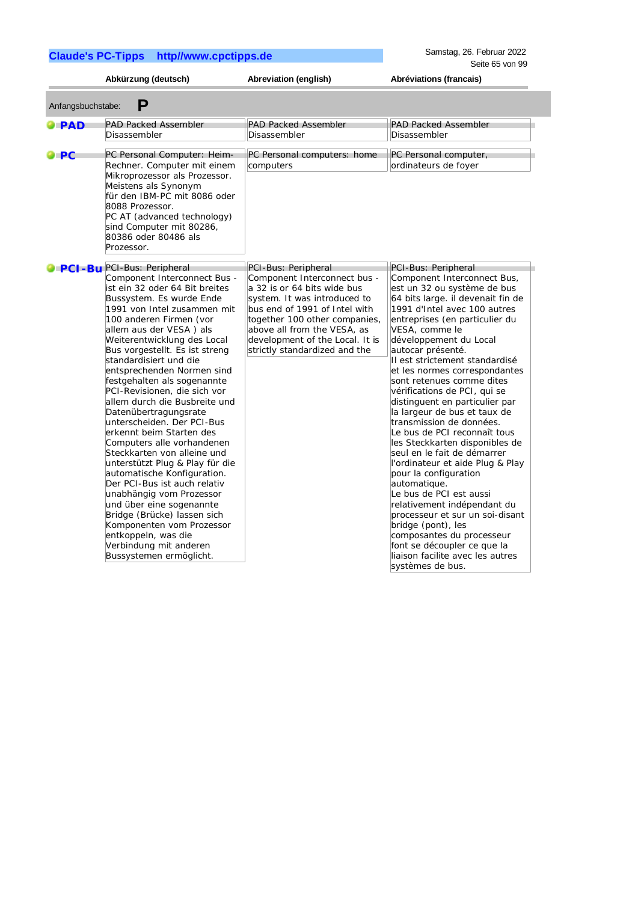Samstag, 26. Februar 2022 Seite 65 von 99

|                    | Abkürzung (deutsch)                                                                                                                                                                                                                                                                                                                                                                                                                                                                                                                                                                                                                                                                                                                                                                                                                                            | Abreviation (english)                                                                                                                                                                                                                                                                   | Abréviations (francais)                                                                                                                                                                                                                                                                                                                                                                                                                                                                                                                                                                                                                                                                                                                                                                                                                              |
|--------------------|----------------------------------------------------------------------------------------------------------------------------------------------------------------------------------------------------------------------------------------------------------------------------------------------------------------------------------------------------------------------------------------------------------------------------------------------------------------------------------------------------------------------------------------------------------------------------------------------------------------------------------------------------------------------------------------------------------------------------------------------------------------------------------------------------------------------------------------------------------------|-----------------------------------------------------------------------------------------------------------------------------------------------------------------------------------------------------------------------------------------------------------------------------------------|------------------------------------------------------------------------------------------------------------------------------------------------------------------------------------------------------------------------------------------------------------------------------------------------------------------------------------------------------------------------------------------------------------------------------------------------------------------------------------------------------------------------------------------------------------------------------------------------------------------------------------------------------------------------------------------------------------------------------------------------------------------------------------------------------------------------------------------------------|
| Anfangsbuchstabe:  | Р                                                                                                                                                                                                                                                                                                                                                                                                                                                                                                                                                                                                                                                                                                                                                                                                                                                              |                                                                                                                                                                                                                                                                                         |                                                                                                                                                                                                                                                                                                                                                                                                                                                                                                                                                                                                                                                                                                                                                                                                                                                      |
| $\blacksquare$ PAD | <b>PAD Packed Assembler</b><br>Disassembler                                                                                                                                                                                                                                                                                                                                                                                                                                                                                                                                                                                                                                                                                                                                                                                                                    | <b>PAD Packed Assembler</b><br>Disassembler                                                                                                                                                                                                                                             | <b>PAD Packed Assembler</b><br>Disassembler                                                                                                                                                                                                                                                                                                                                                                                                                                                                                                                                                                                                                                                                                                                                                                                                          |
| $\Box$ PC.         | PC Personal Computer: Heim-<br>Rechner. Computer mit einem<br>Mikroprozessor als Prozessor.<br>Meistens als Synonym<br>für den IBM-PC mit 8086 oder<br>8088 Prozessor.<br>PC AT (advanced technology)<br>sind Computer mit 80286,<br>80386 oder 80486 als<br>Prozessor.                                                                                                                                                                                                                                                                                                                                                                                                                                                                                                                                                                                        | PC Personal computers: home<br>computers                                                                                                                                                                                                                                                | PC Personal computer,<br>ordinateurs de foyer                                                                                                                                                                                                                                                                                                                                                                                                                                                                                                                                                                                                                                                                                                                                                                                                        |
|                    | PCI-Bu PCI-Bus: Peripheral<br>Component Interconnect Bus -<br>ist ein 32 oder 64 Bit breites<br>Bussystem. Es wurde Ende<br>1991 von Intel zusammen mit<br>100 anderen Firmen (vor<br>allem aus der VESA) als<br>Weiterentwicklung des Local<br>Bus vorgestellt. Es ist streng<br>standardisiert und die<br>entsprechenden Normen sind<br>festgehalten als sogenannte<br>PCI-Revisionen, die sich vor<br>allem durch die Busbreite und<br>Datenübertragungsrate<br>unterscheiden. Der PCI-Bus.<br>erkennt beim Starten des<br>Computers alle vorhandenen<br>Steckkarten von alleine und<br>unterstützt Plug & Play für die<br>automatische Konfiguration.<br>Der PCI-Bus ist auch relativ<br>unabhängig vom Prozessor<br>und über eine sogenannte<br>Bridge (Brücke) lassen sich<br>Komponenten vom Prozessor<br>entkoppeln, was die<br>Verbindung mit anderen | PCI-Bus: Peripheral<br>Component Interconnect bus -<br>a 32 is or 64 bits wide bus<br>system. It was introduced to<br>bus end of 1991 of Intel with<br>together 100 other companies,<br>above all from the VESA, as<br>development of the Local. It is<br>strictly standardized and the | PCI-Bus: Peripheral<br>Component Interconnect Bus,<br>est un 32 ou système de bus<br>64 bits large. il devenait fin de<br>1991 d'Intel avec 100 autres<br>entreprises (en particulier du<br>VESA, comme le<br>développement du Local<br>autocar présenté.<br>Il est strictement standardisé<br>et les normes correspondantes<br>sont retenues comme dites<br>vérifications de PCI, qui se<br>distinguent en particulier par<br>la largeur de bus et taux de<br>transmission de données.<br>Le bus de PCI reconnaît tous<br>les Steckkarten disponibles de<br>seul en le fait de démarrer<br>l'ordinateur et aide Plug & Play<br>pour la configuration<br>automatique.<br>Le bus de PCI est aussi<br>relativement indépendant du<br>processeur et sur un soi-disant<br>bridge (pont), les<br>composantes du processeur<br>font se découpler ce que la |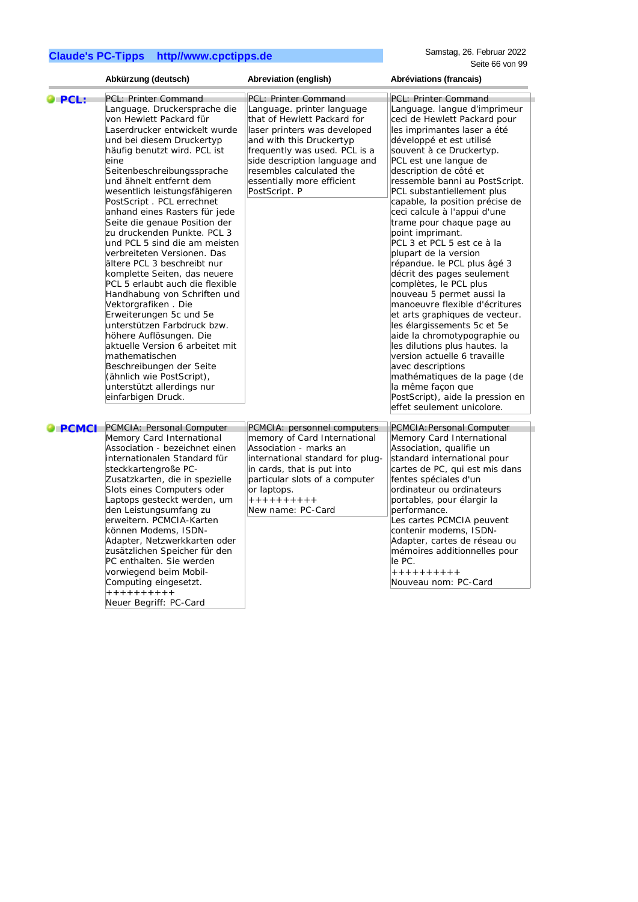|                      | Abkürzung (deutsch)                                                                                                                                                                                                                                                                                                                                                                                                                                                                                                                                                                                                                                                                                                                                                                                                                                                                            | Abreviation (english)                                                                                                                                                                                                                                                                      | Abréviations (francais)                                                                                                                                                                                                                                                                                                                                                                                                                                                                                                                                                                                                                                                                                                                                                                                                                                                                                                                       |
|----------------------|------------------------------------------------------------------------------------------------------------------------------------------------------------------------------------------------------------------------------------------------------------------------------------------------------------------------------------------------------------------------------------------------------------------------------------------------------------------------------------------------------------------------------------------------------------------------------------------------------------------------------------------------------------------------------------------------------------------------------------------------------------------------------------------------------------------------------------------------------------------------------------------------|--------------------------------------------------------------------------------------------------------------------------------------------------------------------------------------------------------------------------------------------------------------------------------------------|-----------------------------------------------------------------------------------------------------------------------------------------------------------------------------------------------------------------------------------------------------------------------------------------------------------------------------------------------------------------------------------------------------------------------------------------------------------------------------------------------------------------------------------------------------------------------------------------------------------------------------------------------------------------------------------------------------------------------------------------------------------------------------------------------------------------------------------------------------------------------------------------------------------------------------------------------|
| $\bullet$ PCL:       | PCL: Printer Command<br>Language. Druckersprache die<br>von Hewlett Packard für<br>Laserdrucker entwickelt wurde<br>und bei diesem Druckertyp<br>häufig benutzt wird. PCL ist<br>eine<br>Seitenbeschreibungssprache<br>und ähnelt entfernt dem<br>wesentlich leistungsfähigeren<br>PostScript. PCL errechnet<br>anhand eines Rasters für jede<br>Seite die genaue Position der<br>zu druckenden Punkte. PCL 3<br>und PCL 5 sind die am meisten<br>verbreiteten Versionen. Das<br>ältere PCL 3 beschreibt nur<br>komplette Seiten, das neuere<br>PCL 5 erlaubt auch die flexible<br>Handhabung von Schriften und<br>Vektorgrafiken . Die<br>Erweiterungen 5c und 5e<br>unterstützen Farbdruck bzw.<br>höhere Auflösungen. Die<br>aktuelle Version 6 arbeitet mit<br>mathematischen<br>Beschreibungen der Seite<br>(ähnlich wie PostScript),<br>unterstützt allerdings nur<br>einfarbigen Druck. | PCL: Printer Command<br>Language, printer language<br>that of Hewlett Packard for<br>laser printers was developed<br>and with this Druckertyp<br>frequently was used. PCL is a<br>side description language and<br>resembles calculated the<br>essentially more efficient<br>PostScript. P | PCL: Printer Command<br>Language. langue d'imprimeur<br>ceci de Hewlett Packard pour<br>les imprimantes laser a été<br>développé et est utilisé<br>souvent à ce Druckertyp.<br>PCL est une langue de<br>description de côté et<br>ressemble banni au PostScript.<br>PCL substantiellement plus<br>capable, la position précise de<br>ceci calcule à l'appui d'une<br>trame pour chaque page au<br>point imprimant.<br>PCL 3 et PCL 5 est ce à la<br>plupart de la version<br>répandue. le PCL plus âgé 3<br>décrit des pages seulement<br>complètes, le PCL plus<br>nouveau 5 permet aussi la<br>manoeuvre flexible d'écritures<br>et arts graphiques de vecteur.<br>les élargissements 5c et 5e<br>aide la chromotypographie ou<br>les dilutions plus hautes. la<br>version actuelle 6 travaille<br>avec descriptions<br>mathématiques de la page (de<br>la même façon que<br>PostScript), aide la pression en<br>effet seulement unicolore. |
| $\blacksquare$ PCMCI | PCMCIA: Personal Computer<br>Memory Card International<br>Association - bezeichnet einen<br>internationalen Standard für<br>steckkartengroße PC-<br>Zusatzkarten, die in spezielle<br>Slots eines Computers oder<br>Laptops gesteckt werden, um<br>den Leistungsumfang zu<br>erweitern. PCMCIA-Karten<br>können Modems, ISDN-<br>Adapter, Netzwerkkarten oder<br>zusätzlichen Speicher für den<br>PC enthalten. Sie werden<br>vorwiegend beim Mobil-<br>Computing eingesetzt.<br>++++++++++<br>Neuer Begriff: PC-Card                                                                                                                                                                                                                                                                                                                                                                          | PCMCIA: personnel computers<br>memory of Card International<br>Association - marks an<br>international standard for plug-<br>in cards, that is put into<br>particular slots of a computer<br>or laptops.<br>++++++++++<br>New name: PC-Card                                                | PCMCIA: Personal Computer<br>Memory Card International<br>Association, qualifie un<br>standard international pour<br>cartes de PC, qui est mis dans<br>fentes spéciales d'un<br>ordinateur ou ordinateurs<br>portables, pour élargir la<br>performance.<br>Les cartes PCMCIA peuvent<br>contenir modems, ISDN-<br>Adapter, cartes de réseau ou<br>mémoires additionnelles pour<br>le PC.<br>++++++++++<br>Nouveau nom: PC-Card                                                                                                                                                                                                                                                                                                                                                                                                                                                                                                                |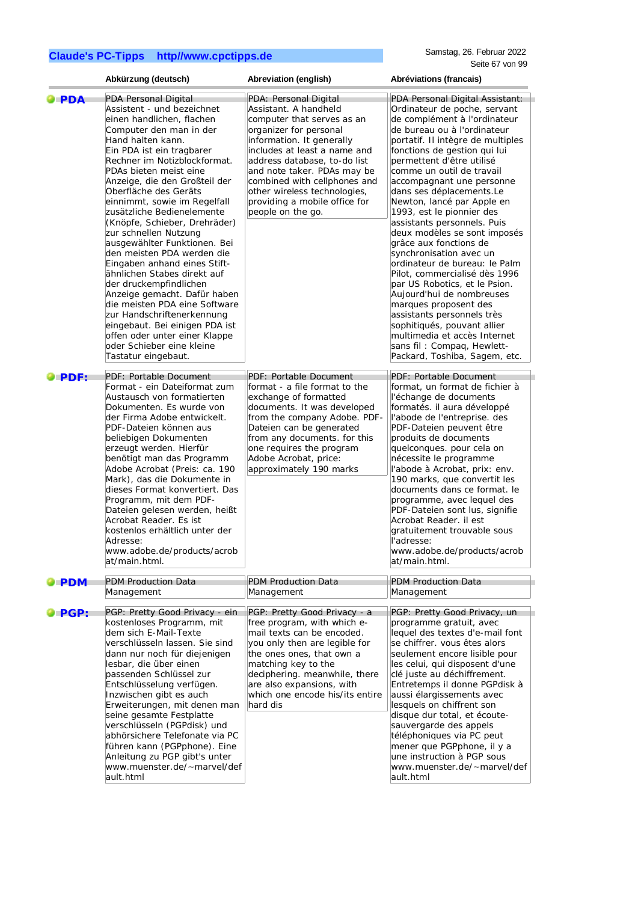|                    | Abkürzung (deutsch)                                                                                                                                                                                                                                                                                                                                                                                                                                                                                                                                                                                                                                                                                                                                            | Abreviation (english)                                                                                                                                                                                                                                                                                                                                    | Abréviations (francais)                                                                                                                                                                                                                                                                                                                                                                                                                                                                                                                                                                                                                                                                                                                                                                   |
|--------------------|----------------------------------------------------------------------------------------------------------------------------------------------------------------------------------------------------------------------------------------------------------------------------------------------------------------------------------------------------------------------------------------------------------------------------------------------------------------------------------------------------------------------------------------------------------------------------------------------------------------------------------------------------------------------------------------------------------------------------------------------------------------|----------------------------------------------------------------------------------------------------------------------------------------------------------------------------------------------------------------------------------------------------------------------------------------------------------------------------------------------------------|-------------------------------------------------------------------------------------------------------------------------------------------------------------------------------------------------------------------------------------------------------------------------------------------------------------------------------------------------------------------------------------------------------------------------------------------------------------------------------------------------------------------------------------------------------------------------------------------------------------------------------------------------------------------------------------------------------------------------------------------------------------------------------------------|
| $\bullet$ PDA      | PDA Personal Digital<br>Assistent - und bezeichnet<br>einen handlichen, flachen<br>Computer den man in der<br>Hand halten kann.<br>Ein PDA ist ein tragbarer<br>Rechner im Notizblockformat.<br>PDAs bieten meist eine<br>Anzeige, die den Großteil der<br>Oberfläche des Geräts<br>einnimmt, sowie im Regelfall<br>zusätzliche Bedienelemente<br>(Knöpfe, Schieber, Drehräder)<br>zur schnellen Nutzung<br>ausgewählter Funktionen. Bei<br>den meisten PDA werden die<br>Eingaben anhand eines Stift-<br>ähnlichen Stabes direkt auf<br>der druckempfindlichen<br>Anzeige gemacht. Dafür haben<br>die meisten PDA eine Software<br>zur Handschriftenerkennung<br>eingebaut. Bei einigen PDA ist<br>offen oder unter einer Klappe<br>oder Schieber eine kleine | PDA: Personal Digital<br>Assistant. A handheld<br>computer that serves as an<br>organizer for personal<br>information. It generally<br>includes at least a name and<br>address database, to-do list<br>and note taker. PDAs may be<br>combined with cellphones and<br>other wireless technologies,<br>providing a mobile office for<br>people on the go. | PDA Personal Digital Assistant:<br>Ordinateur de poche, servant<br>de complément à l'ordinateur<br>de bureau ou à l'ordinateur<br>portatif. Il intègre de multiples<br>fonctions de gestion qui lui<br>permettent d'être utilisé<br>comme un outil de travail<br>accompagnant une personne<br>dans ses déplacements.Le<br>Newton, lancé par Apple en<br>1993, est le pionnier des<br>assistants personnels. Puis<br>deux modèles se sont imposés<br>grâce aux fonctions de<br>synchronisation avec un<br>ordinateur de bureau: le Palm<br>Pilot, commercialisé dès 1996<br>par US Robotics, et le Psion.<br>Aujourd'hui de nombreuses<br>marques proposent des<br>assistants personnels très<br>sophitiqués, pouvant allier<br>multimedia et accès Internet<br>sans fil: Compaq, Hewlett- |
| <b>O</b> PDF:      | Tastatur eingebaut.<br>PDF: Portable Document<br>Format - ein Dateiformat zum<br>Austausch von formatierten<br>Dokumenten. Es wurde von<br>der Firma Adobe entwickelt.<br>PDF-Dateien können aus<br>beliebigen Dokumenten<br>erzeugt werden. Hierfür<br>benötigt man das Programm<br>Adobe Acrobat (Preis: ca. 190<br>Mark), das die Dokumente in<br>dieses Format konvertiert. Das<br>Programm, mit dem PDF-<br>Dateien gelesen werden, heißt<br>Acrobat Reader. Es ist<br>kostenlos erhältlich unter der<br>Adresse:<br>www.adobe.de/products/acrob<br>at/main.html.                                                                                                                                                                                         | PDF: Portable Document<br>format - a file format to the<br>exchange of formatted<br>documents. It was developed<br>from the company Adobe. PDF-<br>Dateien can be generated<br>from any documents. for this<br>one requires the program<br>Adobe Acrobat, price:<br>approximately 190 marks                                                              | Packard, Toshiba, Sagem, etc.<br>PDF: Portable Document<br>format, un format de fichier à<br>l'échange de documents<br>formatés. il aura développé<br>l'abode de l'entreprise. des<br>PDF-Dateien peuvent être<br>produits de documents<br>quelconques. pour cela on<br>nécessite le programme<br>l'abode à Acrobat, prix: env.<br>190 marks, que convertit les<br>documents dans ce format. le<br>programme, avec lequel des<br>PDF-Dateien sont lus, signifie<br>Acrobat Reader. il est<br>gratuitement trouvable sous<br>l'adresse:<br>www.adobe.de/products/acrob<br>at/main.html.                                                                                                                                                                                                    |
| $\blacksquare$ PDM | <b>PDM Production Data</b><br>Management                                                                                                                                                                                                                                                                                                                                                                                                                                                                                                                                                                                                                                                                                                                       | <b>PDM Production Data</b><br>Management                                                                                                                                                                                                                                                                                                                 | <b>PDM Production Data</b><br>Management                                                                                                                                                                                                                                                                                                                                                                                                                                                                                                                                                                                                                                                                                                                                                  |
| $\bullet$ PGP:     | PGP: Pretty Good Privacy - ein<br>kostenloses Programm, mit<br>dem sich E-Mail-Texte<br>verschlüsseln lassen. Sie sind<br>dann nur noch für diejenigen<br>lesbar, die über einen<br>passenden Schlüssel zur<br>Entschlüsselung verfügen.<br>Inzwischen gibt es auch<br>Erweiterungen, mit denen man<br>seine gesamte Festplatte<br>verschlüsseln (PGPdisk) und<br>abhörsichere Telefonate via PC<br>führen kann (PGPphone). Eine<br>Anleitung zu PGP gibt's unter<br>www.muenster.de/~marvel/def<br>ault.html                                                                                                                                                                                                                                                  | PGP: Pretty Good Privacy - a<br>free program, with which e-<br>mail texts can be encoded.<br>you only then are legible for<br>the ones ones, that own a<br>matching key to the<br>deciphering. meanwhile, there<br>are also expansions, with<br>which one encode his/its entire<br>hard dis                                                              | PGP: Pretty Good Privacy, un<br>programme gratuit, avec<br>lequel des textes d'e-mail font<br>se chiffrer. vous êtes alors<br>seulement encore lisible pour<br>les celui, qui disposent d'une<br>clé juste au déchiffrement.<br>Entretemps il donne PGPdisk à<br>aussi élargissements avec<br>lesquels on chiffrent son<br>disque dur total, et écoute-<br>sauvergarde des appels<br>téléphoniques via PC peut<br>mener que PGPphone, il y a<br>une instruction à PGP sous<br>www.muenster.de/~marvel/def<br>ault.html                                                                                                                                                                                                                                                                    |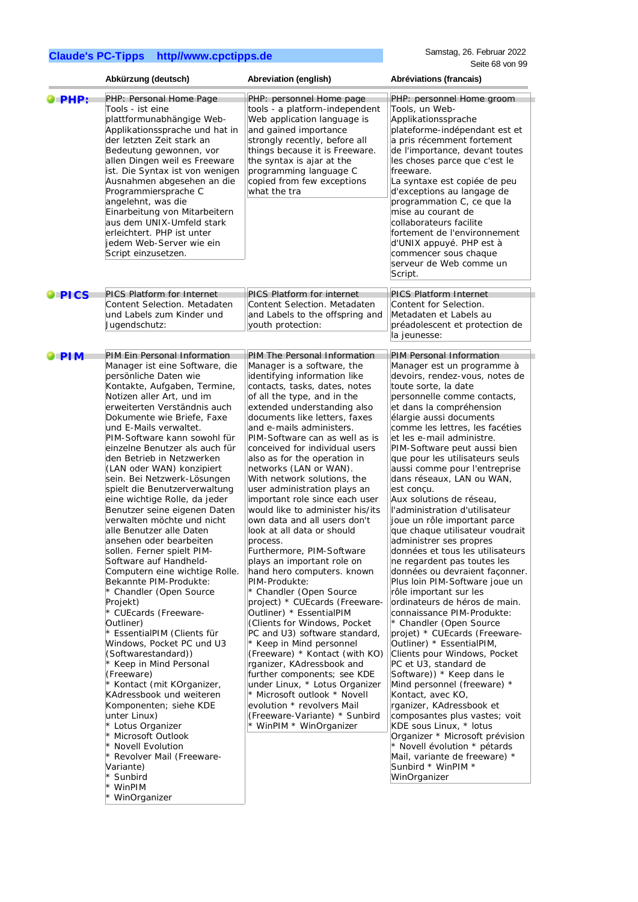|                | Abkürzung (deutsch)                                                                                                                                                                                                                                                                                                                                                                                                                                                                                                                                                                                                                                                                                                                                                                                                                                                                                                                                                                                                                                                                                                                                                                     | Abreviation (english)                                                                                                                                                                                                                                                                                                                                                                                                                                                                                                                                                                                                                                                                                                                                                                                                                                                                                                                                                                                                                                                                                                                                          | Abréviations (francais)                                                                                                                                                                                                                                                                                                                                                                                                                                                                                                                                                                                                                                                                                                                                                                                                                                                                                                                                                                                                                                                                                                                                                                                                                                                                |
|----------------|-----------------------------------------------------------------------------------------------------------------------------------------------------------------------------------------------------------------------------------------------------------------------------------------------------------------------------------------------------------------------------------------------------------------------------------------------------------------------------------------------------------------------------------------------------------------------------------------------------------------------------------------------------------------------------------------------------------------------------------------------------------------------------------------------------------------------------------------------------------------------------------------------------------------------------------------------------------------------------------------------------------------------------------------------------------------------------------------------------------------------------------------------------------------------------------------|----------------------------------------------------------------------------------------------------------------------------------------------------------------------------------------------------------------------------------------------------------------------------------------------------------------------------------------------------------------------------------------------------------------------------------------------------------------------------------------------------------------------------------------------------------------------------------------------------------------------------------------------------------------------------------------------------------------------------------------------------------------------------------------------------------------------------------------------------------------------------------------------------------------------------------------------------------------------------------------------------------------------------------------------------------------------------------------------------------------------------------------------------------------|----------------------------------------------------------------------------------------------------------------------------------------------------------------------------------------------------------------------------------------------------------------------------------------------------------------------------------------------------------------------------------------------------------------------------------------------------------------------------------------------------------------------------------------------------------------------------------------------------------------------------------------------------------------------------------------------------------------------------------------------------------------------------------------------------------------------------------------------------------------------------------------------------------------------------------------------------------------------------------------------------------------------------------------------------------------------------------------------------------------------------------------------------------------------------------------------------------------------------------------------------------------------------------------|
| <b>PHP:</b>    | PHP: Personal Home Page<br>Tools - ist eine<br>plattformunabhängige Web-<br>Applikationssprache und hat in<br>der letzten Zeit stark an<br>Bedeutung gewonnen, vor<br>allen Dingen weil es Freeware<br>ist. Die Syntax ist von wenigen<br>Ausnahmen abgesehen an die<br>Programmiersprache C<br>angelehnt, was die<br>Einarbeitung von Mitarbeitern<br>aus dem UNIX-Umfeld stark<br>erleichtert. PHP ist unter<br>jedem Web-Server wie ein<br>Script einzusetzen.                                                                                                                                                                                                                                                                                                                                                                                                                                                                                                                                                                                                                                                                                                                       | PHP: personnel Home page<br>tools - a platform-independent<br>Web application language is<br>and gained importance<br>strongly recently, before all<br>things because it is Freeware.<br>the syntax is ajar at the<br>programming language C<br>copied from few exceptions<br>what the tra                                                                                                                                                                                                                                                                                                                                                                                                                                                                                                                                                                                                                                                                                                                                                                                                                                                                     | PHP: personnel Home groom<br>Tools, un Web-<br>Applikationssprache<br>plateforme-indépendant est et<br>a pris récemment fortement<br>de l'importance, devant toutes<br>les choses parce que c'est le<br>freeware.<br>La syntaxe est copiée de peu<br>d'exceptions au langage de<br>programmation C, ce que la<br>mise au courant de<br>collaborateurs facilite<br>fortement de l'environnement<br>d'UNIX appuyé. PHP est à<br>commencer sous chaque<br>serveur de Web comme un<br>Script.                                                                                                                                                                                                                                                                                                                                                                                                                                                                                                                                                                                                                                                                                                                                                                                              |
| $\bullet$ PICS | <b>PICS Platform for Internet</b><br>Content Selection. Metadaten<br>und Labels zum Kinder und<br>Jugendschutz:                                                                                                                                                                                                                                                                                                                                                                                                                                                                                                                                                                                                                                                                                                                                                                                                                                                                                                                                                                                                                                                                         | <b>PICS Platform for internet</b><br>Content Selection. Metadaten<br>and Labels to the offspring and<br>youth protection:                                                                                                                                                                                                                                                                                                                                                                                                                                                                                                                                                                                                                                                                                                                                                                                                                                                                                                                                                                                                                                      | <b>PICS Platform Internet</b><br>Content for Selection.<br>Metadaten et Labels au<br>préadolescent et protection de<br>la jeunesse:                                                                                                                                                                                                                                                                                                                                                                                                                                                                                                                                                                                                                                                                                                                                                                                                                                                                                                                                                                                                                                                                                                                                                    |
| $\bullet$ PIM  | PIM Ein Personal Information<br>Manager ist eine Software, die<br>persönliche Daten wie<br>Kontakte, Aufgaben, Termine,<br>Notizen aller Art, und im<br>erweiterten Verständnis auch<br>Dokumente wie Briefe, Faxe<br>und E-Mails verwaltet.<br>PIM-Software kann sowohl für<br>einzelne Benutzer als auch für<br>den Betrieb in Netzwerken<br>(LAN oder WAN) konzipiert<br>sein. Bei Netzwerk-Lösungen<br>spielt die Benutzerverwaltung<br>eine wichtige Rolle, da jeder<br>Benutzer seine eigenen Daten<br>verwalten möchte und nicht<br>alle Benutzer alle Daten<br>ansehen oder bearbeiten<br>sollen. Ferner spielt PIM-<br>Software auf Handheld-<br>Computern eine wichtige Rolle.<br>Bekannte PIM-Produkte:<br>* Chandler (Open Source<br>Projekt)<br>* CUEcards (Freeware-<br>Outliner)<br>* EssentialPIM (Clients für<br>Windows, Pocket PC und U3<br>(Softwarestandard))<br>* Keep in Mind Personal<br>(Freeware)<br>* Kontact (mit KOrganizer,<br>KAdressbook und weiteren<br>Komponenten; siehe KDE<br>unter Linux)<br>* Lotus Organizer<br>* Microsoft Outlook<br>* Novell Evolution<br>* Revolver Mail (Freeware-<br>Variante)<br>* Sunbird<br>* WinPIM<br>* WinOrganizer | PIM The Personal Information<br>Manager is a software, the<br>identifying information like<br>contacts, tasks, dates, notes<br>of all the type, and in the<br>extended understanding also<br>documents like letters, faxes<br>and e-mails administers.<br>PIM-Software can as well as is<br>conceived for individual users<br>also as for the operation in<br>networks (LAN or WAN).<br>With network solutions, the<br>user administration plays an<br>important role since each user<br>would like to administer his/its<br>own data and all users don't<br>look at all data or should<br>process.<br>Furthermore, PIM-Software<br>plays an important role on<br>hand hero computers. known<br>PIM-Produkte:<br>* Chandler (Open Source<br>project) * CUEcards (Freeware-<br>Outliner) * EssentialPIM<br>(Clients for Windows, Pocket)<br>PC and U3) software standard,<br>* Keep in Mind personnel<br>(Freeware) * Kontact (with KO)<br>rganizer, KAdressbook and<br>further components; see KDE<br>under Linux, * Lotus Organizer<br>* Microsoft outlook * Novell<br>evolution * revolvers Mail<br>(Freeware-Variante) * Sunbird<br>* WinPIM * WinOrganizer | PIM Personal Information<br>Manager est un programme à<br>devoirs, rendez-vous, notes de<br>toute sorte, la date<br>personnelle comme contacts,<br>et dans la compréhension<br>élargie aussi documents<br>comme les lettres, les facéties<br>et les e-mail administre.<br>PIM-Software peut aussi bien<br>que pour les utilisateurs seuls<br>aussi comme pour l'entreprise<br>dans réseaux, LAN ou WAN,<br>est conçu.<br>Aux solutions de réseau,<br>l'administration d'utilisateur<br>joue un rôle important parce<br>que chaque utilisateur voudrait<br>administrer ses propres<br>données et tous les utilisateurs<br>ne regardent pas toutes les<br>données ou devraient faconner.<br>Plus loin PIM-Software joue un<br>rôle important sur les<br>ordinateurs de héros de main.<br>connaissance PIM-Produkte:<br>* Chandler (Open Source<br>projet) * CUEcards (Freeware-<br>Outliner) * EssentialPIM,<br>Clients pour Windows, Pocket<br>PC et U3, standard de<br>Software)) * Keep dans le<br>Mind personnel (freeware) *<br>Kontact, avec KO,<br>rganizer, KAdressbook et<br>composantes plus vastes; voit<br>KDE sous Linux, * lotus<br>Organizer * Microsoft prévision<br>* Novell évolution * pétards<br>Mail, variante de freeware) *<br>Sunbird * WinPIM *<br>WinOrganizer |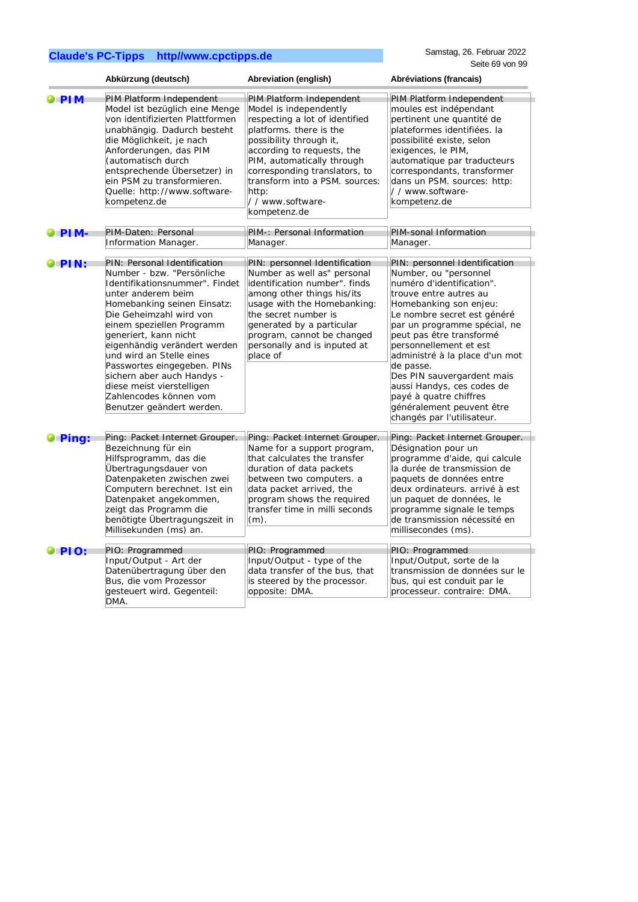|                | Abkürzung (deutsch)                                                                                                                                                                                                                                                                                                                                                                                                                             | Abreviation (english)                                                                                                                                                                                                                                                                                                 | Abréviations (francais)                                                                                                                                                                                                                                                                                                                                                                                                                                      |
|----------------|-------------------------------------------------------------------------------------------------------------------------------------------------------------------------------------------------------------------------------------------------------------------------------------------------------------------------------------------------------------------------------------------------------------------------------------------------|-----------------------------------------------------------------------------------------------------------------------------------------------------------------------------------------------------------------------------------------------------------------------------------------------------------------------|--------------------------------------------------------------------------------------------------------------------------------------------------------------------------------------------------------------------------------------------------------------------------------------------------------------------------------------------------------------------------------------------------------------------------------------------------------------|
| $\bullet$ PIM  | PIM Platform Independent<br>Model ist bezüglich eine Menge<br>von identifizierten Plattformen<br>unabhängig. Dadurch besteht<br>die Möglichkeit, je nach<br>Anforderungen, das PIM<br>(automatisch durch<br>entsprechende Übersetzer) in<br>ein PSM zu transformieren.<br>Quelle: http://www.software-<br>kompetenz.de                                                                                                                          | PIM Platform Independent<br>Model is independently<br>respecting a lot of identified<br>platforms. there is the<br>possibility through it,<br>according to requests, the<br>PIM, automatically through<br>corresponding translators, to<br>transform into a PSM. sources:<br>http:<br>//www.software-<br>kompetenz.de | PIM Platform Independent<br>moules est indépendant<br>pertinent une quantité de<br>plateformes identifiées. la<br>possibilité existe, selon<br>exigences, le PIM,<br>automatique par traducteurs<br>correspondants, transformer<br>dans un PSM. sources: http:<br>//www.software-<br>kompetenz.de                                                                                                                                                            |
| $\bullet$ PIM- | PIM-Daten: Personal<br>Information Manager.                                                                                                                                                                                                                                                                                                                                                                                                     | PIM-: Personal Information<br>Manager.                                                                                                                                                                                                                                                                                | PIM-sonal Information<br>Manager.                                                                                                                                                                                                                                                                                                                                                                                                                            |
| $\bullet$ PIN: | PIN: Personal Identification<br>Number - bzw. "Persönliche<br>Identifikationsnummer". Findet<br>unter anderem beim<br>Homebanking seinen Einsatz:<br>Die Geheimzahl wird von<br>einem speziellen Programm<br>generiert, kann nicht<br>eigenhändig verändert werden<br>und wird an Stelle eines<br>Passwortes eingegeben. PINs<br>sichern aber auch Handys -<br>diese meist vierstelligen<br>Zahlencodes können vom<br>Benutzer geändert werden. | PIN: personnel Identification<br>Number as well as" personal<br>identification number". finds<br>among other things his/its<br>usage with the Homebanking:<br>the secret number is<br>generated by a particular<br>program, cannot be changed<br>personally and is inputed at<br>place of                             | PIN: personnel Identification<br>Number, ou "personnel<br>numéro d'identification".<br>trouve entre autres au<br>Homebanking son enjeu:<br>Le nombre secret est généré<br>par un programme spécial, ne<br>peut pas être transformé<br>personnellement et est<br>administré à la place d'un mot<br>de passe.<br>Des PIN sauvergardent mais<br>aussi Handys, ces codes de<br>payé à quatre chiffres<br>généralement peuvent être<br>changés par l'utilisateur. |
| <b>O</b> Ping: | Ping: Packet Internet Grouper.<br>Bezeichnung für ein<br>Hilfsprogramm, das die<br>Übertragungsdauer von<br>Datenpaketen zwischen zwei<br>Computern berechnet. Ist ein<br>Datenpaket angekommen,<br>zeigt das Programm die<br>benötigte Übertragungszeit in<br>Millisekunden (ms) an.                                                                                                                                                           | Ping: Packet Internet Grouper.<br>Name for a support program,<br>that calculates the transfer<br>duration of data packets<br>between two computers. a<br>data packet arrived, the<br>program shows the required<br>transfer time in milli seconds<br>$(m)$ .                                                          | Ping: Packet Internet Grouper.<br>Désignation pour un<br>programme d'aide, qui calcule<br>la durée de transmission de<br>paquets de données entre<br>deux ordinateurs, arrivé à est<br>un paquet de données, le<br>programme signale le temps<br>de transmission nécessité en<br>millisecondes (ms).                                                                                                                                                         |
| $\bullet$ PIO: | PIO: Programmed                                                                                                                                                                                                                                                                                                                                                                                                                                 | PIO: Programmed                                                                                                                                                                                                                                                                                                       | PIO: Programmed                                                                                                                                                                                                                                                                                                                                                                                                                                              |
|                | Input/Output - Art der<br>Datenübertragung über den<br>Bus, die vom Prozessor<br>gesteuert wird. Gegenteil:<br>DMA.                                                                                                                                                                                                                                                                                                                             | Input/Output - type of the<br>data transfer of the bus, that<br>is steered by the processor.<br>opposite: DMA.                                                                                                                                                                                                        | Input/Output, sorte de la<br>transmission de données sur le<br>bus, qui est conduit par le<br>processeur. contraire: DMA.                                                                                                                                                                                                                                                                                                                                    |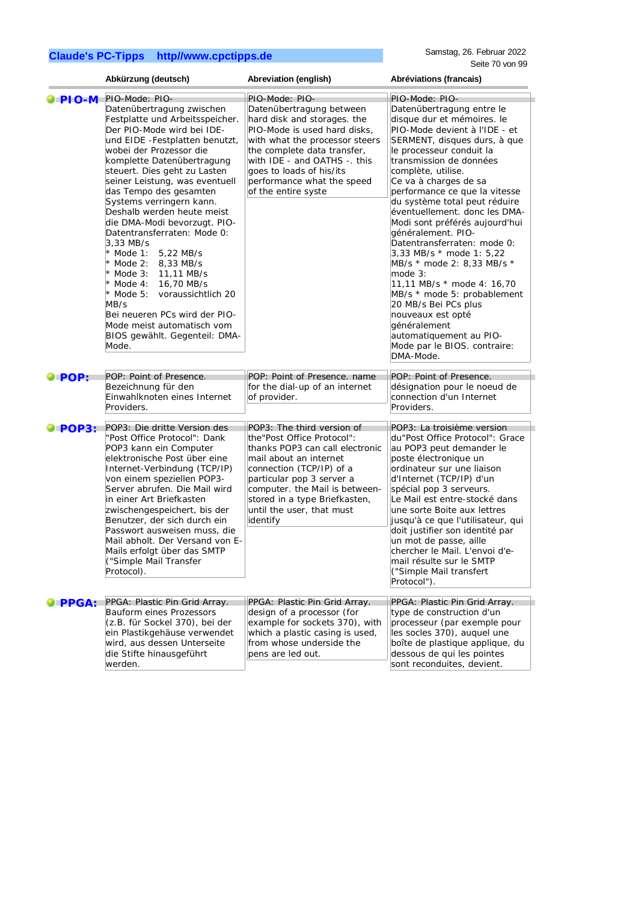|                      | Abkürzung (deutsch)                                                                                                                                                                                                                                                                                                                                                                                                                                                                                                                                                                                                                                                                    | Abreviation (english)                                                                                                                                                                                                                                                                      | Abréviations (francais)                                                                                                                                                                                                                                                                                                                                                                                                                                                                                                                                                                                                                                                                           |
|----------------------|----------------------------------------------------------------------------------------------------------------------------------------------------------------------------------------------------------------------------------------------------------------------------------------------------------------------------------------------------------------------------------------------------------------------------------------------------------------------------------------------------------------------------------------------------------------------------------------------------------------------------------------------------------------------------------------|--------------------------------------------------------------------------------------------------------------------------------------------------------------------------------------------------------------------------------------------------------------------------------------------|---------------------------------------------------------------------------------------------------------------------------------------------------------------------------------------------------------------------------------------------------------------------------------------------------------------------------------------------------------------------------------------------------------------------------------------------------------------------------------------------------------------------------------------------------------------------------------------------------------------------------------------------------------------------------------------------------|
| $\bullet$ PIO-M      | PIO-Mode: PIO-                                                                                                                                                                                                                                                                                                                                                                                                                                                                                                                                                                                                                                                                         | PIO-Mode: PIO-                                                                                                                                                                                                                                                                             | PIO-Mode: PIO-                                                                                                                                                                                                                                                                                                                                                                                                                                                                                                                                                                                                                                                                                    |
|                      | Datenübertragung zwischen<br>Festplatte und Arbeitsspeicher.<br>Der PIO-Mode wird bei IDE-<br>und EIDE -Festplatten benutzt,<br>wobei der Prozessor die<br>komplette Datenübertragung<br>steuert. Dies geht zu Lasten<br>seiner Leistung, was eventuell<br>das Tempo des gesamten<br>Systems verringern kann.<br>Deshalb werden heute meist<br>die DMA-Modi bevorzugt. PIO-<br>Datentransferraten: Mode 0:<br>3,33 MB/s<br>* Mode 1:<br>5,22 MB/s<br>$*$ Mode 2: 8,33 MB/s<br>* Mode 3:<br>11,11 MB/s<br>$*$ Mode 4:<br>16,70 MB/s<br>* Mode 5:<br>voraussichtlich 20<br>MB/s<br>Bei neueren PCs wird der PIO-<br>Mode meist automatisch vom<br>BIOS gewählt. Gegenteil: DMA-<br>Mode. | Datenübertragung between<br>hard disk and storages. the<br>PIO-Mode is used hard disks,<br>with what the processor steers<br>the complete data transfer,<br>with IDE - and OATHS -. this<br>goes to loads of his/its<br>performance what the speed<br>of the entire syste                  | Datenübertragung entre le<br>disque dur et mémoires. le<br>PIO-Mode devient à l'IDE - et<br>SERMENT, disques durs, à que<br>le processeur conduit la<br>transmission de données<br>complète, utilise.<br>Ce va à charges de sa<br>performance ce que la vitesse<br>du système total peut réduire<br>éventuellement, donc les DMA-<br>Modi sont préférés aujourd'hui<br>généralement. PIO-<br>Datentransferraten: mode 0:<br>3,33 MB/s * mode 1: 5,22<br>MB/s * mode 2: 8,33 MB/s *<br>mode $3:$<br>11,11 MB/s * mode 4: 16,70<br>MB/s * mode 5: probablement<br>20 MB/s Bei PCs plus<br>nouveaux est opté<br>généralement<br>automatiquement au PIO-<br>Mode par le BIOS. contraire:<br>DMA-Mode. |
|                      |                                                                                                                                                                                                                                                                                                                                                                                                                                                                                                                                                                                                                                                                                        |                                                                                                                                                                                                                                                                                            |                                                                                                                                                                                                                                                                                                                                                                                                                                                                                                                                                                                                                                                                                                   |
| $\blacksquare$ POP:  | POP: Point of Presence.<br>Bezeichnung für den<br>Einwahlknoten eines Internet<br>Providers.                                                                                                                                                                                                                                                                                                                                                                                                                                                                                                                                                                                           | POP: Point of Presence, name<br>for the dial-up of an internet<br>of provider.                                                                                                                                                                                                             | POP: Point of Presence.<br>désignation pour le noeud de<br>connection d'un Internet<br>Providers.                                                                                                                                                                                                                                                                                                                                                                                                                                                                                                                                                                                                 |
| $\blacksquare$ POP3: | POP3: Die dritte Version des<br>"Post Office Protocol": Dank<br>POP3 kann ein Computer<br>elektronische Post über eine<br>Internet-Verbindung (TCP/IP)<br>von einem speziellen POP3-<br>Server abrufen. Die Mail wird<br>in einer Art Briefkasten<br>zwischengespeichert, bis der<br>Benutzer, der sich durch ein<br>Passwort ausweisen muss, die<br>Mail abholt. Der Versand von E-<br>Mails erfolgt über das SMTP<br>("Simple Mail Transfer<br>Protocol).                                                                                                                                                                                                                            | POP3: The third version of<br>the"Post Office Protocol":<br>thanks POP3 can call electronic<br>mail about an internet<br>connection (TCP/IP) of a<br>particular pop 3 server a<br>computer. the Mail is between-<br>stored in a type Briefkasten,<br>until the user, that must<br>identify | POP3: La troisième version<br>du"Post Office Protocol": Grace<br>au POP3 peut demander le<br>poste électronique un<br>ordinateur sur une liaison<br>d'Internet (TCP/IP) d'un<br>spécial pop 3 serveurs.<br>Le Mail est entre-stocké dans<br>une sorte Boite aux lettres<br>jusqu'à ce que l'utilisateur, qui<br>doit justifier son identité par<br>un mot de passe, aille<br>chercher le Mail. L'envoi d'e-<br>mail résulte sur le SMTP<br>("Simple Mail transfert<br>Protocol").                                                                                                                                                                                                                 |
| $\blacksquare$ PPGA: | PPGA: Plastic Pin Grid Array.<br>Bauform eines Prozessors<br>(z.B. für Sockel 370), bei der<br>ein Plastikgehäuse verwendet<br>wird, aus dessen Unterseite<br>die Stifte hinausgeführt<br>werden.                                                                                                                                                                                                                                                                                                                                                                                                                                                                                      | PPGA: Plastic Pin Grid Array.<br>design of a processor (for<br>example for sockets 370), with<br>which a plastic casing is used,<br>from whose underside the<br>pens are led out.                                                                                                          | PPGA: Plastic Pin Grid Array.<br>type de construction d'un<br>processeur (par exemple pour<br>les socles 370), auquel une<br>boîte de plastique applique, du<br>dessous de qui les pointes<br>sont reconduites, devient.                                                                                                                                                                                                                                                                                                                                                                                                                                                                          |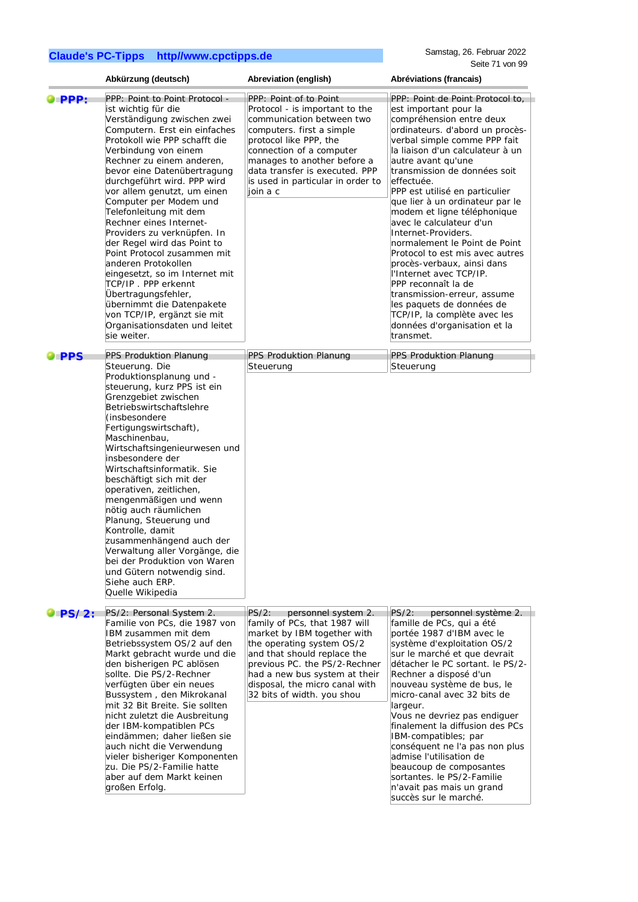|                      | Abkürzung (deutsch)                                                                                                                                                                                                                                                                                                                                                                                                                                                                                                                                                                                                                                                                                     | Abreviation (english)                                                                                                                                                                                                                                                                         | Abréviations (francais)                                                                                                                                                                                                                                                                                                                                                                                                                                                                                                                                                                                                                                                                                              |
|----------------------|---------------------------------------------------------------------------------------------------------------------------------------------------------------------------------------------------------------------------------------------------------------------------------------------------------------------------------------------------------------------------------------------------------------------------------------------------------------------------------------------------------------------------------------------------------------------------------------------------------------------------------------------------------------------------------------------------------|-----------------------------------------------------------------------------------------------------------------------------------------------------------------------------------------------------------------------------------------------------------------------------------------------|----------------------------------------------------------------------------------------------------------------------------------------------------------------------------------------------------------------------------------------------------------------------------------------------------------------------------------------------------------------------------------------------------------------------------------------------------------------------------------------------------------------------------------------------------------------------------------------------------------------------------------------------------------------------------------------------------------------------|
| $\bullet$ PPP:       | PPP: Point to Point Protocol -<br>ist wichtig für die<br>Verständigung zwischen zwei<br>Computern. Erst ein einfaches<br>Protokoll wie PPP schafft die<br>Verbindung von einem<br>Rechner zu einem anderen,<br>bevor eine Datenübertragung<br>durchgeführt wird. PPP wird<br>vor allem genutzt, um einen<br>Computer per Modem und<br>Telefonleitung mit dem<br>Rechner eines Internet-<br>Providers zu verknüpfen. In<br>der Regel wird das Point to<br>Point Protocol zusammen mit<br>anderen Protokollen<br>eingesetzt, so im Internet mit<br>TCP/IP. PPP erkennt<br>Übertragungsfehler,<br>übernimmt die Datenpakete<br>von TCP/IP, ergänzt sie mit<br>Organisationsdaten und leitet<br>sie weiter. | PPP: Point of to Point<br>Protocol - is important to the<br>communication between two<br>computers. first a simple<br>protocol like PPP, the<br>connection of a computer<br>manages to another before a<br>data transfer is executed. PPP<br>is used in particular in order to<br>join a c    | PPP: Point de Point Protocol to,<br>est important pour la<br>compréhension entre deux<br>ordinateurs. d'abord un procès-<br>verbal simple comme PPP fait<br>la liaison d'un calculateur à un<br>autre avant qu'une<br>transmission de données soit<br>effectuée.<br>PPP est utilisé en particulier<br>que lier à un ordinateur par le<br>modem et ligne téléphonique<br>avec le calculateur d'un<br>Internet-Providers.<br>normalement le Point de Point<br>Protocol to est mis avec autres<br>procès-verbaux, ainsi dans<br>l'Internet avec TCP/IP.<br>PPP reconnaît la de<br>transmission-erreur, assume<br>les paquets de données de<br>TCP/IP, la complète avec les<br>données d'organisation et la<br>transmet. |
| <b>O</b> PPS         | PPS Produktion Planung<br>Steuerung. Die                                                                                                                                                                                                                                                                                                                                                                                                                                                                                                                                                                                                                                                                | PPS Produktion Planung<br>Steuerung                                                                                                                                                                                                                                                           | PPS Produktion Planung<br>Steuerung                                                                                                                                                                                                                                                                                                                                                                                                                                                                                                                                                                                                                                                                                  |
|                      | Produktionsplanung und -<br>steuerung, kurz PPS ist ein<br>Grenzgebiet zwischen<br>Betriebswirtschaftslehre<br>(insbesondere<br>Fertigungswirtschaft),<br>Maschinenbau,<br>Wirtschaftsingenieurwesen und<br>insbesondere der<br>Wirtschaftsinformatik. Sie<br>beschäftigt sich mit der<br>operativen, zeitlichen,<br>mengenmäßigen und wenn<br>nötig auch räumlichen<br>Planung, Steuerung und<br>Kontrolle, damit<br>zusammenhängend auch der<br>Verwaltung aller Vorgänge, die<br>bei der Produktion von Waren<br>und Gütern notwendig sind.<br>Siehe auch ERP.<br>Quelle Wikipedia                                                                                                                   |                                                                                                                                                                                                                                                                                               |                                                                                                                                                                                                                                                                                                                                                                                                                                                                                                                                                                                                                                                                                                                      |
| $\blacksquare$ PS/2: | PS/2: Personal System 2.<br>Familie von PCs, die 1987 von<br>IBM zusammen mit dem<br>Betriebssystem OS/2 auf den<br>Markt gebracht wurde und die<br>den bisherigen PC ablösen<br>sollte. Die PS/2-Rechner<br>verfügten über ein neues<br>Bussystem, den Mikrokanal<br>mit 32 Bit Breite. Sie sollten<br>nicht zuletzt die Ausbreitung<br>der IBM-kompatiblen PCs<br>eindämmen; daher ließen sie<br>auch nicht die Verwendung<br>vieler bisheriger Komponenten<br>zu. Die PS/2-Familie hatte<br>aber auf dem Markt keinen<br>großen Erfolg.                                                                                                                                                              | $PS/2$ :<br>personnel system 2.<br>family of PCs, that 1987 will<br>market by IBM together with<br>the operating system OS/2<br>and that should replace the<br>previous PC. the PS/2-Rechner<br>had a new bus system at their<br>disposal, the micro canal with<br>32 bits of width. you shou | $PS/2$ :<br>personnel système 2.<br>famille de PCs, qui a été<br>portée 1987 d'IBM avec le<br>système d'exploitation OS/2<br>sur le marché et que devrait<br>détacher le PC sortant. le PS/2-<br>Rechner a disposé d'un<br>nouveau système de bus, le<br>micro-canal avec 32 bits de<br>largeur.<br>Vous ne devriez pas endiguer<br>finalement la diffusion des PCs<br>IBM-compatibles; par<br>conséquent ne l'a pas non plus<br>admise l'utilisation de<br>beaucoup de composantes<br>sortantes. le PS/2-Familie<br>n'avait pas mais un grand<br>succès sur le marché.                                                                                                                                              |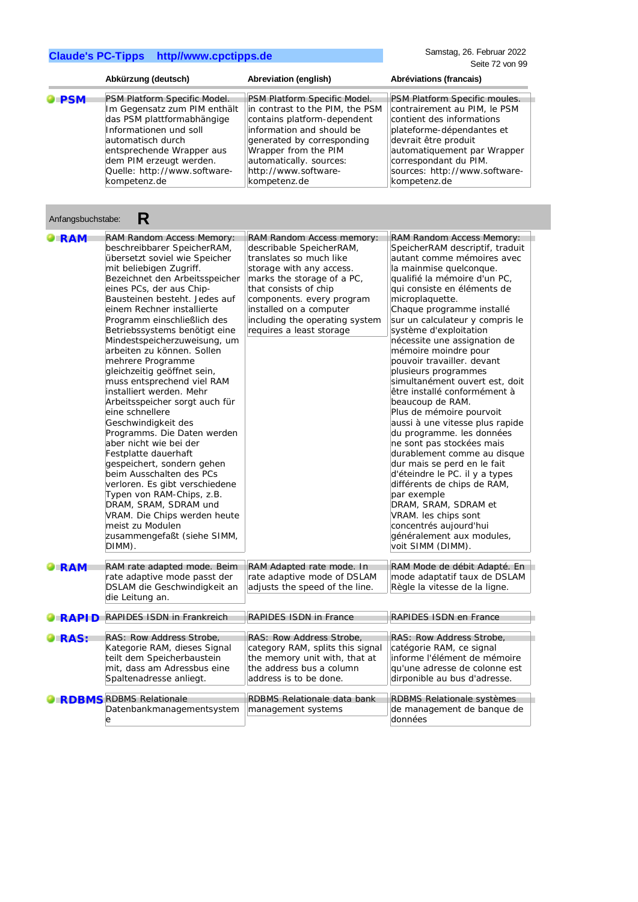Anfangsbuchstabe: **R**

|              | Abkürzung (deutsch)          | Abreviation (english)           | Abréviations (francais)       |
|--------------|------------------------------|---------------------------------|-------------------------------|
| <b>O</b> PSM | PSM Platform Specific Model. | PSM Platform Specific Model.    | PSM Platform Specific moules. |
|              | Im Gegensatz zum PIM enthält | in contrast to the PIM, the PSM | contrairement au PIM, le PSM  |
|              | das PSM plattformabhängige   | contains platform-dependent     | contient des informations     |
|              | Informationen und soll       | information and should be       | plateforme-dépendantes et     |
|              | automatisch durch            | generated by corresponding      | devrait être produit          |
|              | entsprechende Wrapper aus    | Wrapper from the PIM            | automatiquement par Wrapper   |
|              | dem PIM erzeugt werden.      | automatically. sources:         | correspondant du PIM.         |
|              | Quelle: http://www.software- | http://www.software-            | sources: http://www.software- |
|              | kompetenz.de                 | kompetenz.de                    | kompetenz.de                  |

| Anrangsbuchstabe:<br>ĸ |                                                                                                                                                                                                                                                                                                                                                                                                                                                                                                                                                                                                                                                                                                                                                                                                                                                                                                                  |                                                                                                                                                                                                                                                                                           |                                                                                                                                                                                                                                                                                                                                                                                                                                                                                                                                                                                                                                                                                                                                                                                                                                                                                                          |  |  |
|------------------------|------------------------------------------------------------------------------------------------------------------------------------------------------------------------------------------------------------------------------------------------------------------------------------------------------------------------------------------------------------------------------------------------------------------------------------------------------------------------------------------------------------------------------------------------------------------------------------------------------------------------------------------------------------------------------------------------------------------------------------------------------------------------------------------------------------------------------------------------------------------------------------------------------------------|-------------------------------------------------------------------------------------------------------------------------------------------------------------------------------------------------------------------------------------------------------------------------------------------|----------------------------------------------------------------------------------------------------------------------------------------------------------------------------------------------------------------------------------------------------------------------------------------------------------------------------------------------------------------------------------------------------------------------------------------------------------------------------------------------------------------------------------------------------------------------------------------------------------------------------------------------------------------------------------------------------------------------------------------------------------------------------------------------------------------------------------------------------------------------------------------------------------|--|--|
| $\blacksquare$ RAM     | <b>RAM Random Access Memory:</b><br>beschreibbarer SpeicherRAM,<br>übersetzt soviel wie Speicher<br>mit beliebigen Zugriff.<br>Bezeichnet den Arbeitsspeicher<br>eines PCs, der aus Chip-<br>Bausteinen besteht. Jedes auf<br>einem Rechner installierte<br>Programm einschließlich des<br>Betriebssystems benötigt eine<br>Mindestspeicherzuweisung, um<br>arbeiten zu können. Sollen<br>mehrere Programme<br>gleichzeitig geöffnet sein,<br>muss entsprechend viel RAM<br>installiert werden. Mehr<br>Arbeitsspeicher sorgt auch für<br>eine schnellere<br>Geschwindigkeit des<br>Programms. Die Daten werden<br>aber nicht wie bei der<br>Festplatte dauerhaft<br>gespeichert, sondern gehen<br>beim Ausschalten des PCs<br>verloren. Es gibt verschiedene<br>Typen von RAM-Chips, z.B.<br>DRAM, SRAM, SDRAM und<br>VRAM. Die Chips werden heute<br>meist zu Modulen<br>zusammengefaßt (siehe SIMM,<br>DIMM). | RAM Random Access memory:<br>describable SpeicherRAM,<br>translates so much like<br>storage with any access.<br>marks the storage of a PC,<br>that consists of chip<br>components. every program<br>installed on a computer<br>including the operating system<br>requires a least storage | RAM Random Access Memory:<br>SpeicherRAM descriptif, traduit<br>autant comme mémoires avec<br>la mainmise quelconque.<br>qualifié la mémoire d'un PC,<br>qui consiste en éléments de<br>microplaquette.<br>Chaque programme installé<br>sur un calculateur y compris le<br>système d'exploitation<br>nécessite une assignation de<br>mémoire moindre pour<br>pouvoir travailler, devant<br>plusieurs programmes<br>simultanément ouvert est, doit<br>être installé conformément à<br>beaucoup de RAM.<br>Plus de mémoire pourvoit<br>aussi à une vitesse plus rapide<br>du programme. les données<br>ne sont pas stockées mais<br>durablement comme au disque<br>dur mais se perd en le fait<br>d'éteindre le PC. il y a types<br>différents de chips de RAM,<br>par exemple<br>DRAM, SRAM, SDRAM et<br>VRAM. les chips sont<br>concentrés aujourd'hui<br>généralement aux modules,<br>voit SIMM (DIMM). |  |  |
| $\bullet$ RAM          | RAM rate adapted mode. Beim<br>rate adaptive mode passt der<br>DSLAM die Geschwindigkeit an<br>die Leitung an.                                                                                                                                                                                                                                                                                                                                                                                                                                                                                                                                                                                                                                                                                                                                                                                                   | RAM Adapted rate mode. In<br>rate adaptive mode of DSLAM<br>adjusts the speed of the line.                                                                                                                                                                                                | RAM Mode de débit Adapté. En<br>mode adaptatif taux de DSLAM<br>Règle la vitesse de la ligne.                                                                                                                                                                                                                                                                                                                                                                                                                                                                                                                                                                                                                                                                                                                                                                                                            |  |  |
| $\blacksquare$ RAPID   | <b>RAPIDES ISDN in Frankreich</b>                                                                                                                                                                                                                                                                                                                                                                                                                                                                                                                                                                                                                                                                                                                                                                                                                                                                                | <b>RAPIDES ISDN in France</b>                                                                                                                                                                                                                                                             | RAPIDES ISDN en France                                                                                                                                                                                                                                                                                                                                                                                                                                                                                                                                                                                                                                                                                                                                                                                                                                                                                   |  |  |
| <b>DIRAS:</b>          | RAS: Row Address Strobe,<br>Kategorie RAM, dieses Signal<br>teilt dem Speicherbaustein<br>mit, dass am Adressbus eine<br>Spaltenadresse anliegt.                                                                                                                                                                                                                                                                                                                                                                                                                                                                                                                                                                                                                                                                                                                                                                 | RAS: Row Address Strobe,<br>category RAM, splits this signal<br>the memory unit with, that at<br>the address bus a column<br>address is to be done.                                                                                                                                       | RAS: Row Address Strobe,<br>catégorie RAM, ce signal<br>informe l'élément de mémoire<br>qu'une adresse de colonne est<br>dirponible au bus d'adresse.                                                                                                                                                                                                                                                                                                                                                                                                                                                                                                                                                                                                                                                                                                                                                    |  |  |
|                        | <b>C RDBMS RDBMS Relationale</b><br>Datenbankmanagementsystem<br>e                                                                                                                                                                                                                                                                                                                                                                                                                                                                                                                                                                                                                                                                                                                                                                                                                                               | RDBMS Relationale data bank<br>management systems                                                                                                                                                                                                                                         | RDBMS Relationale systèmes<br>de management de banque de<br>données                                                                                                                                                                                                                                                                                                                                                                                                                                                                                                                                                                                                                                                                                                                                                                                                                                      |  |  |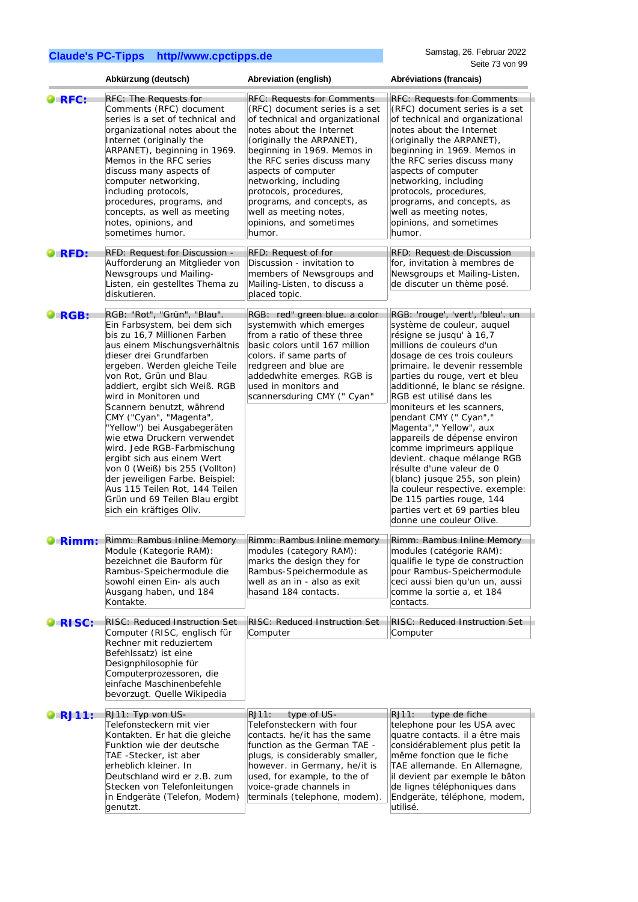|                      | Abkürzung (deutsch)                                                                                                                                                                                                                                                                                                                                                                                                                                                                                                                                                                                                                    | Abreviation (english)                                                                                                                                                                                                                                                                                                                                                                                | Abréviations (francais)                                                                                                                                                                                                                                                                                                                                                                                                                                                                                                                                                                                                                                                  |
|----------------------|----------------------------------------------------------------------------------------------------------------------------------------------------------------------------------------------------------------------------------------------------------------------------------------------------------------------------------------------------------------------------------------------------------------------------------------------------------------------------------------------------------------------------------------------------------------------------------------------------------------------------------------|------------------------------------------------------------------------------------------------------------------------------------------------------------------------------------------------------------------------------------------------------------------------------------------------------------------------------------------------------------------------------------------------------|--------------------------------------------------------------------------------------------------------------------------------------------------------------------------------------------------------------------------------------------------------------------------------------------------------------------------------------------------------------------------------------------------------------------------------------------------------------------------------------------------------------------------------------------------------------------------------------------------------------------------------------------------------------------------|
| <b>ORFC:</b>         | RFC: The Requests for<br>Comments (RFC) document<br>series is a set of technical and<br>organizational notes about the<br>Internet (originally the<br>ARPANET), beginning in 1969.<br>Memos in the RFC series<br>discuss many aspects of<br>computer networking,<br>including protocols,<br>procedures, programs, and<br>concepts, as well as meeting<br>notes, opinions, and<br>sometimes humor.                                                                                                                                                                                                                                      | <b>RFC: Requests for Comments</b><br>(RFC) document series is a set<br>of technical and organizational<br>notes about the Internet<br>(originally the ARPANET),<br>beginning in 1969. Memos in<br>the RFC series discuss many<br>aspects of computer<br>networking, including<br>protocols, procedures,<br>programs, and concepts, as<br>well as meeting notes,<br>opinions, and sometimes<br>humor. | <b>RFC: Requests for Comments</b><br>(RFC) document series is a set<br>of technical and organizational<br>notes about the Internet<br>(originally the ARPANET),<br>beginning in 1969. Memos in<br>the RFC series discuss many<br>aspects of computer<br>networking, including<br>protocols, procedures,<br>programs, and concepts, as<br>well as meeting notes,<br>opinions, and sometimes<br>humor.                                                                                                                                                                                                                                                                     |
| $\bullet$ RFD:       | RFD: Request for Discussion -<br>Aufforderung an Mitglieder von<br>Newsgroups und Mailing-<br>Listen, ein gestelltes Thema zu<br>diskutieren.                                                                                                                                                                                                                                                                                                                                                                                                                                                                                          | RFD: Request of for<br>Discussion - invitation to<br>members of Newsgroups and<br>Mailing-Listen, to discuss a<br>placed topic.                                                                                                                                                                                                                                                                      | RFD: Request de Discussion<br>for, invitation à membres de<br>Newsgroups et Mailing-Listen,<br>de discuter un thème posé.                                                                                                                                                                                                                                                                                                                                                                                                                                                                                                                                                |
| $\blacksquare$ RGB:  | RGB: "Rot", "Grün", "Blau".<br>Ein Farbsystem, bei dem sich<br>bis zu 16,7 Millionen Farben<br>aus einem Mischungsverhältnis<br>dieser drei Grundfarben<br>ergeben. Werden gleiche Teile<br>von Rot, Grün und Blau<br>addiert, ergibt sich Weiß. RGB<br>wird in Monitoren und<br>Scannern benutzt, während<br>CMY ("Cyan", "Magenta",<br>"Yellow") bei Ausgabegeräten<br>wie etwa Druckern verwendet<br>wird. Jede RGB-Farbmischung<br>ergibt sich aus einem Wert<br>von 0 (Weiß) bis 255 (Vollton)<br>der jeweiligen Farbe. Beispiel:<br>Aus 115 Teilen Rot, 144 Teilen<br>Grün und 69 Teilen Blau ergibt<br>sich ein kräftiges Oliv. | RGB: red" green blue. a color<br>systemwith which emerges<br>from a ratio of these three<br>basic colors until 167 million<br>colors. if same parts of<br>redgreen and blue are<br>addedwhite emerges. RGB is<br>used in monitors and<br>scannersduring CMY (" Cyan"                                                                                                                                 | RGB: 'rouge', 'vert', 'bleu'. un<br>système de couleur, auquel<br>résigne se jusqu' à 16,7<br>millions de couleurs d'un<br>dosage de ces trois couleurs<br>primaire. le devenir ressemble<br>parties du rouge, vert et bleu<br>additionné, le blanc se résigne.<br>RGB est utilisé dans les<br>moniteurs et les scanners,<br>pendant CMY (" Cyan","<br>Magenta"," Yellow", aux<br>appareils de dépense environ<br>comme imprimeurs applique<br>devient. chaque mélange RGB<br>résulte d'une valeur de 0<br>(blanc) jusque 255, son plein)<br>la couleur respective. exemple:<br>De 115 parties rouge, 144<br>parties vert et 69 parties bleu<br>donne une couleur Olive. |
| $\blacksquare$ Rimm: | Rimm: Rambus Inline Memory<br>Module (Kategorie RAM):<br>bezeichnet die Bauform für                                                                                                                                                                                                                                                                                                                                                                                                                                                                                                                                                    | Rimm: Rambus Inline memory<br>modules (category RAM):<br>marks the design they for                                                                                                                                                                                                                                                                                                                   | Rimm: Rambus Inline Memory<br>modules (catégorie RAM):<br>qualifie le type de construction                                                                                                                                                                                                                                                                                                                                                                                                                                                                                                                                                                               |
|                      | Rambus-Speichermodule die<br>sowohl einen Ein- als auch<br>Ausgang haben, und 184<br>Kontakte.                                                                                                                                                                                                                                                                                                                                                                                                                                                                                                                                         | Rambus-Speichermodule as<br>well as an in - also as exit<br>hasand 184 contacts.                                                                                                                                                                                                                                                                                                                     | pour Rambus-Speichermodule<br>ceci aussi bien qu'un un, aussi<br>comme la sortie a, et 184<br>contacts.                                                                                                                                                                                                                                                                                                                                                                                                                                                                                                                                                                  |
| RISC:                | RISC: Reduced Instruction Set<br>Computer (RISC, englisch für<br>Rechner mit reduziertem<br>Befehlssatz) ist eine<br>Designphilosophie für<br>Computerprozessoren, die<br>einfache Maschinenbefehle<br>bevorzugt. Quelle Wikipedia                                                                                                                                                                                                                                                                                                                                                                                                     | RISC: Reduced Instruction Set<br>Computer                                                                                                                                                                                                                                                                                                                                                            | <b>RISC: Reduced Instruction Set</b><br>Computer                                                                                                                                                                                                                                                                                                                                                                                                                                                                                                                                                                                                                         |
| <b>RJ11:</b>         | RJ11: Typ von US-<br>Telefonsteckern mit vier<br>Kontakten. Er hat die gleiche<br>Funktion wie der deutsche<br>TAE -Stecker, ist aber<br>erheblich kleiner. In<br>Deutschland wird er z.B. zum<br>Stecken von Telefonleitungen<br>in Endgeräte (Telefon, Modem)<br>genutzt.                                                                                                                                                                                                                                                                                                                                                            | RJ11:<br>type of US-<br>Telefonsteckern with four<br>contacts. he/it has the same<br>function as the German TAE -<br>plugs, is considerably smaller,<br>however. in Germany, he/it is<br>used, for example, to the of<br>voice-grade channels in<br>terminals (telephone, modem).                                                                                                                    | RJ11:<br>type de fiche<br>telephone pour les USA avec<br>quatre contacts. il a être mais<br>considérablement plus petit la<br>même fonction que le fiche<br>TAE allemande. En Allemagne,<br>il devient par exemple le bâton<br>de lignes téléphoniques dans<br>Endgeräte, téléphone, modem,<br>utilisé.                                                                                                                                                                                                                                                                                                                                                                  |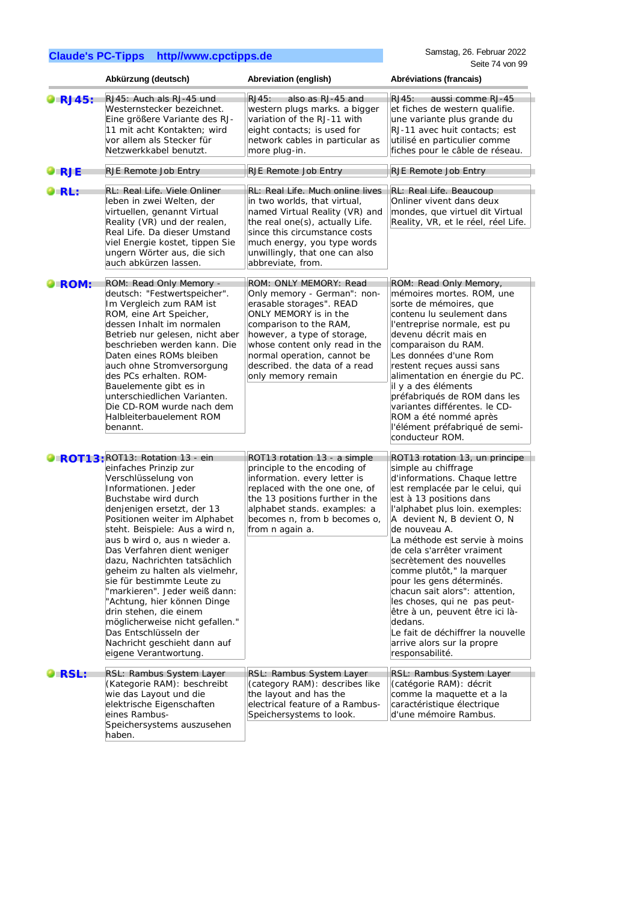|                      | Abkürzung (deutsch)                                                                                                                                                                                                                                                                                                                                                                                                                                                                                                                                                                                               | Abreviation (english)                                                                                                                                                                                                                                                                       | Abréviations (francais)                                                                                                                                                                                                                                                                                                                                                                                                                                                                                                                                                                             |
|----------------------|-------------------------------------------------------------------------------------------------------------------------------------------------------------------------------------------------------------------------------------------------------------------------------------------------------------------------------------------------------------------------------------------------------------------------------------------------------------------------------------------------------------------------------------------------------------------------------------------------------------------|---------------------------------------------------------------------------------------------------------------------------------------------------------------------------------------------------------------------------------------------------------------------------------------------|-----------------------------------------------------------------------------------------------------------------------------------------------------------------------------------------------------------------------------------------------------------------------------------------------------------------------------------------------------------------------------------------------------------------------------------------------------------------------------------------------------------------------------------------------------------------------------------------------------|
| $\overline{R}$ RJ45: | RJ45: Auch als RJ-45 und<br>Westernstecker bezeichnet.<br>Eine größere Variante des RJ-<br>11 mit acht Kontakten; wird<br>vor allem als Stecker für<br>Netzwerkkabel benutzt.                                                                                                                                                                                                                                                                                                                                                                                                                                     | also as RJ-45 and<br>RJ45:<br>western plugs marks. a bigger<br>variation of the RJ-11 with<br>eight contacts; is used for<br>network cables in particular as<br>more plug-in.                                                                                                               | RJ45:<br>aussi comme RJ-45<br>et fiches de western qualifie.<br>une variante plus grande du<br>RJ-11 avec huit contacts; est<br>utilisé en particulier comme<br>fiches pour le câble de réseau.                                                                                                                                                                                                                                                                                                                                                                                                     |
| O RJE                | RJE Remote Job Entry                                                                                                                                                                                                                                                                                                                                                                                                                                                                                                                                                                                              | RJE Remote Job Entry                                                                                                                                                                                                                                                                        | RJE Remote Job Entry                                                                                                                                                                                                                                                                                                                                                                                                                                                                                                                                                                                |
| <b>RL:</b>           | RL: Real Life. Viele Onliner<br>leben in zwei Welten, der<br>virtuellen, genannt Virtual<br>Reality (VR) und der realen,<br>Real Life. Da dieser Umstand<br>viel Energie kostet, tippen Sie<br>ungern Wörter aus, die sich<br>auch abkürzen lassen.                                                                                                                                                                                                                                                                                                                                                               | RL: Real Life. Much online lives<br>in two worlds, that virtual,<br>named Virtual Reality (VR) and<br>the real one(s), actually Life.<br>since this circumstance costs<br>much energy, you type words<br>unwillingly, that one can also<br>abbreviate, from.                                | RL: Real Life. Beaucoup<br>Onliner vivent dans deux<br>mondes, que virtuel dit Virtual<br>Reality, VR, et le réel, réel Life.                                                                                                                                                                                                                                                                                                                                                                                                                                                                       |
| ROM:                 | ROM: Read Only Memory -<br>deutsch: "Festwertspeicher".<br>Im Vergleich zum RAM ist<br>ROM, eine Art Speicher,<br>dessen Inhalt im normalen<br>Betrieb nur gelesen, nicht aber<br>beschrieben werden kann. Die<br>Daten eines ROMs bleiben<br>auch ohne Stromversorgung<br>des PCs erhalten. ROM-<br>Bauelemente gibt es in<br>unterschiedlichen Varianten.<br>Die CD-ROM wurde nach dem<br>Halbleiterbauelement ROM<br>benannt.                                                                                                                                                                                  | ROM: ONLY MEMORY: Read<br>Only memory - German": non-<br>erasable storages". READ<br>ONLY MEMORY is in the<br>comparison to the RAM,<br>however, a type of storage,<br>whose content only read in the<br>normal operation, cannot be<br>described. the data of a read<br>only memory remain | ROM: Read Only Memory,<br>mémoires mortes. ROM, une<br>sorte de mémoires, que<br>contenu lu seulement dans<br>l'entreprise normale, est pu<br>devenu décrit mais en<br>comparaison du RAM.<br>Les données d'une Rom<br>restent reçues aussi sans<br>alimentation en énergie du PC.<br>il y a des éléments<br>préfabriqués de ROM dans les<br>variantes différentes. le CD-<br>ROM a été nommé après<br>l'élément préfabriqué de semi-<br>conducteur ROM.                                                                                                                                            |
|                      | ROT13: ROT13: Rotation 13 - ein<br>einfaches Prinzip zur<br>Verschlüsselung von<br>Informationen. Jeder<br>Buchstabe wird durch<br>denjenigen ersetzt, der 13<br>Positionen weiter im Alphabet<br>steht. Beispiele: Aus a wird n,<br>aus b wird o, aus n wieder a.<br>Das Verfahren dient weniger<br>dazu, Nachrichten tatsächlich<br>geheim zu halten als vielmehr,<br>sie für bestimmte Leute zu<br>"markieren". Jeder weiß dann:<br>"Achtung, hier können Dinge<br>drin stehen, die einem<br>möglicherweise nicht gefallen."<br>Das Entschlüsseln der<br>Nachricht geschieht dann auf<br>eigene Verantwortung. | ROT13 rotation 13 - a simple<br>principle to the encoding of<br>information. every letter is<br>replaced with the one one, of<br>the 13 positions further in the<br>alphabet stands. examples: a<br>becomes n, from b becomes o,<br>from n again a.                                         | ROT13 rotation 13, un principe<br>simple au chiffrage<br>d'informations. Chaque lettre<br>est remplacée par le celui, qui<br>est à 13 positions dans<br>l'alphabet plus loin. exemples:<br>A devient N, B devient O, N<br>de nouveau A.<br>La méthode est servie à moins<br>de cela s'arrêter vraiment<br>secrètement des nouvelles<br>comme plutôt," la marquer<br>pour les gens déterminés.<br>chacun sait alors": attention,<br>les choses, qui ne pas peut-<br>être à un, peuvent être ici là-<br>dedans.<br>Le fait de déchiffrer la nouvelle<br>arrive alors sur la propre<br>responsabilité. |
| RSL:                 | RSL: Rambus System Layer<br>(Kategorie RAM): beschreibt<br>wie das Layout und die<br>elektrische Eigenschaften<br>eines Rambus-<br>Speichersystems auszusehen<br>haben.                                                                                                                                                                                                                                                                                                                                                                                                                                           | RSL: Rambus System Layer<br>(category RAM): describes like<br>the layout and has the<br>electrical feature of a Rambus-<br>Speichersystems to look.                                                                                                                                         | RSL: Rambus System Layer<br>(catégorie RAM): décrit<br>comme la maquette et a la<br>caractéristique électrique<br>d'une mémoire Rambus.                                                                                                                                                                                                                                                                                                                                                                                                                                                             |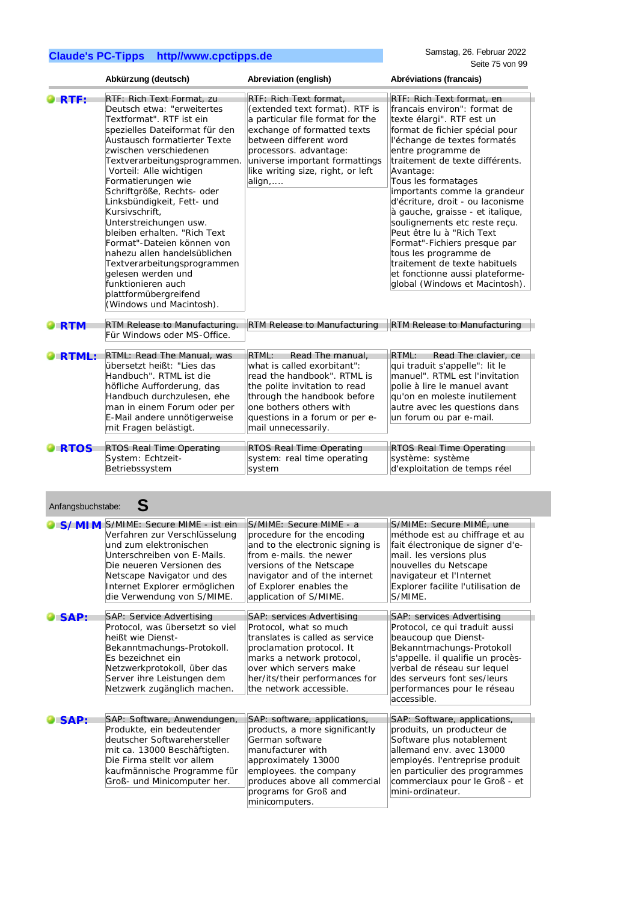Internet Explorer ermöglichen

|                    | Abkürzung (deutsch)                                                                                                                                                                                                                                                                                                                                                                                                                                                                                                                                                                                    | Abreviation (english)                                                                                                                                                                                                                                                     | Abréviations (francais)                                                                                                                                                                                                                                                                                                                                                                                                                                                                                                                                                                    |
|--------------------|--------------------------------------------------------------------------------------------------------------------------------------------------------------------------------------------------------------------------------------------------------------------------------------------------------------------------------------------------------------------------------------------------------------------------------------------------------------------------------------------------------------------------------------------------------------------------------------------------------|---------------------------------------------------------------------------------------------------------------------------------------------------------------------------------------------------------------------------------------------------------------------------|--------------------------------------------------------------------------------------------------------------------------------------------------------------------------------------------------------------------------------------------------------------------------------------------------------------------------------------------------------------------------------------------------------------------------------------------------------------------------------------------------------------------------------------------------------------------------------------------|
| RTF:               | RTF: Rich Text Format, zu<br>Deutsch etwa: "erweitertes<br>Textformat". RTF ist ein<br>spezielles Dateiformat für den<br>Austausch formatierter Texte<br>zwischen verschiedenen<br>Textverarbeitungsprogrammen.<br>Vorteil: Alle wichtigen<br>Formatierungen wie<br>Schriftgröße, Rechts- oder<br>Linksbündigkeit, Fett- und<br>Kursivschrift,<br>Unterstreichungen usw.<br>bleiben erhalten. "Rich Text<br>Format"-Dateien können von<br>nahezu allen handelsüblichen<br>Textverarbeitungsprogrammen<br>gelesen werden und<br>funktionieren auch<br>plattformübergreifend<br>(Windows und Macintosh). | RTF: Rich Text format,<br>(extended text format). RTF is<br>a particular file format for the<br>exchange of formatted texts<br>between different word<br>processors. advantage:<br>universe important formattings<br>like writing size, right, or left<br>$align, \ldots$ | RTF: Rich Text format, en<br>francais environ": format de<br>texte élargi". RTF est un<br>format de fichier spécial pour<br>l'échange de textes formatés<br>entre programme de<br>traitement de texte différents.<br>Avantage:<br>Tous les formatages<br>importants comme la grandeur<br>d'écriture, droit - ou laconisme<br>à gauche, graisse - et italique,<br>soulignements etc reste reçu.<br>Peut être lu à "Rich Text<br>Format"-Fichiers presque par<br>tous les programme de<br>traitement de texte habituels<br>et fonctionne aussi plateforme-<br>global (Windows et Macintosh). |
| $\blacksquare$ RTM | RTM Release to Manufacturing.<br>Für Windows oder MS-Office.                                                                                                                                                                                                                                                                                                                                                                                                                                                                                                                                           | RTM Release to Manufacturing                                                                                                                                                                                                                                              | RTM Release to Manufacturing                                                                                                                                                                                                                                                                                                                                                                                                                                                                                                                                                               |
| <b>ERTML:</b>      | RTML: Read The Manual, was<br>übersetzt heißt: "Lies das<br>Handbuch". RTML ist die<br>höfliche Aufforderung, das<br>Handbuch durchzulesen, ehe<br>man in einem Forum oder per<br>E-Mail andere unnötigerweise<br>mit Fragen belästigt.                                                                                                                                                                                                                                                                                                                                                                | Read The manual.<br>RTML:<br>what is called exorbitant":<br>read the handbook". RTML is<br>the polite invitation to read<br>through the handbook before<br>one bothers others with<br>questions in a forum or per e-<br>mail unnecessarily.                               | Read The clavier, ce<br>RTML:<br>qui traduit s'appelle": lit le<br>manuel". RTML est l'invitation<br>polie à lire le manuel avant<br>qu'on en moleste inutilement<br>autre avec les questions dans<br>un forum ou par e-mail.                                                                                                                                                                                                                                                                                                                                                              |
| <b>RTOS</b>        | RTOS Real Time Operating<br>System: Echtzeit-<br>Betriebssystem                                                                                                                                                                                                                                                                                                                                                                                                                                                                                                                                        | RTOS Real Time Operating<br>system: real time operating<br>system                                                                                                                                                                                                         | RTOS Real Time Operating<br>système: système<br>d'exploitation de temps réel                                                                                                                                                                                                                                                                                                                                                                                                                                                                                                               |
| Anfangsbuchstabe:  | S                                                                                                                                                                                                                                                                                                                                                                                                                                                                                                                                                                                                      |                                                                                                                                                                                                                                                                           |                                                                                                                                                                                                                                                                                                                                                                                                                                                                                                                                                                                            |
|                    | S/MIM S/MIME: Secure MIME - ist ein<br>Verfahren zur Verschlüsselung<br>und zum elektronischen<br>Unterschreiben von E-Mails.<br>Die neueren Versionen des<br>Netscape Navigator und des                                                                                                                                                                                                                                                                                                                                                                                                               | S/MIME: Secure MIME - a<br>procedure for the encoding<br>and to the electronic signing is<br>from e-mails, the newer<br>versions of the Netscape<br>navigator and of the internet                                                                                         | S/MIME: Secure MIMÉ, une<br>méthode est au chiffrage et au<br>fait électronique de signer d'e-<br>mail. les versions plus<br>nouvelles du Netscape<br>navigateur et l'Internet                                                                                                                                                                                                                                                                                                                                                                                                             |

|                | die Verwendung von S/MIME.                                                                                                                                                                                                      | application of S/MIME.                                                                                                                                                                                                                   | S/MIME.                                                                                                                                                                                                                                                           |
|----------------|---------------------------------------------------------------------------------------------------------------------------------------------------------------------------------------------------------------------------------|------------------------------------------------------------------------------------------------------------------------------------------------------------------------------------------------------------------------------------------|-------------------------------------------------------------------------------------------------------------------------------------------------------------------------------------------------------------------------------------------------------------------|
| $\bullet$ SAP: | SAP: Service Advertising<br>Protocol, was übersetzt so viel<br>heißt wie Dienst-<br>Bekanntmachungs-Protokoll.<br>Es bezeichnet ein<br>Netzwerkprotokoll, über das<br>Server ihre Leistungen dem<br>Netzwerk zugänglich machen. | SAP: services Advertising<br>Protocol, what so much<br>translates is called as service<br>proclamation protocol. It<br>marks a network protocol,<br>over which servers make<br>her/its/their performances for<br>the network accessible. | SAP: services Advertising<br>Protocol, ce qui traduit aussi<br>beaucoup que Dienst-<br>Bekanntmachungs-Protokoll<br>s'appelle. il qualifie un procès-<br>verbal de réseau sur lequel<br>des serveurs font ses/leurs<br>performances pour le réseau<br>accessible. |
| SSAP:          | SAP: Software, Anwendungen,<br>Produkte, ein bedeutender<br>deutscher Softwarehersteller<br>mit ca. 13000 Beschäftigten.<br>Die Firma stellt vor allem<br>kaufmännische Programme für<br>Groß- und Minicomputer her.            | SAP: software, applications,<br>products, a more significantly<br>German software<br>manufacturer with<br>approximately 13000<br>employees. the company<br>produces above all commercial<br>programs for Groß and<br>minicomputers.      | SAP: Software, applications,<br>produits, un producteur de<br>Software plus notablement<br>allemand env. avec 13000<br>employés. l'entreprise produit<br>en particulier des programmes<br>commerciaux pour le Groß - et<br>mini-ordinateur.                       |

navigator and of the internet of Explorer enables the

navigateur et l'Internet Explorer facilite l'utilisation de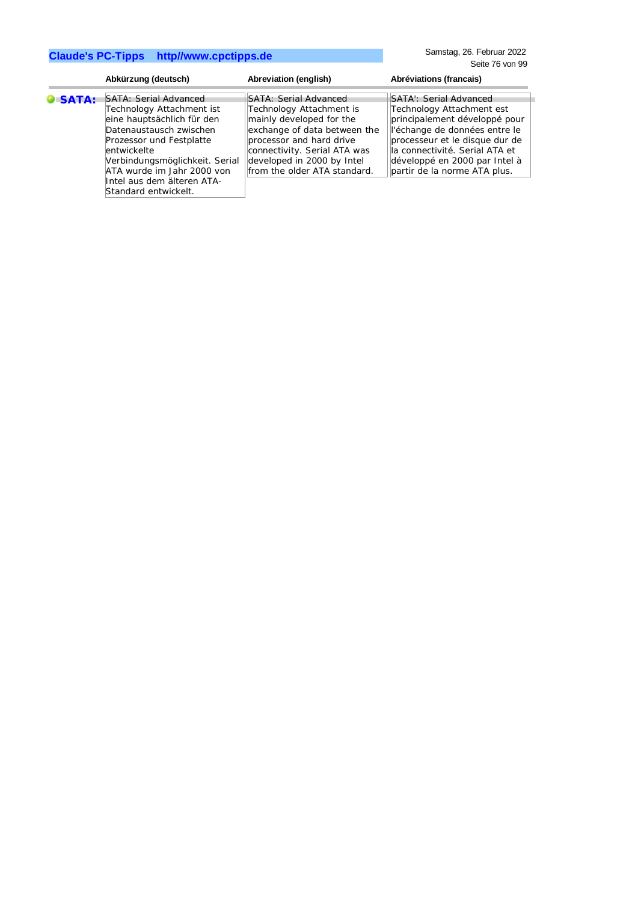Samstag, 26. Februar 2022 Seite 76 von 99

| Abkürzung (deutsch)                                                                                                                                                                                                                                                                                   | Abreviation (english)                                                                                                                                                                                                                   | Abréviations (francais)                                                                                                                                                                                                                                   |
|-------------------------------------------------------------------------------------------------------------------------------------------------------------------------------------------------------------------------------------------------------------------------------------------------------|-----------------------------------------------------------------------------------------------------------------------------------------------------------------------------------------------------------------------------------------|-----------------------------------------------------------------------------------------------------------------------------------------------------------------------------------------------------------------------------------------------------------|
| <b>SATA: Serial Advanced</b><br><b>O</b> SATA:<br>Technology Attachment ist<br>eine hauptsächlich für den<br>Datenaustausch zwischen<br>Prozessor und Festplatte<br>entwickelte<br>Verbindungsmöglichkeit. Serial<br>ATA wurde im Jahr 2000 von<br>Intel aus dem älteren ATA-<br>Standard entwickelt. | SATA: Serial Advanced<br>Technology Attachment is<br>mainly developed for the<br>exchange of data between the<br>processor and hard drive<br>connectivity. Serial ATA was<br>developed in 2000 by Intel<br>from the older ATA standard. | SATA: Serial Advanced<br>Technology Attachment est<br>principalement développé pour<br>l'échange de données entre le<br>processeur et le disque dur de<br>la connectivité. Serial ATA et<br>développé en 2000 par Intel à<br>partir de la norme ATA plus. |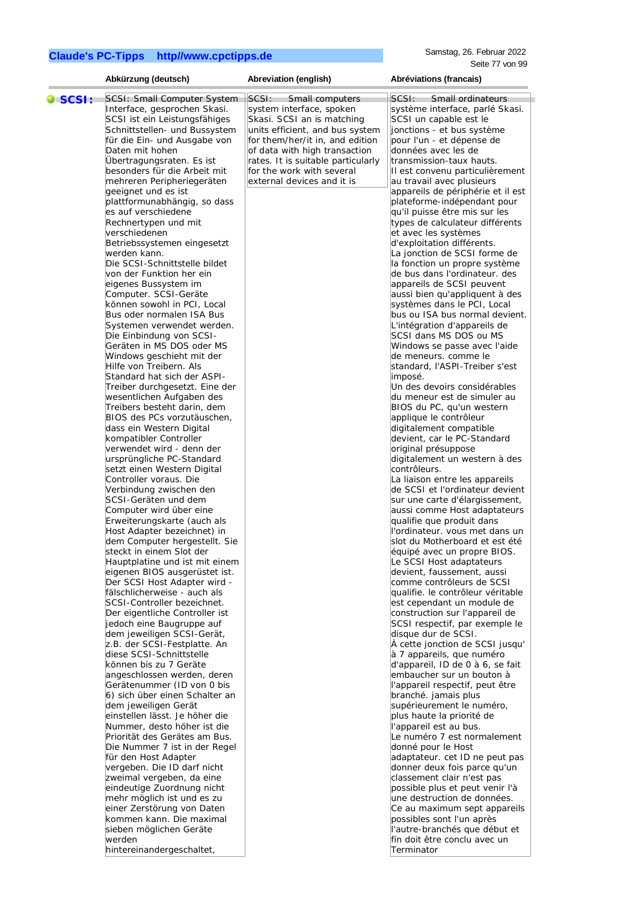|         | Abkürzung (deutsch)                                           | Abreviation (english)              | Abréviations (francais)                                     |
|---------|---------------------------------------------------------------|------------------------------------|-------------------------------------------------------------|
|         |                                                               | SCSI:<br>Small computers           | Small ordinateurs<br>SCSI:                                  |
| O SCSI: | SCSI: Small Computer System<br>Interface, gesprochen Skasi.   | system interface, spoken           | système interface, parlé Skasi.                             |
|         | SCSI ist ein Leistungsfähiges                                 | Skasi. SCSI an is matching         | SCSI un capable est le                                      |
|         | Schnittstellen- und Bussystem                                 | units efficient, and bus system    | jonctions - et bus système                                  |
|         | für die Ein- und Ausgabe von                                  | for them/her/it in, and edition    | pour l'un - et dépense de                                   |
|         | Daten mit hohen                                               | of data with high transaction      | données avec les de                                         |
|         | Übertragungsraten. Es ist                                     | rates. It is suitable particularly | transmission-taux hauts.                                    |
|         | besonders für die Arbeit mit                                  | for the work with several          | II est convenu particulièrement                             |
|         | mehreren Peripheriegeräten                                    | external devices and it is         | au travail avec plusieurs                                   |
|         | geeignet und es ist                                           |                                    | appareils de périphérie et il est                           |
|         | plattformunabhängig, so dass                                  |                                    | plateforme-indépendant pour                                 |
|         | es auf verschiedene                                           |                                    | qu'il puisse être mis sur les                               |
|         | Rechnertypen und mit                                          |                                    | types de calculateur différents                             |
|         | verschiedenen                                                 |                                    | et avec les systèmes                                        |
|         | Betriebssystemen eingesetzt                                   |                                    | d'exploitation différents.                                  |
|         | werden kann.                                                  |                                    | La jonction de SCSI forme de                                |
|         | Die SCSI-Schnittstelle bildet                                 |                                    | la fonction un propre système                               |
|         | von der Funktion her ein                                      |                                    | de bus dans l'ordinateur. des                               |
|         | eigenes Bussystem im                                          |                                    | appareils de SCSI peuvent                                   |
|         | Computer. SCSI-Geräte                                         |                                    | aussi bien qu'appliquent à des                              |
|         | können sowohl in PCI, Local                                   |                                    | systèmes dans le PCI, Local                                 |
|         | Bus oder normalen ISA Bus                                     |                                    | bus ou ISA bus normal devient.                              |
|         | Systemen verwendet werden.                                    |                                    | L'intégration d'appareils de                                |
|         | Die Einbindung von SCSI-                                      |                                    | SCSI dans MS DOS ou MS                                      |
|         | Geräten in MS DOS oder MS                                     |                                    | Windows se passe avec l'aide                                |
|         | Windows geschieht mit der                                     |                                    | de meneurs. comme le                                        |
|         | Hilfe von Treibern. Als                                       |                                    | standard, l'ASPI-Treiber s'est                              |
|         | Standard hat sich der ASPI-<br>Treiber durchgesetzt. Eine der |                                    | imposé.<br>Un des devoirs considérables                     |
|         | wesentlichen Aufgaben des                                     |                                    | du meneur est de simuler au                                 |
|         | Treibers besteht darin, dem                                   |                                    | BIOS du PC, qu'un western                                   |
|         | BIOS des PCs vorzutäuschen,                                   |                                    | applique le contrôleur                                      |
|         | dass ein Western Digital                                      |                                    | digitalement compatible                                     |
|         | kompatibler Controller                                        |                                    | devient, car le PC-Standard                                 |
|         | verwendet wird - denn der                                     |                                    | original présuppose                                         |
|         | ursprüngliche PC-Standard                                     |                                    | digitalement un western à des                               |
|         | setzt einen Western Digital                                   |                                    | contrôleurs.                                                |
|         | Controller voraus. Die                                        |                                    | La liaison entre les appareils                              |
|         | Verbindung zwischen den                                       |                                    | de SCSI et l'ordinateur devient                             |
|         | SCSI-Geräten und dem                                          |                                    | sur une carte d'élargissement,                              |
|         | Computer wird über eine                                       |                                    | aussi comme Host adaptateurs                                |
|         | Erweiterungskarte (auch als<br>Host Adapter bezeichnet) in    |                                    | qualifie que produit dans<br>l'ordinateur. vous met dans un |
|         | dem Computer hergestellt. Sie                                 |                                    | slot du Motherboard et est été                              |
|         | steckt in einem Slot der                                      |                                    | équipé avec un propre BIOS.                                 |
|         | Hauptplatine und ist mit einem                                |                                    | Le SCSI Host adaptateurs                                    |
|         | eigenen BIOS ausgerüstet ist.                                 |                                    | devient, faussement, aussi                                  |
|         | Der SCSI Host Adapter wird -                                  |                                    | comme contrôleurs de SCSI                                   |
|         | fälschlicherweise - auch als                                  |                                    | qualifie. le contrôleur véritable                           |
|         | SCSI-Controller bezeichnet.                                   |                                    | est cependant un module de                                  |
|         | Der eigentliche Controller ist                                |                                    | construction sur l'appareil de                              |
|         | jedoch eine Baugruppe auf                                     |                                    | SCSI respectif, par exemple le                              |
|         | dem jeweiligen SCSI-Gerät,                                    |                                    | disque dur de SCSI.                                         |
|         | z.B. der SCSI-Festplatte. An                                  |                                    | À cette jonction de SCSI jusqu'                             |
|         | diese SCSI-Schnittstelle                                      |                                    | à 7 appareils, que numéro                                   |
|         | können bis zu 7 Geräte                                        |                                    | d'appareil, ID de 0 à 6, se fait                            |
|         | angeschlossen werden, deren                                   |                                    | embaucher sur un bouton à                                   |
|         | Gerätenummer (ID von 0 bis                                    |                                    | l'appareil respectif, peut être                             |
|         | 6) sich über einen Schalter an<br>dem jeweiligen Gerät        |                                    | branché. jamais plus<br>supérieurement le numéro,           |
|         | einstellen lässt. Je höher die                                |                                    | plus haute la priorité de                                   |
|         | Nummer, desto höher ist die                                   |                                    | l'appareil est au bus.                                      |
|         | Priorität des Gerätes am Bus.                                 |                                    | Le numéro 7 est normalement                                 |
|         | Die Nummer 7 ist in der Regel                                 |                                    | donné pour le Host                                          |
|         | für den Host Adapter                                          |                                    | adaptateur. cet ID ne peut pas                              |
|         | vergeben. Die ID darf nicht                                   |                                    | donner deux fois parce qu'un                                |
|         | zweimal vergeben, da eine                                     |                                    | classement clair n'est pas                                  |
|         | eindeutige Zuordnung nicht                                    |                                    | possible plus et peut venir l'à                             |
|         | mehr möglich ist und es zu                                    |                                    | une destruction de données.                                 |
|         | einer Zerstörung von Daten                                    |                                    | Ce au maximum sept appareils                                |
|         | kommen kann. Die maximal                                      |                                    | possibles sont l'un après                                   |
|         | sieben möglichen Geräte                                       |                                    | l'autre-branchés que début et                               |
|         | werden                                                        |                                    | fin doit être conclu avec un                                |
|         | hintereinandergeschaltet,                                     |                                    | Terminator                                                  |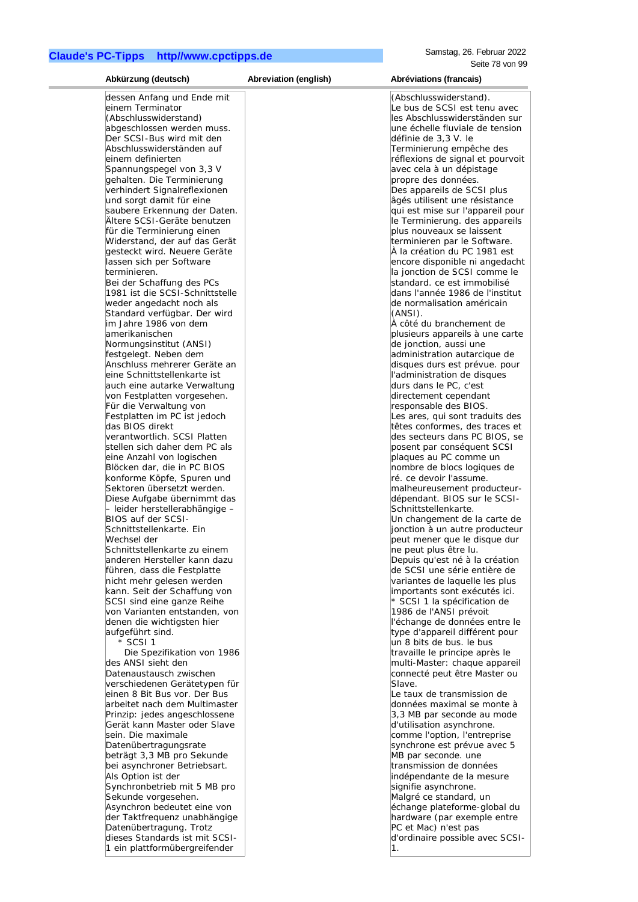| Abkürzung (deutsch)                                             | Abreviation (english) | Abréviations (francais)                                         |
|-----------------------------------------------------------------|-----------------------|-----------------------------------------------------------------|
| dessen Anfang und Ende mit                                      |                       | (Abschlusswiderstand).                                          |
| einem Terminator                                                |                       | Le bus de SCSI est tenu avec                                    |
| (Abschlusswiderstand)                                           |                       | les Abschlusswiderständen sur                                   |
| abgeschlossen werden muss.                                      |                       | une échelle fluviale de tension                                 |
| Der SCSI-Bus wird mit den                                       |                       | définie de 3,3 V. le                                            |
| Abschlusswiderständen auf<br>einem definierten                  |                       | Terminierung empêche des<br>réflexions de signal et pourvoit    |
| Spannungspegel von 3,3 V                                        |                       | avec cela à un dépistage                                        |
| gehalten. Die Terminierung                                      |                       | propre des données.                                             |
| verhindert Signalreflexionen                                    |                       | Des appareils de SCSI plus                                      |
| und sorgt damit für eine                                        |                       | âgés utilisent une résistance                                   |
| saubere Erkennung der Daten.                                    |                       | qui est mise sur l'appareil pour                                |
| Ältere SCSI-Geräte benutzen<br>für die Terminierung einen       |                       | le Terminierung. des appareils<br>plus nouveaux se laissent     |
| Widerstand, der auf das Gerät                                   |                       | terminieren par le Software.                                    |
| gesteckt wird. Neuere Geräte                                    |                       | À la création du PC 1981 est                                    |
| lassen sich per Software                                        |                       | encore disponible ni angedacht                                  |
| terminieren.                                                    |                       | la jonction de SCSI comme le                                    |
| Bei der Schaffung des PCs<br>1981 ist die SCSI-Schnittstelle    |                       | standard, ce est immobilisé<br>dans l'année 1986 de l'institut  |
| weder angedacht noch als                                        |                       | de normalisation américain                                      |
| Standard verfügbar. Der wird                                    |                       | (ANSI).                                                         |
| im Jahre 1986 von dem                                           |                       | À côté du branchement de                                        |
| amerikanischen                                                  |                       | plusieurs appareils à une carte                                 |
| Normungsinstitut (ANSI)                                         |                       | de jonction, aussi une                                          |
| festgelegt. Neben dem<br>Anschluss mehrerer Geräte an           |                       | administration autarcique de                                    |
| eine Schnittstellenkarte ist                                    |                       | disques durs est prévue. pour<br>l'administration de disques    |
| auch eine autarke Verwaltung                                    |                       | durs dans le PC, c'est                                          |
| von Festplatten vorgesehen.                                     |                       | directement cependant                                           |
| Für die Verwaltung von                                          |                       | responsable des BIOS.                                           |
| Festplatten im PC ist jedoch                                    |                       | Les ares, qui sont traduits des                                 |
| das BIOS direkt<br>verantwortlich. SCSI Platten                 |                       | têtes conformes, des traces et<br>des secteurs dans PC BIOS, se |
| stellen sich daher dem PC als                                   |                       | posent par conséquent SCSI                                      |
| eine Anzahl von logischen                                       |                       | plaques au PC comme un                                          |
| Blöcken dar, die in PC BIOS                                     |                       | nombre de blocs logiques de                                     |
| konforme Köpfe, Spuren und                                      |                       | ré. ce devoir l'assume.                                         |
| Sektoren übersetzt werden.                                      |                       | malheureusement producteur-                                     |
| Diese Aufgabe übernimmt das<br>- leider herstellerabhängige -   |                       | dépendant. BIOS sur le SCSI-<br>Schnittstellenkarte.            |
| BIOS auf der SCSI-                                              |                       | Un changement de la carte de                                    |
| Schnittstellenkarte. Ein                                        |                       | jonction à un autre producteur                                  |
| Wechsel der                                                     |                       | peut mener que le disque dur                                    |
| Schnittstellenkarte zu einem                                    |                       | ne peut plus être lu.                                           |
| anderen Hersteller kann dazu<br>führen, dass die Festplatte     |                       | Depuis qu'est né à la création<br>de SCSI une série entière de  |
| nicht mehr gelesen werden                                       |                       | variantes de laquelle les plus                                  |
| kann. Seit der Schaffung von                                    |                       | importants sont exécutés ici.                                   |
| SCSI sind eine ganze Reihe                                      |                       | * SCSI 1 la spécification de                                    |
| von Varianten entstanden, von                                   |                       | 1986 de l'ANSI prévoit                                          |
| denen die wichtigsten hier                                      |                       | l'échange de données entre le                                   |
| aufgeführt sind.<br>* SCSI 1                                    |                       | type d'appareil différent pour<br>un 8 bits de bus. le bus      |
| Die Spezifikation von 1986                                      |                       | travaille le principe après le                                  |
| des ANSI sieht den                                              |                       | multi-Master: chaque appareil                                   |
| Datenaustausch zwischen                                         |                       | connecté peut être Master ou                                    |
| verschiedenen Gerätetypen für                                   |                       | Slave.                                                          |
| einen 8 Bit Bus vor. Der Bus                                    |                       | Le taux de transmission de                                      |
| arbeitet nach dem Multimaster<br>Prinzip: jedes angeschlossene  |                       | données maximal se monte à<br>3,3 MB par seconde au mode        |
| Gerät kann Master oder Slave                                    |                       | d'utilisation asynchrone.                                       |
| sein. Die maximale                                              |                       | comme l'option, l'entreprise                                    |
| Datenübertragungsrate                                           |                       | synchrone est prévue avec 5                                     |
| beträgt 3,3 MB pro Sekunde                                      |                       | MB par seconde. une                                             |
| bei asynchroner Betriebsart.                                    |                       | transmission de données                                         |
| Als Option ist der<br>Synchronbetrieb mit 5 MB pro              |                       | indépendante de la mesure<br>signifie asynchrone.               |
| Sekunde vorgesehen.                                             |                       | Malgré ce standard, un                                          |
| Asynchron bedeutet eine von                                     |                       | échange plateforme-global du                                    |
| der Taktfrequenz unabhängige                                    |                       | hardware (par exemple entre                                     |
| Datenübertragung. Trotz                                         |                       | PC et Mac) n'est pas                                            |
| dieses Standards ist mit SCSI-<br>1 ein plattformübergreifender |                       | d'ordinaire possible avec SCSI-<br>1.                           |
|                                                                 |                       |                                                                 |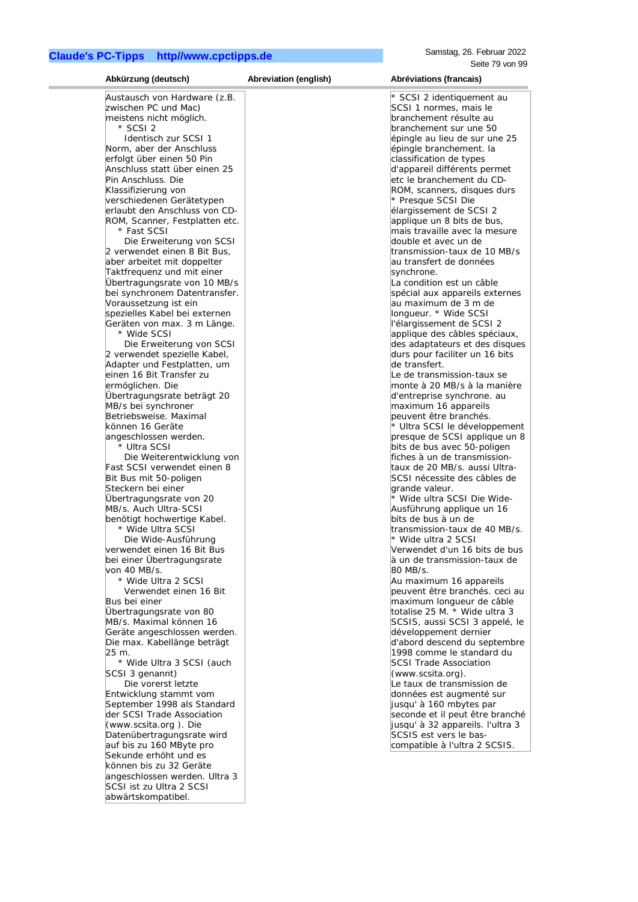| Abkürzung (deutsch)                                           | Abreviation (english) | Abréviations (francais)                                    |
|---------------------------------------------------------------|-----------------------|------------------------------------------------------------|
| Austausch von Hardware (z.B.                                  |                       | * SCSI 2 identiquement au                                  |
| zwischen PC und Mac)                                          |                       | SCSI 1 normes, mais le                                     |
| meistens nicht möglich.                                       |                       | branchement résulte au                                     |
| * SCSI 2                                                      |                       | branchement sur une 50                                     |
| Identisch zur SCSI 1                                          |                       | épingle au lieu de sur une 25                              |
| Norm, aber der Anschluss                                      |                       | épingle branchement. la                                    |
| erfolgt über einen 50 Pin                                     |                       | classification de types                                    |
| Anschluss statt über einen 25                                 |                       | d'appareil différents permet                               |
| Pin Anschluss. Die                                            |                       | etc le branchement du CD-                                  |
| Klassifizierung von                                           |                       | ROM, scanners, disques durs                                |
| verschiedenen Gerätetypen                                     |                       | * Presque SCSI Die                                         |
| erlaubt den Anschluss von CD-                                 |                       | élargissement de SCSI 2                                    |
| ROM, Scanner, Festplatten etc.                                |                       | applique un 8 bits de bus,                                 |
| * Fast SCSI                                                   |                       | mais travaille avec la mesure                              |
| Die Erweiterung von SCSI                                      |                       | double et avec un de                                       |
| 2 verwendet einen 8 Bit Bus,                                  |                       | transmission-taux de 10 MB/s                               |
| aber arbeitet mit doppelter                                   |                       | au transfert de données                                    |
| Taktfrequenz und mit einer                                    |                       | synchrone.<br>La condition est un câble                    |
| Übertragungsrate von 10 MB/s<br>bei synchronem Datentransfer. |                       |                                                            |
|                                                               |                       | spécial aux appareils externes                             |
| Voraussetzung ist ein<br>spezielles Kabel bei externen        |                       | au maximum de 3 m de<br>longueur. * Wide SCSI              |
| Geräten von max. 3 m Länge.                                   |                       | l'élargissement de SCSI 2                                  |
| * Wide SCSI                                                   |                       | applique des câbles spéciaux,                              |
| Die Erweiterung von SCSI                                      |                       | des adaptateurs et des disques                             |
| 2 verwendet spezielle Kabel,                                  |                       | durs pour faciliter un 16 bits                             |
| Adapter und Festplatten, um                                   |                       | de transfert.                                              |
| einen 16 Bit Transfer zu                                      |                       | Le de transmission-taux se                                 |
| ermöglichen. Die                                              |                       | monte à 20 MB/s à la manière                               |
| Übertragungsrate beträgt 20                                   |                       | d'entreprise synchrone. au                                 |
| MB/s bei synchroner                                           |                       | maximum 16 appareils                                       |
| Betriebsweise. Maximal                                        |                       | peuvent être branchés.                                     |
| können 16 Geräte                                              |                       | * Ultra SCSI le développement                              |
| angeschlossen werden.                                         |                       | presque de SCSI applique un 8                              |
| * Ultra SCSI                                                  |                       | bits de bus avec 50-poligen                                |
| Die Weiterentwicklung von                                     |                       | fiches à un de transmission-                               |
| Fast SCSI verwendet einen 8                                   |                       | taux de 20 MB/s. aussi Ultra-                              |
| Bit Bus mit 50-poligen                                        |                       | SCSI nécessite des câbles de                               |
| Steckern bei einer                                            |                       | grande valeur.                                             |
| Ubertragungsrate von 20                                       |                       | * Wide ultra SCSI Die Wide-                                |
| MB/s. Auch Ultra-SCSI                                         |                       | Ausführung applique un 16                                  |
| benötigt hochwertige Kabel.                                   |                       | bits de bus à un de                                        |
| * Wide Ultra SCSI                                             |                       | transmission-taux de 40 MB/s.                              |
| Die Wide-Ausführung                                           |                       | * Wide ultra 2 SCSI                                        |
| verwendet einen 16 Bit Bus                                    |                       | Verwendet d'un 16 bits de bus                              |
| bei einer Übertragungsrate                                    |                       | à un de transmission-taux de                               |
| von 40 MB/s.                                                  |                       | 80 MB/s.                                                   |
| * Wide Ultra 2 SCSI                                           |                       | Au maximum 16 appareils                                    |
| Verwendet einen 16 Bit                                        |                       | peuvent être branchés, ceci au                             |
| Bus bei einer<br>Übertragungsrate von 80                      |                       | maximum longueur de câble<br>totalise 25 M. * Wide ultra 3 |
| MB/s. Maximal können 16                                       |                       | SCSIS, aussi SCSI 3 appelé, le                             |
| Geräte angeschlossen werden.                                  |                       | développement dernier                                      |
| Die max. Kabellänge beträgt                                   |                       | d'abord descend du septembre                               |
| 25 m.                                                         |                       | 1998 comme le standard du                                  |
| * Wide Ultra 3 SCSI (auch                                     |                       | <b>SCSI Trade Association</b>                              |
| SCSI 3 genannt)                                               |                       | (www.scsita.org).                                          |
| Die vorerst letzte                                            |                       | Le taux de transmission de                                 |
| Entwicklung stammt vom                                        |                       | données est augmenté sur                                   |
| September 1998 als Standard                                   |                       | jusqu' à 160 mbytes par                                    |
| der SCSI Trade Association                                    |                       | seconde et il peut être branché                            |
| (www.scsita.org). Die                                         |                       | jusqu' à 32 appareils. l'ultra 3                           |
| Datenübertragungsrate wird                                    |                       | SCSIS est vers le bas-                                     |
| auf bis zu 160 MByte pro                                      |                       | compatible à l'ultra 2 SCSIS.                              |
| Sekunde erhöht und es                                         |                       |                                                            |
| können bis zu 32 Geräte                                       |                       |                                                            |
| angeschlossen werden. Ultra 3                                 |                       |                                                            |
| SCSI ist zu Ultra 2 SCSI                                      |                       |                                                            |
| abwärtskompatibel.                                            |                       |                                                            |
|                                                               |                       |                                                            |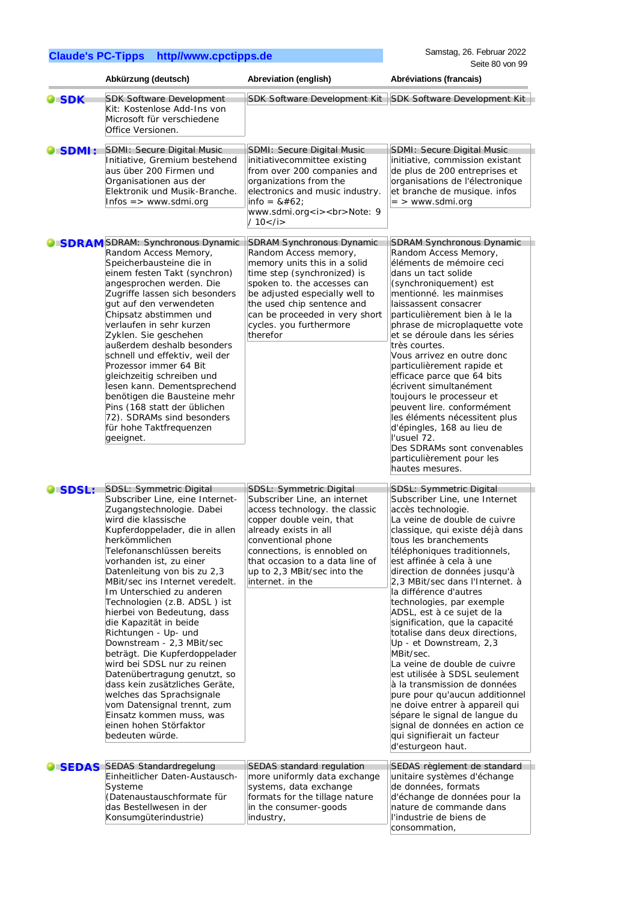| <b>Claude's PC-Tipps http//www.cpctipps.de</b> |  |
|------------------------------------------------|--|
|------------------------------------------------|--|

Samstag, 26. Februar 2022 Seite 80 von 99

|                    | Abkürzung (deutsch)                                                                                                                                                                                                                                                                                                                                                                                                                                                                                                                                                                                                                                                                                                                            | Abreviation (english)                                                                                                                                                                                                                                                                            | Abréviations (francais)                                                                                                                                                                                                                                                                                                                                                                                                                                                                                                                                                                                                                                                                                                                                                                                |
|--------------------|------------------------------------------------------------------------------------------------------------------------------------------------------------------------------------------------------------------------------------------------------------------------------------------------------------------------------------------------------------------------------------------------------------------------------------------------------------------------------------------------------------------------------------------------------------------------------------------------------------------------------------------------------------------------------------------------------------------------------------------------|--------------------------------------------------------------------------------------------------------------------------------------------------------------------------------------------------------------------------------------------------------------------------------------------------|--------------------------------------------------------------------------------------------------------------------------------------------------------------------------------------------------------------------------------------------------------------------------------------------------------------------------------------------------------------------------------------------------------------------------------------------------------------------------------------------------------------------------------------------------------------------------------------------------------------------------------------------------------------------------------------------------------------------------------------------------------------------------------------------------------|
| $\blacksquare$ SDK | <b>SDK Software Development</b><br>Kit: Kostenlose Add-Ins von<br>Microsoft für verschiedene<br>Office Versionen.                                                                                                                                                                                                                                                                                                                                                                                                                                                                                                                                                                                                                              | SDK Software Development Kit                                                                                                                                                                                                                                                                     | SDK Software Development Kit                                                                                                                                                                                                                                                                                                                                                                                                                                                                                                                                                                                                                                                                                                                                                                           |
| <b>SDMI:</b>       | <b>SDMI: Secure Digital Music</b><br>Initiative, Gremium bestehend<br>aus über 200 Firmen und<br>Organisationen aus der<br>Elektronik und Musik-Branche.<br>$Infos = > www.sdmi.org$                                                                                                                                                                                                                                                                                                                                                                                                                                                                                                                                                           | SDMI: Secure Digital Music<br>initiativecommittee existing<br>from over 200 companies and<br>organizations from the<br>electronics and music industry.<br>$info = 8#62$ ;<br>www.sdmi.org <i><br/>Note: 9<br/>/ 10</i>                                                                           | <b>SDMI: Secure Digital Music</b><br>initiative, commission existant<br>de plus de 200 entreprises et<br>organisations de l'électronique<br>et branche de musique. infos<br>$=$ > www.sdmi.org                                                                                                                                                                                                                                                                                                                                                                                                                                                                                                                                                                                                         |
|                    | <b>SDRAM</b> SDRAM: Synchronous Dynamic<br>Random Access Memory,<br>Speicherbausteine die in<br>einem festen Takt (synchron)<br>angesprochen werden. Die<br>Zugriffe lassen sich besonders<br>gut auf den verwendeten<br>Chipsatz abstimmen und<br>verlaufen in sehr kurzen<br>Zyklen. Sie geschehen<br>außerdem deshalb besonders<br>schnell und effektiv, weil der<br>Prozessor immer 64 Bit<br>gleichzeitig schreiben und<br>lesen kann. Dementsprechend<br>benötigen die Bausteine mehr<br>Pins (168 statt der üblichen<br>72). SDRAMs sind besonders<br>für hohe Taktfrequenzen<br>geeignet.                                                                                                                                              | <b>SDRAM Synchronous Dynamic</b><br>Random Access memory,<br>memory units this in a solid<br>time step (synchronized) is<br>spoken to. the accesses can<br>be adjusted especially well to<br>the used chip sentence and<br>can be proceeded in very short<br>cycles. you furthermore<br>therefor | <b>SDRAM Synchronous Dynamic</b><br>Random Access Memory,<br>éléments de mémoire ceci<br>dans un tact solide<br>(synchroniquement) est<br>mentionné. les mainmises<br>laissassent consacrer<br>particulièrement bien à le la<br>phrase de microplaquette vote<br>et se déroule dans les séries<br>très courtes.<br>Vous arrivez en outre donc<br>particulièrement rapide et<br>efficace parce que 64 bits<br>écrivent simultanément<br>toujours le processeur et<br>peuvent lire, conformément<br>les éléments nécessitent plus<br>d'épingles, 168 au lieu de<br>l'usuel 72.<br>Des SDRAMs sont convenables<br>particulièrement pour les<br>hautes mesures.                                                                                                                                            |
| SDSL:              | SDSL: Symmetric Digital<br>Subscriber Line, eine Internet-<br>Zugangstechnologie. Dabei<br>wird die klassische<br>Kupferdoppelader, die in allen<br>herkömmlichen<br>Telefonanschlüssen bereits<br>vorhanden ist, zu einer<br>Datenleitung von bis zu 2,3<br>MBit/sec ins Internet veredelt.<br>Im Unterschied zu anderen<br>Technologien (z.B. ADSL) ist<br>hierbei von Bedeutung, dass<br>die Kapazität in beide<br>Richtungen - Up- und<br>Downstream - 2,3 MBit/sec<br>beträgt. Die Kupferdoppelader<br>wird bei SDSL nur zu reinen<br>Datenübertragung genutzt, so<br>dass kein zusätzliches Geräte,<br>welches das Sprachsignale<br>vom Datensignal trennt, zum<br>Einsatz kommen muss, was<br>einen hohen Störfaktor<br>bedeuten würde. | SDSL: Symmetric Digital<br>Subscriber Line, an internet<br>access technology. the classic<br>copper double vein, that<br>already exists in all<br>conventional phone<br>connections, is ennobled on<br>that occasion to a data line of<br>up to 2,3 MBit/sec into the<br>internet. in the        | SDSL: Symmetric Digital<br>Subscriber Line, une Internet<br>accès technologie.<br>La veine de double de cuivre<br>classique, qui existe déjà dans<br>tous les branchements<br>téléphoniques traditionnels,<br>est affinée à cela à une<br>direction de données jusqu'à<br>2,3 MBit/sec dans l'Internet. à<br>la différence d'autres<br>technologies, par exemple<br>ADSL, est à ce sujet de la<br>signification, que la capacité<br>totalise dans deux directions,<br>Up - et Downstream, 2,3<br>MBit/sec.<br>La veine de double de cuivre<br>est utilisée à SDSL seulement<br>à la transmission de données<br>pure pour qu'aucun additionnel<br>ne doive entrer à appareil qui<br>sépare le signal de langue du<br>signal de données en action ce<br>qui signifierait un facteur<br>d'esturgeon haut. |
|                    | SEDAS SEDAS Standardregelung<br>Einheitlicher Daten-Austausch-<br>Systeme<br>(Datenaustauschformate für<br>das Bestellwesen in der<br>Konsumgüterindustrie)                                                                                                                                                                                                                                                                                                                                                                                                                                                                                                                                                                                    | <b>SEDAS</b> standard regulation<br>more uniformly data exchange<br>systems, data exchange<br>formats for the tillage nature<br>in the consumer-goods<br>industry,                                                                                                                               | SEDAS règlement de standard<br>unitaire systèmes d'échange<br>de données, formats<br>d'échange de données pour la<br>nature de commande dans<br>l'industrie de biens de<br>consommation,                                                                                                                                                                                                                                                                                                                                                                                                                                                                                                                                                                                                               |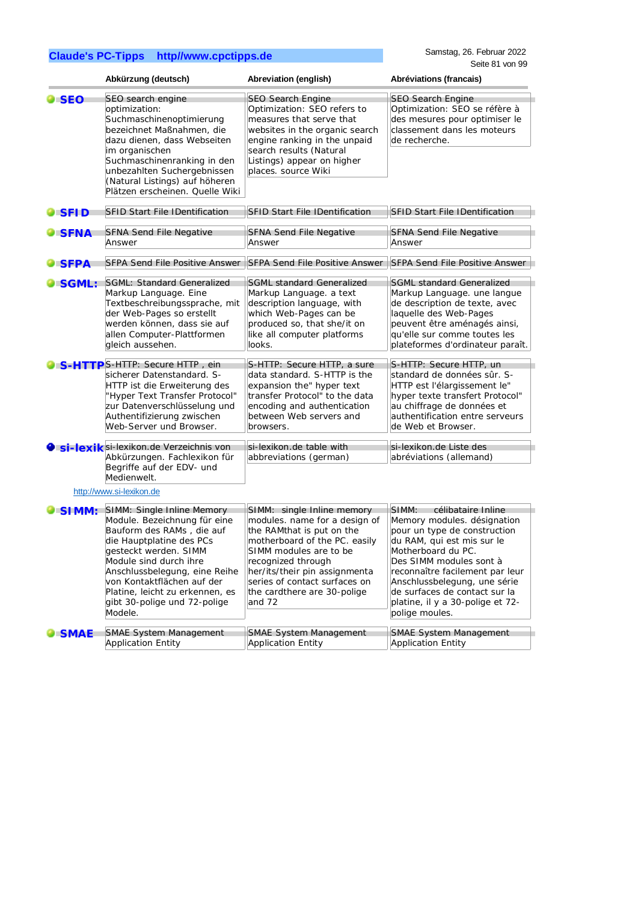Samstag, 26. Februar 2022 Seite 81 von 99

|               | Abkürzung (deutsch)                                                                                                                                                                                                                                                                                                 | Abreviation (english)                                                                                                                                                                                                                                                                | Abréviations (francais)                                                                                                                                                                                                                                                                                                             |
|---------------|---------------------------------------------------------------------------------------------------------------------------------------------------------------------------------------------------------------------------------------------------------------------------------------------------------------------|--------------------------------------------------------------------------------------------------------------------------------------------------------------------------------------------------------------------------------------------------------------------------------------|-------------------------------------------------------------------------------------------------------------------------------------------------------------------------------------------------------------------------------------------------------------------------------------------------------------------------------------|
| <b>SEO</b>    | SEO search engine<br>optimization:<br>Suchmaschinenoptimierung<br>bezeichnet Maßnahmen, die<br>dazu dienen, dass Webseiten<br>im organischen<br>Suchmaschinenranking in den<br>unbezahlten Suchergebnissen<br>(Natural Listings) auf höheren<br>Plätzen erscheinen. Quelle Wiki                                     | <b>SEO Search Engine</b><br>Optimization: SEO refers to<br>measures that serve that<br>websites in the organic search<br>engine ranking in the unpaid<br>search results (Natural<br>Listings) appear on higher<br>places. source Wiki                                                | <b>SEO Search Engine</b><br>Optimization: SEO se réfère à<br>des mesures pour optimiser le<br>classement dans les moteurs<br>de recherche.                                                                                                                                                                                          |
| <b>I</b> SFID | <b>SFID Start File IDentification</b>                                                                                                                                                                                                                                                                               | <b>SFID Start File IDentification</b>                                                                                                                                                                                                                                                | <b>SFID Start File IDentification</b>                                                                                                                                                                                                                                                                                               |
| <b>SFNA</b>   | <b>SFNA Send File Negative</b><br>Answer                                                                                                                                                                                                                                                                            | <b>SFNA Send File Negative</b><br>Answer                                                                                                                                                                                                                                             | <b>SFNA Send File Negative</b><br>Answer                                                                                                                                                                                                                                                                                            |
| <b>SFPA</b>   | <b>SFPA Send File Positive Answer</b>                                                                                                                                                                                                                                                                               | <b>SFPA Send File Positive Answer</b>                                                                                                                                                                                                                                                | <b>SFPA Send File Positive Answer</b>                                                                                                                                                                                                                                                                                               |
| SGML:         | SGML: Standard Generalized<br>Markup Language. Eine<br>Textbeschreibungssprache, mit<br>der Web-Pages so erstellt<br>werden können, dass sie auf<br>allen Computer-Plattformen<br>gleich aussehen.                                                                                                                  | <b>SGML standard Generalized</b><br>Markup Language. a text<br>description language, with<br>which Web-Pages can be<br>produced so, that she/it on<br>like all computer platforms<br>looks.                                                                                          | <b>SGML standard Generalized</b><br>Markup Language. une langue<br>de description de texte, avec<br>laquelle des Web-Pages<br>peuvent être aménagés ainsi,<br>qu'elle sur comme toutes les<br>plateformes d'ordinateur paraît.                                                                                                      |
|               | S-HTTPS-HTTP: Secure HTTP, ein<br>sicherer Datenstandard. S-<br>HTTP ist die Erweiterung des<br>"Hyper Text Transfer Protocol"<br>zur Datenverschlüsselung und<br>Authentifizierung zwischen<br>Web-Server und Browser.                                                                                             | S-HTTP: Secure HTTP, a sure<br>data standard. S-HTTP is the<br>expansion the" hyper text<br>transfer Protocol" to the data<br>encoding and authentication<br>between Web servers and<br>browsers.                                                                                    | S-HTTP: Secure HTTP, un<br>standard de données sûr. S-<br>HTTP est l'élargissement le"<br>hyper texte transfert Protocol"<br>au chiffrage de données et<br>authentification entre serveurs<br>de Web et Browser.                                                                                                                    |
|               | Si-lexik si-lexikon.de Verzeichnis von<br>Abkürzungen. Fachlexikon für<br>Begriffe auf der EDV- und<br>Medienwelt.<br>http://www.si-lexikon.de                                                                                                                                                                      | si-lexikon.de table with<br>abbreviations (german)                                                                                                                                                                                                                                   | si-lexikon.de Liste des<br>abréviations (allemand)                                                                                                                                                                                                                                                                                  |
| SIMM:         | SIMM: Single Inline Memory<br>Module. Bezeichnung für eine<br>Bauform des RAMs, die auf<br>die Hauptplatine des PCs<br>gesteckt werden. SIMM<br>Module sind durch ihre<br>Anschlussbelegung, eine Reihe<br>von Kontaktflächen auf der<br>Platine, leicht zu erkennen, es<br>gibt 30-polige und 72-polige<br>Modele. | SIMM: single Inline memory<br>modules. name for a design of<br>the RAMthat is put on the<br>motherboard of the PC. easily<br>SIMM modules are to be<br>recognized through<br>her/its/their pin assignmenta<br>series of contact surfaces on<br>the cardthere are 30-polige<br>and 72 | SIMM:<br>célibataire Inline<br>Memory modules. désignation<br>pour un type de construction<br>du RAM, qui est mis sur le<br>Motherboard du PC.<br>Des SIMM modules sont à<br>reconnaître facilement par leur<br>Anschlussbelegung, une série<br>de surfaces de contact sur la<br>platine, il y a 30-polige et 72-<br>polige moules. |
| <b>SMAE</b>   | <b>SMAE System Management</b><br><b>Application Entity</b>                                                                                                                                                                                                                                                          | <b>SMAE System Management</b><br><b>Application Entity</b>                                                                                                                                                                                                                           | <b>SMAE System Management</b><br><b>Application Entity</b>                                                                                                                                                                                                                                                                          |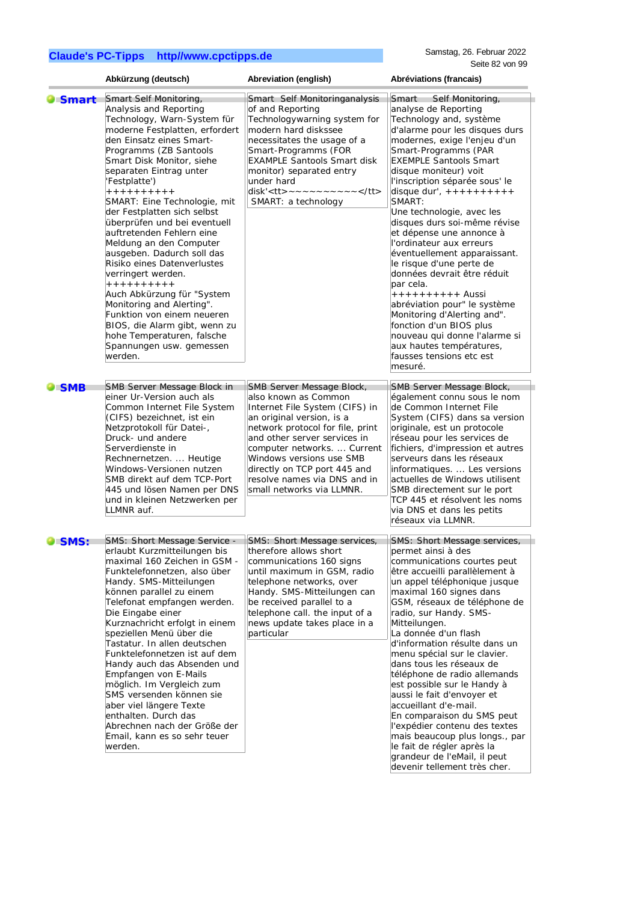Samstag, 26. Februar 2022 Seite 82 von 99

|                | Abkürzung (deutsch)                                                                                                                                                                                                                                                                                                                                                                                                                                                                                                                                                                                                                                                                                                                     | Abreviation (english)                                                                                                                                                                                                                                                                                                                        | Abréviations (francais)                                                                                                                                                                                                                                                                                                                                                                                                                                                                                                                                                                                                                                                                                                                                  |
|----------------|-----------------------------------------------------------------------------------------------------------------------------------------------------------------------------------------------------------------------------------------------------------------------------------------------------------------------------------------------------------------------------------------------------------------------------------------------------------------------------------------------------------------------------------------------------------------------------------------------------------------------------------------------------------------------------------------------------------------------------------------|----------------------------------------------------------------------------------------------------------------------------------------------------------------------------------------------------------------------------------------------------------------------------------------------------------------------------------------------|----------------------------------------------------------------------------------------------------------------------------------------------------------------------------------------------------------------------------------------------------------------------------------------------------------------------------------------------------------------------------------------------------------------------------------------------------------------------------------------------------------------------------------------------------------------------------------------------------------------------------------------------------------------------------------------------------------------------------------------------------------|
| <b>O</b> Smart | Smart Self Monitoring,<br>Analysis and Reporting<br>Technology, Warn-System für<br>moderne Festplatten, erfordert<br>den Einsatz eines Smart-<br>Programms (ZB Santools<br>Smart Disk Monitor, siehe<br>separaten Eintrag unter<br>'Festplatte')<br>+ + + + + + + + +<br>SMART: Eine Technologie, mit<br>der Festplatten sich selbst<br>überprüfen und bei eventuell<br>auftretenden Fehlern eine<br>Meldung an den Computer<br>ausgeben. Dadurch soll das<br>Risiko eines Datenverlustes<br>verringert werden.<br>$+ + + + + + + + + +$<br>Auch Abkürzung für "System<br>Monitoring and Alerting".<br>Funktion von einem neueren<br>BIOS, die Alarm gibt, wenn zu<br>hohe Temperaturen, falsche<br>Spannungen usw. gemessen<br>werden. | Smart Self Monitoringanalysis<br>of and Reporting<br>Technologywarning system for<br>modern hard diskssee<br>necessitates the usage of a<br>Smart-Programms (FOR<br><b>EXAMPLE Santools Smart disk</b><br>monitor) separated entry<br>under hard<br>disk' <tt> ~ ~ ~ ~ ~ ~ ~ ~ ~ </tt><br>SMART: a technology                                | Smart<br>Self Monitoring,<br>analyse de Reporting<br>Technology and, système<br>d'alarme pour les disques durs<br>modernes, exige l'enjeu d'un<br>Smart-Programms (PAR<br><b>EXEMPLE Santools Smart</b><br>disque moniteur) voit<br>l'inscription séparée sous' le<br>disque dur', $++++++++++$<br>SMART:<br>Une technologie, avec les<br>disques durs soi-même révise<br>et dépense une annonce à<br>l'ordinateur aux erreurs<br>éventuellement apparaissant.<br>le risque d'une perte de<br>données devrait être réduit<br>par cela.<br>++++++++++ Aussi<br>abréviation pour" le système<br>Monitoring d'Alerting and".<br>fonction d'un BIOS plus<br>nouveau qui donne l'alarme si<br>aux hautes températures,<br>fausses tensions etc est<br>mesuré. |
| $\bullet$ SMB  | SMB Server Message Block in<br>einer Ur-Version auch als<br>Common Internet File System<br>(CIFS) bezeichnet, ist ein<br>Netzprotokoll für Datei-,<br>Druck- und andere<br>Serverdienste in<br>Rechnernetzen.  Heutige<br>Windows-Versionen nutzen<br>SMB direkt auf dem TCP-Port<br>445 und lösen Namen per DNS<br>und in kleinen Netzwerken per<br>LLMNR auf.                                                                                                                                                                                                                                                                                                                                                                         | SMB Server Message Block,<br>also known as Common<br>Internet File System (CIFS) in<br>an original version, is a<br>network protocol for file, print<br>and other server services in<br>computer networks.  Current<br>Windows versions use SMB<br>directly on TCP port 445 and<br>resolve names via DNS and in<br>small networks via LLMNR. | SMB Server Message Block,<br>également connu sous le nom<br>de Common Internet File<br>System (CIFS) dans sa version<br>originale, est un protocole<br>réseau pour les services de<br>fichiers, d'impression et autres<br>serveurs dans les réseaux<br>informatiques Les versions<br>actuelles de Windows utilisent<br>SMB directement sur le port<br>TCP 445 et résolvent les noms<br>via DNS et dans les petits<br>réseaux via LLMNR.                                                                                                                                                                                                                                                                                                                  |
| <b>O</b> SMS:  | <b>SMS: Short Message Service -</b><br>erlaubt Kurzmitteilungen bis<br>maximal 160 Zeichen in GSM -<br>Funktelefonnetzen, also über<br>Handy. SMS-Mitteilungen<br>können parallel zu einem<br>Telefonat empfangen werden.<br>Die Eingabe einer<br>Kurznachricht erfolgt in einem<br>speziellen Menü über die<br>Tastatur. In allen deutschen<br>Funktelefonnetzen ist auf dem<br>Handy auch das Absenden und<br>Empfangen von E-Mails<br>möglich. Im Vergleich zum<br>SMS versenden können sie<br>aber viel längere Texte<br>enthalten. Durch das<br>Abrechnen nach der Größe der<br>Email, kann es so sehr teuer<br>werden.                                                                                                            | SMS: Short Message services,<br>therefore allows short<br>communications 160 signs<br>until maximum in GSM, radio<br>telephone networks, over<br>Handy. SMS-Mitteilungen can<br>be received parallel to a<br>telephone call. the input of a<br>news update takes place in a<br>particular                                                    | SMS: Short Message services,<br>permet ainsi à des<br>communications courtes peut<br>être accueilli parallèlement à<br>un appel téléphonique jusque<br>maximal 160 signes dans<br>GSM, réseaux de téléphone de<br>radio, sur Handy. SMS-<br>Mitteilungen.<br>La donnée d'un flash<br>d'information résulte dans un<br>menu spécial sur le clavier.<br>dans tous les réseaux de<br>téléphone de radio allemands<br>est possible sur le Handy à<br>aussi le fait d'envoyer et<br>accueillant d'e-mail.<br>En comparaison du SMS peut<br>l'expédier contenu des textes<br>mais beaucoup plus longs., par<br>le fait de régler après la<br>grandeur de l'eMail, il peut<br>devenir tellement très cher.                                                      |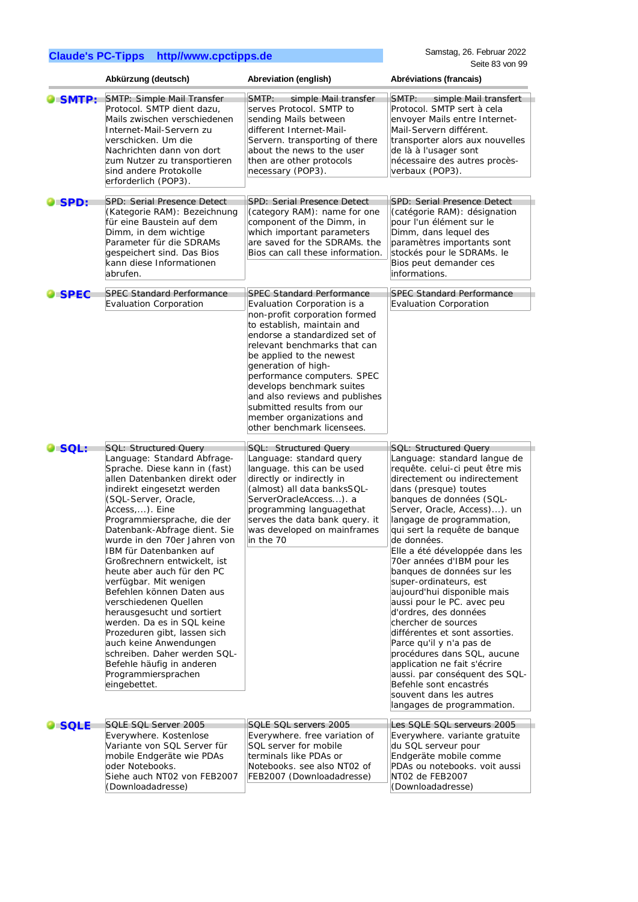|               | Abkürzung (deutsch)                                                                                                                                                                                                                                                                                                                                                                                                                                                                                                                                                                                                                                                                                     | Abreviation (english)                                                                                                                                                                                                                                                                                                                                                                                                                    | Abréviations (francais)                                                                                                                                                                                                                                                                                                                                                                                                                                                                                                                                                                                                                                                                                                                                                                  |
|---------------|---------------------------------------------------------------------------------------------------------------------------------------------------------------------------------------------------------------------------------------------------------------------------------------------------------------------------------------------------------------------------------------------------------------------------------------------------------------------------------------------------------------------------------------------------------------------------------------------------------------------------------------------------------------------------------------------------------|------------------------------------------------------------------------------------------------------------------------------------------------------------------------------------------------------------------------------------------------------------------------------------------------------------------------------------------------------------------------------------------------------------------------------------------|------------------------------------------------------------------------------------------------------------------------------------------------------------------------------------------------------------------------------------------------------------------------------------------------------------------------------------------------------------------------------------------------------------------------------------------------------------------------------------------------------------------------------------------------------------------------------------------------------------------------------------------------------------------------------------------------------------------------------------------------------------------------------------------|
| SMTP:         | SMTP: Simple Mail Transfer<br>Protocol. SMTP dient dazu,<br>Mails zwischen verschiedenen<br>Internet-Mail-Servern zu<br>verschicken. Um die<br>Nachrichten dann von dort<br>zum Nutzer zu transportieren<br>sind andere Protokolle<br>erforderlich (POP3).                                                                                                                                                                                                                                                                                                                                                                                                                                              | SMTP:<br>simple Mail transfer<br>serves Protocol. SMTP to<br>sending Mails between<br>different Internet-Mail-<br>Servern. transporting of there<br>about the news to the user<br>then are other protocols<br>necessary (POP3).                                                                                                                                                                                                          | SMTP:<br>simple Mail transfert<br>Protocol. SMTP sert à cela<br>envoyer Mails entre Internet-<br>Mail-Servern différent.<br>transporter alors aux nouvelles<br>de là à l'usager sont<br>nécessaire des autres procès-<br>verbaux (POP3).                                                                                                                                                                                                                                                                                                                                                                                                                                                                                                                                                 |
| <b>O</b> SPD: | SPD: Serial Presence Detect<br>(Kategorie RAM): Bezeichnung<br>für eine Baustein auf dem<br>Dimm, in dem wichtige<br>Parameter für die SDRAMs<br>gespeichert sind. Das Bios<br>kann diese Informationen<br>abrufen.                                                                                                                                                                                                                                                                                                                                                                                                                                                                                     | SPD: Serial Presence Detect<br>(category RAM): name for one<br>component of the Dimm, in<br>which important parameters<br>are saved for the SDRAMs. the<br>Bios can call these information.                                                                                                                                                                                                                                              | SPD: Serial Presence Detect<br>(catégorie RAM): désignation<br>pour l'un élément sur le<br>Dimm, dans lequel des<br>paramètres importants sont<br>stockés pour le SDRAMs. le<br>Bios peut demander ces<br>informations.                                                                                                                                                                                                                                                                                                                                                                                                                                                                                                                                                                  |
| <b>SPEC</b>   | <b>SPEC Standard Performance</b><br>Evaluation Corporation                                                                                                                                                                                                                                                                                                                                                                                                                                                                                                                                                                                                                                              | <b>SPEC Standard Performance</b><br>Evaluation Corporation is a<br>non-profit corporation formed<br>to establish, maintain and<br>endorse a standardized set of<br>relevant benchmarks that can<br>be applied to the newest<br>generation of high-<br>performance computers. SPEC<br>develops benchmark suites<br>and also reviews and publishes<br>submitted results from our<br>member organizations and<br>other benchmark licensees. | <b>SPEC Standard Performance</b><br>Evaluation Corporation                                                                                                                                                                                                                                                                                                                                                                                                                                                                                                                                                                                                                                                                                                                               |
| SQL:          | <b>SQL: Structured Query</b><br>Language: Standard Abfrage-<br>Sprache. Diese kann in (fast)<br>allen Datenbanken direkt oder<br>indirekt eingesetzt werden<br>(SQL-Server, Oracle,<br>Access,). Eine<br>Programmiersprache, die der<br>Datenbank-Abfrage dient. Sie<br>wurde in den 70er Jahren von<br>IBM für Datenbanken auf<br>Großrechnern entwickelt, ist<br>heute aber auch für den PC<br>verfügbar. Mit wenigen<br>Befehlen können Daten aus<br>verschiedenen Quellen<br>herausgesucht und sortiert<br>werden. Da es in SQL keine<br>Prozeduren gibt, lassen sich<br>auch keine Anwendungen<br>schreiben. Daher werden SQL-<br>Befehle häufig in anderen<br>Programmiersprachen<br>eingebettet. | SQL: Structured Query<br>Language: standard query<br>language. this can be used<br>directly or indirectly in<br>(almost) all data banksSQL-<br>ServerOracleAccess). a<br>programming languagethat<br>serves the data bank query. it<br>was developed on mainframes<br>in the 70                                                                                                                                                          | <b>SQL: Structured Query</b><br>Language: standard langue de<br>requête. celui-ci peut être mis<br>directement ou indirectement<br>dans (presque) toutes<br>banques de données (SQL-<br>Server, Oracle, Access)). un<br>langage de programmation,<br>qui sert la requête de banque<br>de données.<br>Elle a été développée dans les<br>70er années d'IBM pour les<br>banques de données sur les<br>super-ordinateurs, est<br>aujourd'hui disponible mais<br>aussi pour le PC. avec peu<br>d'ordres, des données<br>chercher de sources<br>différentes et sont assorties.<br>Parce qu'il y n'a pas de<br>procédures dans SQL, aucune<br>application ne fait s'écrire<br>aussi. par conséquent des SQL-<br>Befehle sont encastrés<br>souvent dans les autres<br>langages de programmation. |
| <b>SQLE</b>   | SQLE SQL Server 2005<br>Everywhere. Kostenlose<br>Variante von SQL Server für<br>mobile Endgeräte wie PDAs<br>oder Notebooks.<br>Siehe auch NT02 von FEB2007<br>(Downloadadresse)                                                                                                                                                                                                                                                                                                                                                                                                                                                                                                                       | SQLE SQL servers 2005<br>Everywhere. free variation of<br>SQL server for mobile<br>terminals like PDAs or<br>Notebooks. see also NT02 of<br>FEB2007 (Downloadadresse)                                                                                                                                                                                                                                                                    | Les SQLE SQL serveurs 2005<br>Everywhere. variante gratuite<br>du SQL serveur pour<br>Endgeräte mobile comme<br>PDAs ou notebooks. voit aussi<br>NT02 de FEB2007<br>(Downloadadresse)                                                                                                                                                                                                                                                                                                                                                                                                                                                                                                                                                                                                    |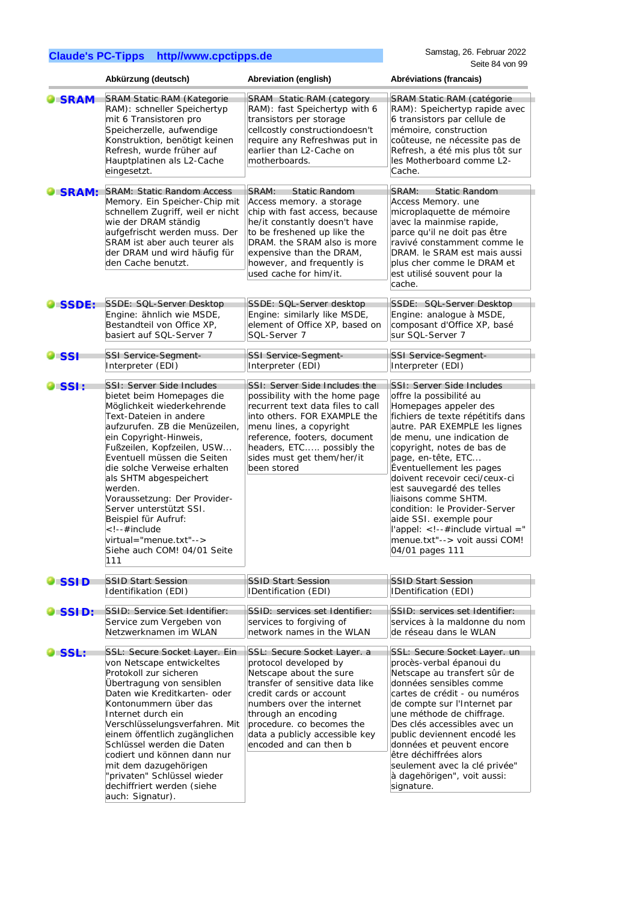|                | Abkürzung (deutsch)                                                                                                                                                                                                                                                                                                                                                                                                                                                      | Abreviation (english)                                                                                                                                                                                                                                                                      | Abréviations (francais)                                                                                                                                                                                                                                                                                                                                                                                                                                                                                         |
|----------------|--------------------------------------------------------------------------------------------------------------------------------------------------------------------------------------------------------------------------------------------------------------------------------------------------------------------------------------------------------------------------------------------------------------------------------------------------------------------------|--------------------------------------------------------------------------------------------------------------------------------------------------------------------------------------------------------------------------------------------------------------------------------------------|-----------------------------------------------------------------------------------------------------------------------------------------------------------------------------------------------------------------------------------------------------------------------------------------------------------------------------------------------------------------------------------------------------------------------------------------------------------------------------------------------------------------|
| <b>SRAM</b>    | <b>SRAM Static RAM (Kategorie</b><br>RAM): schneller Speichertyp<br>mit 6 Transistoren pro<br>Speicherzelle, aufwendige<br>Konstruktion, benötigt keinen<br>Refresh, wurde früher auf<br>Hauptplatinen als L2-Cache<br>eingesetzt.                                                                                                                                                                                                                                       | <b>SRAM Static RAM (category</b><br>RAM): fast Speichertyp with 6<br>transistors per storage<br>cellcostly constructiondoesn't<br>require any Refreshwas put in<br>earlier than L2-Cache on<br>motherboards.                                                                               | SRAM Static RAM (catégorie<br>RAM): Speichertyp rapide avec<br>6 transistors par cellule de<br>mémoire, construction<br>coûteuse, ne nécessite pas de<br>Refresh, a été mis plus tôt sur<br>les Motherboard comme L2-<br>Cache.                                                                                                                                                                                                                                                                                 |
| <b>SRAM:</b>   | <b>SRAM: Static Random Access</b><br>Memory. Ein Speicher-Chip mit<br>schnellem Zugriff, weil er nicht<br>wie der DRAM ständig<br>aufgefrischt werden muss. Der<br>SRAM ist aber auch teurer als<br>der DRAM und wird häufig für<br>den Cache benutzt.                                                                                                                                                                                                                   | SRAM:<br><b>Static Random</b><br>Access memory. a storage<br>chip with fast access, because<br>he/it constantly doesn't have<br>to be freshened up like the<br>DRAM. the SRAM also is more<br>expensive than the DRAM,<br>however, and frequently is<br>used cache for him/it.             | SRAM:<br><b>Static Random</b><br>Access Memory. une<br>microplaquette de mémoire<br>avec la mainmise rapide,<br>parce qu'il ne doit pas être<br>ravivé constamment comme le<br>DRAM. le SRAM est mais aussi<br>plus cher comme le DRAM et<br>est utilisé souvent pour la<br>cache.                                                                                                                                                                                                                              |
| <b>O</b> SSDE: | SSDE: SQL-Server Desktop<br>Engine: ähnlich wie MSDE,<br>Bestandteil von Office XP,<br>basiert auf SQL-Server 7                                                                                                                                                                                                                                                                                                                                                          | SSDE: SQL-Server desktop<br>Engine: similarly like MSDE,<br>element of Office XP, based on<br>SQL-Server 7                                                                                                                                                                                 | SSDE: SQL-Server Desktop<br>Engine: analogue à MSDE,<br>composant d'Office XP, basé<br>sur SQL-Server 7                                                                                                                                                                                                                                                                                                                                                                                                         |
| <b>O</b> SSI   | SSI Service-Segment-<br>Interpreter (EDI)                                                                                                                                                                                                                                                                                                                                                                                                                                | <b>SSI Service-Segment-</b><br>Interpreter (EDI)                                                                                                                                                                                                                                           | <b>SSI Service-Segment-</b><br>Interpreter (EDI)                                                                                                                                                                                                                                                                                                                                                                                                                                                                |
| <b>SSI:</b>    | SSI: Server Side Includes<br>bietet beim Homepages die<br>Möglichkeit wiederkehrende<br>Text-Dateien in andere<br>aufzurufen. ZB die Menüzeilen,<br>ein Copyright-Hinweis,<br>Fußzeilen, Kopfzeilen, USW<br>Eventuell müssen die Seiten<br>die solche Verweise erhalten<br>als SHTM abgespeichert<br>werden.<br>Voraussetzung: Der Provider-<br>Server unterstützt SSI.<br>Beispiel für Aufruf:<br>#include<br>virtual="menue.txt"<br>Siehe auch COM! 04/01 Seite<br>111 | SSI: Server Side Includes the<br>possibility with the home page<br>recurrent text data files to call<br>into others. FOR EXAMPLE the<br>menu lines, a copyright<br>reference, footers, document<br>headers, ETC possibly the<br>sides must get them/her/it<br>been stored                  | SSI: Server Side Includes<br>offre la possibilité au<br>Homepages appeler des<br>fichiers de texte répétitifs dans<br>autre. PAR EXEMPLE les lignes<br>de menu, une indication de<br>copyright, notes de bas de<br>page, en-tête, ETC<br>Éventuellement les pages<br>doivent recevoir ceci/ceux-ci<br>est sauvegardé des telles<br>liaisons comme SHTM.<br>condition: le Provider-Server<br>aide SSI. exemple pour<br>l'appel: $\lt$ !--#include virtual ="<br>menue.txt"--> voit aussi COM!<br>04/01 pages 111 |
| <b>O</b> SSID  | <b>SSID Start Session</b><br>Identifikation (EDI)                                                                                                                                                                                                                                                                                                                                                                                                                        | <b>SSID Start Session</b><br>IDentification (EDI)                                                                                                                                                                                                                                          | <b>SSID Start Session</b><br>IDentification (EDI)                                                                                                                                                                                                                                                                                                                                                                                                                                                               |
| <b>OISSID:</b> | SSID: Service Set Identifier:<br>Service zum Vergeben von<br>Netzwerknamen im WLAN                                                                                                                                                                                                                                                                                                                                                                                       | SSID: services set Identifier:<br>services to forgiving of<br>network names in the WLAN                                                                                                                                                                                                    | SSID: services set Identifier:<br>services à la maldonne du nom<br>de réseau dans le WLAN                                                                                                                                                                                                                                                                                                                                                                                                                       |
| <b>SSL:</b>    | SSL: Secure Socket Layer. Ein<br>von Netscape entwickeltes<br>Protokoll zur sicheren<br>Übertragung von sensiblen<br>Daten wie Kreditkarten- oder<br>Kontonummern über das<br>Internet durch ein<br>Verschlüsselungsverfahren. Mit<br>einem öffentlich zugänglichen<br>Schlüssel werden die Daten<br>codiert und können dann nur<br>mit dem dazugehörigen<br>"privaten" Schlüssel wieder<br>dechiffriert werden (siehe<br>auch: Signatur).                               | SSL: Secure Socket Layer. a<br>protocol developed by<br>Netscape about the sure<br>transfer of sensitive data like<br>credit cards or account<br>numbers over the internet<br>through an encoding<br>procedure. co becomes the<br>data a publicly accessible key<br>encoded and can then b | SSL: Secure Socket Layer. un<br>procès-verbal épanoui du<br>Netscape au transfert sûr de<br>données sensibles comme<br>cartes de crédit - ou numéros<br>de compte sur l'Internet par<br>une méthode de chiffrage.<br>Des clés accessibles avec un<br>public deviennent encodé les<br>données et peuvent encore<br>être déchiffrées alors<br>seulement avec la clé privée"<br>à dagehörigen", voit aussi:<br>signature.                                                                                          |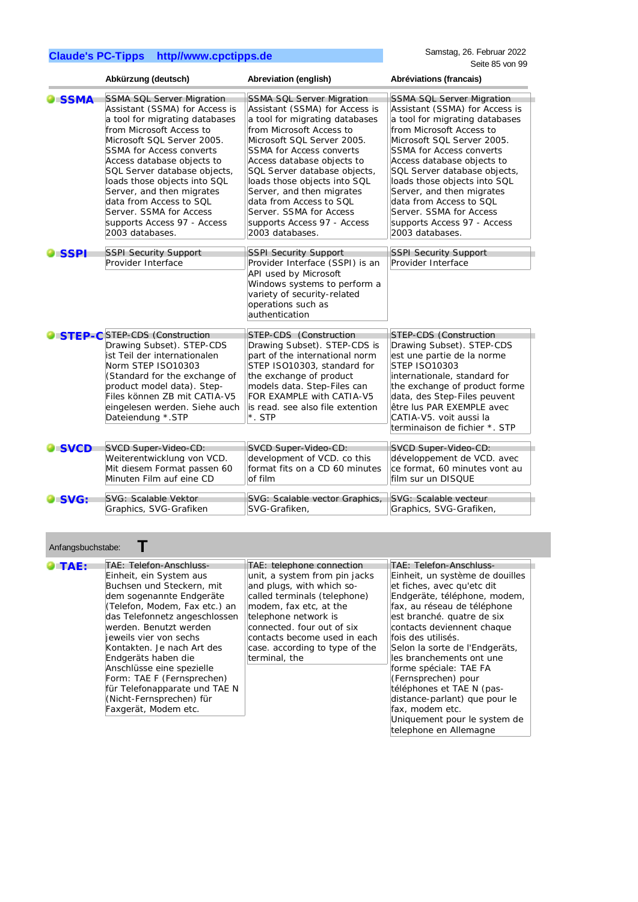|                     | Abkürzung (deutsch)                                                                                                                                                                                                                                                    | Abreviation (english)                                                                                                                                                                                                                                        | Abréviations (francais)                                                                                                                                                                                                                                                                             |
|---------------------|------------------------------------------------------------------------------------------------------------------------------------------------------------------------------------------------------------------------------------------------------------------------|--------------------------------------------------------------------------------------------------------------------------------------------------------------------------------------------------------------------------------------------------------------|-----------------------------------------------------------------------------------------------------------------------------------------------------------------------------------------------------------------------------------------------------------------------------------------------------|
| <b>SSMA</b>         | <b>SSMA SQL Server Migration</b>                                                                                                                                                                                                                                       | <b>SSMA SQL Server Migration</b>                                                                                                                                                                                                                             | <b>SSMA SQL Server Migration</b>                                                                                                                                                                                                                                                                    |
|                     | Assistant (SSMA) for Access is                                                                                                                                                                                                                                         | Assistant (SSMA) for Access is                                                                                                                                                                                                                               | Assistant (SSMA) for Access is                                                                                                                                                                                                                                                                      |
|                     | a tool for migrating databases                                                                                                                                                                                                                                         | a tool for migrating databases                                                                                                                                                                                                                               | a tool for migrating databases                                                                                                                                                                                                                                                                      |
|                     | from Microsoft Access to                                                                                                                                                                                                                                               | from Microsoft Access to                                                                                                                                                                                                                                     | from Microsoft Access to                                                                                                                                                                                                                                                                            |
|                     | Microsoft SQL Server 2005.                                                                                                                                                                                                                                             | Microsoft SQL Server 2005.                                                                                                                                                                                                                                   | Microsoft SQL Server 2005.                                                                                                                                                                                                                                                                          |
|                     | <b>SSMA for Access converts</b>                                                                                                                                                                                                                                        | <b>SSMA for Access converts</b>                                                                                                                                                                                                                              | <b>SSMA for Access converts</b>                                                                                                                                                                                                                                                                     |
|                     | Access database objects to                                                                                                                                                                                                                                             | Access database objects to                                                                                                                                                                                                                                   | Access database objects to                                                                                                                                                                                                                                                                          |
|                     | SQL Server database objects,                                                                                                                                                                                                                                           | SQL Server database objects,                                                                                                                                                                                                                                 | SQL Server database objects,                                                                                                                                                                                                                                                                        |
|                     | loads those objects into SQL                                                                                                                                                                                                                                           | loads those objects into SQL                                                                                                                                                                                                                                 | loads those objects into SQL                                                                                                                                                                                                                                                                        |
|                     | Server, and then migrates                                                                                                                                                                                                                                              | Server, and then migrates                                                                                                                                                                                                                                    | Server, and then migrates                                                                                                                                                                                                                                                                           |
|                     | data from Access to SQL                                                                                                                                                                                                                                                | data from Access to SQL                                                                                                                                                                                                                                      | data from Access to SQL                                                                                                                                                                                                                                                                             |
|                     | Server. SSMA for Access                                                                                                                                                                                                                                                | Server. SSMA for Access                                                                                                                                                                                                                                      | Server. SSMA for Access                                                                                                                                                                                                                                                                             |
|                     | supports Access 97 - Access                                                                                                                                                                                                                                            | supports Access 97 - Access                                                                                                                                                                                                                                  | supports Access 97 - Access                                                                                                                                                                                                                                                                         |
|                     | 2003 databases.                                                                                                                                                                                                                                                        | 2003 databases.                                                                                                                                                                                                                                              | 2003 databases.                                                                                                                                                                                                                                                                                     |
| <b>DISSPI</b>       | <b>SSPI Security Support</b><br>Provider Interface                                                                                                                                                                                                                     | <b>SSPI Security Support</b><br>Provider Interface (SSPI) is an<br>API used by Microsoft<br>Windows systems to perform a<br>variety of security-related<br>operations such as<br>authentication                                                              | <b>SSPI Security Support</b><br>Provider Interface                                                                                                                                                                                                                                                  |
|                     | STEP-C STEP-CDS (Construction<br>Drawing Subset). STEP-CDS<br>ist Teil der internationalen<br>Norm STEP ISO10303<br>(Standard for the exchange of<br>product model data). Step-<br>Files können ZB mit CATIA-V5<br>eingelesen werden. Siehe auch<br>Dateiendung *. STP | STEP-CDS (Construction<br>Drawing Subset). STEP-CDS is<br>part of the international norm<br>STEP ISO10303, standard for<br>the exchange of product<br>models data. Step-Files can<br>FOR EXAMPLE with CATIA-V5<br>is read. see also file extention<br>*. STP | STEP-CDS (Construction<br>Drawing Subset). STEP-CDS<br>est une partie de la norme<br><b>STEP ISO10303</b><br>internationale, standard for<br>the exchange of product forme<br>data, des Step-Files peuvent<br>être lus PAR EXEMPLE avec<br>CATIA-V5, voit aussi la<br>terminaison de fichier *. STP |
| SVCD                | SVCD Super-Video-CD:                                                                                                                                                                                                                                                   | SVCD Super-Video-CD:                                                                                                                                                                                                                                         | SVCD Super-Video-CD:                                                                                                                                                                                                                                                                                |
|                     | Weiterentwicklung von VCD.                                                                                                                                                                                                                                             | development of VCD. co this                                                                                                                                                                                                                                  | développement de VCD. avec                                                                                                                                                                                                                                                                          |
|                     | Mit diesem Format passen 60                                                                                                                                                                                                                                            | format fits on a CD 60 minutes                                                                                                                                                                                                                               | ce format, 60 minutes vont au                                                                                                                                                                                                                                                                       |
|                     | Minuten Film auf eine CD                                                                                                                                                                                                                                               | of film                                                                                                                                                                                                                                                      | film sur un DISQUE                                                                                                                                                                                                                                                                                  |
| $\blacksquare$ SVG: | <b>SVG: Scalable Vektor</b>                                                                                                                                                                                                                                            | SVG: Scalable vector Graphics,                                                                                                                                                                                                                               | SVG: Scalable vecteur                                                                                                                                                                                                                                                                               |
|                     | Graphics, SVG-Grafiken                                                                                                                                                                                                                                                 | SVG-Grafiken,                                                                                                                                                                                                                                                | Graphics, SVG-Grafiken,                                                                                                                                                                                                                                                                             |

| Anfangsbuchstabe: |                                                                                                                                                                                                                                                                                                                                                                                                                                                |                                                                                                                                                                                                                                                                                            |                                                                                                                                                                                                                                                                                                                                                                                                                                                                                                     |  |
|-------------------|------------------------------------------------------------------------------------------------------------------------------------------------------------------------------------------------------------------------------------------------------------------------------------------------------------------------------------------------------------------------------------------------------------------------------------------------|--------------------------------------------------------------------------------------------------------------------------------------------------------------------------------------------------------------------------------------------------------------------------------------------|-----------------------------------------------------------------------------------------------------------------------------------------------------------------------------------------------------------------------------------------------------------------------------------------------------------------------------------------------------------------------------------------------------------------------------------------------------------------------------------------------------|--|
| TAF:              | <b>TAE: Telefon-Anschluss-</b><br>Einheit, ein System aus<br>Buchsen und Steckern, mit<br>dem sogenannte Endgeräte<br>(Telefon, Modem, Fax etc.) an<br>das Telefonnetz angeschlossen<br>werden. Benutzt werden.<br>jeweils vier von sechs<br>Kontakten. Je nach Art des<br>Endgeräts haben die<br>Anschlüsse eine spezielle<br>Form: TAE F (Fernsprechen)<br>für Telefonapparate und TAE N<br>(Nicht-Fernsprechen) für<br>Faxgerät, Modem etc. | TAE: telephone connection<br>unit, a system from pin jacks<br>and plugs, with which so-<br>called terminals (telephone)<br>modem, fax etc, at the<br>telephone network is<br>connected, four out of six<br>contacts become used in each<br>case, according to type of the<br>terminal, the | TAE: Telefon-Anschluss-<br>Einheit, un système de douilles<br>et fiches, avec qu'etc dit<br>Endgeräte, téléphone, modem,<br>fax, au réseau de téléphone<br>est branché, quatre de six<br>contacts deviennent chaque<br>fois des utilisés.<br>Selon la sorte de l'Endgeräts,<br>les branchements ont une<br>forme spéciale: TAE FA<br>(Fernsprechen) pour<br>téléphones et TAE N (pas-<br>distance-parlant) que pour le<br>fax, modem etc.<br>Uniquement pour le system de<br>telephone en Allemagne |  |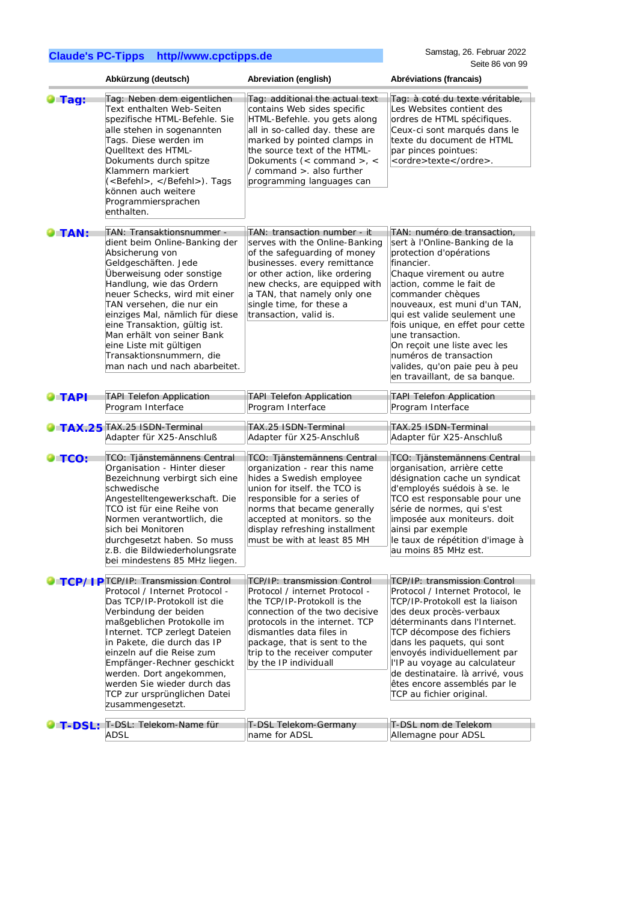|                | Abkürzung (deutsch)                                                                                                                                                                                                                                                                                                                                                                                                    | Abreviation (english)                                                                                                                                                                                                                                                                   | Abréviations (francais)                                                                                                                                                                                                                                                                                                                                                                                                                |
|----------------|------------------------------------------------------------------------------------------------------------------------------------------------------------------------------------------------------------------------------------------------------------------------------------------------------------------------------------------------------------------------------------------------------------------------|-----------------------------------------------------------------------------------------------------------------------------------------------------------------------------------------------------------------------------------------------------------------------------------------|----------------------------------------------------------------------------------------------------------------------------------------------------------------------------------------------------------------------------------------------------------------------------------------------------------------------------------------------------------------------------------------------------------------------------------------|
| <b>Tag:</b>    | Tag: Neben dem eigentlichen<br>Text enthalten Web-Seiten<br>spezifische HTML-Befehle. Sie<br>alle stehen in sogenannten<br>Tags. Diese werden im<br>Quelltext des HTML-<br>Dokuments durch spitze<br>Klammern markiert<br>( <befehl>, </befehl> ). Tags<br>können auch weitere<br>Programmiersprachen<br>enthalten.                                                                                                    | Tag: additional the actual text<br>contains Web sides specific<br>HTML-Befehle. you gets along<br>all in so-called day. these are<br>marked by pointed clamps in<br>the source text of the HTML-<br>Dokuments (< command >, <<br>/ command > also further<br>programming languages can  | Tag: à coté du texte véritable,<br>Les Websites contient des<br>ordres de HTML spécifiques.<br>Ceux-ci sont marqués dans le<br>texte du document de HTML<br>par pinces pointues:<br><ordre>texte</ordre> .                                                                                                                                                                                                                             |
| <b>TAN:</b>    | TAN: Transaktionsnummer -<br>dient beim Online-Banking der<br>Absicherung von<br>Geldgeschäften. Jede<br>Überweisung oder sonstige<br>Handlung, wie das Ordern<br>neuer Schecks, wird mit einer<br>TAN versehen, die nur ein<br>einziges Mal, nämlich für diese<br>eine Transaktion, gültig ist.<br>Man erhält von seiner Bank<br>eine Liste mit gültigen<br>Transaktionsnummern, die<br>man nach und nach abarbeitet. | TAN: transaction number - it<br>serves with the Online-Banking<br>of the safeguarding of money<br>businesses. every remittance<br>or other action, like ordering<br>new checks, are equipped with<br>a TAN, that namely only one<br>single time, for these a<br>transaction, valid is.  | TAN: numéro de transaction,<br>sert à l'Online-Banking de la<br>protection d'opérations<br>financier.<br>Chaque virement ou autre<br>action, comme le fait de<br>commander chèques<br>nouveaux, est muni d'un TAN,<br>qui est valide seulement une<br>fois unique, en effet pour cette<br>une transaction.<br>On recoit une liste avec les<br>numéros de transaction<br>valides, qu'on paie peu à peu<br>en travaillant, de sa banque. |
| $\bullet$ TAPI | <b>TAPI Telefon Application</b><br>Program Interface                                                                                                                                                                                                                                                                                                                                                                   | <b>TAPI Telefon Application</b><br>Program Interface                                                                                                                                                                                                                                    | <b>TAPI Telefon Application</b><br>Program Interface                                                                                                                                                                                                                                                                                                                                                                                   |
|                | <b>TAX.25</b> TAX.25 ISDN-Terminal<br>Adapter für X25-Anschluß                                                                                                                                                                                                                                                                                                                                                         | TAX.25 ISDN-Terminal<br>Adapter für X25-Anschluß                                                                                                                                                                                                                                        | TAX.25 ISDN-Terminal<br>Adapter für X25-Anschluß                                                                                                                                                                                                                                                                                                                                                                                       |
| $\bullet$ TCO: | TCO: Tjänstemännens Central<br>Organisation - Hinter dieser<br>Bezeichnung verbirgt sich eine<br>schwedische<br>Angestelltengewerkschaft. Die<br>TCO ist für eine Reihe von<br>Normen verantwortlich, die<br>sich bei Monitoren<br>durchgesetzt haben. So muss<br>z.B. die Bildwiederholungsrate<br>bei mindestens 85 MHz liegen.                                                                                      | TCO: Tjänstemännens Central<br>organization - rear this name<br>hides a Swedish employee<br>union for itself. the TCO is<br>responsible for a series of<br>norms that became generally<br>accepted at monitors. so the<br>display refreshing installment<br>must be with at least 85 MH | TCO: Tjänstemännens Central<br>organisation, arrière cette<br>désignation cache un syndicat<br>d'employés suédois à se. le<br>TCO est responsable pour une<br>série de normes, qui s'est<br>imposée aux moniteurs. doit<br>ainsi par exemple<br>le taux de répétition d'image à<br>au moins 85 MHz est.                                                                                                                                |
|                | <b>C</b> TCP/I PTCP/IP: Transmission Control                                                                                                                                                                                                                                                                                                                                                                           | <b>TCP/IP: transmission Control</b>                                                                                                                                                                                                                                                     | <b>TCP/IP: transmission Control</b>                                                                                                                                                                                                                                                                                                                                                                                                    |
|                | Protocol / Internet Protocol -<br>Das TCP/IP-Protokoll ist die<br>Verbindung der beiden<br>maßgeblichen Protokolle im<br>Internet. TCP zerlegt Dateien<br>in Pakete, die durch das IP<br>einzeln auf die Reise zum<br>Empfänger-Rechner geschickt<br>werden. Dort angekommen,<br>werden Sie wieder durch das<br>TCP zur ursprünglichen Datei<br>zusammengesetzt.                                                       | Protocol / internet Protocol -<br>the TCP/IP-Protokoll is the<br>connection of the two decisive<br>protocols in the internet. TCP<br>dismantles data files in<br>package, that is sent to the<br>trip to the receiver computer<br>by the IP individuall                                 | Protocol / Internet Protocol, le<br>TCP/IP-Protokoll est la liaison<br>des deux procès-verbaux<br>déterminants dans l'Internet.<br>TCP décompose des fichiers<br>dans les paquets, qui sont<br>envoyés individuellement par<br>l'IP au voyage au calculateur<br>de destinataire. là arrivé, vous<br>êtes encore assemblés par le<br>TCP au fichier original.                                                                           |
| LT-DSL:        | T-DSL: Telekom-Name für<br><b>ADSL</b>                                                                                                                                                                                                                                                                                                                                                                                 | T-DSL Telekom-Germany<br>name for ADSL                                                                                                                                                                                                                                                  | T-DSL nom de Telekom<br>Allemagne pour ADSL                                                                                                                                                                                                                                                                                                                                                                                            |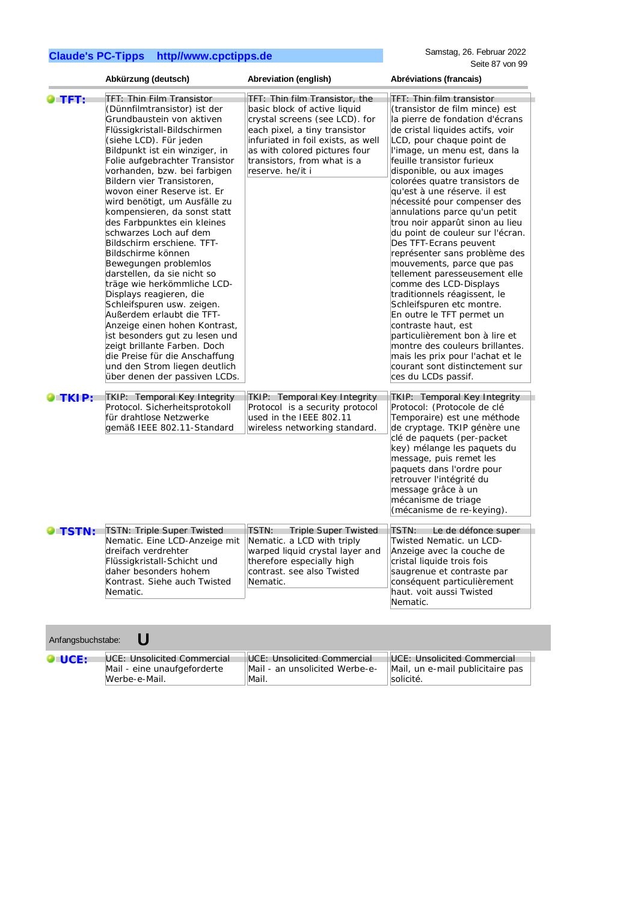|                 | Abkürzung (deutsch)                                                                                                                                                                                                                                                                                                                                                                                                                                                                                                                                                                                                                                                                                                                                                                                                                                                                        | Abreviation (english)                                                                                                                                                                                                                                       | Abréviations (francais)                                                                                                                                                                                                                                                                                                                                                                                                                                                                                                                                                                                                                                                                                                                                                                                                                                                                                     |
|-----------------|--------------------------------------------------------------------------------------------------------------------------------------------------------------------------------------------------------------------------------------------------------------------------------------------------------------------------------------------------------------------------------------------------------------------------------------------------------------------------------------------------------------------------------------------------------------------------------------------------------------------------------------------------------------------------------------------------------------------------------------------------------------------------------------------------------------------------------------------------------------------------------------------|-------------------------------------------------------------------------------------------------------------------------------------------------------------------------------------------------------------------------------------------------------------|-------------------------------------------------------------------------------------------------------------------------------------------------------------------------------------------------------------------------------------------------------------------------------------------------------------------------------------------------------------------------------------------------------------------------------------------------------------------------------------------------------------------------------------------------------------------------------------------------------------------------------------------------------------------------------------------------------------------------------------------------------------------------------------------------------------------------------------------------------------------------------------------------------------|
| <b>ETFT:</b>    | <b>TFT: Thin Film Transistor</b><br>(Dünnfilmtransistor) ist der<br>Grundbaustein von aktiven<br>Flüssigkristall-Bildschirmen<br>(siehe LCD). Für jeden<br>Bildpunkt ist ein winziger, in<br>Folie aufgebrachter Transistor<br>vorhanden, bzw. bei farbigen<br>Bildern vier Transistoren,<br>wovon einer Reserve ist. Er<br>wird benötigt, um Ausfälle zu<br>kompensieren, da sonst statt<br>des Farbpunktes ein kleines<br>schwarzes Loch auf dem<br>Bildschirm erschiene. TFT-<br>Bildschirme können<br>Bewegungen problemlos<br>darstellen, da sie nicht so<br>träge wie herkömmliche LCD-<br>Displays reagieren, die<br>Schleifspuren usw. zeigen.<br>Außerdem erlaubt die TFT-<br>Anzeige einen hohen Kontrast,<br>ist besonders gut zu lesen und<br>zeigt brillante Farben. Doch<br>die Preise für die Anschaffung<br>und den Strom liegen deutlich<br>über denen der passiven LCDs. | TFT: Thin film Transistor, the<br>basic block of active liquid<br>crystal screens (see LCD). for<br>each pixel, a tiny transistor<br>infuriated in foil exists, as well<br>as with colored pictures four<br>transistors, from what is a<br>reserve. he/it i | TFT: Thin film transistor<br>(transistor de film mince) est<br>la pierre de fondation d'écrans<br>de cristal liquides actifs, voir<br>LCD, pour chaque point de<br>l'image, un menu est, dans la<br>feuille transistor furieux<br>disponible, ou aux images<br>colorées quatre transistors de<br>qu'est à une réserve. il est<br>nécessité pour compenser des<br>annulations parce qu'un petit<br>trou noir apparût sinon au lieu<br>du point de couleur sur l'écran.<br>Des TFT-Ecrans peuvent<br>représenter sans problème des<br>mouvements, parce que pas<br>tellement paresseusement elle<br>comme des LCD-Displays<br>traditionnels réagissent, le<br>Schleifspuren etc montre.<br>En outre le TFT permet un<br>contraste haut, est<br>particulièrement bon à lire et<br>montre des couleurs brillantes.<br>mais les prix pour l'achat et le<br>courant sont distinctement sur<br>ces du LCDs passif. |
| $\bullet$ TKIP: | TKIP: Temporal Key Integrity<br>Protocol. Sicherheitsprotokoll<br>für drahtlose Netzwerke<br>gemäß IEEE 802.11-Standard                                                                                                                                                                                                                                                                                                                                                                                                                                                                                                                                                                                                                                                                                                                                                                    | <b>TKIP: Temporal Key Integrity</b><br>Protocol is a security protocol<br>used in the IEEE 802.11<br>wireless networking standard.                                                                                                                          | <b>TKIP: Temporal Key Integrity</b><br>Protocol: (Protocole de clé<br>Temporaire) est une méthode<br>de cryptage. TKIP génère une<br>clé de paquets (per-packet<br>key) mélange les paquets du<br>message, puis remet les<br>paquets dans l'ordre pour<br>retrouver l'intégrité du<br>message grâce à un<br>mécanisme de triage<br>(mécanisme de re-keying).                                                                                                                                                                                                                                                                                                                                                                                                                                                                                                                                                |
| O TSTN:         | <b>TSTN: Triple Super Twisted</b><br>Nematic. Eine LCD-Anzeige mit<br>dreifach verdrehter<br>Flüssigkristall-Schicht und<br>daher besonders hohem<br>Kontrast. Siehe auch Twisted<br>Nematic.                                                                                                                                                                                                                                                                                                                                                                                                                                                                                                                                                                                                                                                                                              | <b>Triple Super Twisted</b><br>TSTN:<br>Nematic. a LCD with triply<br>warped liquid crystal layer and<br>therefore especially high<br>contrast. see also Twisted<br>Nematic.                                                                                | TSTN: Le de défonce super<br>Twisted Nematic. un LCD-<br>Anzeige avec la couche de<br>cristal liquide trois fois<br>saugrenue et contraste par<br>conséquent particulièrement<br>haut. voit aussi Twisted<br>Nematic.                                                                                                                                                                                                                                                                                                                                                                                                                                                                                                                                                                                                                                                                                       |

| Anfangsbuchstabe: |                             |                                |                                  |  |
|-------------------|-----------------------------|--------------------------------|----------------------------------|--|
| <b>OLUCE:</b>     | UCE: Unsolicited Commercial | UCE: Unsolicited Commercial    | UCE: Unsolicited Commercial      |  |
|                   | Mail - eine unaufgeforderte | Mail - an unsolicited Werbe-e- | Mail, un e-mail publicitaire pas |  |
|                   | Werbe-e-Mail.               | Mail.                          | solicité.                        |  |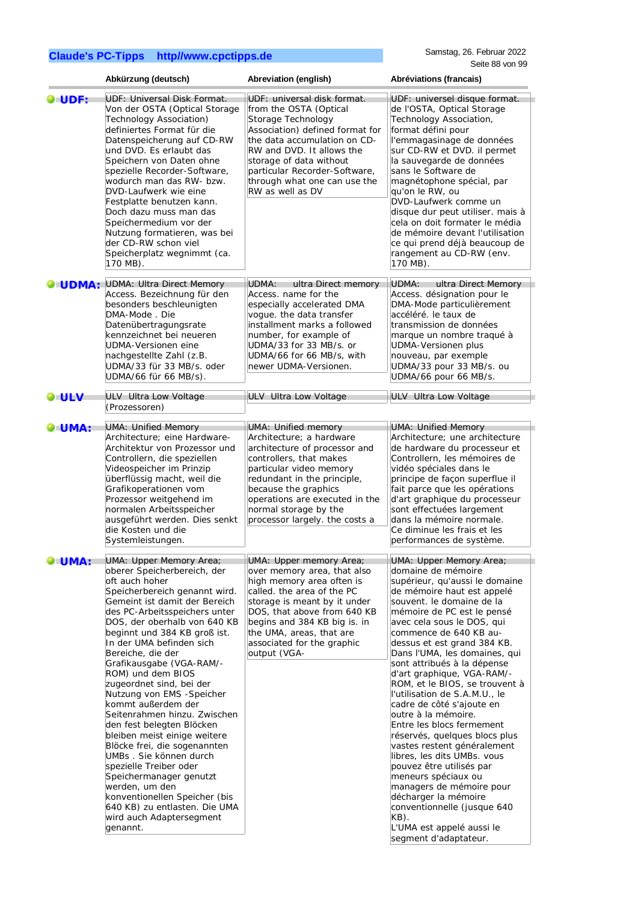|                | Abkürzung (deutsch)                                                                                                                                                                                                                                                                                                                                                                                                                                                                                                                                                                                                                                                                                                                                                   | Abreviation (english)                                                                                                                                                                                                                                                                       | Abréviations (francais)                                                                                                                                                                                                                                                                                                                                                                                                                                                                                                                                                                                                                                                                                                                                                                                              |
|----------------|-----------------------------------------------------------------------------------------------------------------------------------------------------------------------------------------------------------------------------------------------------------------------------------------------------------------------------------------------------------------------------------------------------------------------------------------------------------------------------------------------------------------------------------------------------------------------------------------------------------------------------------------------------------------------------------------------------------------------------------------------------------------------|---------------------------------------------------------------------------------------------------------------------------------------------------------------------------------------------------------------------------------------------------------------------------------------------|----------------------------------------------------------------------------------------------------------------------------------------------------------------------------------------------------------------------------------------------------------------------------------------------------------------------------------------------------------------------------------------------------------------------------------------------------------------------------------------------------------------------------------------------------------------------------------------------------------------------------------------------------------------------------------------------------------------------------------------------------------------------------------------------------------------------|
| UDF:           | <b>UDF: Universal Disk Format.</b><br>Von der OSTA (Optical Storage<br>Technology Association)<br>definiertes Format für die<br>Datenspeicherung auf CD-RW<br>und DVD. Es erlaubt das<br>Speichern von Daten ohne<br>spezielle Recorder-Software,<br>wodurch man das RW- bzw.<br>DVD-Laufwerk wie eine<br>Festplatte benutzen kann.<br>Doch dazu muss man das<br>Speichermedium vor der<br>Nutzung formatieren, was bei<br>der CD-RW schon viel<br>Speicherplatz wegnimmt (ca.<br>170 MB).                                                                                                                                                                                                                                                                            | UDF: universal disk format.<br>from the OSTA (Optical<br>Storage Technology<br>Association) defined format for<br>the data accumulation on CD-<br>RW and DVD. It allows the<br>storage of data without<br>particular Recorder-Software,<br>through what one can use the<br>RW as well as DV | UDF: universel disque format.<br>de l'OSTA, Optical Storage<br>Technology Association,<br>format défini pour<br>l'emmagasinage de données<br>sur CD-RW et DVD. il permet<br>la sauvegarde de données<br>sans le Software de<br>magnétophone spécial, par<br>qu'on le RW, ou<br>DVD-Laufwerk comme un<br>disque dur peut utiliser. mais à<br>cela on doit formater le média<br>de mémoire devant l'utilisation<br>ce qui prend déjà beaucoup de<br>rangement au CD-RW (env.<br>170 MB).                                                                                                                                                                                                                                                                                                                               |
| <b>O</b> UDMA: | <b>UDMA: Ultra Direct Memory</b><br>Access. Bezeichnung für den<br>besonders beschleunigten<br>DMA-Mode, Die<br>Datenübertragungsrate<br>kennzeichnet bei neueren<br>UDMA-Versionen eine<br>nachgestellte Zahl (z.B.<br>UDMA/33 für 33 MB/s. oder<br>UDMA/66 für 66 MB/s).                                                                                                                                                                                                                                                                                                                                                                                                                                                                                            | UDMA:<br>ultra Direct memory<br>Access. name for the<br>especially accelerated DMA<br>voque. the data transfer<br>installment marks a followed<br>number, for example of<br>UDMA/33 for 33 MB/s. or<br>UDMA/66 for 66 MB/s, with<br>newer UDMA-Versionen.                                   | UDMA:<br>ultra Direct Memory<br>Access. désignation pour le<br>DMA-Mode particulièrement<br>accéléré. le taux de<br>transmission de données<br>marque un nombre traqué à<br><b>UDMA-Versionen plus</b><br>nouveau, par exemple<br>UDMA/33 pour 33 MB/s. ou<br>UDMA/66 pour 66 MB/s.                                                                                                                                                                                                                                                                                                                                                                                                                                                                                                                                  |
| <b>O</b> ULV   | ULV Ultra Low Voltage<br>(Prozessoren)                                                                                                                                                                                                                                                                                                                                                                                                                                                                                                                                                                                                                                                                                                                                | ULV Ultra Low Voltage                                                                                                                                                                                                                                                                       | ULV Ultra Low Voltage                                                                                                                                                                                                                                                                                                                                                                                                                                                                                                                                                                                                                                                                                                                                                                                                |
| <b>O</b> UMA:  | <b>UMA: Unified Memory</b><br>Architecture; eine Hardware-<br>Architektur von Prozessor und<br>Controllern, die speziellen<br>Videospeicher im Prinzip<br>überflüssig macht, weil die<br>Grafikoperationen vom<br>Prozessor weitgehend im<br>normalen Arbeitsspeicher<br>ausgeführt werden. Dies senkt<br>die Kosten und die<br>Systemleistungen.                                                                                                                                                                                                                                                                                                                                                                                                                     | UMA: Unified memory<br>Architecture; a hardware<br>architecture of processor and<br>controllers, that makes<br>particular video memory<br>redundant in the principle,<br>because the graphics<br>operations are executed in the<br>normal storage by the<br>processor largely. the costs a  | <b>UMA: Unified Memory</b><br>Architecture; une architecture<br>de hardware du processeur et<br>Controllern, les mémoires de<br>vidéo spéciales dans le<br>principe de façon superflue il<br>fait parce que les opérations<br>d'art graphique du processeur<br>sont effectuées largement<br>dans la mémoire normale.<br>Ce diminue les frais et les<br>performances de système.                                                                                                                                                                                                                                                                                                                                                                                                                                      |
| <b>OFUMA:</b>  | UMA: Upper Memory Area;<br>oberer Speicherbereich, der<br>oft auch hoher<br>Speicherbereich genannt wird.<br>Gemeint ist damit der Bereich<br>des PC-Arbeitsspeichers unter<br>DOS, der oberhalb von 640 KB<br>beginnt und 384 KB groß ist.<br>In der UMA befinden sich<br>Bereiche, die der<br>Grafikausgabe (VGA-RAM/-<br>ROM) und dem BIOS<br>zugeordnet sind, bei der<br>Nutzung von EMS -Speicher<br>kommt außerdem der<br>Seitenrahmen hinzu. Zwischen<br>den fest belegten Blöcken<br>bleiben meist einige weitere<br>Blöcke frei, die sogenannten<br>UMBs . Sie können durch<br>spezielle Treiber oder<br>Speichermanager genutzt<br>werden, um den<br>konventionellen Speicher (bis<br>640 KB) zu entlasten. Die UMA<br>wird auch Adaptersegment<br>genannt. | UMA: Upper memory Area;<br>over memory area, that also<br>high memory area often is<br>called. the area of the PC<br>storage is meant by it under<br>DOS, that above from 640 KB<br>begins and 384 KB big is. in<br>the UMA, areas, that are<br>associated for the graphic<br>output (VGA-  | UMA: Upper Memory Area;<br>domaine de mémoire<br>supérieur, qu'aussi le domaine<br>de mémoire haut est appelé<br>souvent. le domaine de la<br>mémoire de PC est le pensé<br>avec cela sous le DOS, qui<br>commence de 640 KB au-<br>dessus et est grand 384 KB.<br>Dans l'UMA, les domaines, qui<br>sont attribués à la dépense<br>d'art graphique, VGA-RAM/-<br>ROM, et le BIOS, se trouvent à<br>l'utilisation de S.A.M.U., le<br>cadre de côté s'ajoute en<br>outre à la mémoire.<br>Entre les blocs fermement<br>réservés, quelques blocs plus<br>vastes restent généralement<br>libres, les dits UMBs. vous<br>pouvez être utilisés par<br>meneurs spéciaux ou<br>managers de mémoire pour<br>décharger la mémoire<br>conventionnelle (jusque 640<br>KB).<br>L'UMA est appelé aussi le<br>segment d'adaptateur. |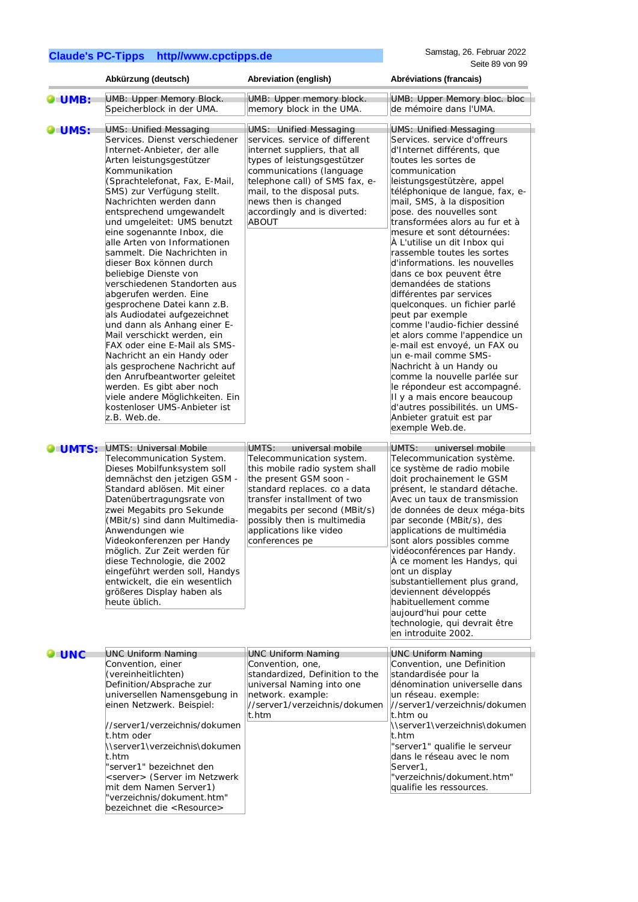|                | Abkürzung (deutsch)                                                                                                                                                                                                                                                                                                                                                                                                                                                                                                       | Abreviation (english)                                                                                                                                                                                                                                                                        | Abréviations (francais)                                                                                                                                                                                                                                                                                                                                                                                                                                                                                                                                                 |
|----------------|---------------------------------------------------------------------------------------------------------------------------------------------------------------------------------------------------------------------------------------------------------------------------------------------------------------------------------------------------------------------------------------------------------------------------------------------------------------------------------------------------------------------------|----------------------------------------------------------------------------------------------------------------------------------------------------------------------------------------------------------------------------------------------------------------------------------------------|-------------------------------------------------------------------------------------------------------------------------------------------------------------------------------------------------------------------------------------------------------------------------------------------------------------------------------------------------------------------------------------------------------------------------------------------------------------------------------------------------------------------------------------------------------------------------|
| <b>O</b> UMB:  | UMB: Upper Memory Block.<br>Speicherblock in der UMA.                                                                                                                                                                                                                                                                                                                                                                                                                                                                     | UMB: Upper memory block.<br>memory block in the UMA.                                                                                                                                                                                                                                         | UMB: Upper Memory bloc. bloc<br>de mémoire dans l'UMA.                                                                                                                                                                                                                                                                                                                                                                                                                                                                                                                  |
| <b>O</b> UMS:  | <b>UMS: Unified Messaging</b><br>Services. Dienst verschiedener<br>Internet-Anbieter, der alle<br>Arten leistungsgestützer<br>Kommunikation<br>(Sprachtelefonat, Fax, E-Mail,<br>SMS) zur Verfügung stellt.<br>Nachrichten werden dann<br>entsprechend umgewandelt<br>und umgeleitet: UMS benutzt<br>eine sogenannte Inbox, die<br>alle Arten von Informationen                                                                                                                                                           | <b>UMS:</b> Unified Messaging<br>services. service of different<br>internet suppliers, that all<br>types of leistungsgestützer<br>communications (language<br>telephone call) of SMS fax, e-<br>mail, to the disposal puts.<br>news then is changed<br>accordingly and is diverted:<br>ABOUT | <b>UMS: Unified Messaging</b><br>Services. service d'offreurs<br>d'Internet différents, que<br>toutes les sortes de<br>communication<br>leistungsgestützère, appel<br>téléphonique de langue, fax, e-<br>mail, SMS, à la disposition<br>pose. des nouvelles sont<br>transformées alors au fur et à<br>mesure et sont détournées:                                                                                                                                                                                                                                        |
|                | sammelt. Die Nachrichten in<br>dieser Box können durch<br>beliebige Dienste von<br>verschiedenen Standorten aus<br>abgerufen werden. Eine<br>gesprochene Datei kann z.B.<br>als Audiodatei aufgezeichnet<br>und dann als Anhang einer E-<br>Mail verschickt werden, ein<br>FAX oder eine E-Mail als SMS-<br>Nachricht an ein Handy oder<br>als gesprochene Nachricht auf<br>den Anrufbeantworter geleitet<br>werden. Es gibt aber noch<br>viele andere Möglichkeiten. Ein<br>kostenloser UMS-Anbieter ist<br>z.B. Web.de. |                                                                                                                                                                                                                                                                                              | A L'utilise un dit Inbox qui<br>rassemble toutes les sortes<br>d'informations. les nouvelles<br>dans ce box peuvent être<br>demandées de stations<br>différentes par services<br>quelconques. un fichier parlé<br>peut par exemple<br>comme l'audio-fichier dessiné<br>et alors comme l'appendice un<br>e-mail est envoyé, un FAX ou<br>un e-mail comme SMS-<br>Nachricht à un Handy ou<br>comme la nouvelle parlée sur<br>le répondeur est accompagné.<br>Il y a mais encore beaucoup<br>d'autres possibilités. un UMS-<br>Anbieter gratuit est par<br>exemple Web.de. |
| <b>OLUMTS:</b> | <b>UMTS: Universal Mobile</b>                                                                                                                                                                                                                                                                                                                                                                                                                                                                                             | UMTS:<br>universal mobile                                                                                                                                                                                                                                                                    | UMTS:<br>universel mobile                                                                                                                                                                                                                                                                                                                                                                                                                                                                                                                                               |
|                | Telecommunication System.<br>Dieses Mobilfunksystem soll<br>demnächst den jetzigen GSM -<br>Standard ablösen. Mit einer<br>Datenübertragungsrate von<br>zwei Megabits pro Sekunde<br>(MBit/s) sind dann Multimedia-<br>Anwendungen wie<br>Videokonferenzen per Handy<br>möglich. Zur Zeit werden für<br>diese Technologie, die 2002<br>eingeführt werden soll, Handys<br>entwickelt, die ein wesentlich<br>größeres Display haben als<br>heute üblich.                                                                    | Telecommunication system.<br>this mobile radio system shall<br>the present GSM soon -<br>standard replaces. co a data<br>transfer installment of two<br>megabits per second (MBit/s)<br>possibly then is multimedia<br>applications like video<br>conferences pe                             | Telecommunication système.<br>ce système de radio mobile<br>doit prochainement le GSM<br>présent, le standard détache.<br>Avec un taux de transmission<br>de données de deux méga-bits<br>par seconde (MBit/s), des<br>applications de multimédia<br>sont alors possibles comme<br>vidéoconférences par Handy.<br>À ce moment les Handys, qui<br>ont un display<br>substantiellement plus grand,<br>deviennent développés<br>habituellement comme<br>aujourd'hui pour cette<br>technologie, qui devrait être<br>en introduite 2002.                                     |
| <b>JUNC</b>    | <b>UNC Uniform Naming</b>                                                                                                                                                                                                                                                                                                                                                                                                                                                                                                 | <b>UNC Uniform Naming</b>                                                                                                                                                                                                                                                                    | <b>UNC Uniform Naming</b>                                                                                                                                                                                                                                                                                                                                                                                                                                                                                                                                               |
|                | Convention, einer<br>(vereinheitlichten)<br>Definition/Absprache zur<br>universellen Namensgebung in<br>einen Netzwerk. Beispiel:                                                                                                                                                                                                                                                                                                                                                                                         | Convention, one,<br>standardized, Definition to the<br>universal Naming into one<br>network. example:<br>//server1/verzeichnis/dokumen<br>t.htm                                                                                                                                              | Convention, une Definition<br>standardisée pour la<br>dénomination universelle dans<br>un réseau. exemple:<br>//server1/verzeichnis/dokumen<br>t.htm ou                                                                                                                                                                                                                                                                                                                                                                                                                 |
|                | //server1/verzeichnis/dokumen<br>t.htm oder<br>\\server1\verzeichnis\dokumen<br>t.htm<br>'server1" bezeichnet den<br><server> (Server im Netzwerk<br/>mit dem Namen Server1)<br/>'verzeichnis/dokument.htm"<br/>bezeichnet die <resource></resource></server>                                                                                                                                                                                                                                                             |                                                                                                                                                                                                                                                                                              | \\server1\verzeichnis\dokumen<br>t.htm<br>"server1" qualifie le serveur<br>dans le réseau avec le nom<br>Server1,<br>"verzeichnis/dokument.htm"<br>qualifie les ressources.                                                                                                                                                                                                                                                                                                                                                                                             |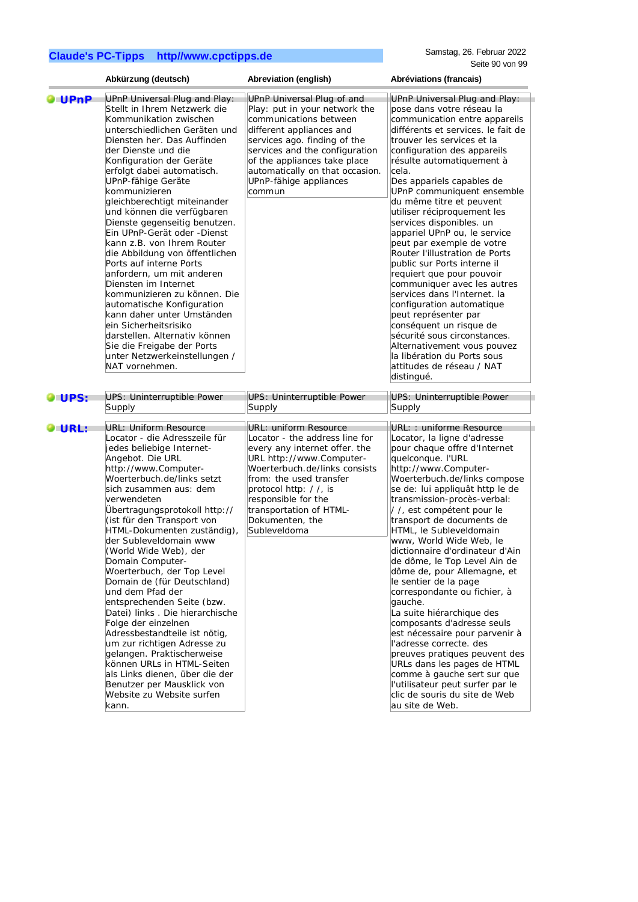|              | Abkürzung (deutsch)                                                                                                                                                                                                                                                                                                                                                                                                                                                                                                                                                                                                                                                                                                                                      | Abreviation (english)                                                                                                                                                                                                                                                                          | Abréviations (francais)                                                                                                                                                                                                                                                                                                                                                                                                                                                                                                                                                                                                                                                                                                                                                                  |
|--------------|----------------------------------------------------------------------------------------------------------------------------------------------------------------------------------------------------------------------------------------------------------------------------------------------------------------------------------------------------------------------------------------------------------------------------------------------------------------------------------------------------------------------------------------------------------------------------------------------------------------------------------------------------------------------------------------------------------------------------------------------------------|------------------------------------------------------------------------------------------------------------------------------------------------------------------------------------------------------------------------------------------------------------------------------------------------|------------------------------------------------------------------------------------------------------------------------------------------------------------------------------------------------------------------------------------------------------------------------------------------------------------------------------------------------------------------------------------------------------------------------------------------------------------------------------------------------------------------------------------------------------------------------------------------------------------------------------------------------------------------------------------------------------------------------------------------------------------------------------------------|
| <b>JUPnP</b> | UPnP Universal Plug and Play:<br>Stellt in Ihrem Netzwerk die<br>Kommunikation zwischen<br>unterschiedlichen Geräten und<br>Diensten her. Das Auffinden<br>der Dienste und die<br>Konfiguration der Geräte<br>erfolgt dabei automatisch.<br>UPnP-fähige Geräte<br>kommunizieren<br>gleichberechtigt miteinander<br>und können die verfügbaren<br>Dienste gegenseitig benutzen.<br>Ein UPnP-Gerät oder -Dienst<br>kann z.B. von Ihrem Router<br>die Abbildung von öffentlichen<br>Ports auf interne Ports<br>anfordern, um mit anderen<br>Diensten im Internet<br>kommunizieren zu können. Die<br>automatische Konfiguration<br>kann daher unter Umständen<br>ein Sicherheitsrisiko                                                                       | UPnP Universal Plug of and<br>Play: put in your network the<br>communications between<br>different appliances and<br>services ago. finding of the<br>services and the configuration<br>of the appliances take place<br>automatically on that occasion.<br>UPnP-fähige appliances<br>commun     | UPnP Universal Plug and Play:<br>pose dans votre réseau la<br>communication entre appareils<br>différents et services. le fait de<br>trouver les services et la<br>configuration des appareils<br>résulte automatiquement à<br>cela.<br>Des appariels capables de<br>UPnP communiquent ensemble<br>du même titre et peuvent<br>utiliser réciproquement les<br>services disponibles. un<br>appariel UPnP ou, le service<br>peut par exemple de votre<br>Router l'illustration de Ports<br>public sur Ports interne il<br>requiert que pour pouvoir<br>communiquer avec les autres<br>services dans l'Internet. la<br>configuration automatique<br>peut représenter par<br>conséquent un risque de                                                                                         |
|              | darstellen. Alternativ können<br>Sie die Freigabe der Ports<br>unter Netzwerkeinstellungen /<br>NAT vornehmen.                                                                                                                                                                                                                                                                                                                                                                                                                                                                                                                                                                                                                                           |                                                                                                                                                                                                                                                                                                | sécurité sous circonstances.<br>Alternativement vous pouvez<br>la libération du Ports sous<br>attitudes de réseau / NAT<br>distingué.                                                                                                                                                                                                                                                                                                                                                                                                                                                                                                                                                                                                                                                    |
| O UPS:       | UPS: Uninterruptible Power<br>Supply                                                                                                                                                                                                                                                                                                                                                                                                                                                                                                                                                                                                                                                                                                                     | UPS: Uninterruptible Power<br>Supply                                                                                                                                                                                                                                                           | UPS: Uninterruptible Power<br>Supply                                                                                                                                                                                                                                                                                                                                                                                                                                                                                                                                                                                                                                                                                                                                                     |
| O URL:       | <b>URL: Uniform Resource</b><br>Locator - die Adresszeile für<br>jedes beliebige Internet-<br>Angebot. Die URL<br>http://www.Computer-<br>Woerterbuch.de/links setzt<br>sich zusammen aus: dem<br>verwendeten<br>Übertragungsprotokoll http://<br>(ist für den Transport von<br>HTML-Dokumenten zuständig),<br>der Subleveldomain www<br>(World Wide Web), der<br>Domain Computer-<br>Woerterbuch, der Top Level<br>Domain de (für Deutschland)<br>und dem Pfad der<br>entsprechenden Seite (bzw.<br>Datei) links . Die hierarchische<br>Folge der einzelnen<br>Adressbestandteile ist nötig,<br>um zur richtigen Adresse zu<br>gelangen. Praktischerweise<br>können URLs in HTML-Seiten<br>als Links dienen, über die der<br>Benutzer per Mausklick von | URL: uniform Resource<br>Locator - the address line for<br>every any internet offer. the<br>URL http://www.Computer-<br>Woerterbuch.de/links consists<br>from: the used transfer<br>protocol http: //, is<br>responsible for the<br>transportation of HTML-<br>Dokumenten, the<br>Subleveldoma | URL: : uniforme Resource<br>Locator, la ligne d'adresse<br>pour chaque offre d'Internet<br>quelconque. l'URL<br>http://www.Computer-<br>Woerterbuch.de/links compose<br>se de: lui appliquât http le de<br>transmission-procès-verbal:<br>/ /, est compétent pour le<br>transport de documents de<br>HTML, le Subleveldomain<br>www, World Wide Web, le<br>dictionnaire d'ordinateur d'Ain<br>de dôme, le Top Level Ain de<br>dôme de, pour Allemagne, et<br>le sentier de la page<br>correspondante ou fichier, à<br>gauche.<br>La suite hiérarchique des<br>composants d'adresse seuls<br>est nécessaire pour parvenir à<br>l'adresse correcte. des<br>preuves pratiques peuvent des<br>URLs dans les pages de HTML<br>comme à gauche sert sur que<br>l'utilisateur peut surfer par le |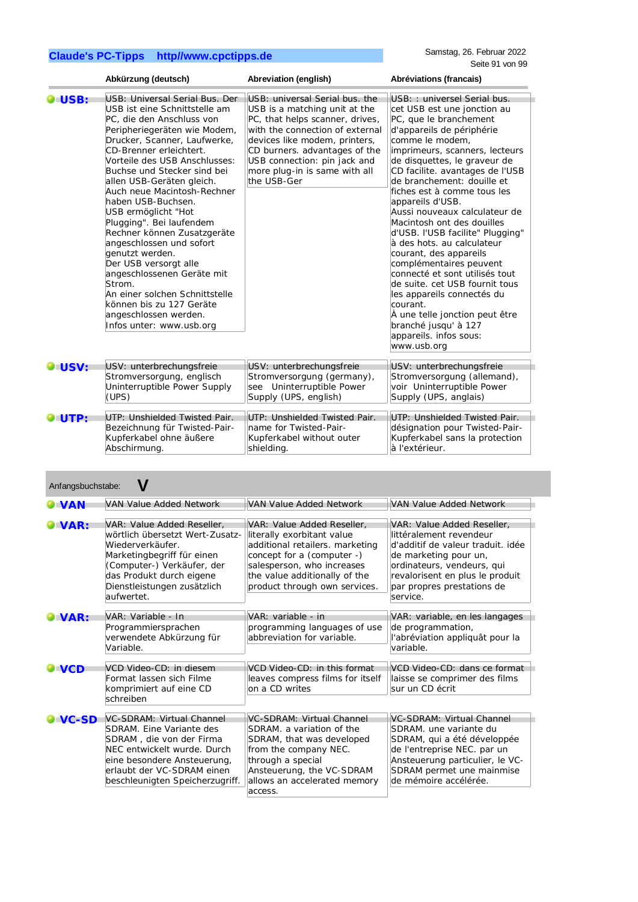|      | Abkürzung (deutsch)                                                                                                                                                                                                                                                                                                                                                                                                                                                                                                                                                                                                                                            | Abreviation (english)                                                                                                                                                                                                                                                                   | Abréviations (francais)                                                                                                                                                                                                                                                                                                                                                                                                                                                                                                                                                                                                                                                                                                           |
|------|----------------------------------------------------------------------------------------------------------------------------------------------------------------------------------------------------------------------------------------------------------------------------------------------------------------------------------------------------------------------------------------------------------------------------------------------------------------------------------------------------------------------------------------------------------------------------------------------------------------------------------------------------------------|-----------------------------------------------------------------------------------------------------------------------------------------------------------------------------------------------------------------------------------------------------------------------------------------|-----------------------------------------------------------------------------------------------------------------------------------------------------------------------------------------------------------------------------------------------------------------------------------------------------------------------------------------------------------------------------------------------------------------------------------------------------------------------------------------------------------------------------------------------------------------------------------------------------------------------------------------------------------------------------------------------------------------------------------|
| USB: | USB: Universal Serial Bus, Der<br>USB ist eine Schnittstelle am<br>PC, die den Anschluss von<br>Peripheriegeräten wie Modem,<br>Drucker, Scanner, Laufwerke,<br>CD-Brenner erleichtert.<br>Vorteile des USB Anschlusses:<br>Buchse und Stecker sind bei<br>allen USB-Geräten gleich.<br>Auch neue Macintosh-Rechner<br>haben USB-Buchsen.<br>USB ermöglicht "Hot<br>Plugging". Bei laufendem<br>Rechner können Zusatzgeräte<br>angeschlossen und sofort<br>genutzt werden.<br>Der USB versorgt alle<br>angeschlossenen Geräte mit<br>Strom.<br>An einer solchen Schnittstelle<br>können bis zu 127 Geräte<br>angeschlossen werden.<br>Infos unter: www.usb.org | USB: universal Serial bus, the<br>USB is a matching unit at the<br>PC, that helps scanner, drives,<br>with the connection of external<br>devices like modem, printers,<br>CD burners. advantages of the<br>USB connection: pin jack and<br>more plug-in is same with all<br>the USB-Ger | USB:: universel Serial bus.<br>cet USB est une jonction au<br>PC, que le branchement<br>d'appareils de périphérie<br>comme le modem,<br>imprimeurs, scanners, lecteurs<br>de disquettes, le graveur de<br>CD facilite. avantages de l'USB<br>de branchement: douille et<br>fiches est à comme tous les<br>appareils d'USB.<br>Aussi nouveaux calculateur de<br>Macintosh ont des douilles<br>d'USB. l'USB facilite" Plugging"<br>à des hots. au calculateur<br>courant, des appareils<br>complémentaires peuvent<br>connecté et sont utilisés tout<br>de suite. cet USB fournit tous<br>les appareils connectés du<br>courant.<br>À une telle jonction peut être<br>branché jusqu' à 127<br>appareils. infos sous:<br>www.usb.org |
| USV: | USV: unterbrechungsfreie                                                                                                                                                                                                                                                                                                                                                                                                                                                                                                                                                                                                                                       | USV: unterbrechungsfreie                                                                                                                                                                                                                                                                | USV: unterbrechungsfreie                                                                                                                                                                                                                                                                                                                                                                                                                                                                                                                                                                                                                                                                                                          |
|      | Stromversorgung, englisch                                                                                                                                                                                                                                                                                                                                                                                                                                                                                                                                                                                                                                      | Stromversorgung (germany),                                                                                                                                                                                                                                                              | Stromversorgung (allemand),                                                                                                                                                                                                                                                                                                                                                                                                                                                                                                                                                                                                                                                                                                       |
|      | Uninterruptible Power Supply                                                                                                                                                                                                                                                                                                                                                                                                                                                                                                                                                                                                                                   | see Uninterruptible Power                                                                                                                                                                                                                                                               | voir Uninterruptible Power                                                                                                                                                                                                                                                                                                                                                                                                                                                                                                                                                                                                                                                                                                        |
|      | (UPS)                                                                                                                                                                                                                                                                                                                                                                                                                                                                                                                                                                                                                                                          | Supply (UPS, english)                                                                                                                                                                                                                                                                   | Supply (UPS, anglais)                                                                                                                                                                                                                                                                                                                                                                                                                                                                                                                                                                                                                                                                                                             |
| UTP: | UTP: Unshielded Twisted Pair.                                                                                                                                                                                                                                                                                                                                                                                                                                                                                                                                                                                                                                  | UTP: Unshielded Twisted Pair.                                                                                                                                                                                                                                                           | UTP: Unshielded Twisted Pair.                                                                                                                                                                                                                                                                                                                                                                                                                                                                                                                                                                                                                                                                                                     |
|      | Bezeichnung für Twisted-Pair-                                                                                                                                                                                                                                                                                                                                                                                                                                                                                                                                                                                                                                  | name for Twisted-Pair-                                                                                                                                                                                                                                                                  | désignation pour Twisted-Pair-                                                                                                                                                                                                                                                                                                                                                                                                                                                                                                                                                                                                                                                                                                    |
|      | Kupferkabel ohne äußere                                                                                                                                                                                                                                                                                                                                                                                                                                                                                                                                                                                                                                        | Kupferkabel without outer                                                                                                                                                                                                                                                               | Kupferkabel sans la protection                                                                                                                                                                                                                                                                                                                                                                                                                                                                                                                                                                                                                                                                                                    |
|      | Abschirmung.                                                                                                                                                                                                                                                                                                                                                                                                                                                                                                                                                                                                                                                   | shielding.                                                                                                                                                                                                                                                                              | à l'extérieur.                                                                                                                                                                                                                                                                                                                                                                                                                                                                                                                                                                                                                                                                                                                    |

| Anfangsbuchstabe: |                                                                                                                                                                                                                        |                                                                                                                                                                                                                           |                                                                                                                                                                                                                                |
|-------------------|------------------------------------------------------------------------------------------------------------------------------------------------------------------------------------------------------------------------|---------------------------------------------------------------------------------------------------------------------------------------------------------------------------------------------------------------------------|--------------------------------------------------------------------------------------------------------------------------------------------------------------------------------------------------------------------------------|
| <b>JVAN</b>       | VAN Value Added Network                                                                                                                                                                                                | VAN Value Added Network                                                                                                                                                                                                   | VAN Value Added Network                                                                                                                                                                                                        |
| VAR:              | VAR: Value Added Reseller,<br>wörtlich übersetzt Wert-Zusatz-<br>Wiederverkäufer.<br>Marketingbegriff für einen<br>(Computer-) Verkäufer, der<br>das Produkt durch eigene<br>Dienstleistungen zusätzlich<br>aufwertet. | VAR: Value Added Reseller.<br>literally exorbitant value<br>additional retailers. marketing<br>concept for a (computer -)<br>salesperson, who increases<br>the value additionally of the<br>product through own services. | VAR: Value Added Reseller.<br>littéralement revendeur<br>d'additif de valeur traduit, idée<br>de marketing pour un,<br>ordinateurs, vendeurs, qui<br>revalorisent en plus le produit<br>par propres prestations de<br>service. |
| VAR:              | VAR: Variable - In                                                                                                                                                                                                     | VAR: variable - in                                                                                                                                                                                                        | VAR: variable, en les langages                                                                                                                                                                                                 |
|                   | Programmiersprachen<br>verwendete Abkürzung für<br>Variable.                                                                                                                                                           | programming languages of use<br>abbreviation for variable.                                                                                                                                                                | de programmation,<br>l'abréviation appliquât pour la<br>variable.                                                                                                                                                              |
| $\sqrt{CD}$       | VCD Video-CD: in diesem<br>Format lassen sich Filme<br>komprimiert auf eine CD<br>schreiben                                                                                                                            | VCD Video-CD: in this format<br>leaves compress films for itself<br>on a CD writes                                                                                                                                        | VCD Video-CD: dans ce format<br>laisse se comprimer des films<br>sur un CD écrit                                                                                                                                               |
| VC-SD             | VC-SDRAM: Virtual Channel                                                                                                                                                                                              | VC-SDRAM: Virtual Channel                                                                                                                                                                                                 | VC-SDRAM: Virtual Channel                                                                                                                                                                                                      |
|                   | SDRAM. Eine Variante des<br>SDRAM, die von der Firma<br>NEC entwickelt wurde. Durch<br>eine besondere Ansteuerung,<br>erlaubt der VC-SDRAM einen<br>beschleunigten Speicherzugriff.                                    | SDRAM, a variation of the<br>SDRAM, that was developed<br>from the company NEC.<br>through a special<br>Ansteuerung, the VC-SDRAM<br>allows an accelerated memory<br>access.                                              | SDRAM, une variante du<br>SDRAM, qui a été développée<br>de l'entreprise NEC. par un<br>Ansteuerung particulier, le VC-<br>SDRAM permet une mainmise<br>de mémoire accélérée.                                                  |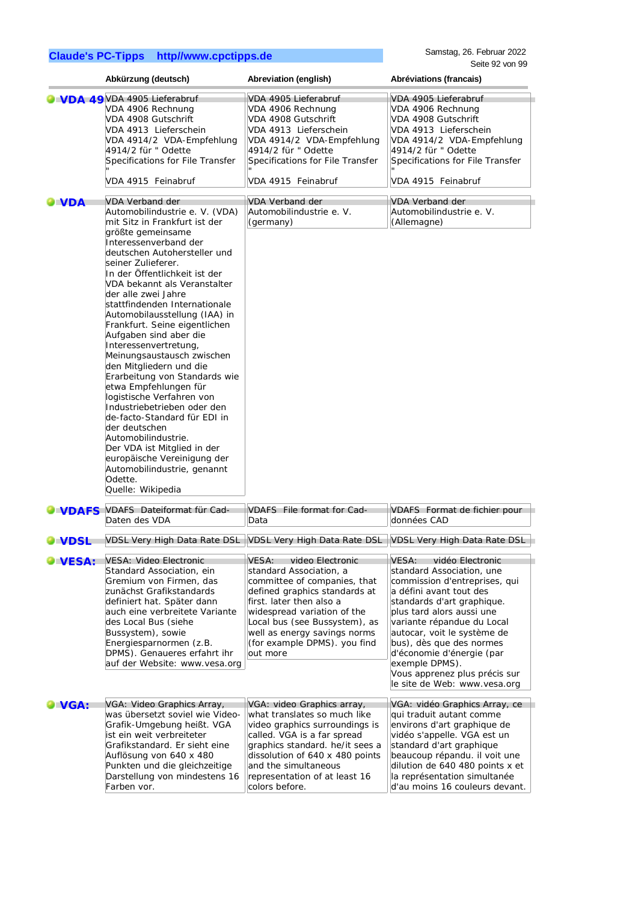|                    | Abkürzung (deutsch)                                                                                                                                                                                                                                                                                                                                                                                                                                                                                                                                                                                                                                                                                                                                                                                                      | Abreviation (english)                                                                                                                                                                                                                                                                      | Abréviations (francais)                                                                                                                                                                                                                                                                                                                                                             |
|--------------------|--------------------------------------------------------------------------------------------------------------------------------------------------------------------------------------------------------------------------------------------------------------------------------------------------------------------------------------------------------------------------------------------------------------------------------------------------------------------------------------------------------------------------------------------------------------------------------------------------------------------------------------------------------------------------------------------------------------------------------------------------------------------------------------------------------------------------|--------------------------------------------------------------------------------------------------------------------------------------------------------------------------------------------------------------------------------------------------------------------------------------------|-------------------------------------------------------------------------------------------------------------------------------------------------------------------------------------------------------------------------------------------------------------------------------------------------------------------------------------------------------------------------------------|
|                    | VDA 49VDA 4905 Lieferabruf<br>VDA 4906 Rechnung<br>VDA 4908 Gutschrift<br>VDA 4913 Lieferschein<br>VDA 4914/2 VDA-Empfehlung<br>4914/2 für " Odette<br>Specifications for File Transfer<br>VDA 4915 Feinabruf                                                                                                                                                                                                                                                                                                                                                                                                                                                                                                                                                                                                            | VDA 4905 Lieferabruf<br>VDA 4906 Rechnung<br>VDA 4908 Gutschrift<br>VDA 4913 Lieferschein<br>VDA 4914/2 VDA-Empfehlung<br>4914/2 für " Odette<br>Specifications for File Transfer<br>VDA 4915 Feinabruf                                                                                    | VDA 4905 Lieferabruf<br>VDA 4906 Rechnung<br>VDA 4908 Gutschrift<br>VDA 4913 Lieferschein<br>VDA 4914/2 VDA-Empfehlung<br>4914/2 für " Odette<br>Specifications for File Transfer<br>VDA 4915 Feinabruf                                                                                                                                                                             |
| $\blacksquare$ VDA | VDA Verband der<br>Automobilindustrie e. V. (VDA)<br>mit Sitz in Frankfurt ist der<br>größte gemeinsame<br>Interessenverband der<br>deutschen Autohersteller und<br>seiner Zulieferer.<br>In der Öffentlichkeit ist der<br>VDA bekannt als Veranstalter<br>der alle zwei Jahre<br>stattfindenden Internationale<br>Automobilausstellung (IAA) in<br>Frankfurt. Seine eigentlichen<br>Aufgaben sind aber die<br>Interessenvertretung,<br>Meinungsaustausch zwischen<br>den Mitgliedern und die<br>Erarbeitung von Standards wie<br>etwa Empfehlungen für<br>logistische Verfahren von<br>Industriebetrieben oder den<br>de-facto-Standard für EDI in<br>der deutschen<br>Automobilindustrie.<br>Der VDA ist Mitglied in der<br>europäische Vereinigung der<br>Automobilindustrie, genannt<br>Odette.<br>Quelle: Wikipedia | VDA Verband der<br>Automobilindustrie e. V.<br>(germany)                                                                                                                                                                                                                                   | VDA Verband der<br>Automobilindustrie e. V.<br>(Allemagne)                                                                                                                                                                                                                                                                                                                          |
| <b>UNDAFS</b>      | VDAFS Dateiformat für Cad-<br>Daten des VDA                                                                                                                                                                                                                                                                                                                                                                                                                                                                                                                                                                                                                                                                                                                                                                              | VDAFS File format for Cad-<br>Data                                                                                                                                                                                                                                                         | VDAFS Format de fichier pour<br>données CAD                                                                                                                                                                                                                                                                                                                                         |
| <b>J</b> VDSL      | <b>VDSL Very High Data Rate DSL</b>                                                                                                                                                                                                                                                                                                                                                                                                                                                                                                                                                                                                                                                                                                                                                                                      | VDSL Very High Data Rate DSL                                                                                                                                                                                                                                                               | VDSL Very High Data Rate DSL                                                                                                                                                                                                                                                                                                                                                        |
| VESA:              | VESA: Video Electronic<br>Standard Association, ein<br>Gremium von Firmen, das<br>zunächst Grafikstandards<br>definiert hat. Später dann<br>auch eine verbreitete Variante<br>des Local Bus (siehe<br>Bussystem), sowie<br>Energiesparnormen (z.B.<br>DPMS). Genaueres erfahrt ihr<br>auf der Website: www.vesa.org                                                                                                                                                                                                                                                                                                                                                                                                                                                                                                      | VESA: video Electronic<br>standard Association, a<br>committee of companies, that<br>defined graphics standards at<br>first. later then also a<br>widespread variation of the<br>Local bus (see Bussystem), as<br>well as energy savings norms<br>(for example DPMS). you find<br>out more | VESA: vidéo Electronic<br>standard Association, une<br>commission d'entreprises, qui<br>a défini avant tout des<br>standards d'art graphique.<br>plus tard alors aussi une<br>variante répandue du Local<br>autocar, voit le système de<br>bus), dès que des normes<br>d'économie d'énergie (par<br>exemple DPMS).<br>Vous apprenez plus précis sur<br>le site de Web: www.vesa.org |
| VGA:               | VGA: Video Graphics Array,<br>was übersetzt soviel wie Video-<br>Grafik-Umgebung heißt. VGA<br>ist ein weit verbreiteter<br>Grafikstandard. Er sieht eine<br>Auflösung von 640 x 480<br>Punkten und die gleichzeitige<br>Darstellung von mindestens 16<br>Farben vor.                                                                                                                                                                                                                                                                                                                                                                                                                                                                                                                                                    | VGA: video Graphics array,<br>what translates so much like<br>video graphics surroundings is<br>called. VGA is a far spread<br>graphics standard. he/it sees a<br>dissolution of 640 x 480 points<br>and the simultaneous<br>representation of at least 16<br>colors before.               | VGA: vidéo Graphics Array, ce<br>qui traduit autant comme<br>environs d'art graphique de<br>vidéo s'appelle. VGA est un<br>standard d'art graphique<br>beaucoup répandu. il voit une<br>dilution de 640 480 points x et<br>la représentation simultanée<br>d'au moins 16 couleurs devant.                                                                                           |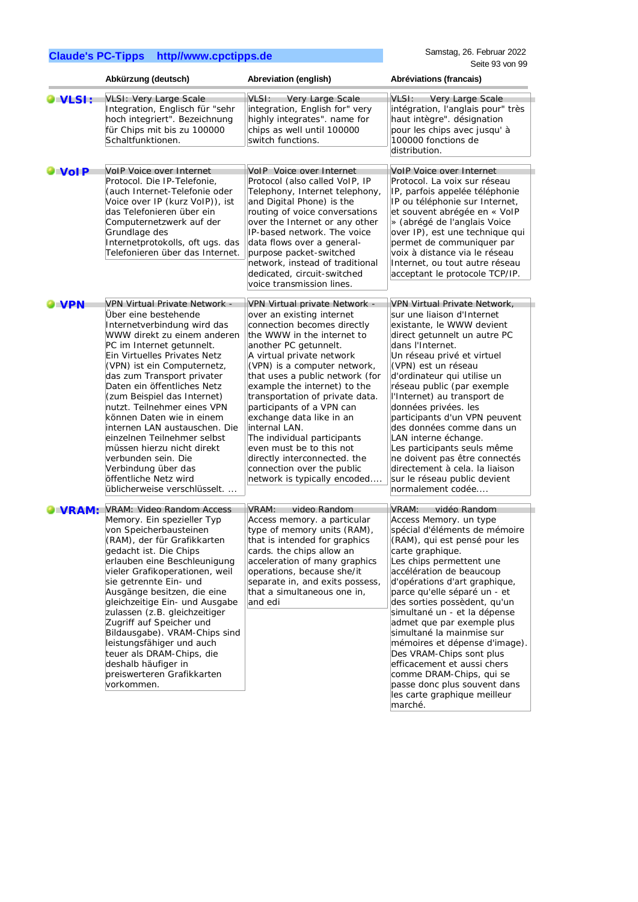|                | Abkürzung (deutsch)                                                                                                                                                                                                                                                                                                                                                                                                                                                                                                                                                                | Abreviation (english)                                                                                                                                                                                                                                                                                                                                                                                                                                                                                                                                  | Abréviations (francais)                                                                                                                                                                                                                                                                                                                                                                                                                                                                                                                                                                      |
|----------------|------------------------------------------------------------------------------------------------------------------------------------------------------------------------------------------------------------------------------------------------------------------------------------------------------------------------------------------------------------------------------------------------------------------------------------------------------------------------------------------------------------------------------------------------------------------------------------|--------------------------------------------------------------------------------------------------------------------------------------------------------------------------------------------------------------------------------------------------------------------------------------------------------------------------------------------------------------------------------------------------------------------------------------------------------------------------------------------------------------------------------------------------------|----------------------------------------------------------------------------------------------------------------------------------------------------------------------------------------------------------------------------------------------------------------------------------------------------------------------------------------------------------------------------------------------------------------------------------------------------------------------------------------------------------------------------------------------------------------------------------------------|
| <b>O</b> VLSI: | VLSI: Very Large Scale<br>Integration, Englisch für "sehr<br>hoch integriert". Bezeichnung<br>für Chips mit bis zu 100000<br>Schaltfunktionen.                                                                                                                                                                                                                                                                                                                                                                                                                                     | VLSI:<br>Very Large Scale<br>integration, English for" very<br>highly integrates". name for<br>chips as well until 100000<br>switch functions.                                                                                                                                                                                                                                                                                                                                                                                                         | VLSI:<br>Very Large Scale<br>intégration, l'anglais pour" très<br>haut intègre". désignation<br>pour les chips avec jusqu'à<br>100000 fonctions de<br>distribution.                                                                                                                                                                                                                                                                                                                                                                                                                          |
| $\bullet$ VoIP | VoIP Voice over Internet<br>Protocol. Die IP-Telefonie,<br>(auch Internet-Telefonie oder<br>Voice over IP (kurz VoIP)), ist<br>das Telefonieren über ein<br>Computernetzwerk auf der<br>Grundlage des<br>Internetprotokolls, oft ugs. das<br>Telefonieren über das Internet.                                                                                                                                                                                                                                                                                                       | VoIP Voice over Internet<br>Protocol (also called VoIP, IP<br>Telephony, Internet telephony,<br>and Digital Phone) is the<br>routing of voice conversations<br>over the Internet or any other<br>IP-based network. The voice<br>data flows over a general-<br>purpose packet-switched<br>network, instead of traditional<br>dedicated, circuit-switched<br>voice transmission lines.                                                                                                                                                                   | VoIP Voice over Internet<br>Protocol. La voix sur réseau<br>IP, parfois appelée téléphonie<br>IP ou téléphonie sur Internet,<br>et souvent abrégée en « VoIP<br>» (abrégé de l'anglais Voice<br>over IP), est une technique qui<br>permet de communiquer par<br>voix à distance via le réseau<br>Internet, ou tout autre réseau<br>acceptant le protocole TCP/IP.                                                                                                                                                                                                                            |
| <b>VPN</b>     | <b>VPN Virtual Private Network -</b><br>Über eine bestehende<br>Internetverbindung wird das<br>WWW direkt zu einem anderen<br>PC im Internet getunnelt.<br>Ein Virtuelles Privates Netz<br>(VPN) ist ein Computernetz,<br>das zum Transport privater<br>Daten ein öffentliches Netz<br>(zum Beispiel das Internet)<br>nutzt. Teilnehmer eines VPN<br>können Daten wie in einem<br>internen LAN austauschen. Die<br>einzelnen Teilnehmer selbst<br>müssen hierzu nicht direkt<br>verbunden sein. Die<br>Verbindung über das<br>öffentliche Netz wird<br>üblicherweise verschlüsselt | VPN Virtual private Network -<br>over an existing internet<br>connection becomes directly<br>the WWW in the internet to<br>another PC getunnelt.<br>A virtual private network<br>(VPN) is a computer network,<br>that uses a public network (for<br>example the internet) to the<br>transportation of private data.<br>participants of a VPN can<br>exchange data like in an<br>internal LAN.<br>The individual participants<br>even must be to this not<br>directly interconnected. the<br>connection over the public<br>network is typically encoded | VPN Virtual Private Network,<br>sur une liaison d'Internet<br>existante, le WWW devient<br>direct getunnelt un autre PC<br>dans l'Internet.<br>Un réseau privé et virtuel<br>(VPN) est un réseau<br>d'ordinateur qui utilise un<br>réseau public (par exemple<br>l'Internet) au transport de<br>données privées. les<br>participants d'un VPN peuvent<br>des données comme dans un<br>LAN interne échange.<br>Les participants seuls même<br>ne doivent pas être connectés<br>directement à cela. la liaison<br>sur le réseau public devient<br>normalement codée                            |
| <b>VRAM:</b>   | <b>VRAM: Video Random Access</b><br>Memory. Ein spezieller Typ<br>von Speicherbausteinen<br>(RAM), der für Grafikkarten<br>gedacht ist. Die Chips<br>erlauben eine Beschleunigung<br>vieler Grafikoperationen, weil<br>sie getrennte Ein- und<br>Ausgänge besitzen, die eine<br>gleichzeitige Ein- und Ausgabe<br>zulassen (z.B. gleichzeitiger<br>Zugriff auf Speicher und<br>Bildausgabe). VRAM-Chips sind<br>leistungsfähiger und auch<br>teuer als DRAM-Chips, die<br>deshalb häufiger in<br>preiswerteren Grafikkarten<br>vorkommen.                                          | VRAM:<br>video Random<br>Access memory. a particular<br>type of memory units (RAM),<br>that is intended for graphics<br>cards. the chips allow an<br>acceleration of many graphics<br>operations, because she/it<br>separate in, and exits possess,<br>that a simultaneous one in,<br>and edi                                                                                                                                                                                                                                                          | VRAM:<br>vidéo Random<br>Access Memory. un type<br>spécial d'éléments de mémoire<br>(RAM), qui est pensé pour les<br>carte graphique.<br>Les chips permettent une<br>accélération de beaucoup<br>d'opérations d'art graphique,<br>parce qu'elle séparé un - et<br>des sorties possèdent, qu'un<br>simultané un - et la dépense<br>admet que par exemple plus<br>simultané la mainmise sur<br>mémoires et dépense d'image).<br>Des VRAM-Chips sont plus<br>efficacement et aussi chers<br>comme DRAM-Chips, qui se<br>passe donc plus souvent dans<br>les carte graphique meilleur<br>marché. |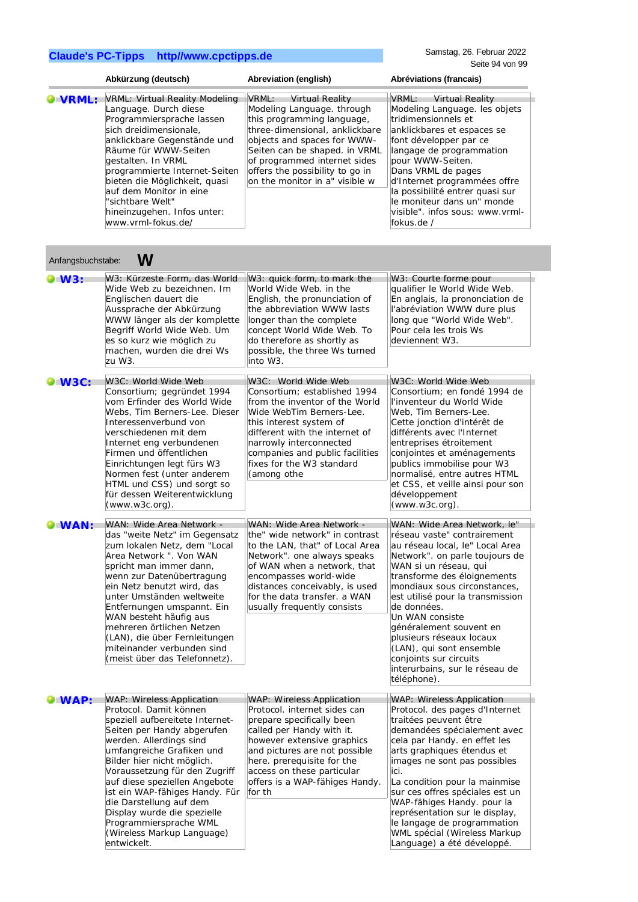|                   | Abkürzung (deutsch)                                                                                                                                                                                                                                                                                                                                               | <b>Abreviation (english)</b>                                                                                                                                                                                                                                                                       | Abréviations (francais)                                                                                                                                                                                                                                                                                                                                                 |
|-------------------|-------------------------------------------------------------------------------------------------------------------------------------------------------------------------------------------------------------------------------------------------------------------------------------------------------------------------------------------------------------------|----------------------------------------------------------------------------------------------------------------------------------------------------------------------------------------------------------------------------------------------------------------------------------------------------|-------------------------------------------------------------------------------------------------------------------------------------------------------------------------------------------------------------------------------------------------------------------------------------------------------------------------------------------------------------------------|
| VRML:             | VRML: Virtual Reality Modeling<br>Language. Durch diese<br>Programmiersprache lassen<br>sich dreidimensionale.<br>anklickbare Gegenstände und<br>Räume für WWW-Seiten<br>gestalten. In VRML<br>programmierte Internet-Seiten<br>bieten die Möglichkeit, quasi<br>auf dem Monitor in eine<br>"sichtbare Welt"<br>hineinzugehen. Infos unter:<br>www.vrml-fokus.de/ | VRML:<br><b>Virtual Reality</b><br>Modeling Language. through<br>this programming language,<br>three-dimensional, anklickbare<br>objects and spaces for WWW-<br>Seiten can be shaped. in VRML<br>of programmed internet sides<br>offers the possibility to go in<br>on the monitor in a" visible w | VRML:<br><b>Virtual Reality</b><br>Modeling Language. les objets<br>tridimensionnels et<br>anklickbares et espaces se<br>font développer par ce<br>langage de programmation<br>bour WWW-Seiten.<br>Dans VRML de pages<br>d'Internet programmées offre<br>la possibilité entrer quasi sur<br>le moniteur dans un" monde<br>visible", infos sous: www.vrml-<br>fokus.de / |
| Anfangsbuchstabe: | W                                                                                                                                                                                                                                                                                                                                                                 |                                                                                                                                                                                                                                                                                                    |                                                                                                                                                                                                                                                                                                                                                                         |
| $\bullet$ W3:     | W3: Kürzeste Form, das World<br>Wide Web zu bezeichnen. Im<br>Englischen dauert die<br>Aussprache der Abkürzung<br>WWW länger als der komplette<br>Begriff World Wide Web. Um<br>es so kurz wie möglich zu<br>machen, wurden die drei Ws<br>zu W3.                                                                                                                | W3: quick form, to mark the<br>World Wide Web, in the<br>English, the pronunciation of<br>the abbreviation WWW lasts<br>longer than the complete<br>concept World Wide Web. To<br>do therefore as shortly as<br>possible, the three Ws turned<br>into W3.                                          | W3: Courte forme pour<br>qualifier le World Wide Web.<br>En anglais, la prononciation de<br>l'abréviation WWW dure plus<br>long que "World Wide Web".<br>Pour cela les trois Ws<br>deviennent W3.                                                                                                                                                                       |
| $W3C$ :           | W3C: World Wide Web<br>Consortium; gegründet 1994                                                                                                                                                                                                                                                                                                                 | W3C: World Wide Web<br>Consortium: established 1994                                                                                                                                                                                                                                                | W3C: World Wide Web<br>Consortium; en fondé 1994 de                                                                                                                                                                                                                                                                                                                     |

|                | zu W3.                                                                                                                                                                                                                                                                                                                                                                                                                                                 | into W3.                                                                                                                                                                                                                                                                                          |                                                                                                                                                                                                                                                                                                                                                                                                                                                             |
|----------------|--------------------------------------------------------------------------------------------------------------------------------------------------------------------------------------------------------------------------------------------------------------------------------------------------------------------------------------------------------------------------------------------------------------------------------------------------------|---------------------------------------------------------------------------------------------------------------------------------------------------------------------------------------------------------------------------------------------------------------------------------------------------|-------------------------------------------------------------------------------------------------------------------------------------------------------------------------------------------------------------------------------------------------------------------------------------------------------------------------------------------------------------------------------------------------------------------------------------------------------------|
| $\bullet$ W3C: | W3C: World Wide Web<br>Consortium; gegründet 1994<br>vom Erfinder des World Wide<br>Webs, Tim Berners-Lee. Dieser<br>Interessenverbund von<br>verschiedenen mit dem<br>Internet eng verbundenen<br>Firmen und öffentlichen<br>Einrichtungen legt fürs W3<br>Normen fest (unter anderem<br>HTML und CSS) und sorgt so<br>für dessen Weiterentwicklung<br>$(www.w3c.org)$ .                                                                              | W3C: World Wide Web<br>Consortium; established 1994<br>from the inventor of the World<br>Wide WebTim Berners-Lee.<br>this interest system of<br>different with the internet of<br>narrowly interconnected<br>companies and public facilities<br>fixes for the W3 standard<br>(among othe          | W3C: World Wide Web<br>Consortium; en fondé 1994 de<br>l'inventeur du World Wide<br>Web, Tim Berners-Lee.<br>Cette jonction d'intérêt de<br>différents avec l'Internet<br>entreprises étroitement<br>conjointes et aménagements<br>publics immobilise pour W3<br>normalisé, entre autres HTML<br>et CSS, et veille ainsi pour son<br>développement<br>$(www.w3c.org)$ .                                                                                     |
| <b>OWAN:</b>   | WAN: Wide Area Network -<br>das "weite Netz" im Gegensatz<br>zum lokalen Netz, dem "Local<br>Area Network ". Von WAN<br>spricht man immer dann,<br>wenn zur Datenübertragung<br>ein Netz benutzt wird, das<br>unter Umständen weltweite<br>Entfernungen umspannt. Ein<br>WAN besteht häufig aus<br>mehreren örtlichen Netzen<br>(LAN), die über Fernleitungen<br>miteinander verbunden sind<br>(meist über das Telefonnetz).                           | WAN: Wide Area Network -<br>the" wide network" in contrast<br>to the LAN, that" of Local Area<br>Network". one always speaks<br>of WAN when a network, that<br>encompasses world-wide<br>distances conceivably, is used<br>for the data transfer, a WAN<br>usually frequently consists            | WAN: Wide Area Network, le"<br>réseau vaste" contrairement<br>au réseau local, le" Local Area<br>Network". on parle toujours de<br>WAN si un réseau, qui<br>transforme des éloignements<br>mondiaux sous circonstances,<br>est utilisé pour la transmission<br>de données.<br>Un WAN consiste<br>généralement souvent en<br>plusieurs réseaux locaux<br>(LAN), qui sont ensemble<br>conjoints sur circuits<br>interurbains, sur le réseau de<br>téléphone). |
| $\bullet$ WAP: | <b>WAP: Wireless Application</b><br>Protocol. Damit können<br>speziell aufbereitete Internet-<br>Seiten per Handy abgerufen<br>werden. Allerdings sind<br>umfangreiche Grafiken und<br>Bilder hier nicht möglich.<br>Voraussetzung für den Zugriff<br>auf diese speziellen Angebote<br>ist ein WAP-fähiges Handy. Für<br>die Darstellung auf dem<br>Display wurde die spezielle<br>Programmiersprache WML<br>(Wireless Markup Language)<br>entwickelt. | <b>WAP: Wireless Application</b><br>Protocol. internet sides can<br>prepare specifically been<br>called per Handy with it.<br>however extensive graphics<br>and pictures are not possible<br>here. prerequisite for the<br>access on these particular<br>offers is a WAP-fähiges Handy.<br>for th | WAP: Wireless Application<br>Protocol. des pages d'Internet<br>traitées peuvent être<br>demandées spécialement avec<br>cela par Handy. en effet les<br>arts graphiques étendus et<br>images ne sont pas possibles<br>ici.<br>La condition pour la mainmise<br>sur ces offres spéciales est un<br>WAP-fähiges Handy. pour la<br>représentation sur le display,<br>le langage de programmation<br>WML spécial (Wireless Markup<br>Language) a été développé.  |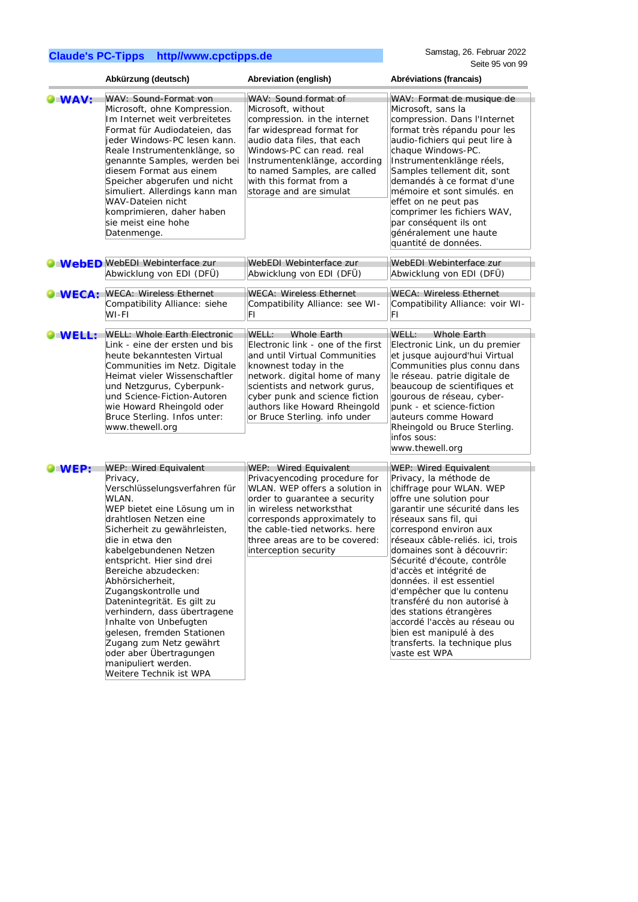|               | Abkürzung (deutsch)                                                                                                                                                                                                                                                                                                                                                                                                                                                                                                                                 | Abreviation (english)                                                                                                                                                                                                                                                                      | Abréviations (francais)                                                                                                                                                                                                                                                                                                                                                                                                                                                                                                                                         |
|---------------|-----------------------------------------------------------------------------------------------------------------------------------------------------------------------------------------------------------------------------------------------------------------------------------------------------------------------------------------------------------------------------------------------------------------------------------------------------------------------------------------------------------------------------------------------------|--------------------------------------------------------------------------------------------------------------------------------------------------------------------------------------------------------------------------------------------------------------------------------------------|-----------------------------------------------------------------------------------------------------------------------------------------------------------------------------------------------------------------------------------------------------------------------------------------------------------------------------------------------------------------------------------------------------------------------------------------------------------------------------------------------------------------------------------------------------------------|
| <b>WAV:</b>   | WAV: Sound-Format von<br>Microsoft, ohne Kompression.<br>Im Internet weit verbreitetes<br>Format für Audiodateien, das<br>jeder Windows-PC lesen kann.<br>Reale Instrumentenklänge, so<br>genannte Samples, werden bei<br>diesem Format aus einem<br>Speicher abgerufen und nicht<br>simuliert. Allerdings kann man<br>WAV-Dateien nicht<br>komprimieren, daher haben<br>sie meist eine hohe<br>Datenmenge.                                                                                                                                         | WAV: Sound format of<br>Microsoft, without<br>compression. in the internet<br>far widespread format for<br>audio data files, that each<br>Windows-PC can read, real<br>Instrumentenklänge, according<br>to named Samples, are called<br>with this format from a<br>storage and are simulat | WAV: Format de musique de<br>Microsoft, sans la<br>compression. Dans l'Internet<br>format très répandu pour les<br>audio-fichiers qui peut lire à<br>chaque Windows-PC.<br>Instrumentenklänge réels,<br>Samples tellement dit, sont<br>demandés à ce format d'une<br>mémoire et sont simulés. en<br>effet on ne peut pas<br>comprimer les fichiers WAV,<br>par conséquent ils ont<br>généralement une haute<br>quantité de données.                                                                                                                             |
|               | <b>O WebED</b> WebEDI Webinterface zur<br>Abwicklung von EDI (DFÜ)                                                                                                                                                                                                                                                                                                                                                                                                                                                                                  | WebEDI Webinterface zur<br>Abwicklung von EDI (DFÜ)                                                                                                                                                                                                                                        | WebEDI Webinterface zur<br>Abwicklung von EDI (DFÜ)                                                                                                                                                                                                                                                                                                                                                                                                                                                                                                             |
| <b>WECA:</b>  | <b>WECA: Wireless Ethernet</b><br>Compatibility Alliance: siehe<br>WI-FI                                                                                                                                                                                                                                                                                                                                                                                                                                                                            | <b>WECA: Wireless Ethernet</b><br>Compatibility Alliance: see WI-<br>FΙ                                                                                                                                                                                                                    | <b>WECA: Wireless Ethernet</b><br>Compatibility Alliance: voir WI-<br>FI                                                                                                                                                                                                                                                                                                                                                                                                                                                                                        |
| <b>OWELL:</b> | <b>WELL: Whole Earth Electronic</b><br>Link - eine der ersten und bis<br>heute bekanntesten Virtual<br>Communities im Netz. Digitale<br>Heimat vieler Wissenschaftler<br>und Netzgurus, Cyberpunk-<br>und Science-Fiction-Autoren<br>wie Howard Rheingold oder<br>Bruce Sterling. Infos unter:<br>www.thewell.org                                                                                                                                                                                                                                   | WELL:<br>Whole Earth<br>Electronic link - one of the first<br>and until Virtual Communities<br>knownest today in the<br>network. digital home of many<br>scientists and network gurus,<br>cyber punk and science fiction<br>authors like Howard Rheingold<br>or Bruce Sterling. info under | WELL:<br><b>Whole Earth</b><br>Electronic Link, un du premier<br>et jusque aujourd'hui Virtual<br>Communities plus connu dans<br>le réseau. patrie digitale de<br>beaucoup de scientifiques et<br>gourous de réseau, cyber-<br>punk - et science-fiction<br>auteurs comme Howard<br>Rheingold ou Bruce Sterling.<br>infos sous:<br>www.thewell.org                                                                                                                                                                                                              |
| WEP:          | WEP: Wired Equivalent<br>Privacy,<br>Verschlüsselungsverfahren für<br>WLAN.<br>WEP bietet eine Lösung um in<br>drahtlosen Netzen eine<br>Sicherheit zu gewährleisten,<br>die in etwa den<br>kabelgebundenen Netzen<br>entspricht. Hier sind drei<br>Bereiche abzudecken:<br>Abhörsicherheit,<br>Zugangskontrolle und<br>Datenintegrität. Es gilt zu<br>verhindern, dass übertragene<br>Inhalte von Unbefugten<br>gelesen, fremden Stationen<br>Zugang zum Netz gewährt<br>oder aber Übertragungen<br>manipuliert werden.<br>Weitere Technik ist WPA | WEP: Wired Equivalent<br>Privacyencoding procedure for<br>WLAN. WEP offers a solution in<br>order to quarantee a security<br>in wireless networksthat<br>corresponds approximately to<br>the cable-tied networks. here<br>three areas are to be covered:<br>interception security          | <b>WEP: Wired Equivalent</b><br>Privacy, la méthode de<br>chiffrage pour WLAN. WEP<br>offre une solution pour<br>garantir une sécurité dans les<br>réseaux sans fil, qui<br>correspond environ aux<br>réseaux câble-reliés. ici, trois<br>domaines sont à découvrir:<br>Sécurité d'écoute, contrôle<br>d'accès et intégrité de<br>données. il est essentiel<br>d'empêcher que lu contenu<br>transféré du non autorisé à<br>des stations étrangères<br>accordé l'accès au réseau ou<br>bien est manipulé à des<br>transferts. la technique plus<br>vaste est WPA |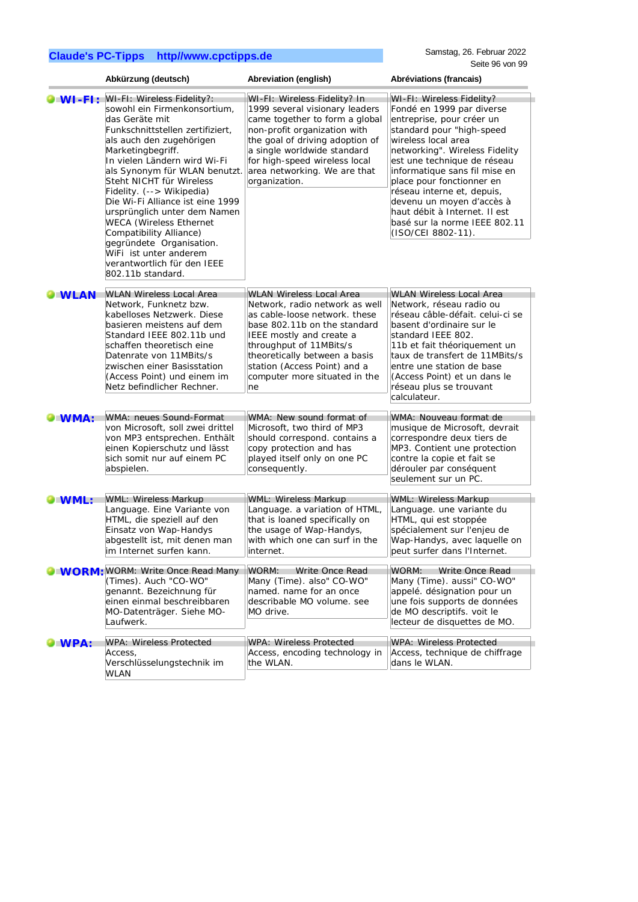|                  | Abkürzung (deutsch)                                                                                                                                                                                                                                                                                                                                                                                                                                                                                      | Abreviation (english)                                                                                                                                                                                                                                          | Abréviations (francais)                                                                                                                                                                                                                                                                                                                                                                      |
|------------------|----------------------------------------------------------------------------------------------------------------------------------------------------------------------------------------------------------------------------------------------------------------------------------------------------------------------------------------------------------------------------------------------------------------------------------------------------------------------------------------------------------|----------------------------------------------------------------------------------------------------------------------------------------------------------------------------------------------------------------------------------------------------------------|----------------------------------------------------------------------------------------------------------------------------------------------------------------------------------------------------------------------------------------------------------------------------------------------------------------------------------------------------------------------------------------------|
| $\bullet$ WI-FI: | WI-FI: Wireless Fidelity?:                                                                                                                                                                                                                                                                                                                                                                                                                                                                               | WI-FI: Wireless Fidelity? In                                                                                                                                                                                                                                   | WI-FI: Wireless Fidelity?                                                                                                                                                                                                                                                                                                                                                                    |
|                  | sowohl ein Firmenkonsortium,<br>das Geräte mit<br>Funkschnittstellen zertifiziert,<br>als auch den zugehörigen<br>Marketingbegriff.<br>In vielen Ländern wird Wi-Fi<br>als Synonym für WLAN benutzt.<br>Steht NICHT für Wireless<br>Fidelity. (--> Wikipedia)<br>Die Wi-Fi Alliance ist eine 1999<br>ursprünglich unter dem Namen<br><b>WECA</b> (Wireless Ethernet<br>Compatibility Alliance)<br>gegründete Organisation.<br>WiFi ist unter anderem<br>verantwortlich für den IEEE<br>802.11b standard. | 1999 several visionary leaders<br>came together to form a global<br>non-profit organization with<br>the goal of driving adoption of<br>a single worldwide standard<br>for high-speed wireless local<br>area networking. We are that<br>organization.           | Fondé en 1999 par diverse<br>entreprise, pour créer un<br>standard pour "high-speed<br>wireless local area<br>networking". Wireless Fidelity<br>est une technique de réseau<br>informatique sans fil mise en<br>place pour fonctionner en<br>réseau interne et, depuis,<br>devenu un moyen d'accès à<br>haut débit à Internet. Il est<br>basé sur la norme IEEE 802.11<br>(ISO/CEI 8802-11). |
| <b>O</b> WLAN    | <b>WLAN Wireless Local Area</b>                                                                                                                                                                                                                                                                                                                                                                                                                                                                          | <b>WLAN Wireless Local Area</b>                                                                                                                                                                                                                                | <b>WLAN Wireless Local Area</b>                                                                                                                                                                                                                                                                                                                                                              |
|                  | Network, Funknetz bzw.<br>kabelloses Netzwerk. Diese<br>basieren meistens auf dem<br>Standard IEEE 802.11b und<br>schaffen theoretisch eine<br>Datenrate von 11MBits/s<br>zwischen einer Basisstation<br>(Access Point) und einem im<br>Netz befindlicher Rechner.                                                                                                                                                                                                                                       | Network, radio network as well<br>as cable-loose network. these<br>base 802.11b on the standard<br>IEEE mostly and create a<br>throughput of 11MBits/s<br>theoretically between a basis<br>station (Access Point) and a<br>computer more situated in the<br>ne | Network, réseau radio ou<br>réseau câble-défait, celui-ci se<br>basent d'ordinaire sur le<br>standard IEEE 802.<br>11b et fait théoriquement un<br>taux de transfert de 11MBits/s<br>entre une station de base<br>(Access Point) et un dans le<br>réseau plus se trouvant<br>calculateur.                                                                                                    |
| <b>OWMA:</b>     | WMA: neues Sound-Format                                                                                                                                                                                                                                                                                                                                                                                                                                                                                  | WMA: New sound format of                                                                                                                                                                                                                                       | WMA: Nouveau format de                                                                                                                                                                                                                                                                                                                                                                       |
|                  | von Microsoft, soll zwei drittel<br>von MP3 entsprechen. Enthält<br>einen Kopierschutz und lässt<br>sich somit nur auf einem PC<br>abspielen.                                                                                                                                                                                                                                                                                                                                                            | Microsoft, two third of MP3<br>should correspond. contains a<br>copy protection and has<br>played itself only on one PC<br>consequently.                                                                                                                       | musique de Microsoft, devrait<br>correspondre deux tiers de<br>MP3. Contient une protection<br>contre la copie et fait se<br>dérouler par conséquent<br>seulement sur un PC.                                                                                                                                                                                                                 |
| <b>UWML:</b>     | <b>WML: Wireless Markup</b>                                                                                                                                                                                                                                                                                                                                                                                                                                                                              | <b>WML: Wireless Markup</b>                                                                                                                                                                                                                                    | <b>WML: Wireless Markup</b>                                                                                                                                                                                                                                                                                                                                                                  |
|                  | Language. Eine Variante von<br>HTML, die speziell auf den<br>Einsatz von Wap-Handys<br>abgestellt ist, mit denen man<br>im Internet surfen kann.                                                                                                                                                                                                                                                                                                                                                         | Language. a variation of HTML,<br>that is loaned specifically on<br>the usage of Wap-Handys,<br>with which one can surf in the<br>internet.                                                                                                                    | Language. une variante du<br>HTML, qui est stoppée<br>spécialement sur l'enjeu de<br>Wap-Handys, avec laquelle on<br>peut surfer dans l'Internet.                                                                                                                                                                                                                                            |
|                  | <b>O WORM: WORM: Write Once Read Many</b>                                                                                                                                                                                                                                                                                                                                                                                                                                                                | Write Once Read<br>WORM:                                                                                                                                                                                                                                       | Write Once Read<br>WORM:                                                                                                                                                                                                                                                                                                                                                                     |
|                  | (Times). Auch "CO-WO"<br>genannt. Bezeichnung für<br>einen einmal beschreibbaren<br>MO-Datenträger. Siehe MO-<br>Laufwerk.                                                                                                                                                                                                                                                                                                                                                                               | Many (Time). also" CO-WO"<br>named. name for an once<br>describable MO volume. see<br>MO drive.                                                                                                                                                                | Many (Time). aussi" CO-WO"<br>appelé. désignation pour un<br>une fois supports de données<br>de MO descriptifs. voit le<br>lecteur de disquettes de MO.                                                                                                                                                                                                                                      |
| WPA:             | <b>WPA: Wireless Protected</b>                                                                                                                                                                                                                                                                                                                                                                                                                                                                           | WPA: Wireless Protected                                                                                                                                                                                                                                        | WPA: Wireless Protected                                                                                                                                                                                                                                                                                                                                                                      |
|                  | Access,<br>Verschlüsselungstechnik im<br><b>WLAN</b>                                                                                                                                                                                                                                                                                                                                                                                                                                                     | Access, encoding technology in<br>the WLAN.                                                                                                                                                                                                                    | Access, technique de chiffrage<br>dans le WLAN.                                                                                                                                                                                                                                                                                                                                              |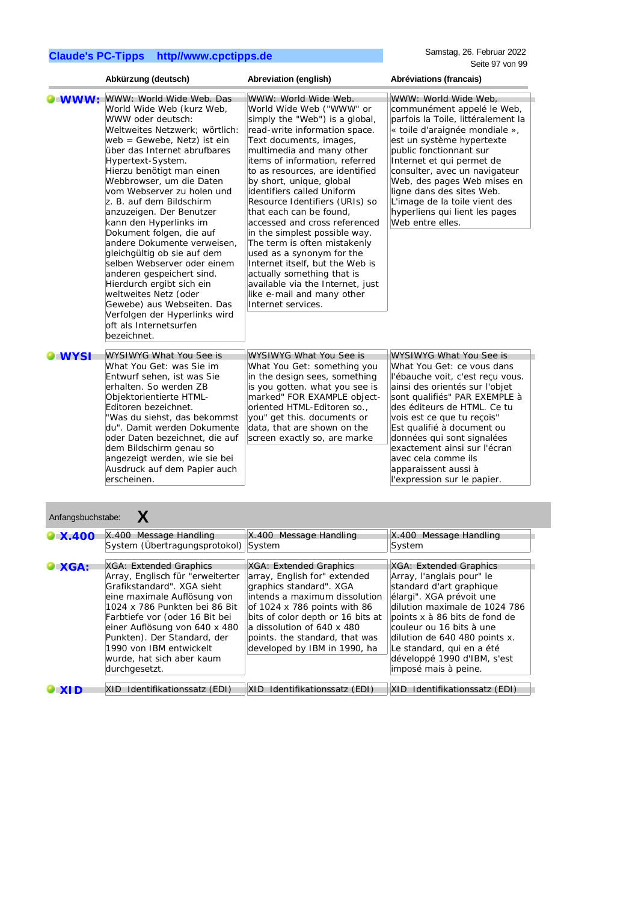|                     | Abkürzung (deutsch)                                                                                                                                                                                                                                                                                                                                                                                                                                                                                                                                                                                                                                                                           | Abreviation (english)                                                                                                                                                                                                                                                                                                                                                                                                                                                                                                                                                                                                                                           | Abréviations (francais)                                                                                                                                                                                                                                                                                                                                                                             |
|---------------------|-----------------------------------------------------------------------------------------------------------------------------------------------------------------------------------------------------------------------------------------------------------------------------------------------------------------------------------------------------------------------------------------------------------------------------------------------------------------------------------------------------------------------------------------------------------------------------------------------------------------------------------------------------------------------------------------------|-----------------------------------------------------------------------------------------------------------------------------------------------------------------------------------------------------------------------------------------------------------------------------------------------------------------------------------------------------------------------------------------------------------------------------------------------------------------------------------------------------------------------------------------------------------------------------------------------------------------------------------------------------------------|-----------------------------------------------------------------------------------------------------------------------------------------------------------------------------------------------------------------------------------------------------------------------------------------------------------------------------------------------------------------------------------------------------|
| $\blacksquare$ MWW: | WWW: World Wide Web. Das<br>World Wide Web (kurz Web,<br>WWW oder deutsch:<br>Weltweites Netzwerk: wörtlich:<br>web = Gewebe, Netz) ist ein<br>über das Internet abrufbares<br>Hypertext-System.<br>Hierzu benötigt man einen<br>Webbrowser, um die Daten<br>vom Webserver zu holen und<br>z. B. auf dem Bildschirm<br>anzuzeigen. Der Benutzer<br>kann den Hyperlinks im<br>Dokument folgen, die auf<br>andere Dokumente verweisen.<br>gleichgültig ob sie auf dem<br>selben Webserver oder einem<br>anderen gespeichert sind.<br>Hierdurch ergibt sich ein<br>weltweites Netz (oder<br>Gewebe) aus Webseiten. Das<br>Verfolgen der Hyperlinks wird<br>oft als Internetsurfen<br>bezeichnet. | WWW: World Wide Web.<br>World Wide Web ("WWW" or<br>simply the "Web") is a global,<br>read-write information space.<br>Text documents, images,<br>multimedia and many other<br>items of information, referred<br>to as resources, are identified<br>by short, unique, global<br>identifiers called Uniform<br>Resource Identifiers (URIs) so<br>that each can be found,<br>accessed and cross referenced<br>in the simplest possible way.<br>The term is often mistakenly<br>used as a synonym for the<br>Internet itself, but the Web is<br>actually something that is<br>available via the Internet, just<br>like e-mail and many other<br>Internet services. | WWW: World Wide Web,<br>communément appelé le Web,<br>parfois la Toile, littéralement la<br>« toile d'araignée mondiale »,<br>est un système hypertexte<br>public fonctionnant sur<br>Internet et qui permet de<br>consulter, avec un navigateur<br>Web, des pages Web mises en<br>ligne dans des sites Web.<br>L'image de la toile vient des<br>hyperliens qui lient les pages<br>Web entre elles. |
| <b>WYSI</b>         | <b>WYSIWYG What You See is</b>                                                                                                                                                                                                                                                                                                                                                                                                                                                                                                                                                                                                                                                                | <b>WYSIWYG What You See is</b>                                                                                                                                                                                                                                                                                                                                                                                                                                                                                                                                                                                                                                  | <b>WYSIWYG What You See is</b>                                                                                                                                                                                                                                                                                                                                                                      |
|                     | What You Get: was Sie im<br>Entwurf sehen, ist was Sie<br>erhalten. So werden ZB<br>Objektorientierte HTML-<br>Editoren bezeichnet.<br>"Was du siehst, das bekommst<br>du". Damit werden Dokumente<br>oder Daten bezeichnet, die auf<br>dem Bildschirm genau so<br>angezeigt werden, wie sie bei<br>Ausdruck auf dem Papier auch<br>erscheinen.                                                                                                                                                                                                                                                                                                                                               | What You Get: something you<br>in the design sees, something<br>is you gotten. what you see is<br>marked" FOR EXAMPLE object-<br>oriented HTML-Editoren so.,<br>you" get this. documents or<br>data, that are shown on the<br>screen exactly so, are marke                                                                                                                                                                                                                                                                                                                                                                                                      | What You Get: ce yous dans<br>l'ébauche voit, c'est recu vous.<br>ainsi des orientés sur l'objet<br>sont qualifiés" PAR EXEMPLE à<br>des éditeurs de HTML. Ce tu<br>vois est ce que tu reçois"<br>Est qualifié à document ou<br>données qui sont signalées<br>exactement ainsi sur l'écran<br>avec cela comme ils<br>apparaissent aussi à<br>l'expression sur le papier.                            |

| Anfangsbuchstabe: |                                                                                                                                                                                                                                                                                                                                     |                                                                                                                                                                                                                                                                                         |                                                                                                                                                                                                                                                                                                                                |  |
|-------------------|-------------------------------------------------------------------------------------------------------------------------------------------------------------------------------------------------------------------------------------------------------------------------------------------------------------------------------------|-----------------------------------------------------------------------------------------------------------------------------------------------------------------------------------------------------------------------------------------------------------------------------------------|--------------------------------------------------------------------------------------------------------------------------------------------------------------------------------------------------------------------------------------------------------------------------------------------------------------------------------|--|
| $\bullet$ X.400   | X.400 Message Handling<br>System (Übertragungsprotokol)                                                                                                                                                                                                                                                                             | X.400 Message Handling<br>System                                                                                                                                                                                                                                                        | X.400 Message Handling<br>System                                                                                                                                                                                                                                                                                               |  |
| $\bullet$ XGA:    | XGA: Extended Graphics<br>Array, Englisch für "erweiterter<br>Grafikstandard". XGA sieht<br>eine maximale Auflösung von<br>1024 x 786 Punkten bei 86 Bit<br>Farbtiefe vor (oder 16 Bit bei<br>einer Auflösung von 640 x 480<br>Punkten). Der Standard, der<br>1990 von IBM entwickelt<br>wurde, hat sich aber kaum<br>durchgesetzt. | XGA: Extended Graphics<br>array, English for" extended<br>graphics standard". XGA<br>intends a maximum dissolution<br>of 1024 x 786 points with 86<br>bits of color depth or 16 bits at<br>a dissolution of 640 x 480<br>points. the standard, that was<br>developed by IBM in 1990, ha | XGA: Extended Graphics<br>Array, l'anglais pour" le<br>standard d'art graphique<br>élargi". XGA prévoit une<br>dilution maximale de 1024 786<br>points x à 86 bits de fond de<br>couleur ou 16 bits à une<br>dilution de 640 480 points x.<br>Le standard, qui en a été<br>développé 1990 d'IBM, s'est<br>imposé mais à peine. |  |
|                   | XID Identifikationssatz (EDI)                                                                                                                                                                                                                                                                                                       | XID Identifikationssatz (EDI)                                                                                                                                                                                                                                                           | XID Identifikationssatz (EDI)                                                                                                                                                                                                                                                                                                  |  |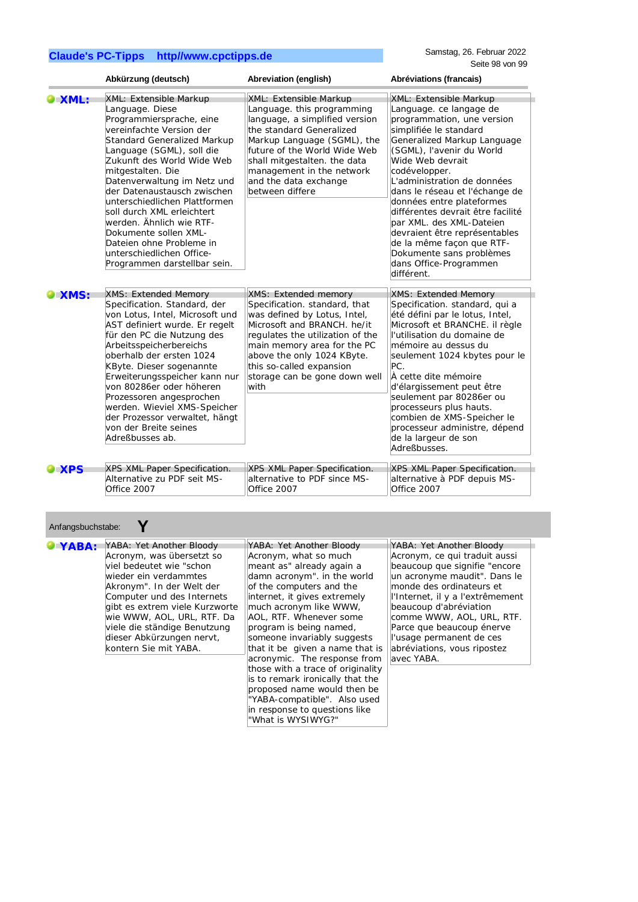Anfangsbuchstabe: **Y**

|               | Abkürzung (deutsch)                                                                                                                                                                                                                                                                                                                                                                                                                                                                         | Abreviation (english)                                                                                                                                                                                                                                                                             | Abréviations (francais)                                                                                                                                                                                                                                                                                                                                                                                                                                                                                     |
|---------------|---------------------------------------------------------------------------------------------------------------------------------------------------------------------------------------------------------------------------------------------------------------------------------------------------------------------------------------------------------------------------------------------------------------------------------------------------------------------------------------------|---------------------------------------------------------------------------------------------------------------------------------------------------------------------------------------------------------------------------------------------------------------------------------------------------|-------------------------------------------------------------------------------------------------------------------------------------------------------------------------------------------------------------------------------------------------------------------------------------------------------------------------------------------------------------------------------------------------------------------------------------------------------------------------------------------------------------|
| <b>XML:</b>   | XML: Extensible Markup<br>Language. Diese<br>Programmiersprache, eine<br>vereinfachte Version der<br>Standard Generalized Markup<br>Language (SGML), soll die<br>Zukunft des World Wide Web<br>mitgestalten. Die<br>Datenverwaltung im Netz und<br>der Datenaustausch zwischen<br>unterschiedlichen Plattformen<br>soll durch XML erleichtert<br>werden. Ähnlich wie RTF-<br>Dokumente sollen XML-<br>Dateien ohne Probleme in<br>unterschiedlichen Office-<br>Programmen darstellbar sein. | XML: Extensible Markup<br>Language. this programming<br>language, a simplified version<br>the standard Generalized<br>Markup Language (SGML), the<br>future of the World Wide Web<br>shall mitgestalten. the data<br>management in the network<br>and the data exchange<br>between differe        | XML: Extensible Markup<br>Language. ce langage de<br>programmation, une version<br>simplifiée le standard<br>Generalized Markup Language<br>(SGML), l'avenir du World<br>Wide Web devrait<br>codévelopper.<br>L'administration de données<br>dans le réseau et l'échange de<br>données entre plateformes<br>différentes devrait être facilité<br>par XML. des XML-Dateien<br>devraient être représentables<br>de la même façon que RTF-<br>Dokumente sans problèmes<br>dans Office-Programmen<br>différent. |
| <b>XMS:</b>   | <b>XMS: Extended Memory</b><br>Specification. Standard, der<br>von Lotus, Intel, Microsoft und<br>AST definiert wurde. Er regelt<br>für den PC die Nutzung des<br>Arbeitsspeicherbereichs<br>oberhalb der ersten 1024<br>KByte. Dieser sogenannte<br>Erweiterungsspeicher kann nur<br>von 80286er oder höheren<br>Prozessoren angesprochen<br>werden. Wieviel XMS-Speicher<br>der Prozessor verwaltet, hängt<br>von der Breite seines<br>Adreßbusses ab.                                    | <b>XMS: Extended memory</b><br>Specification. standard, that<br>was defined by Lotus, Intel,<br>Microsoft and BRANCH. he/it<br>regulates the utilization of the<br>main memory area for the PC<br>above the only 1024 KByte.<br>this so-called expansion<br>storage can be gone down well<br>with | <b>XMS: Extended Memory</b><br>Specification. standard, qui a<br>été défini par le lotus, Intel,<br>Microsoft et BRANCHE. il règle<br>l'utilisation du domaine de<br>mémoire au dessus du<br>seulement 1024 kbytes pour le<br>PC.<br>À cette dite mémoire<br>d'élargissement peut être<br>seulement par 80286er ou<br>processeurs plus hauts.<br>combien de XMS-Speicher le<br>processeur administre, dépend<br>de la largeur de son<br>Adreßbusses.                                                        |
| $\bullet$ XPS | XPS XML Paper Specification.<br>Alternative zu PDF seit MS-<br>Office 2007                                                                                                                                                                                                                                                                                                                                                                                                                  | XPS XML Paper Specification.<br>alternative to PDF since MS-<br>Office 2007                                                                                                                                                                                                                       | XPS XML Paper Specification.<br>alternative à PDF depuis MS-<br>Office 2007                                                                                                                                                                                                                                                                                                                                                                                                                                 |

| Anianyovuunolava. |                                                                                                                                                                                                                                                                                                                             |                                                                                                                                                                                                                                                                                                                                                                                                                                                                                                     |                                                                                                                                                                                                                                                                                                                                                          |  |
|-------------------|-----------------------------------------------------------------------------------------------------------------------------------------------------------------------------------------------------------------------------------------------------------------------------------------------------------------------------|-----------------------------------------------------------------------------------------------------------------------------------------------------------------------------------------------------------------------------------------------------------------------------------------------------------------------------------------------------------------------------------------------------------------------------------------------------------------------------------------------------|----------------------------------------------------------------------------------------------------------------------------------------------------------------------------------------------------------------------------------------------------------------------------------------------------------------------------------------------------------|--|
| YABA:             | YABA: Yet Another Bloody<br>Acronym, was übersetzt so<br>viel bedeutet wie "schon<br>wieder ein verdammtes<br>Akronym". In der Welt der<br>Computer und des Internets<br>gibt es extrem viele Kurzworte<br>wie WWW, AOL, URL, RTF. Da<br>viele die ständige Benutzung<br>dieser Abkürzungen nervt,<br>kontern Sie mit YABA. | YABA: Yet Another Bloody<br>Acronym, what so much<br>meant as" already again a<br>damn acronym". in the world<br>of the computers and the<br>internet, it gives extremely<br>much acronym like WWW,<br>AOL, RTF. Whenever some<br>program is being named,<br>someone invariably suggests<br>that it be given a name that is<br>acronymic. The response from<br>those with a trace of originality<br>is to remark ironically that the<br>proposed name would then be<br>"YABA-compatible". Also used | YABA: Yet Another Bloody<br>Acronym, ce qui traduit aussi<br>beaucoup que signifie "encore"<br>un acronyme maudit". Dans le<br>monde des ordinateurs et<br>l'Internet, il y a l'extrêmement<br>beaucoup d'abréviation<br>comme WWW, AOL, URL, RTF.<br>Parce que beaucoup énerve<br>l'usage permanent de ces<br>abréviations, vous ripostez<br>avec YABA. |  |
|                   |                                                                                                                                                                                                                                                                                                                             | in response to questions like<br>"What is WYSIWYG?"                                                                                                                                                                                                                                                                                                                                                                                                                                                 |                                                                                                                                                                                                                                                                                                                                                          |  |